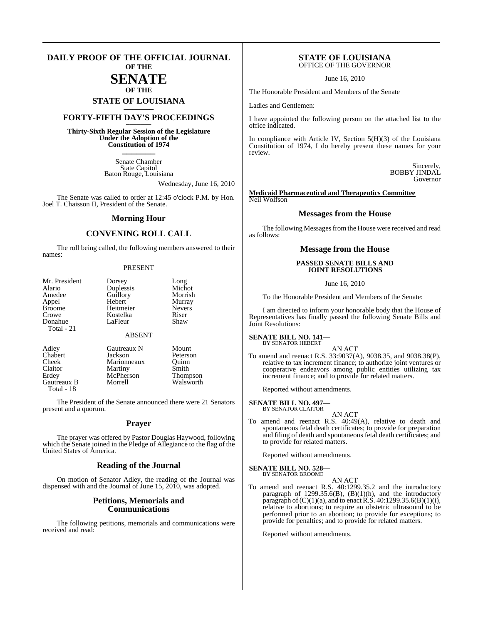#### **DAILY PROOF OF THE OFFICIAL JOURNAL OF THE**

# **SENATE**

# **OF THE STATE OF LOUISIANA \_\_\_\_\_\_\_**

# **FORTY-FIFTH DAY'S PROCEEDINGS \_\_\_\_\_\_\_**

**Thirty-Sixth Regular Session of the Legislature Under the Adoption of the Constitution of 1974 \_\_\_\_\_\_\_**

> Senate Chamber State Capitol Baton Rouge, Louisiana

> > Wednesday, June 16, 2010

The Senate was called to order at 12:45 o'clock P.M. by Hon. Joel T. Chaisson II, President of the Senate.

#### **Morning Hour**

### **CONVENING ROLL CALL**

The roll being called, the following members answered to their names:

#### PRESENT

| Mr. President | Dorsey        | Long            |
|---------------|---------------|-----------------|
| Alario        | Duplessis     | Michot          |
| Amedee        | Guillory      | Morrish         |
| Appel         | Hebert        | Murray          |
| <b>Broome</b> | Heitmeier     | <b>Nevers</b>   |
| Crowe         | Kostelka      | Riser           |
| Donahue       | LaFleur       | Shaw            |
| Total - 21    |               |                 |
|               | <b>ABSENT</b> |                 |
| Adley         | Gautreaux N   | Mount           |
| Chabert       | Jackson       | Peterson        |
| Cheek         | Marionneaux   | Ouinn           |
| Claitor       | Martiny       | Smith           |
| Erdey         | McPherson     | <b>Thompson</b> |
| Gautreaux B   | Morrell       | Walsworth       |

The President of the Senate announced there were 21 Senators present and a quorum.

Total - 18

#### **Prayer**

The prayer was offered by Pastor Douglas Haywood, following which the Senate joined in the Pledge of Allegiance to the flag of the United States of America.

#### **Reading of the Journal**

On motion of Senator Adley, the reading of the Journal was dispensed with and the Journal of June 15, 2010, was adopted.

#### **Petitions, Memorials and Communications**

The following petitions, memorials and communications were received and read:

#### **STATE OF LOUISIANA** OFFICE OF THE GOVERNOR

June 16, 2010

The Honorable President and Members of the Senate

Ladies and Gentlemen:

I have appointed the following person on the attached list to the office indicated.

In compliance with Article IV, Section 5(H)(3) of the Louisiana Constitution of 1974, I do hereby present these names for your review.

> Sincerely, BOBBY JINDAL Governor

#### **Medicaid Pharmaceutical and Therapeutics Committee** Neil Wolfson

#### **Messages from the House**

The following Messages from the House were received and read as follows:

#### **Message from the House**

#### **PASSED SENATE BILLS AND JOINT RESOLUTIONS**

June 16, 2010

To the Honorable President and Members of the Senate:

I am directed to inform your honorable body that the House of Representatives has finally passed the following Senate Bills and Joint Resolutions:

#### **SENATE BILL NO. 141—** BY SENATOR HEBERT

AN ACT

To amend and reenact R.S. 33:9037(A), 9038.35, and 9038.38(P), relative to tax increment finance; to authorize joint ventures or cooperative endeavors among public entities utilizing tax increment finance; and to provide for related matters.

Reported without amendments.

#### **SENATE BILL NO. 497—**

BY SENATOR CLAITOR AN ACT

To amend and reenact R.S. 40:49(A), relative to death and spontaneous fetal death certificates; to provide for preparation and filing of death and spontaneous fetal death certificates; and to provide for related matters.

Reported without amendments.

#### **SENATE BILL NO. 528—** BY SENATOR BROOME

AN ACT

To amend and reenact R.S. 40:1299.35.2 and the introductory paragraph of  $1299.35.6(B)$ ,  $(B)(1)(h)$ , and the introductory paragraph of  $(C)(1)(a)$ , and to enact R.S. 40:1299.35.6(B)(1)(i), relative to abortions; to require an obstetric ultrasound to be performed prior to an abortion; to provide for exceptions; to provide for penalties; and to provide for related matters.

Reported without amendments.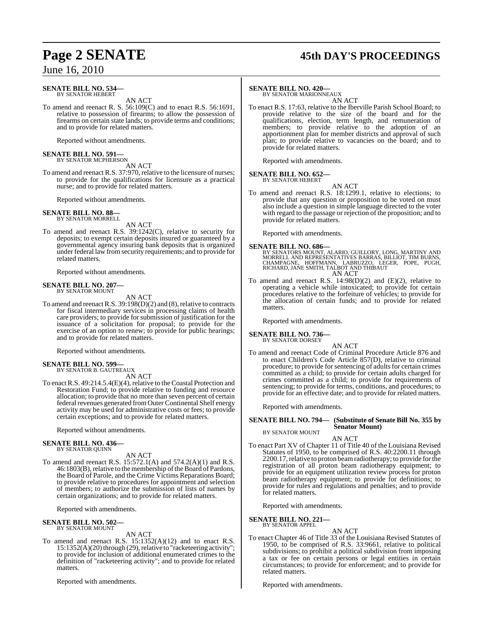# **Page 2 SENATE 45th DAY'S PROCEEDINGS**

## June 16, 2010

#### **SENATE BILL NO. 534—** BY SENATOR HEBERT

AN ACT

To amend and reenact R. S. 56:109(C) and to enact R.S. 56:1691, relative to possession of firearms; to allow the possession of firearms on certain state lands; to provide terms and conditions; and to provide for related matters.

Reported without amendments.

# **SENATE BILL NO. 591—** BY SENATOR MCPHERSON

AN ACT

To amend and reenact R.S. 37:970, relative to the licensure of nurses; to provide for the qualifications for licensure as a practical nurse; and to provide for related matters.

Reported without amendments.

# **SENATE BILL NO. 88—** BY SENATOR MORRELL

AN ACT

To amend and reenact R.S. 39:1242(C), relative to security for deposits; to exempt certain deposits insured or guaranteed by a governmental agency insuring bank deposits that is organized under federal law from security requirements; and to provide for related matters.

Reported without amendments.

#### **SENATE BILL NO. 207—** BY SENATOR MOUNT

AN ACT

To amend and reenact R.S. 39:198(D)(2) and (8), relative to contracts for fiscal intermediary services in processing claims of health care providers; to provide for submission of justification for the issuance of a solicitation for proposal; to provide for the exercise of an option to renew; to provide for public hearings; and to provide for related matters.

Reported without amendments.

#### **SENATE BILL NO. 599—** BY SENATOR B. GAUTREAUX

AN ACT

To enactR.S. 49:214.5.4(E)(4), relative to the Coastal Protection and Restoration Fund; to provide relative to funding and resource allocation; to provide that no more than seven percent of certain federal revenues generated from Outer Continental Shelf energy activity may be used for administrative costs or fees; to provide certain exceptions; and to provide for related matters.

Reported without amendments.

# **SENATE BILL NO. 436—** BY SENATOR QUINN

AN ACT

To amend and reenact R.S. 15:572.1(A) and 574.2(A)(1) and R.S. 46:1803(B), relative to the membership of the Board of Pardons, the Board of Parole, and the Crime Victims Reparations Board; to provide relative to procedures for appointment and selection of members; to authorize the submission of lists of names by certain organizations; and to provide for related matters.

Reported with amendments.

#### **SENATE BILL NO. 502—** BY SENATOR MOUNT

AN ACT

To amend and reenact R.S. 15:1352(A)(12) and to enact R.S. 15:1352(A)(20) through (29), relative to "racketeering activity"; to provide for inclusion of additional enumerated crimes to the definition of "racketeering activity"; and to provide for related matters.

Reported with amendments.

#### **SENATE BILL NO. 420—**

BY SENATOR MARIONNEAUX AN ACT

To enact R.S. 17:63, relative to the Iberville Parish School Board; to provide relative to the size of the board and for the qualifications, election, term length, and remuneration of members; to provide relative to the adoption of an apportionment plan for member districts and approval of such plan; to provide relative to vacancies on the board; and to provide for related matters.

Reported with amendments.

#### **SENATE BILL NO. 652—** BY SENATOR HEBERT

To amend and reenact R.S. 18:1299.1, relative to elections; to provide that any question or proposition to be voted on must also include a question in simple language directed to the voter with regard to the passage or rejection of the proposition; and to provide for related matters.

Reported with amendments.

#### **SENATE BILL NO. 686—**

BY SENATORS MOUNT, ALARIO, GUILLORY, LONG, MARTINY AND<br>MORRELL AND REPRESENTATIVES BARRAS, BILLIOT, TIM BURNS,<br>CHAMPAGNE, HOFFMANN, LABRUZZO, LEGER, POPE, PUGH,<br>RICHARD, JANE SMITH, TALBOT AND THIBAUT AN ACT

To amend and reenact R.S.  $14:98(D)(2)$  and  $(E)(2)$ , relative to operating a vehicle while intoxicated; to provide for certain procedures relative to the forfeiture of vehicles; to provide for the allocation of certain funds; and to provide for related matters.

Reported with amendments.

#### **SENATE BILL NO. 736—** BY SENATOR DORSEY

AN ACT

To amend and reenact Code of Criminal Procedure Article 876 and to enact Children's Code Article 857(D), relative to criminal procedure; to provide for sentencing of adults for certain crimes committed as a child; to provide for certain adults charged for crimes committed as a child; to provide for requirements of sentencing; to provide for terms, conditions, and procedures; to provide for an effective date; and to provide for related matters.

Reported with amendments.

#### **SENATE BILL NO. 794— (Substitute of Senate Bill No. 355 by Senator Mount)**

BY SENATOR MOUNT AN ACT

To enact Part XV of Chapter 11 of Title 40 of the Louisiana Revised Statutes of 1950, to be comprised of R.S. 40:2200.11 through 2200.17, relative to proton beam radiotherapy; to provide for the registration of all proton beam radiotherapy equipment; to provide for an equipment utilization review process for proton beam radiotherapy equipment; to provide for definitions; to provide for rules and regulations and penalties; and to provide for related matters.

Reported with amendments.

**SENATE BILL NO. 221—** BY SENATOR APPEL

AN ACT

To enact Chapter 46 of Title 33 of the Louisiana Revised Statutes of 1950, to be comprised of R.S. 33:9661, relative to political subdivisions; to prohibit a political subdivision from imposing a tax or fee on certain persons or legal entities in certain circumstances; to provide for enforcement; and to provide for related matters.

Reported with amendments.

AN ACT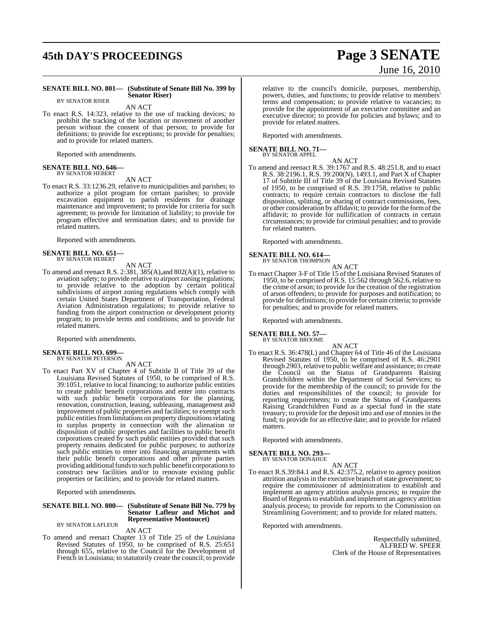# **45th DAY'S PROCEEDINGS Page 3 SENATE**

# June 16, 2010

#### **SENATE BILL NO. 801— (Substitute of Senate Bill No. 399 by Senator Riser)**

BY SENATOR RISER

AN ACT

To enact R.S. 14:323, relative to the use of tracking devices; to prohibit the tracking of the location or movement of another person without the consent of that person; to provide for definitions; to provide for exceptions; to provide for penalties; and to provide for related matters.

Reported with amendments.

#### **SENATE BILL NO. 646—** BY SENATOR HEBERT

AN ACT

To enact R.S. 33:1236.29, relative to municipalities and parishes; to authorize a pilot program for certain parishes; to provide excavation equipment to parish residents for drainage maintenance and improvement; to provide for criteria for such agreement; to provide for limitation of liability; to provide for program effective and termination dates; and to provide for related matters.

Reported with amendments.

#### **SENATE BILL NO. 651—** BY SENATOR HEBERT

AN ACT

To amend and reenact R.S. 2:381, 385(A),and 802(A)(1), relative to aviation safety; to provide relative to airport zoning regulations; to provide relative to the adoption by certain political subdivisions of airport zoning regulations which comply with certain United States Department of Transportation, Federal Aviation Administration regulations; to provide relative to funding from the airport construction or development priority program; to provide terms and conditions; and to provide for related matters.

Reported with amendments.

# **SENATE BILL NO. 699—** BY SENATOR PETERSON

AN ACT

To enact Part XV of Chapter 4 of Subtitle II of Title 39 of the Louisiana Revised Statutes of 1950, to be comprised of R.S. 39:1051, relative to local financing; to authorize public entities to create public benefit corporations and enter into contracts with such public benefit corporations for the planning, renovation, construction, leasing, subleasing, management and improvement of public properties and facilities; to exempt such public entities from limitations on property dispositions relating to surplus property in connection with the alienation or disposition of public properties and facilities to public benefit corporations created by such public entities provided that such property remains dedicated for public purposes; to authorize such public entities to enter into financing arrangements with their public benefit corporations and other private parties providing additional funds to such public benefit corporations to construct new facilities and/or to renovate existing public properties or facilities; and to provide for related matters.

Reported with amendments.

#### **SENATE BILL NO. 800— (Substitute of Senate Bill No. 779 by Senator Lafleur and Michot and**

**Representative Montoucet)** BY SENATOR LAFLEUR

AN ACT

To amend and reenact Chapter 13 of Title 25 of the Louisiana Revised Statutes of 1950, to be comprised of R.S. 25:651 through 655, relative to the Council for the Development of French in Louisiana; to statutorily create the council; to provide

relative to the council's domicile, purposes, membership, powers, duties, and functions; to provide relative to members terms and compensation; to provide relative to vacancies; to provide for the appointment of an executive committee and an executive director; to provide for policies and bylaws; and to provide for related matters.

Reported with amendments.

#### **SENATE BILL NO. 71—** BY SENATOR APPEL

- AN ACT
- To amend and reenact R.S. 39:1767 and R.S. 48:251.8, and to enact R.S. 38:2196.1, R.S. 39:200(N), 1493.1, and Part X of Chapter 17 of Subtitle III of Title 39 of the Louisiana Revised Statutes of 1950, to be comprised of R.S. 39:1758, relative to public contracts; to require certain contractors to disclose the full disposition, splitting, or sharing of contract commissions, fees, or other consideration by affidavit; to provide for the formofthe affidavit; to provide for nullification of contracts in certain circumstances; to provide for criminal penalties; and to provide for related matters.

Reported with amendments.

# **SENATE BILL NO. 614—** BY SENATOR THOMPSON

AN ACT

To enact Chapter 3-F of Title 15 of the Louisiana Revised Statutes of 1950, to be comprised of R.S. 15:562 through 562.6, relative to the crime of arson; to provide for the creation of the registration of arson offenders; to provide for purposes and notification; to provide for definitions; to provide for certain criteria; to provide for penalties; and to provide for related matters.

Reported with amendments.

#### **SENATE BILL NO. 57—** BY SENATOR BROOME

AN ACT

To enact R.S. 36:478(L) and Chapter 64 of Title 46 of the Louisiana Revised Statutes of 1950, to be comprised of R.S. 46:2901 through 2903, relative to public welfare and assistance; to create the Council on the Status of Grandparents Raising Grandchildren within the Department of Social Services; to provide for the membership of the council; to provide for the duties and responsibilities of the council; to provide for reporting requirements; to create the Status of Grandparents Raising Grandchildren Fund as a special fund in the state treasury; to provide for the deposit into and use of monies in the fund; to provide for an effective date; and to provide for related matters.

Reported with amendments.

#### **SENATE BILL NO. 293—** BY SENATOR DONAHUE

AN ACT

To enact R.S.39:84.1 and R.S. 42:375.2, relative to agency position attrition analysis in the executive branch of state government; to require the commissioner of administration to establish and implement an agency attrition analysis process; to require the Board of Regents to establish and implement an agency attrition analysis process; to provide for reports to the Commission on Streamlining Government; and to provide for related matters.

Reported with amendments.

Respectfully submitted, ALFRED W. SPEER Clerk of the House of Representatives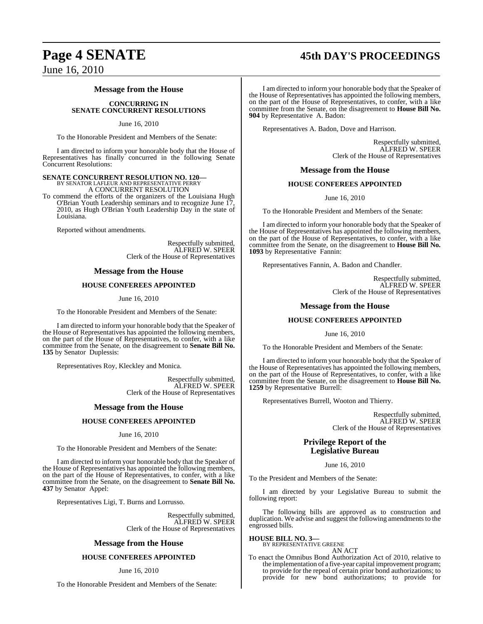# **Page 4 SENATE 45th DAY'S PROCEEDINGS**

June 16, 2010

#### **Message from the House**

#### **CONCURRING IN SENATE CONCURRENT RESOLUTIONS**

June 16, 2010

To the Honorable President and Members of the Senate:

I am directed to inform your honorable body that the House of Representatives has finally concurred in the following Senate Concurrent Resolutions:

# **SENATE CONCURRENT RESOLUTION NO. 120—** BY SENATOR LAFLEUR AND REPRESENTATIVE PERRY

A CONCURRENT RESOLUTION

To commend the efforts of the organizers of the Louisiana Hugh O'Brian Youth Leadership seminars and to recognize June 17, 2010, as Hugh O'Brian Youth Leadership Day in the state of Louisiana.

Reported without amendments.

Respectfully submitted, ALFRED W. SPEER Clerk of the House of Representatives

#### **Message from the House**

#### **HOUSE CONFEREES APPOINTED**

June 16, 2010

To the Honorable President and Members of the Senate:

I am directed to inform your honorable body that the Speaker of the House of Representatives has appointed the following members, on the part of the House of Representatives, to confer, with a like committee from the Senate, on the disagreement to **Senate Bill No. 135** by Senator Duplessis:

Representatives Roy, Kleckley and Monica.

Respectfully submitted, ALFRED W. SPEER Clerk of the House of Representatives

#### **Message from the House**

#### **HOUSE CONFEREES APPOINTED**

#### June 16, 2010

To the Honorable President and Members of the Senate:

I am directed to inform your honorable body that the Speaker of the House of Representatives has appointed the following members, on the part of the House of Representatives, to confer, with a like committee from the Senate, on the disagreement to **Senate Bill No. 437** by Senator Appel:

Representatives Ligi, T. Burns and Lorrusso.

Respectfully submitted, ALFRED W. SPEER Clerk of the House of Representatives

#### **Message from the House**

#### **HOUSE CONFEREES APPOINTED**

June 16, 2010

To the Honorable President and Members of the Senate:

I am directed to inform your honorable body that the Speaker of the House of Representatives has appointed the following members, on the part of the House of Representatives, to confer, with a like committee from the Senate, on the disagreement to **House Bill No. 904** by Representative A. Badon:

Representatives A. Badon, Dove and Harrison.

Respectfully submitted, ALFRED W. SPEER Clerk of the House of Representatives

#### **Message from the House**

#### **HOUSE CONFEREES APPOINTED**

June 16, 2010

To the Honorable President and Members of the Senate:

I am directed to inform your honorable body that the Speaker of the House of Representatives has appointed the following members, on the part of the House of Representatives, to confer, with a like committee from the Senate, on the disagreement to **House Bill No. 1093** by Representative Fannin:

Representatives Fannin, A. Badon and Chandler.

Respectfully submitted, ALFRED W. SPEER Clerk of the House of Representatives

#### **Message from the House**

#### **HOUSE CONFEREES APPOINTED**

June 16, 2010

To the Honorable President and Members of the Senate:

I am directed to inform your honorable body that the Speaker of the House of Representatives has appointed the following members, on the part of the House of Representatives, to confer, with a like committee from the Senate, on the disagreement to **House Bill No. 1259** by Representative Burrell:

Representatives Burrell, Wooton and Thierry.

Respectfully submitted, ALFRED W. SPEER Clerk of the House of Representatives

### **Privilege Report of the Legislative Bureau**

June 16, 2010

To the President and Members of the Senate:

I am directed by your Legislative Bureau to submit the following report:

The following bills are approved as to construction and duplication. We advise and suggest the following amendments to the engrossed bills.

**HOUSE BILL NO. 3—** BY REPRESENTATIVE GREENE

AN ACT

To enact the Omnibus Bond Authorization Act of 2010, relative to the implementation of a five-year capital improvement program; to provide for the repeal of certain prior bond authorizations; to provide for new bond authorizations; to provide for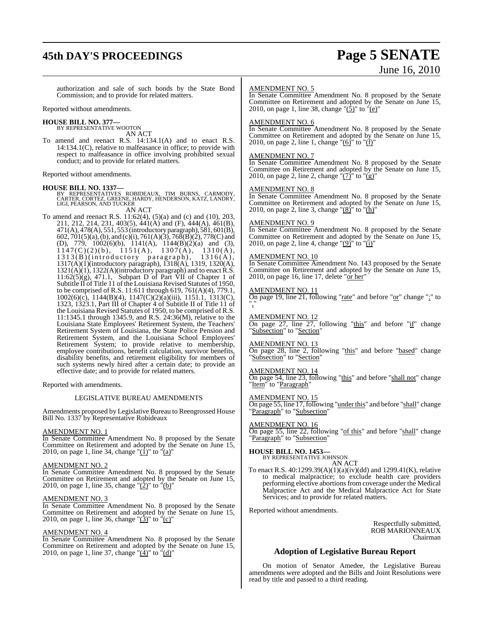# **45th DAY'S PROCEEDINGS Page 5 SENATE**

# June 16, 2010

authorization and sale of such bonds by the State Bond Commission; and to provide for related matters.

Reported without amendments.

#### **HOUSE BILL NO. 377—**

BY REPRESENTATIVE WOOTON AN ACT

To amend and reenact R.S. 14:134.1(A) and to enact R.S. 14:134.1(C), relative to malfeasance in office; to provide with respect to malfeasance in office involving prohibited sexual conduct; and to provide for related matters.

Reported without amendments.

#### **HOUSE BILL NO. 1337—**

BY REPRESENTATIVES ROBIDEAUX, TIM BURNS, CARMODY, CARTER, CORTEZ, GREENE, HARDY, HENDERSON, KATZ, LANDRY, LIGI, PEARSON, AND TUCKER AN ACT

To amend and reenact R.S. 11:62(4), (5)(a) and (c) and (10), 203, 211, 212, 214, 231, 403(5), 441(A) and (F), 444(A), 461(B), 471(A), 478(A), 551, 553 (introductory paragraph), 581, 601(B), 602, 701(5)(a),(b), and (c)(i), 761(A)(3), 768(B)(2), 778(C) and (D), 779, 1002(6)(b), 1141(A), 1144(B)(2)(a) and (3),  $1147(C)(2)(b)$ ,  $1151(A)$ ,  $1307(A)$ ,  $1310(A)$ , 1313(B)(introductory paragraph), 1316(A), 1317(A)(1)(introductory paragraph), 1318(A), 1319, 1320(A), 1321(A)(1), 1322(A)(introductory paragraph) and to enact R.S.  $11:62(5)(g)$ , 471.1, Subpart D of Part VII of Chapter 1 of Subtitle II of Title 11 of the Louisiana Revised Statutes of 1950, to be comprised of R.S. 11:611 through 619, 761(A)(4), 779.1, 1002(6)(c), 1144(B)(4), 1147(C)(2)(a)(iii), 1151.1, 1313(C), 1323, 1323.1, Part III of Chapter 4 of Subtitle II of Title 11 of the Louisiana Revised Statutes of 1950, to be comprised of R.S. 11:1345.1 through 1345.9, and R.S. 24:36(M), relative to the Louisiana State Employees' Retirement System, the Teachers' Retirement System of Louisiana, the State Police Pension and Retirement System, and the Louisiana School Employees' Retirement System; to provide relative to membership, employee contributions, benefit calculation, survivor benefits, disability benefits, and retirement eligibility for members of such systems newly hired after a certain date; to provide an effective date; and to provide for related matters.

Reported with amendments.

#### LEGISLATIVE BUREAU AMENDMENTS

Amendments proposed by Legislative Bureau to Reengrossed House Bill No. 1337 by Representative Robideaux

#### AMENDMENT NO. 1

In Senate Committee Amendment No. 8 proposed by the Senate Committee on Retirement and adopted by the Senate on June 15, 2010, on page 1, line 34, change " $(1)$ " to " $(a)$ "

#### AMENDMENT NO. 2

In Senate Committee Amendment No. 8 proposed by the Senate Committee on Retirement and adopted by the Senate on June 15, 2010, on page 1, line 35, change " $(2)$ " to " $(b)$ "

#### AMENDMENT NO. 3

In Senate Committee Amendment No. 8 proposed by the Senate Committee on Retirement and adopted by the Senate on June 15, 2010, on page 1, line 36, change " $(3)$ " to " $(c)$ "

#### AMENDMENT NO. 4

In Senate Committee Amendment No. 8 proposed by the Senate Committee on Retirement and adopted by the Senate on June 15, 2010, on page 1, line 37, change " $(\hat{4})$ " to " $(d)$ "

#### AMENDMENT NO. 5

In Senate Committee Amendment No. 8 proposed by the Senate Committee on Retirement and adopted by the Senate on June 15, 2010, on page 1, line 38, change " $(5)$ " to " $(e)$ "

#### AMENDMENT NO. 6

In Senate Committee Amendment No. 8 proposed by the Senate Committee on Retirement and adopted by the Senate on June 15, 2010, on page 2, line 1, change " $(6)$ " to " $(f)$ "

#### AMENDMENT NO. 7

In Senate Committee Amendment No. 8 proposed by the Senate Committee on Retirement and adopted by the Senate on June 15, 2010, on page 2, line 2, change " $(7)^{n}$  to " $(g)$ "

#### AMENDMENT NO. 8

In Senate Committee Amendment No. 8 proposed by the Senate Committee on Retirement and adopted by the Senate on June 15, 2010, on page 2, line 3, change " $(8)$ " to " $(h)$ "

## AMENDMENT NO. 9

In Senate Committee Amendment No. 8 proposed by the Senate Committee on Retirement and adopted by the Senate on June 15, 2010, on page 2, line 4, change " $(9)'$ " to " $(i)'$ 

#### AMENDMENT NO. 10

In Senate Committee Amendment No. 143 proposed by the Senate Committee on Retirement and adopted by the Senate on June 15, 2010, on page 16, line 17, delete " $\overline{\text{or her}}$ "

#### AMENDMENT NO. 11

On page 19, line 21, following "rate" and before "or" change ";" to ","

#### AMENDMENT NO. 12

On page 27, line 27, following "this" and before "if" change "Subsection" to "Section"

#### AMENDMENT NO. 13

On page 28, line 2, following "this" and before "based" change "Subsection" to "Section"

#### AMENDMENT NO. 14

On page 54, line 23, following "this" and before "shall not" change "Item" to "Paragraph"

#### AMENDMENT NO. 15

On page 55, line 17, following "under this" and before "shall" change "Paragraph" to "Subsection"

#### AMENDMENT NO. 16

On page 55, line 22, following "of this" and before "shall" change "Paragraph" to "Subsection"

#### **HOUSE BILL NO. 1453—**

BY REPRESENTATIVE JOHNSON AN ACT

To enact R.S. 40:1299.39(A)(1)(a)(iv)(dd) and 1299.41(K), relative to medical malpractice; to exclude health care providers performing elective abortions from coverage under the Medical Malpractice Act and the Medical Malpractice Act for State Services; and to provide for related matters.

Reported without amendments.

Respectfully submitted, ROB MARIONNEAUX Chairman

#### **Adoption of Legislative Bureau Report**

On motion of Senator Amedee, the Legislative Bureau amendments were adopted and the Bills and Joint Resolutions were read by title and passed to a third reading.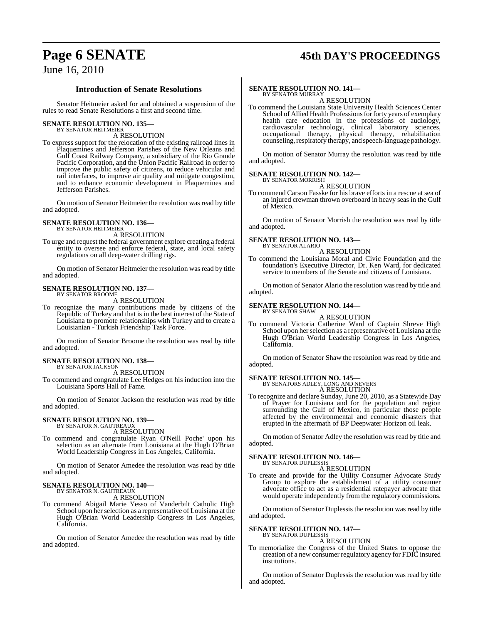# **Page 6 SENATE 45th DAY'S PROCEEDINGS**

## June 16, 2010

#### **Introduction of Senate Resolutions**

Senator Heitmeier asked for and obtained a suspension of the rules to read Senate Resolutions a first and second time.

#### **SENATE RESOLUTION NO. 135—** BY SENATOR HEITMEIER

A RESOLUTION

To express support for the relocation of the existing railroad lines in Plaquemines and Jefferson Parishes of the New Orleans and Gulf Coast Railway Company, a subsidiary of the Rio Grande Pacific Corporation, and the Union Pacific Railroad in order to improve the public safety of citizens, to reduce vehicular and rail interfaces, to improve air quality and mitigate congestion, and to enhance economic development in Plaquemines and Jefferson Parishes.

On motion of Senator Heitmeier the resolution was read by title and adopted.

# **SENATE RESOLUTION NO. 136—** BY SENATOR HEITMEIER

A RESOLUTION

To urge and request the federal government explore creating a federal entity to oversee and enforce federal, state, and local safety regulations on all deep-water drilling rigs.

On motion of Senator Heitmeier the resolution was read by title and adopted.

#### **SENATE RESOLUTION NO. 137—** BY SENATOR BROOME

A RESOLUTION

To recognize the many contributions made by citizens of the Republic of Turkey and that is in the best interest of the State of Louisiana to promote relationships with Turkey and to create a Louisianian - Turkish Friendship Task Force.

On motion of Senator Broome the resolution was read by title and adopted.

## **SENATE RESOLUTION NO. 138—**

BY SENATOR JACKSON A RESOLUTION

To commend and congratulate Lee Hedges on his induction into the Louisiana Sports Hall of Fame.

On motion of Senator Jackson the resolution was read by title and adopted.

#### **SENATE RESOLUTION NO. 139—** BY SENATOR N. GAUTREAUX

A RESOLUTION

To commend and congratulate Ryan O'Neill Poche' upon his selection as an alternate from Louisiana at the Hugh O'Brian World Leadership Congress in Los Angeles, California.

On motion of Senator Amedee the resolution was read by title and adopted.

# **SENATE RESOLUTION NO. 140—** BY SENATOR N. GAUTREAUX

A RESOLUTION

To commend Abigail Marie Yesso of Vanderbilt Catholic High School upon her selection as a representative of Louisiana at the Hugh O'Brian World Leadership Congress in Los Angeles, California.

On motion of Senator Amedee the resolution was read by title and adopted.

#### **SENATE RESOLUTION NO. 141—**

BY SENATOR MURRAY A RESOLUTION

To commend the Louisiana State University Health Sciences Center School of Allied Health Professions for forty years of exemplary health care education in the professions of audiology, cardiovascular technology, clinical laboratory sciences, occupational therapy, physical therapy, rehabilitation counseling, respiratory therapy, and speech-language pathology.

On motion of Senator Murray the resolution was read by title and adopted.

#### **SENATE RESOLUTION NO. 142—** BY SENATOR MORRISH

A RESOLUTION

To commend Carson Fasske for his brave efforts in a rescue at sea of an injured crewman thrown overboard in heavy seas in the Gulf of Mexico.

On motion of Senator Morrish the resolution was read by title and adopted.

#### **SENATE RESOLUTION NO. 143—** BY SENATOR ALARIO

A RESOLUTION

To commend the Louisiana Moral and Civic Foundation and the foundation's Executive Director, Dr. Ken Ward, for dedicated service to members of the Senate and citizens of Louisiana.

On motion of Senator Alario the resolution was read by title and adopted.

#### **SENATE RESOLUTION NO. 144—**

BY SENATOR SHAW A RESOLUTION

To commend Victoria Catherine Ward of Captain Shreve High School upon her selection as a representative of Louisiana at the Hugh O'Brian World Leadership Congress in Los Angeles, California.

On motion of Senator Shaw the resolution was read by title and adopted.

# **SENATE RESOLUTION NO. 145—** BY SENATORS ADLEY, LONG AND NEVERS

A RESOLUTION To recognize and declare Sunday, June 20, 2010, as a Statewide Day of Prayer for Louisiana and for the population and region surrounding the Gulf of Mexico, in particular those people affected by the environmental and economic disasters that erupted in the aftermath of BP Deepwater Horizon oil leak.

On motion of Senator Adley the resolution was read by title and adopted.

#### **SENATE RESOLUTION NO. 146—** BY SENATOR DUPLESSIS

A RESOLUTION

To create and provide for the Utility Consumer Advocate Study Group to explore the establishment of a utility consumer advocate office to act as a residential ratepayer advocate that would operate independently from the regulatory commissions.

On motion of Senator Duplessis the resolution was read by title and adopted.

# **SENATE RESOLUTION NO. 147—** BY SENATOR DUPLESSIS

A RESOLUTION

To memorialize the Congress of the United States to oppose the creation of a new consumer regulatory agency for FDIC insured institutions.

On motion of Senator Duplessis the resolution was read by title and adopted.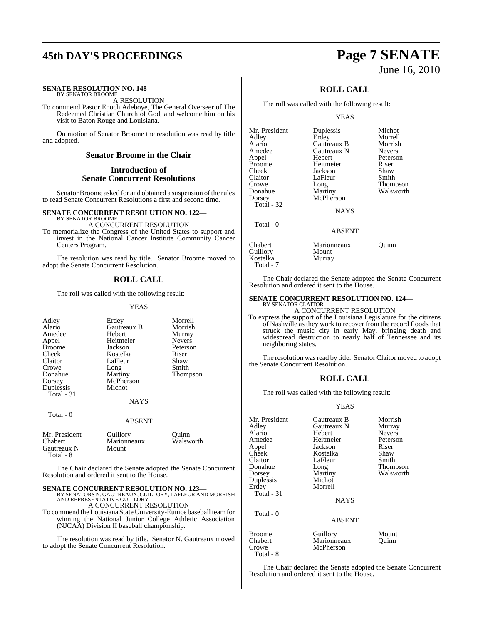# **45th DAY'S PROCEEDINGS Page 7 SENATE**

#### **SENATE RESOLUTION NO. 148—** BY SENATOR BROOME

A RESOLUTION

To commend Pastor Enoch Adeboye, The General Overseer of The Redeemed Christian Church of God, and welcome him on his visit to Baton Rouge and Louisiana.

On motion of Senator Broome the resolution was read by title and adopted.

### **Senator Broome in the Chair**

#### **Introduction of Senate Concurrent Resolutions**

Senator Broome asked for and obtained a suspension of the rules to read Senate Concurrent Resolutions a first and second time.

# **SENATE CONCURRENT RESOLUTION NO. 122—** BY SENATOR BROOME

A CONCURRENT RESOLUTION

To memorialize the Congress of the United States to support and invest in the National Cancer Institute Community Cancer Centers Program.

The resolution was read by title. Senator Broome moved to adopt the Senate Concurrent Resolution.

#### **ROLL CALL**

The roll was called with the following result:

#### YEAS

| Adley<br>Alario<br>Amedee<br>Appel<br><b>Broome</b><br>Cheek<br>Claitor<br>Crowe<br>Donahue<br>Dorsey<br>Duplessis<br>Total - 31 | Erdey<br>Gautreaux B<br>Hebert<br>Heitmeier<br>Jackson<br>Kostelka<br>LaFleur<br>Long<br>Martiny<br>McPherson<br>Michot<br><b>NAYS</b> | Morrell<br>Morrish<br>Murray<br><b>Nevers</b><br>Peterson<br>Riser<br>Shaw<br>Smith<br>Thompson |
|----------------------------------------------------------------------------------------------------------------------------------|----------------------------------------------------------------------------------------------------------------------------------------|-------------------------------------------------------------------------------------------------|
| Total - 0                                                                                                                        | <b>ABSENT</b>                                                                                                                          |                                                                                                 |
| Mr. President<br>Chabert<br>Gautreaux N<br>Total - 8                                                                             | Guillory<br>Marionneaux<br>Mount                                                                                                       | Ouinn<br>Walsworth                                                                              |

The Chair declared the Senate adopted the Senate Concurrent Resolution and ordered it sent to the House.

#### **SENATE CONCURRENT RESOLUTION NO. 123—**

BY SENATORS N. GAUTREAUX, GUILLORY, LAFLEUR AND MORRISH AND REPRESENTATIVE GUILLORY A CONCURRENT RESOLUTION

To commend theLouisiana StateUniversity-Eunice baseball teamfor winning the National Junior College Athletic Association (NJCAA) Division II baseball championship.

The resolution was read by title. Senator N. Gautreaux moved to adopt the Senate Concurrent Resolution.

# June 16, 2010

### **ROLL CALL**

The roll was called with the following result:

#### YEAS

| Duplessis     | Michot        |
|---------------|---------------|
| Erdey         | Morrell       |
| Gautreaux B   | Morrish       |
| Gautreaux N   | <b>Nevers</b> |
| Hebert        | Peterson      |
| Heitmeier     | Riser         |
| Jackson       | Shaw          |
| LaFleur       | Smith         |
| Long          | Thompson      |
| Martiny       | Walsworth     |
| McPherson     |               |
|               |               |
| <b>NAYS</b>   |               |
|               |               |
| <b>ABSENT</b> |               |
| Marionneaux   | Ouinn         |
| Mount         |               |
| Murray        |               |
|               |               |

Total - 7

Total - 8

The Chair declared the Senate adopted the Senate Concurrent Resolution and ordered it sent to the House.

### **SENATE CONCURRENT RESOLUTION NO. 124—**

BY SENATOR CLAITOR A CONCURRENT RESOLUTION

To express the support of the Louisiana Legislature for the citizens of Nashville as they work to recover from the record floods that struck the music city in early May, bringing death and widespread destruction to nearly half of Tennessee and its neighboring states.

The resolution was read by title. Senator Claitor moved to adopt the Senate Concurrent Resolution.

#### **ROLL CALL**

The roll was called with the following result:

#### YEAS

| Mr. President<br>Adley<br>Alario<br>Amedee<br>Appel<br>Cheek<br>Claitor<br>Donahue<br>Dorsey<br>Duplessis<br>Erdey<br>Total - 31 | Gautreaux B<br>Gautreaux N<br>Hebert<br>Heitmeier<br>Jackson<br>Kostelka<br>LaFleur<br>Long<br>Martiny<br>Michot<br>Morrell<br><b>NAYS</b> | Morrish<br>Murray<br><b>Nevers</b><br>Peterson<br>Riser<br>Shaw<br>Smith<br>Thompson<br>Walsworth |
|----------------------------------------------------------------------------------------------------------------------------------|--------------------------------------------------------------------------------------------------------------------------------------------|---------------------------------------------------------------------------------------------------|
| Total - 0                                                                                                                        | <b>ABSENT</b>                                                                                                                              |                                                                                                   |
| <b>Broome</b><br>Chabert<br>Crowe                                                                                                | Guillory<br>Marionneaux<br>McPherson                                                                                                       | Mount<br>Ouinn                                                                                    |

The Chair declared the Senate adopted the Senate Concurrent Resolution and ordered it sent to the House.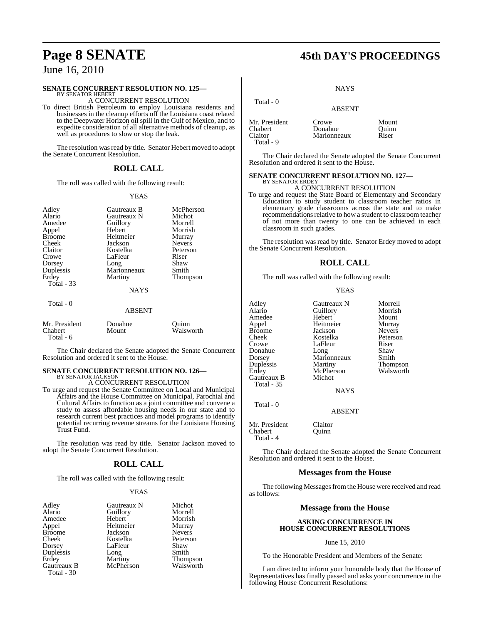Total - 6

#### **SENATE CONCURRENT RESOLUTION NO. 125—**

BY SENATOR HEBERT A CONCURRENT RESOLUTION

To direct British Petroleum to employ Louisiana residents and businesses in the cleanup efforts off the Louisiana coast related to the Deepwater Horizon oil spill in the Gulf of Mexico, and to expedite consideration of all alternative methods of cleanup, as well as procedures to slow or stop the leak.

The resolution was read by title. Senator Hebert moved to adopt the Senate Concurrent Resolution.

#### **ROLL CALL**

The roll was called with the following result:

#### YEAS

| Adley<br>Alario<br>Amedee<br>Appel<br><b>Broome</b><br>Cheek<br>Claitor<br>Crowe<br>Dorsey<br>Duplessis<br>Erdey<br>Total $-33$<br>Total - 0 | Gautreaux B<br>Gautreaux N<br>Guillory<br>Hebert<br>Heitmeier<br>Jackson<br>Kostelka<br>LaFleur<br>Long<br>Marionneaux<br>Martiny<br><b>NAYS</b> | McPherson<br>Michot<br>Morrell<br>Morrish<br>Murray<br><b>Nevers</b><br>Peterson<br>Riser<br>Shaw<br>Smith<br>Thompson |
|----------------------------------------------------------------------------------------------------------------------------------------------|--------------------------------------------------------------------------------------------------------------------------------------------------|------------------------------------------------------------------------------------------------------------------------|
|                                                                                                                                              | <b>ABSENT</b>                                                                                                                                    |                                                                                                                        |
| Mr. President<br>Chabert                                                                                                                     | Donahue<br>Mount                                                                                                                                 | Quinn<br>Walsworth                                                                                                     |

The Chair declared the Senate adopted the Senate Concurrent Resolution and ordered it sent to the House.

# **SENATE CONCURRENT RESOLUTION NO. 126—** BY SENATOR JACKSON

#### A CONCURRENT RESOLUTION

To urge and request the Senate Committee on Local and Municipal Affairs and the House Committee on Municipal, Parochial and Cultural Affairs to function as a joint committee and convene a study to assess affordable housing needs in our state and to research current best practices and model programs to identify potential recurring revenue streams for the Louisiana Housing Trust Fund.

The resolution was read by title. Senator Jackson moved to adopt the Senate Concurrent Resolution.

#### **ROLL CALL**

The roll was called with the following result:

#### YEAS

| Adley             | Gautreaux N | Michot        |
|-------------------|-------------|---------------|
| Alario            | Guillory    | Morrell       |
| Amedee            | Hebert      | Morrish       |
| Appel             | Heitmeier   | Murray        |
| <b>Broome</b>     | Jackson     | <b>Nevers</b> |
| Cheek             | Kostelka    | Peterson      |
| Dorsey            | LaFleur     | Shaw          |
| Duplessis         | Long        | Smith         |
| Erdey             | Martiny     | Thompson      |
| Gautreaux B       | McPherson   | Walsworth     |
| <b>Total - 30</b> |             |               |

# **Page 8 SENATE 45th DAY'S PROCEEDINGS**

**NAYS** 

| Total - 0                | <b>ABSENT</b>    |                |
|--------------------------|------------------|----------------|
| Mr. President<br>Chabert | Crowe<br>Donahue | Mount<br>Quinn |
| Claitor<br>Total - 9     | Marionneaux      | Riser          |

The Chair declared the Senate adopted the Senate Concurrent Resolution and ordered it sent to the House.

#### **SENATE CONCURRENT RESOLUTION NO. 127—**

#### BY SENATOR ERDEY A CONCURRENT RESOLUTION

To urge and request the State Board of Elementary and Secondary Education to study student to classroom teacher ratios in elementary grade classrooms across the state and to make recommendations relative to how a student to classroom teacher of not more than twenty to one can be achieved in each classroom in such grades.

The resolution was read by title. Senator Erdey moved to adopt the Senate Concurrent Resolution.

#### **ROLL CALL**

The roll was called with the following result:

#### YEAS

| Adley         | Gautreaux N | Morrell         |
|---------------|-------------|-----------------|
| Alario        | Guillory    | Morrish         |
| Amedee        | Hebert      | Mount           |
| Appel         | Heitmeier   | Murray          |
| <b>Broome</b> | Jackson     | <b>Nevers</b>   |
| Cheek         | Kostelka    | Peterson        |
| Crowe         | LaFleur     | Riser           |
| Donahue       | Long        | Shaw            |
| Dorsey        | Marionneaux | Smith           |
| Duplessis     | Martiny     | <b>Thompson</b> |
| Erdey         | McPherson   | Walsworth       |
| Gautreaux B   | Michot      |                 |
| Total - 35    |             |                 |
|               | 11 A V.C    |                 |

**NAYS** 

#### ABSENT

Mr. President Claitor Chabert **Quinn** Total - 4

Total - 0

The Chair declared the Senate adopted the Senate Concurrent Resolution and ordered it sent to the House.

#### **Messages from the House**

The following Messages from the House were received and read as follows:

#### **Message from the House**

#### **ASKING CONCURRENCE IN HOUSE CONCURRENT RESOLUTIONS**

#### June 15, 2010

To the Honorable President and Members of the Senate:

I am directed to inform your honorable body that the House of Representatives has finally passed and asks your concurrence in the following House Concurrent Resolutions: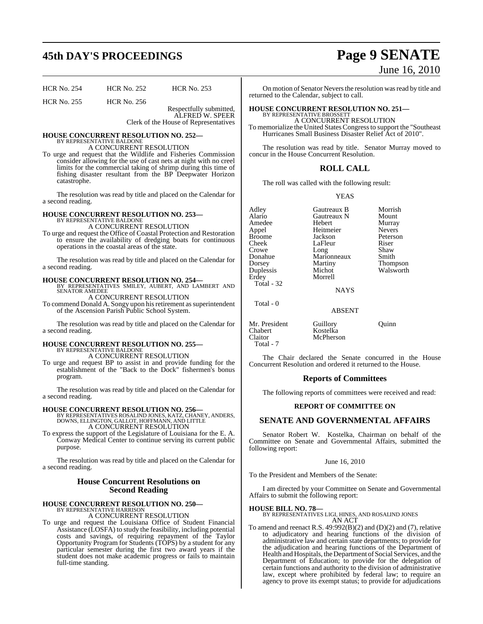# **45th DAY'S PROCEEDINGS Page 9 SENATE**

| <b>HCR No. 254</b> | <b>HCR No. 252</b> | <b>HCR No. 253</b> |
|--------------------|--------------------|--------------------|
| <b>HCR No. 255</b> | <b>HCR No. 256</b> |                    |

Respectfully submitted, ALFRED W. SPEER Clerk of the House of Representatives

#### **HOUSE CONCURRENT RESOLUTION NO. 252—** BY REPRESENTATIVE BALDONE A CONCURRENT RESOLUTION

To urge and request that the Wildlife and Fisheries Commission consider allowing for the use of cast nets at night with no creel limits for the commercial taking of shrimp during this time of fishing disaster resultant from the BP Deepwater Horizon catastrophe.

The resolution was read by title and placed on the Calendar for a second reading.

# **HOUSE CONCURRENT RESOLUTION NO. 253—** BY REPRESENTATIVE BALDONE

A CONCURRENT RESOLUTION

To urge and request the Office of Coastal Protection and Restoration to ensure the availability of dredging boats for continuous operations in the coastal areas of the state.

The resolution was read by title and placed on the Calendar for a second reading.

# **HOUSE CONCURRENT RESOLUTION NO. 254—** BY REPRESENTATIVES SMILEY, AUBERT, AND LAMBERT AND

SENATOR AMEDEE A CONCURRENT RESOLUTION

To commend Donald A. Songy upon his retirement as superintendent of the Ascension Parish Public School System.

The resolution was read by title and placed on the Calendar for a second reading.

# **HOUSE CONCURRENT RESOLUTION NO. 255—** BY REPRESENTATIVE BALDONE

A CONCURRENT RESOLUTION

To urge and request BP to assist in and provide funding for the establishment of the "Back to the Dock" fishermen's bonus program.

The resolution was read by title and placed on the Calendar for a second reading.

**HOUSE CONCURRENT RESOLUTION NO. 256**<br>BY REPRESENTATIVES ROSALIND JONES, KATZ, CHANEY, ANDERS,<br>DOWNS, ELLINGTON, GALLOT, HOFFMANN, AND LITTLE<br>A CONCURRENT RESOLUTION

To express the support of the Legislature of Louisiana for the E. A. Conway Medical Center to continue serving its current public purpose.

The resolution was read by title and placed on the Calendar for a second reading.

#### **House Concurrent Resolutions on Second Reading**

# **HOUSE CONCURRENT RESOLUTION NO. 250—** BY REPRESENTATIVE HARRISON

A CONCURRENT RESOLUTION

To urge and request the Louisiana Office of Student Financial Assistance (LOSFA) to study the feasibility, including potential costs and savings, of requiring repayment of the Taylor Opportunity Program for Students (TOPS) by a student for any particular semester during the first two award years if the student does not make academic progress or fails to maintain full-time standing.

# June 16, 2010

On motion of Senator Nevers the resolution was read by title and returned to the Calendar, subject to call.

#### **HOUSE CONCURRENT RESOLUTION NO. 251—** BY REPRESENTATIVE BROSSETT

A CONCURRENT RESOLUTION

To memorialize the United States Congressto support the "Southeast Hurricanes Small Business Disaster Relief Act of 2010".

The resolution was read by title. Senator Murray moved to concur in the House Concurrent Resolution.

#### **ROLL CALL**

The roll was called with the following result:

YEAS

Adley **Gautreaux B** Morrish<br>Alario Gautreaux N Mount Amedee Appel Heitmeier Nevers Broome Jackson Peterson<br>Cheek LaFleur Riser Cheek LaFleur Riser<br>Crowe Long Shaw Crowe Long Shaw<br>Donahue Marionneaux Smith Donahue Marionneaux<br>Dorsey Martiny Dorsey Martiny Thompson<br>
Duplessis Michot Walsworth Duplessis Michot Walsworth Total - 32

Gautreaux N Mount<br>
Hebert Murray

NAYS

ABSENT

**Morrell** 

Total - 0

Mr. President Guillory Quinn<br>Chabert Kostelka Chabert Kostelka<br>Claitor McPhers Total - 7

The Chair declared the Senate concurred in the House Concurrent Resolution and ordered it returned to the House.

McPherson

#### **Reports of Committees**

The following reports of committees were received and read:

#### **REPORT OF COMMITTEE ON**

#### **SENATE AND GOVERNMENTAL AFFAIRS**

Senator Robert W. Kostelka, Chairman on behalf of the Committee on Senate and Governmental Affairs, submitted the following report:

#### June 16, 2010

To the President and Members of the Senate:

I am directed by your Committee on Senate and Governmental Affairs to submit the following report:

**HOUSE BILL NO. 78—** BY REPRESENTATIVES LIGI, HINES, AND ROSALIND JONES AN ACT

To amend and reenact R.S.  $49:992(B)(2)$  and (D)(2) and (7), relative to adjudicatory and hearing functions of the division of administrative law and certain state departments; to provide for the adjudication and hearing functions of the Department of Health and Hospitals, the Department of Social Services, and the Department of Education; to provide for the delegation of certain functions and authority to the division of administrative law, except where prohibited by federal law; to require an agency to prove its exempt status; to provide for adjudications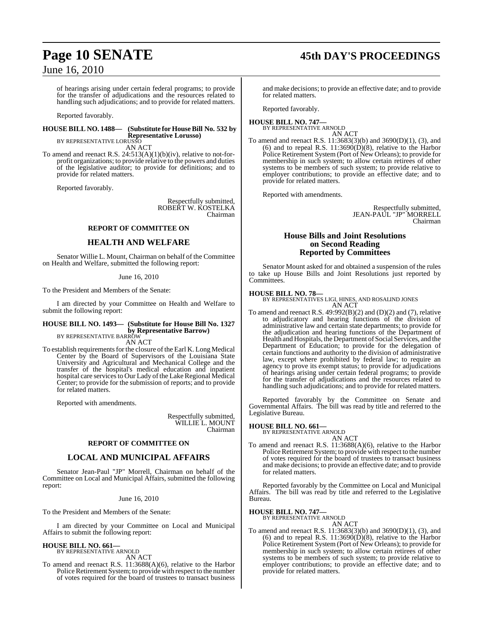# **Page 10 SENATE 45th DAY'S PROCEEDINGS**

## June 16, 2010

of hearings arising under certain federal programs; to provide for the transfer of adjudications and the resources related to handling such adjudications; and to provide for related matters.

Reported favorably.

#### **HOUSE BILL NO. 1488— (Substitute for HouseBill No. 532 by Representative Lorusso)**

BY REPRESENTATIVE LORUSSO AN ACT

To amend and reenact R.S. 24:513(A)(1)(b)(iv), relative to not-forprofit organizations; to provide relative to the powers and duties of the legislative auditor; to provide for definitions; and to provide for related matters.

Reported favorably.

Respectfully submitted, ROBERT W. KOSTELKA Chairman

#### **REPORT OF COMMITTEE ON**

#### **HEALTH AND WELFARE**

Senator Willie L. Mount, Chairman on behalf of the Committee on Health and Welfare, submitted the following report:

#### June 16, 2010

To the President and Members of the Senate:

I am directed by your Committee on Health and Welfare to submit the following report:

#### **HOUSE BILL NO. 1493— (Substitute for House Bill No. 1327 by Representative Barrow)**

BY REPRESENTATIVE BARROW AN ACT

To establish requirements for the closure of the Earl K. Long Medical Center by the Board of Supervisors of the Louisiana State University and Agricultural and Mechanical College and the transfer of the hospital's medical education and inpatient hospital care services to Our Lady of the Lake Regional Medical Center; to provide for the submission of reports; and to provide for related matters.

Reported with amendments.

Respectfully submitted, WILLIE L. MOUNT Chairman

#### **REPORT OF COMMITTEE ON**

#### **LOCAL AND MUNICIPAL AFFAIRS**

Senator Jean-Paul "JP" Morrell, Chairman on behalf of the Committee on Local and Municipal Affairs, submitted the following report:

#### June 16, 2010

To the President and Members of the Senate:

I am directed by your Committee on Local and Municipal Affairs to submit the following report:

**HOUSE BILL NO. 661—** BY REPRESENTATIVE ARNOLD

AN ACT

To amend and reenact R.S. 11:3688(A)(6), relative to the Harbor Police Retirement System; to provide with respect to the number of votes required for the board of trustees to transact business

and make decisions; to provide an effective date; and to provide for related matters.

Reported favorably.

#### **HOUSE BILL NO. 747—** BY REPRESENTATIVE ARNOLD

AN ACT To amend and reenact R.S. 11:3683(3)(b) and 3690(D)(1), (3), and (6) and to repeal R.S.  $11:3690(D)(8)$ , relative to the Harbor Police Retirement System (Port of New Orleans); to provide for membership in such system; to allow certain retirees of other systems to be members of such system; to provide relative to employer contributions; to provide an effective date; and to provide for related matters.

Reported with amendments.

Respectfully submitted, JEAN-PAUL "JP" MORRELL Chairman

#### **House Bills and Joint Resolutions on Second Reading Reported by Committees**

Senator Mount asked for and obtained a suspension of the rules to take up House Bills and Joint Resolutions just reported by Committees.

#### **HOUSE BILL NO. 78—**

BY REPRESENTATIVES LIGI, HINES, AND ROSALIND JONES AN ACT

To amend and reenact R.S.  $49.992(B)(2)$  and  $(D)(2)$  and  $(7)$ , relative to adjudicatory and hearing functions of the division of administrative law and certain state departments; to provide for the adjudication and hearing functions of the Department of Health and Hospitals, the Department of Social Services, and the Department of Education; to provide for the delegation of certain functions and authority to the division of administrative law, except where prohibited by federal law; to require an agency to prove its exempt status; to provide for adjudications of hearings arising under certain federal programs; to provide for the transfer of adjudications and the resources related to handling such adjudications; and to provide for related matters.

Reported favorably by the Committee on Senate and Governmental Affairs. The bill was read by title and referred to the Legislative Bureau.

#### **HOUSE BILL NO. 661—**

BY REPRESENTATIVE ARNOLD AN ACT

To amend and reenact R.S. 11:3688(A)(6), relative to the Harbor Police Retirement System; to provide with respect to the number of votes required for the board of trustees to transact business and make decisions; to provide an effective date; and to provide for related matters.

Reported favorably by the Committee on Local and Municipal Affairs. The bill was read by title and referred to the Legislative Bureau.

# **HOUSE BILL NO. 747—** BY REPRESENTATIVE ARNOLD

- AN ACT
- To amend and reenact R.S. 11:3683(3)(b) and 3690(D)(1), (3), and (6) and to repeal R.S.  $11:3690(D)(8)$ , relative to the Harbor Police Retirement System (Port of New Orleans); to provide for membership in such system; to allow certain retirees of other systems to be members of such system; to provide relative to employer contributions; to provide an effective date; and to provide for related matters.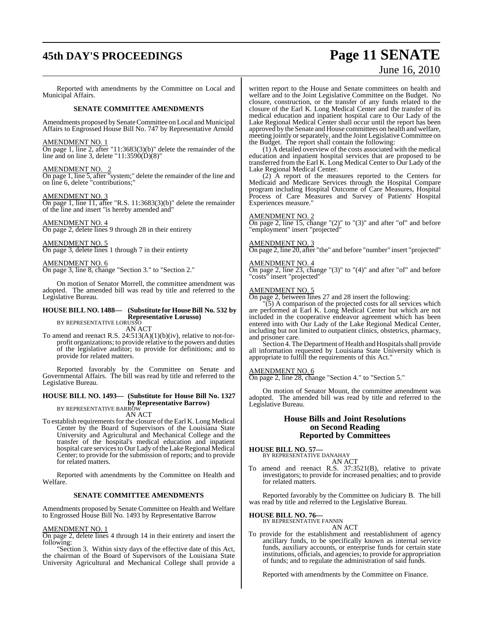# **45th DAY'S PROCEEDINGS Page 11 SENATE**

# June 16, 2010

Reported with amendments by the Committee on Local and Municipal Affairs.

#### **SENATE COMMITTEE AMENDMENTS**

Amendments proposed by Senate Committee on Local and Municipal Affairs to Engrossed House Bill No. 747 by Representative Arnold

#### AMENDMENT NO. 1

On page 1, line 2, after "11:3683(3)(b)" delete the remainder of the line and on line 3, delete "11:3590(D)(8)"

#### AMENDMENT NO. 2

 $\frac{\Delta W_{12} + \Delta W_{23} + \Delta W_{33}}{\Delta n}$  and  $\frac{\Delta W_{13} + \Delta W_{23} + \Delta W_{33}}{\Delta n}$  system;" delete the remainder of the line and on line 6, delete "contributions;"

#### AMENDMENT NO. 3

On page 1, line 11, after "R.S. 11:3683(3)(b)" delete the remainder of the line and insert "is hereby amended and"

#### AMENDMENT NO. 4

On page 2, delete lines 9 through 28 in their entirety

#### AMENDMENT NO. 5

On page 3, delete lines 1 through 7 in their entirety

#### AMENDMENT NO. 6

On page 3, line 8, change "Section 3." to "Section 2."

On motion of Senator Morrell, the committee amendment was adopted. The amended bill was read by title and referred to the Legislative Bureau.

## **HOUSE BILL NO. 1488— (Substitute for HouseBill No. 532 by Representative Lorusso)** BY REPRESENTATIVE LORUSSO

AN ACT

To amend and reenact R.S.  $24:513(A)(1)(b)(iv)$ , relative to not-forprofit organizations; to provide relative to the powers and duties of the legislative auditor; to provide for definitions; and to provide for related matters.

Reported favorably by the Committee on Senate and Governmental Affairs. The bill was read by title and referred to the Legislative Bureau.

## **HOUSE BILL NO. 1493— (Substitute for House Bill No. 1327 by Representative Barrow)** BY REPRESENTATIVE BARROW

AN ACT

To establish requirements for the closure of the Earl K. Long Medical Center by the Board of Supervisors of the Louisiana State University and Agricultural and Mechanical College and the transfer of the hospital's medical education and inpatient hospital care services to Our Lady of the Lake Regional Medical Center; to provide for the submission of reports; and to provide for related matters.

Reported with amendments by the Committee on Health and Welfare.

#### **SENATE COMMITTEE AMENDMENTS**

Amendments proposed by Senate Committee on Health and Welfare to Engrossed House Bill No. 1493 by Representative Barrow

#### AMENDMENT NO. 1

On page 2, delete lines 4 through 14 in their entirety and insert the following:

"Section 3. Within sixty days of the effective date of this Act, the chairman of the Board of Supervisors of the Louisiana State University Agricultural and Mechanical College shall provide a written report to the House and Senate committees on health and welfare and to the Joint Legislative Committee on the Budget. No closure, construction, or the transfer of any funds related to the closure of the Earl K. Long Medical Center and the transfer of its medical education and inpatient hospital care to Our Lady of the Lake Regional Medical Center shall occur until the report has been approved by the Senate and House committees on health and welfare, meeting jointly or separately, and the Joint Legislative Committee on the Budget. The report shall contain the following:

(1) A detailed overview of the costs associated with the medical education and inpatient hospital services that are proposed to be transferred from the Earl K. Long Medical Center to Our Lady of the Lake Regional Medical Center.

(2) A report of the measures reported to the Centers for Medicaid and Medicare Services through the Hospital Compare program including Hospital Outcome of Care Measures, Hospital Process of Care Measures and Survey of Patients' Hospital Experiences measure."

#### AMENDMENT NO. 2

On page 2, line 15, change "(2)" to "(3)" and after "of" and before "employment" insert "projected"

#### AMENDMENT NO. 3

On page 2, line 20, after "the" and before "number" insert "projected"

#### AMENDMENT NO. 4

On page 2, line 23, change "(3)" to "(4)" and after "of" and before "costs" insert "projected"

#### AMENDMENT NO. 5

On page 2, between lines 27 and 28 insert the following:

 $(5)$  A comparison of the projected costs for all services which are performed at Earl K. Long Medical Center but which are not included in the cooperative endeavor agreement which has been entered into with Our Lady of the Lake Regional Medical Center, including but not limited to outpatient clinics, obstetrics, pharmacy, and prisoner care.

Section 4. The Department of Health and Hospitals shall provide all information requested by Louisiana State University which is appropriate to fulfill the requirements of this Act."

#### AMENDMENT NO. 6

On page 2, line 28, change "Section 4." to "Section 5."

On motion of Senator Mount, the committee amendment was adopted. The amended bill was read by title and referred to the Legislative Bureau.

#### **House Bills and Joint Resolutions on Second Reading Reported by Committees**

# **HOUSE BILL NO. 57—** BY REPRESENTATIVE DANAHAY

AN ACT

To amend and reenact R.S. 37:3521(B), relative to private investigators; to provide for increased penalties; and to provide for related matters.

Reported favorably by the Committee on Judiciary B. The bill was read by title and referred to the Legislative Bureau.

**HOUSE BILL NO. 76—** BY REPRESENTATIVE FANNIN AN ACT

To provide for the establishment and reestablishment of agency ancillary funds, to be specifically known as internal service funds, auxiliary accounts, or enterprise funds for certain state institutions, officials, and agencies; to provide for appropriation of funds; and to regulate the administration of said funds.

Reported with amendments by the Committee on Finance.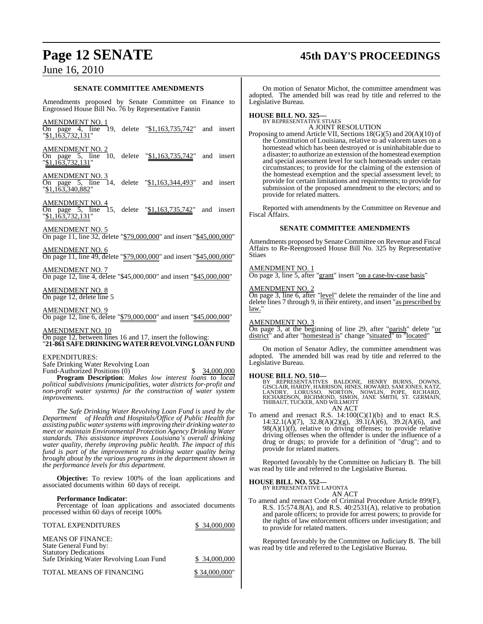# **Page 12 SENATE 45th DAY'S PROCEEDINGS**

## June 16, 2010

#### **SENATE COMMITTEE AMENDMENTS**

Amendments proposed by Senate Committee on Finance to Engrossed House Bill No. 76 by Representative Fannin

|                                                                                                                                                                                                                                                                                                                                                                                                                                                                                                                                                                                                          | HOL                                      |
|----------------------------------------------------------------------------------------------------------------------------------------------------------------------------------------------------------------------------------------------------------------------------------------------------------------------------------------------------------------------------------------------------------------------------------------------------------------------------------------------------------------------------------------------------------------------------------------------------------|------------------------------------------|
| AMENDMENT NO. 1<br>On page 4, line 19, delete " <u>\$1,163,735,742</u> " and insert<br>"\$1,163,732,131"                                                                                                                                                                                                                                                                                                                                                                                                                                                                                                 | Propo                                    |
| <u>AMENDMENT NO. 2</u><br>On page 5, line 10, delete "\$1,163,735,742"<br>and insert<br>" <u>\$1,163,732,131</u> "                                                                                                                                                                                                                                                                                                                                                                                                                                                                                       |                                          |
| <b>AMENDMENT NO. 3</b><br>On page 5, line<br>14.<br>delete "\$1,163,344,493"<br>and insert<br>"\$1,163,340,882"                                                                                                                                                                                                                                                                                                                                                                                                                                                                                          |                                          |
| <u>AMENDMENT NO. 4</u><br>15.<br>On page 5, line<br>delete "\$1,163,735,742"<br>and<br>insert<br>"\$1,163,732,131"                                                                                                                                                                                                                                                                                                                                                                                                                                                                                       | Fisca                                    |
| <u>AMENDMENT NO. 5</u><br>On page 11, line 32, delete " <u>\$79,000,000</u> " and insert " <u>\$45,000,000</u> "                                                                                                                                                                                                                                                                                                                                                                                                                                                                                         | Amei                                     |
| <b>AMENDMENT NO. 6</b><br>On page 11, line 49, delete "\$79,000,000" and insert "\$45,000,000"                                                                                                                                                                                                                                                                                                                                                                                                                                                                                                           | Affai<br>Stiae                           |
| <b>AMENDMENT NO. 7</b><br>On page 12, line 4, delete "\$45,000,000" and insert "\$45,000,000"                                                                                                                                                                                                                                                                                                                                                                                                                                                                                                            | AME<br>$\overline{On p}$                 |
| AMENDMENT NO. 8<br>On page 12, delete line 5                                                                                                                                                                                                                                                                                                                                                                                                                                                                                                                                                             | <u>AME</u><br>$\overline{On p}$<br>delet |
| <b>AMENDMENT NO. 9</b><br>On page 12, line 6, delete "\$79,000,000" and insert "\$45,000,000"                                                                                                                                                                                                                                                                                                                                                                                                                                                                                                            | law."<br><u>AMF</u>                      |
| <b>AMENDMENT NO. 10</b><br>On page 12, between lines 16 and 17, insert the following:<br>"21-861 SAFE DRINKING WATER REVOLVING LOAN FUND                                                                                                                                                                                                                                                                                                                                                                                                                                                                 | On p<br>distri                           |
| EXPENDITURES:<br>Safe Drinking Water Revolving Loan                                                                                                                                                                                                                                                                                                                                                                                                                                                                                                                                                      | adop<br>Legis                            |
| Fund-Authorized Positions (0)<br>34,000,000<br>S<br>Program Description: Makes low interest loans to local                                                                                                                                                                                                                                                                                                                                                                                                                                                                                               | HOL                                      |
| political subdivisions (municipalities, water districts for-profit and<br>non-profit water systems) for the construction of water system<br>improvements.                                                                                                                                                                                                                                                                                                                                                                                                                                                |                                          |
| The Safe Drinking Water Revolving Loan Fund is used by the<br>Department of Health and Hospitals/Office of Public Health for<br>assisting public water systems with improving their drinking water to<br>meet or maintain Environmental Protection Agency Drinking Water<br>standards. This assistance improves Louisiana's overall drinking<br>water quality, thereby improving public health. The impact of this<br>fund is part of the improvement to drinking water quality being<br>brought about by the various programs in the department shown in<br>the performance levels for this department. | To a                                     |
|                                                                                                                                                                                                                                                                                                                                                                                                                                                                                                                                                                                                          | was i                                    |

**Objective:** To review 100% of the loan applications and associated documents within 60 days of receipt.

#### **Performance Indicator**:

Percentage of loan applications and associated documents processed within 60 days of receipt 100%

| <b>TOTAL EXPENDITURES</b>                                                                                                     | \$ 34,000,000 |
|-------------------------------------------------------------------------------------------------------------------------------|---------------|
| <b>MEANS OF FINANCE:</b><br>State General Fund by:<br><b>Statutory Dedications</b><br>Safe Drinking Water Revolving Loan Fund | \$ 34,000,000 |
| <b>TOTAL MEANS OF FINANCING</b>                                                                                               | \$34,000,000" |

On motion of Senator Michot, the committee amendment was adopted. The amended bill was read by title and referred to the Legislative Bureau.

# **HOUSE BILL NO. 325—** BY REPRESENTATIVE STIAES

A JOINT RESOLUTION

beging to amend Article VII, Sections  $18(G)(5)$  and  $20(A)(10)$  of the Constitution of Louisiana, relative to ad valorem taxes on a homestead which has been destroyed or is uninhabitable due to a disaster; to authorize an extension of the homestead exemption and special assessment level for such homesteads under certain circumstances; to provide for the claiming of the extension of the homestead exemption and the special assessment level; to provide for certain limitations and requirements; to provide for submission of the proposed amendment to the electors; and to provide for related matters.

Reported with amendments by the Committee on Revenue and d Affairs.

#### **SENATE COMMITTEE AMENDMENTS**

ndments proposed by Senate Committee on Revenue and Fiscal irs to Re-Reengrossed House Bill No. 325 by Representative Stiaes

#### **ENDMENT NO.**

age 3, line 5, after "grant" insert "on a case-by-case basis"

#### AMENDMENT NO. 2

On page 3, line 6, after "level" delete the remainder of the line and e lines 7 through 9, in their entirety, and insert "as prescribed by law."

#### **ENDMENT NO. 3**

On page 3, at the beginning of line 29, after "parish" delete "or district" and after "homestead is" change "situated" to "located"

On motion of Senator Adley, the committee amendment was ted. The amended bill was read by title and referred to the slative Bureau.

**HOUSE BILL NO. 510—**<br>BY REPRESENTATIVES BALDONE, HENRY BURNS, DOWNS,<br>GISCLAIR, HARDY, HARRISON, HINES, HOWARD, SAMJONES, KATZ,<br>LANDRY, LORUSSO, NORTON, NOWLIN, POPE, RICHARD,<br>RICHARDSON, RICHMOND, SIMON, JANE SMITH, ST. G AN ACT

To amend and reenact R.S.  $14:100(C)(1)(b)$  and to enact R.S. 14:32.1(A)(7), 32.8(A)(2)(g), 39.1(A)(6), 39.2(A)(6), and  $98(A)(1)(f)$ , relative to driving offenses; to provide relative driving offenses when the offender is under the influence of a drug or drugs; to provide for a definition of "drug"; and to provide for related matters.

Reported favorably by the Committee on Judiciary B. The bill ead by title and referred to the Legislative Bureau.

#### **HOUSE BILL NO. 552—**

BY REPRESENTATIVE LAFONTA

AN ACT To amend and reenact Code of Criminal Procedure Article 899(F), R.S. 15:574.8(A), and R.S. 40:2531(A), relative to probation and parole officers; to provide for arrest powers; to provide for the rights of law enforcement officers under investigation; and to provide for related matters.

Reported favorably by the Committee on Judiciary B. The bill was read by title and referred to the Legislative Bureau.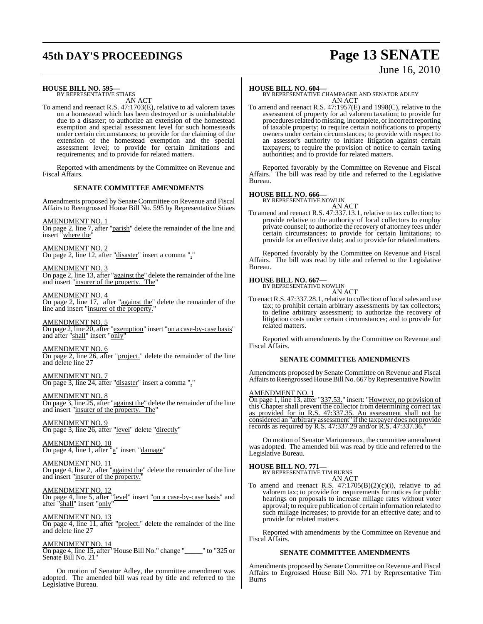# **45th DAY'S PROCEEDINGS Page 13 SENATE**

# June 16, 2010

#### **HOUSE BILL NO. 595—**

BY REPRESENTATIVE STIAES AN ACT

To amend and reenact R.S. 47:1703(E), relative to ad valorem taxes on a homestead which has been destroyed or is uninhabitable due to a disaster; to authorize an extension of the homestead exemption and special assessment level for such homesteads under certain circumstances; to provide for the claiming of the extension of the homestead exemption and the special assessment level; to provide for certain limitations and requirements; and to provide for related matters.

Reported with amendments by the Committee on Revenue and Fiscal Affairs.

#### **SENATE COMMITTEE AMENDMENTS**

Amendments proposed by Senate Committee on Revenue and Fiscal Affairs to Reengrossed House Bill No. 595 by Representative Stiaes

AMENDMENT NO. 1 On page 2, line 7, after "parish" delete the remainder of the line and insert "where the"

AMENDMENT NO. 2 On page 2, line 12, after "disaster" insert a comma ","

AMENDMENT NO. 3 On page 2, line 13, after "against the" delete the remainder of the line and insert "insurer of the property. The"

AMENDMENT NO. 4 On page 2, line 17, after "against the" delete the remainder of the line and insert "insurer of the property."

AMENDMENT NO. 5 On page 2, line 20, after "exemption" insert "on a case-by-case basis" and after "shall" insert "only"

AMENDMENT NO. 6 On page 2, line 26, after "project." delete the remainder of the line and delete line 27

AMENDMENT NO. 7 On page 3, line 24, after "disaster" insert a comma ","

AMENDMENT NO. 8 On page 3, line 25, after "against the" delete the remainder of the line and insert "insurer of the property. The"

AMENDMENT NO. 9 On page 3, line 26, after "level" delete "directly"

AMENDMENT NO. 10 On page 4, line 1, after "a" insert "damage"

AMENDMENT NO. 11 On page 4, line 2, after "against the" delete the remainder of the line and insert "insurer of the property."

AMENDMENT NO. 12 On page 4, line 5, after "<u>level</u>" insert "<u>on a case-by-case basis</u>" and after "shall" insert "only"

AMENDMENT NO. 13 On page 4, line 11, after "project." delete the remainder of the line and delete line 27

AMENDMENT NO. 14 On page 4, line 15, after "House Bill No." change "\_\_\_\_\_" to "325 or Senate Bill No. 21"

On motion of Senator Adley, the committee amendment was adopted. The amended bill was read by title and referred to the Legislative Bureau.

#### **HOUSE BILL NO. 604—**

BY REPRESENTATIVE CHAMPAGNE AND SENATOR ADLEY AN ACT

To amend and reenact R.S. 47:1957(E) and 1998(C), relative to the assessment of property for ad valorem taxation; to provide for procedures related to missing, incomplete, or incorrect reporting of taxable property; to require certain notifications to property owners under certain circumstances; to provide with respect to an assessor's authority to initiate litigation against certain taxpayers; to require the provision of notice to certain taxing authorities; and to provide for related matters.

Reported favorably by the Committee on Revenue and Fiscal Affairs. The bill was read by title and referred to the Legislative Bureau.

# **HOUSE BILL NO. 666—** BY REPRESENTATIVE NOWLIN

AN ACT To amend and reenact R.S. 47:337.13.1, relative to tax collection; to provide relative to the authority of local collectors to employ private counsel; to authorize the recovery of attorney fees under certain circumstances; to provide for certain limitations; to provide for an effective date; and to provide for related matters.

Reported favorably by the Committee on Revenue and Fiscal Affairs. The bill was read by title and referred to the Legislative Bureau.

#### **HOUSE BILL NO. 667—**

BY REPRESENTATIVE NOWLIN AN ACT

To enact R.S. 47:337.28.1, relative to collection of local sales and use tax; to prohibit certain arbitrary assessments by tax collectors; to define arbitrary assessment; to authorize the recovery of litigation costs under certain circumstances; and to provide for related matters.

Reported with amendments by the Committee on Revenue and Fiscal Affairs.

#### **SENATE COMMITTEE AMENDMENTS**

Amendments proposed by Senate Committee on Revenue and Fiscal Affairs to Reengrossed House Bill No. 667 by Representative Nowlin

#### AMENDMENT NO. 1

On page 1, line 13, after "337.53." insert: "However, no provision of this Chapter shall prevent the collector from determining correct tax as provided for in R.S. 47:337.35. An assessment shall not be considered an "arbitrary assessment" if the taxpayer does not provide records as required by R.S. 47:337.29 and/or R.S. 47:337.36."

On motion of Senator Marionneaux, the committee amendment was adopted. The amended bill was read by title and referred to the Legislative Bureau.

# **HOUSE BILL NO. 771—** BY REPRESENTATIVE TIM BURNS

- AN ACT
- To amend and reenact R.S.  $47:1705(B)(2)(c)(i)$ , relative to ad valorem tax; to provide for requirements for notices for public hearings on proposals to increase millage rates without voter approval; to require publication of certain information related to such millage increases; to provide for an effective date; and to provide for related matters.

Reported with amendments by the Committee on Revenue and Fiscal Affairs.

#### **SENATE COMMITTEE AMENDMENTS**

Amendments proposed by Senate Committee on Revenue and Fiscal Affairs to Engrossed House Bill No. 771 by Representative Tim Burns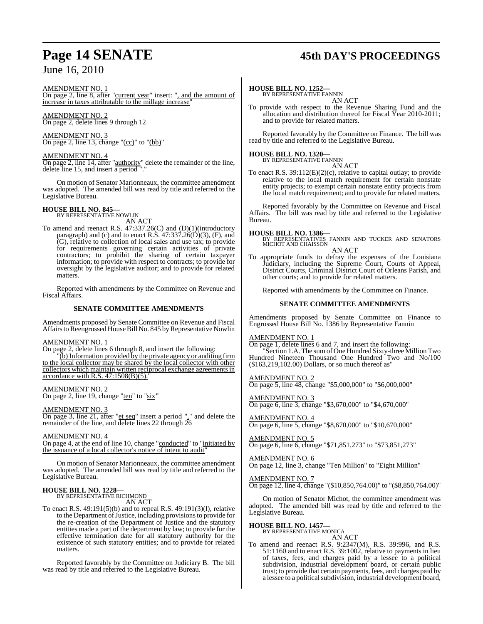#### AMENDMENT NO. 1

On page 2, line 8, after "current year" insert: ", and the amount of increase in taxes attributable to the millage increase"

#### AMENDMENT NO. 2 On page 2, delete lines 9 through 12

AMENDMENT NO. 3 On page 2, line 13, change "(cc)" to "(bb)"

#### AMENDMENT NO. 4

On page 2, line 14, after "authority" delete the remainder of the line, delete line 15, and insert a period "."

On motion of Senator Marionneaux, the committee amendment was adopted. The amended bill was read by title and referred to the Legislative Bureau.

#### **HOUSE BILL NO. 845—**

BY REPRESENTATIVE NOWLIN

AN ACT To amend and reenact R.S. 47:337.26(C) and (D)(1)(introductory paragraph) and (c) and to enact R.S. 47:337.26(D)(3), (F), and (G), relative to collection of local sales and use tax; to provide for requirements governing certain activities of private contractors; to prohibit the sharing of certain taxpayer information; to provide with respect to contracts; to provide for oversight by the legislative auditor; and to provide for related matters.

Reported with amendments by the Committee on Revenue and Fiscal Affairs.

#### **SENATE COMMITTEE AMENDMENTS**

Amendments proposed by Senate Committee on Revenue and Fiscal Affairs to Reengrossed House Bill No. 845 by Representative Nowlin

#### AMENDMENT NO. 1

On page 2, delete lines 6 through 8, and insert the following:

"(b) Information provided by the private agency or auditing firm to the local collector may be shared by the local collector with other collectors which maintain written reciprocal exchange agreements in accordance with R.S.  $47:1508(B)(5)$ .

#### AMENDMENT NO. 2

On page 2, line 19, change "ten" to "six**"**

#### AMENDMENT NO. 3

On page 3, line 21, after "et seq" insert a period "." and delete the remainder of the line, and delete lines 22 through 26

#### AMENDMENT NO. 4

On page 4, at the end of line 10, change "conducted" to "initiated by the issuance of a local collector's notice of intent to audit

On motion of Senator Marionneaux, the committee amendment was adopted. The amended bill was read by title and referred to the Legislative Bureau.

#### **HOUSE BILL NO. 1228—** BY REPRESENTATIVE RICHMOND

AN ACT

To enact R.S. 49:191(5)(b) and to repeal R.S. 49:191(3)(l), relative to the Department of Justice, including provisions to provide for the re-creation of the Department of Justice and the statutory entities made a part of the department by law; to provide for the effective termination date for all statutory authority for the existence of such statutory entities; and to provide for related matters.

Reported favorably by the Committee on Judiciary B. The bill was read by title and referred to the Legislative Bureau.

# **Page 14 SENATE 45th DAY'S PROCEEDINGS**

#### **HOUSE BILL NO. 1252—**

BY REPRESENTATIVE FANNIN AN ACT

To provide with respect to the Revenue Sharing Fund and the allocation and distribution thereof for Fiscal Year 2010-2011; and to provide for related matters.

Reported favorably by the Committee on Finance. The bill was read by title and referred to the Legislative Bureau.

# **HOUSE BILL NO. 1320—** BY REPRESENTATIVE FANNIN

AN ACT

To enact R.S. 39:112(E)(2)(c), relative to capital outlay; to provide relative to the local match requirement for certain nonstate entity projects; to exempt certain nonstate entity projects from the local match requirement; and to provide for related matters.

Reported favorably by the Committee on Revenue and Fiscal Affairs. The bill was read by title and referred to the Legislative Bureau.

**HOUSE BILL NO. 1386—** BY REPRESENTATIVES FANNIN AND TUCKER AND SENATORS MICHOT AND CHAISSON AN ACT

To appropriate funds to defray the expenses of the Louisiana Judiciary, including the Supreme Court, Courts of Appeal, District Courts, Criminal District Court of Orleans Parish, and other courts; and to provide for related matters.

Reported with amendments by the Committee on Finance.

#### **SENATE COMMITTEE AMENDMENTS**

Amendments proposed by Senate Committee on Finance to Engrossed House Bill No. 1386 by Representative Fannin

AMENDMENT NO. 1

On page 1, delete lines 6 and 7, and insert the following: "Section 1.A. The sum of One Hundred Sixty-three Million Two Hundred Nineteen Thousand One Hundred Two and No/100  $($163,219,102.00)$  Dollars, or so much thereof as"

#### AMENDMENT NO. 2

On page 5, line 48, change "\$5,000,000" to "\$6,000,000"

AMENDMENT NO. 3

On page 6, line 3, change "\$3,670,000" to "\$4,670,000"

AMENDMENT NO. 4 On page 6, line 5, change "\$8,670,000" to "\$10,670,000"

AMENDMENT NO. 5 On page 6, line 6, change "\$71,851,273" to "\$73,851,273"

#### AMENDMENT NO. 6

On page 12, line 3, change "Ten Million" to "Eight Million"

#### AMENDMENT NO. 7

On page 12, line 4, change "(\$10,850,764.00)" to "(\$8,850,764.00)"

On motion of Senator Michot, the committee amendment was adopted. The amended bill was read by title and referred to the Legislative Bureau.

#### **HOUSE BILL NO. 1457—**

BY REPRESENTATIVE MONICA

AN ACT To amend and reenact R.S. 9:2347(M), R.S. 39:996, and R.S. 51:1160 and to enact R.S. 39:1002, relative to payments in lieu of taxes, fees, and charges paid by a lessee to a political subdivision, industrial development board, or certain public trust; to provide that certain payments, fees, and charges paid by a lessee to a political subdivision, industrial development board,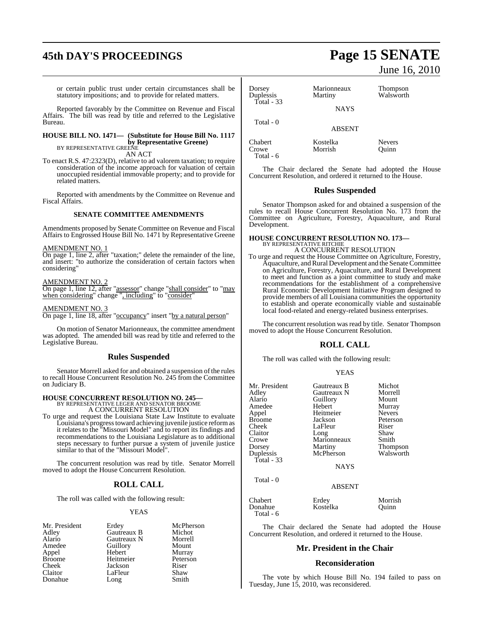# **45th DAY'S PROCEEDINGS Page 15 SENATE**

or certain public trust under certain circumstances shall be statutory impositions; and to provide for related matters.

Reported favorably by the Committee on Revenue and Fiscal Affairs. The bill was read by title and referred to the Legislative The bill was read by title and referred to the Legislative Bureau.

## **HOUSE BILL NO. 1471— (Substitute for House Bill No. 1117 by Representative Greene)**<br>BY REPRESENTATIVE GREENE

AN ACT

To enact R.S. 47:2323(D), relative to ad valorem taxation; to require consideration of the income approach for valuation of certain unoccupied residential immovable property; and to provide for related matters.

Reported with amendments by the Committee on Revenue and Fiscal Affairs.

#### **SENATE COMMITTEE AMENDMENTS**

Amendments proposed by Senate Committee on Revenue and Fiscal Affairs to Engrossed House Bill No. 1471 by Representative Greene

#### AMENDMENT NO. 1

On page 1, line 2, after "taxation;" delete the remainder of the line, and insert: "to authorize the consideration of certain factors when considering"

#### AMENDMENT NO. 2

On page 1, line 12, after "assessor" change "shall consider" to "may when considering" change ", including" to "consider"

### AMENDMENT NO. 3

On page 1, line 18, after "occupancy" insert "by a natural person"

On motion of Senator Marionneaux, the committee amendment was adopted. The amended bill was read by title and referred to the Legislative Bureau.

#### **Rules Suspended**

Senator Morrell asked for and obtained a suspension of the rules to recall House Concurrent Resolution No. 245 from the Committee on Judiciary B.

# **HOUSE CONCURRENT RESOLUTION NO. 245—** BY REPRESENTATIVE LEGER AND SENATOR BROOME A CONCURRENT RESOLUTION

To urge and request the Louisiana State Law Institute to evaluate Louisiana's progress toward achieving juvenile justice reform as it relates to the "Missouri Model" and to report its findings and recommendations to the Louisiana Legislature as to additional steps necessary to further pursue a system of juvenile justice similar to that of the "Missouri Model".

The concurrent resolution was read by title. Senator Morrell moved to adopt the House Concurrent Resolution.

#### **ROLL CALL**

The roll was called with the following result:

#### YEAS

| Mr. President | Erdey       | McPh   |
|---------------|-------------|--------|
| Adley         | Gautreaux B | Micho  |
| Alario        | Gautreaux N | Morre  |
| Amedee        | Guillory    | Moun   |
| Appel         | Hebert      | Murra  |
| <b>Broome</b> | Heitmeier   | Peters |
| Cheek         | Jackson     | Riser  |
| Claitor       | LaFleur     | Shaw   |
| Donahue       | Long        | Smith  |

McPherson Michot Morrell Mount Murray Peterson<br>Riser

# June 16, 2010

| Dorsey<br>Duplessis | Marionneaux<br>Martiny | Thompson<br>Walsworth         |
|---------------------|------------------------|-------------------------------|
| Total $-33$         | <b>NAYS</b>            |                               |
| Total $-0$          | <b>ABSENT</b>          |                               |
| Chabert<br>Crowe    | Kostelka<br>Morrish    | <b>Nevers</b><br><b>Duinn</b> |

The Chair declared the Senate had adopted the House Concurrent Resolution, and ordered it returned to the House.

#### **Rules Suspended**

Senator Thompson asked for and obtained a suspension of the rules to recall House Concurrent Resolution No. 173 from the Committee on Agriculture, Forestry, Aquaculture, and Rural Development.

## **HOUSE CONCURRENT RESOLUTION NO. 173—** BY REPRESENTATIVE RITCHIE A CONCURRENT RESOLUTION

Total - 6

Total - 6

To urge and request the House Committee on Agriculture, Forestry, Aquaculture, and Rural Development and the Senate Committee on Agriculture, Forestry, Aquaculture, and Rural Development to meet and function as a joint committee to study and make recommendations for the establishment of a comprehensive Rural Economic Development Initiative Program designed to provide members of all Louisiana communities the opportunity to establish and operate economically viable and sustainable local food-related and energy-related business enterprises.

The concurrent resolution was read by title. Senator Thompson moved to adopt the House Concurrent Resolution.

#### **ROLL CALL**

The roll was called with the following result:

#### YEAS

| Mr. President | Gautreaux B   | Michot          |
|---------------|---------------|-----------------|
| Adley         | Gautreaux N   | Morrell         |
| Alario        | Guillory      | Mount           |
| Amedee        | Hebert        | Murray          |
| Appel         | Heitmeier     | <b>Nevers</b>   |
| <b>Broome</b> | Jackson       | Peterson        |
| Cheek         | LaFleur       | Riser           |
| Claitor       | Long          | Shaw            |
| Crowe         | Marionneaux   | Smith           |
| Dorsey        | Martiny       | <b>Thompson</b> |
| Duplessis     | McPherson     | Walsworth       |
| Total - 33    | <b>NAYS</b>   |                 |
| Total $-0$    | <b>ABSENT</b> |                 |
| Chabert       | Erdey         | Morrish         |
| Donahue       | Kostelka      | Ouinn           |

The Chair declared the Senate had adopted the House Concurrent Resolution, and ordered it returned to the House.

#### **Mr. President in the Chair**

#### **Reconsideration**

The vote by which House Bill No. 194 failed to pass on Tuesday, June 15, 2010, was reconsidered.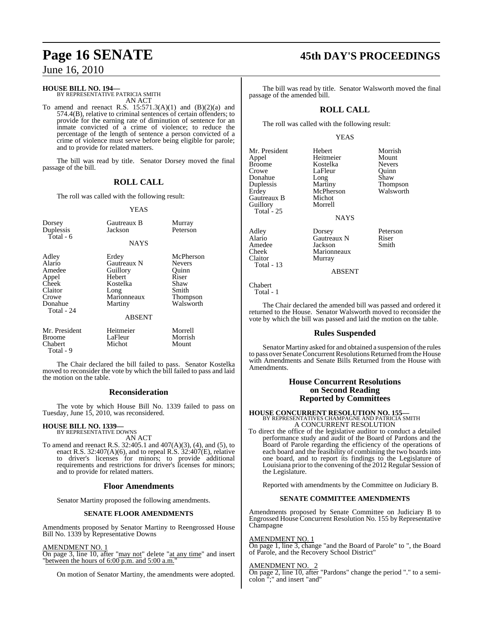#### **HOUSE BILL NO. 194—**

BY REPRESENTATIVE PATRICIA SMITH AN ACT

To amend and reenact R.S.  $15:571.3(A)(1)$  and  $(B)(2)(a)$  and 574.4(B), relative to criminal sentences of certain offenders; to provide for the earning rate of diminution of sentence for an inmate convicted of a crime of violence; to reduce the percentage of the length of sentence a person convicted of a crime of violence must serve before being eligible for parole; and to provide for related matters.

The bill was read by title. Senator Dorsey moved the final passage of the bill.

#### **ROLL CALL**

The roll was called with the following result:

#### YEAS

| Dorsey<br>Duplessis<br>Total - 6                                                         | Gautreaux B<br>Jackson                                                                                    | Murray<br>Peterson                                                                            |
|------------------------------------------------------------------------------------------|-----------------------------------------------------------------------------------------------------------|-----------------------------------------------------------------------------------------------|
|                                                                                          | <b>NAYS</b>                                                                                               |                                                                                               |
| Adley<br>Alario<br>Amedee<br>Appel<br>Cheek<br>Claitor<br>Crowe<br>Donahue<br>Total - 24 | Erdey<br>Gautreaux N<br>Guillory<br>Hebert<br>Kostelka<br>Long<br>Marionneaux<br>Martiny<br><b>ABSENT</b> | McPherson<br><b>Nevers</b><br>Ouinn<br>Riser<br>Shaw<br>Smith<br><b>Thompson</b><br>Walsworth |
| Mr. President<br>Broome<br>Chabert<br>Total - 9                                          | Heitmeier<br>LaFleur<br>Michot                                                                            | Morrell<br>Morrish<br>Mount                                                                   |

The Chair declared the bill failed to pass. Senator Kostelka moved to reconsider the vote by which the bill failed to pass and laid the motion on the table.

#### **Reconsideration**

The vote by which House Bill No. 1339 failed to pass on Tuesday, June 15, 2010, was reconsidered.

#### **HOUSE BILL NO. 1339—** BY REPRESENTATIVE DOWNS

AN ACT

To amend and reenact R.S. 32:405.1 and 407(A)(3), (4), and (5), to enact R.S. 32:407(A)(6), and to repeal R.S.  $32:407(E)$ , relative to driver's licenses for minors; to provide additional requirements and restrictions for driver's licenses for minors; and to provide for related matters.

#### **Floor Amendments**

Senator Martiny proposed the following amendments.

#### **SENATE FLOOR AMENDMENTS**

Amendments proposed by Senator Martiny to Reengrossed House Bill No. 1339 by Representative Downs

#### AMENDMENT NO. 1

On page 3, line 10, after "may not" delete "at any time" and insert "between the hours of 6:00 p.m. and 5:00 a.m."

On motion of Senator Martiny, the amendments were adopted.

# **Page 16 SENATE 45th DAY'S PROCEEDINGS**

The bill was read by title. Senator Walsworth moved the final passage of the amended bill.

### **ROLL CALL**

The roll was called with the following result:

#### YEAS

- Mr. President Hebert Morrish<br>
Appel Heitmeier Mount Appel Heitmeier Mount Broome Kostelka Nevers<br>Crowe LaFleur Quinn Donahue Long Shaw<br>
Duplessis Martiny Thom Duplessis Martiny Thompson Gautreaux B Michot<br>Guillory Morrell Guillory Morrell Total - 25
- Amedee<br>Cheek Total - 13

LaFleur McPherson<br>Michot

#### NAYS

Adley Dorsey Peterson Alario Gautreaux N Riser<br>Amedee Jackson Smith Cheek Marionneaux<br>Claitor Murray Murray

ABSENT

Chabert Total - 1

The Chair declared the amended bill was passed and ordered it returned to the House. Senator Walsworth moved to reconsider the vote by which the bill was passed and laid the motion on the table.

#### **Rules Suspended**

Senator Martiny asked for and obtained a suspension of the rules to pass over Senate Concurrent Resolutions Returned from the House with Amendments and Senate Bills Returned from the House with Amendments.

#### **House Concurrent Resolutions on Second Reading Reported by Committees**

**HOUSE CONCURRENT RESOLUTION NO. 155—** BY REPRESENTATIVES CHAMPAGNE AND PATRICIA SMITH A CONCURRENT RESOLUTION

To direct the office of the legislative auditor to conduct a detailed performance study and audit of the Board of Pardons and the Board of Parole regarding the efficiency of the operations of each board and the feasibility of combining the two boards into one board, and to report its findings to the Legislature of Louisiana prior to the convening of the 2012 Regular Session of the Legislature.

Reported with amendments by the Committee on Judiciary B.

#### **SENATE COMMITTEE AMENDMENTS**

Amendments proposed by Senate Committee on Judiciary B to Engrossed House Concurrent Resolution No. 155 by Representative Champagne

#### AMENDMENT NO. 1

On page 1, line 3, change "and the Board of Parole" to ", the Board of Parole, and the Recovery School District"

#### AMENDMENT NO

On page 2, line 10, after "Pardons" change the period "." to a semicolon ";" and insert "and"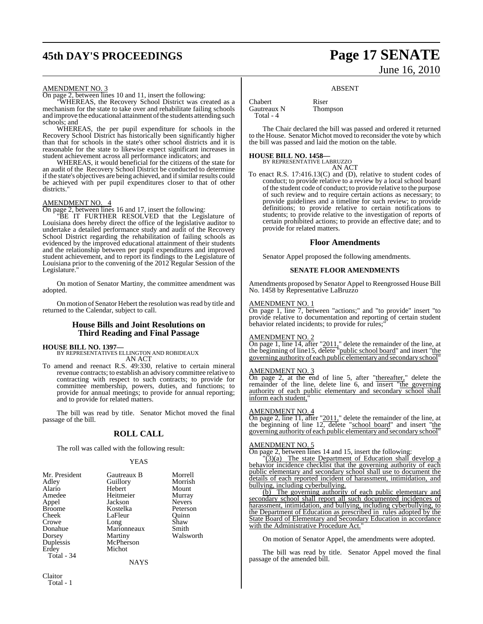# **45th DAY'S PROCEEDINGS Page 17 SENATE**

# June 16, 2010

#### AMENDMENT NO. 3

On page 2, between lines 10 and 11, insert the following:

"WHEREAS, the Recovery School District was created as a mechanism for the state to take over and rehabilitate failing schools and improve the educational attainment of the students attending such schools; and

WHEREAS, the per pupil expenditure for schools in the Recovery School District has historically been significantly higher than that for schools in the state's other school districts and it is reasonable for the state to likewise expect significant increases in student achievement across all performance indicators; and

WHEREAS, it would beneficial for the citizens of the state for an audit of the Recovery School District be conducted to determine if the state's objectives are being achieved, and if similar results could be achieved with per pupil expenditures closer to that of other districts.

#### AMENDMENT NO. 4

On page 2, between lines 16 and 17, insert the following:

"BE IT FURTHER RESOLVED that the Legislature of Louisiana does hereby direct the office of the legislative auditor to undertake a detailed performance study and audit of the Recovery School District regarding the rehabilitation of failing schools as evidenced by the improved educational attainment of their students and the relationship between per pupil expenditures and improved student achievement, and to report its findings to the Legislature of Louisiana prior to the convening of the 2012 Regular Session of the Legislature."

On motion of Senator Martiny, the committee amendment was adopted.

On motion of Senator Hebert the resolution was read by title and returned to the Calendar, subject to call.

#### **House Bills and Joint Resolutions on Third Reading and Final Passage**

#### **HOUSE BILL NO. 1397—**

BY REPRESENTATIVES ELLINGTON AND ROBIDEAUX AN ACT

To amend and reenact R.S. 49:330, relative to certain mineral revenue contracts; to establish an advisory committee relative to contracting with respect to such contracts; to provide for committee membership, powers, duties, and functions; to provide for annual meetings; to provide for annual reporting; and to provide for related matters.

The bill was read by title. Senator Michot moved the final passage of the bill.

#### **ROLL CALL**

The roll was called with the following result:

#### YEAS

| Mr. President | Gautreaux B | Morrell       |
|---------------|-------------|---------------|
| Adley         | Guillory    | Morrish       |
| Alario        | Hebert      | Mount         |
| Amedee        | Heitmeier   | Murray        |
| Appel         | Jackson     | <b>Nevers</b> |
| <b>Broome</b> | Kostelka    | Peterson      |
| Cheek         | LaFleur     | Ouinn         |
| Crowe         | Long        | Shaw          |
| Donahue       | Marionneaux | Smith         |
| Dorsey        | Martiny     | Walsworth     |
| Duplessis     | McPherson   |               |
| Erdey         | Michot      |               |
| Total - 34    |             |               |
|               | <b>NAYS</b> |               |

# ABSENT

**Chabert** Riser<br> **Cautreaux N** Thompson Gautreaux N Total - 4

The Chair declared the bill was passed and ordered it returned to the House. Senator Michot moved to reconsider the vote by which the bill was passed and laid the motion on the table.

#### **HOUSE BILL NO. 1458—**

BY REPRESENTATIVE LABRUZZO AN ACT

To enact R.S. 17:416.13(C) and (D), relative to student codes of conduct; to provide relative to a review by a local school board of the student code of conduct; to provide relative to the purpose of such review and to require certain actions as necessary; to provide guidelines and a timeline for such review; to provide definitions; to provide relative to certain notifications to students; to provide relative to the investigation of reports of certain prohibited actions; to provide an effective date; and to provide for related matters.

#### **Floor Amendments**

Senator Appel proposed the following amendments.

#### **SENATE FLOOR AMENDMENTS**

Amendments proposed by Senator Appel to Reengrossed House Bill No. 1458 by Representative LaBruzzo

#### AMENDMENT NO. 1

On page 1, line 7, between "actions;" and "to provide" insert "to provide relative to documentation and reporting of certain student behavior related incidents; to provide for rules;

#### AMENDMENT NO. 2

On page 1, line 14, after "2011," delete the remainder of the line, at the beginning of line15, delete "public school board" and insert "the governing authority of each public elementaryand secondary school"

#### AMENDMENT NO. 3

On page 2, at the end of line 5, after "thereafter," delete the remainder of the line, delete line 6, and insert "the governing authority of each public elementary and secondary school shall inform each student.

#### AMENDMENT NO. 4

On page 2, line 11, after "2011," delete the remainder of the line, at the beginning of line 12, delete "school board" and insert "the governing authority of each public elementary and secondary school"

#### AMENDMENT NO. 5

On page 2, between lines 14 and 15, insert the following:

 $(3)(a)$  The state Department of Education shall develop a behavior incidence checklist that the governing authority of each public elementary and secondary school shall use to document the details of each reported incident of harassment, intimidation, and bullying, including cyberbullying.

(b) The governing authority of each public elementary and secondary school shall report all such documented incidences of harassment, intimidation, and bullying, including cyberbullying, to the Department of Education as prescribed in rules adopted by the State Board of Elementary and Secondary Education in accordance with the Administrative Procedure Act."

On motion of Senator Appel, the amendments were adopted.

The bill was read by title. Senator Appel moved the final passage of the amended bill.

Claitor Total - 1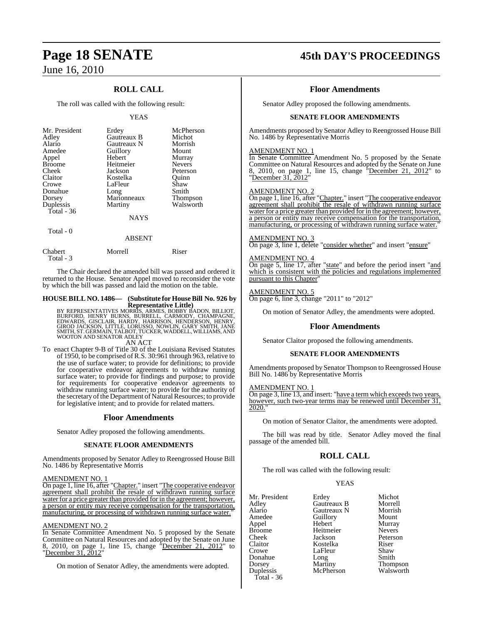## **ROLL CALL**

The roll was called with the following result:

#### YEAS

| Mr. President<br>Adley<br>Alario<br>Amedee<br>Appel<br><b>Broome</b><br>Cheek<br>Claitor<br>Crowe<br>Donahue<br>Dorsey<br>Duplessis<br>Total $-36$ | Erdey<br>Gautreaux B<br>Gautreaux N<br>Guillory<br>Hebert<br>Heitmeier<br>Jackson<br>Kostelka<br>LaFleur<br>Long<br>Marionneaux<br>Martiny | McPherson<br>Michot<br>Morrish<br>Mount<br>Murray<br><b>Nevers</b><br>Peterson<br>Ouinn<br>Shaw<br>Smith<br><b>Thompson</b><br>Walsworth |
|----------------------------------------------------------------------------------------------------------------------------------------------------|--------------------------------------------------------------------------------------------------------------------------------------------|------------------------------------------------------------------------------------------------------------------------------------------|
|                                                                                                                                                    | <b>NAYS</b>                                                                                                                                |                                                                                                                                          |
| Total - 0                                                                                                                                          | $1 - 2 - 3 - 3 - 7 - 7$                                                                                                                    |                                                                                                                                          |

| ABSENT  |       |
|---------|-------|
| Morrell | Riser |
|         |       |

The Chair declared the amended bill was passed and ordered it returned to the House. Senator Appel moved to reconsider the vote by which the bill was passed and laid the motion on the table.

# **HOUSE BILL NO. 1486— (Substitute for HouseBill No. 926 by**

Representative Little)<br>BURFORD, HENRY BURNS, SAMES, BOBBY BADON, BILLIOT,<br>BURFORD, HENRY BURNS, BURRELL, CARMODY, CHAMPAGNE,<br>EDWARDS, GISCLAIR, HARDY, HARRISON, HENDERSON, HENRY,<br>GIROD JACKSON, LITTLE, LORUSSO, NOWLIN, GAR AN ACT

To enact Chapter 9-B of Title 30 of the Louisiana Revised Statutes of 1950, to be comprised of R.S. 30:961 through 963, relative to the use of surface water; to provide for definitions; to provide for cooperative endeavor agreements to withdraw running surface water; to provide for findings and purpose; to provide for requirements for cooperative endeavor agreements to withdraw running surface water; to provide for the authority of the secretary of the Department of Natural Resources; to provide for legislative intent; and to provide for related matters.

#### **Floor Amendments**

Senator Adley proposed the following amendments.

#### **SENATE FLOOR AMENDMENTS**

Amendments proposed by Senator Adley to Reengrossed House Bill No. 1486 by Representative Morris

#### AMENDMENT NO. 1

On page 1, line 16, after "Chapter." insert "The cooperative endeavor agreement shall prohibit the resale of withdrawn running surface water for a price greater than provided for in the agreement; however, a person or entity may receive compensation for the transportation, manufacturing, or processing of withdrawn running surface water."

#### AMENDMENT NO. 2

In Senate Committee Amendment No. 5 proposed by the Senate Committee on Natural Resources and adopted by the Senate on June 8, 2010, on page 1, line 15, change "December 21, 2012" to "December 31, 2012"

On motion of Senator Adley, the amendments were adopted.

# **Page 18 SENATE 45th DAY'S PROCEEDINGS**

#### **Floor Amendments**

Senator Adley proposed the following amendments.

#### **SENATE FLOOR AMENDMENTS**

Amendments proposed by Senator Adley to Reengrossed House Bill No. 1486 by Representative Morris

#### AMENDMENT NO. 1

In Senate Committee Amendment No. 5 proposed by the Senate Committee on Natural Resources and adopted by the Senate on June 8, 2010, on page 1, line 15, change "December 21, 2012" to "December 31, 2012"

#### AMENDMENT NO. 2

On page 1, line 16, after "Chapter." insert "The cooperative endeavor agreement shall prohibit the resale of withdrawn running surface water for a price greater than provided for in the agreement; however, a person or entity may receive compensation for the transportation, manufacturing, or processing of withdrawn running surface water.

#### AMENDMENT NO. 3

On page 3, line 1, delete "consider whether" and insert "ensure"

#### AMENDMENT NO. 4

On page 5, line 17, after "state" and before the period insert "and which is consistent with the policies and regulations implemented pursuant to this Chapter"

#### AMENDMENT NO. 5

On page 6, line 3, change "2011" to "2012"

On motion of Senator Adley, the amendments were adopted.

#### **Floor Amendments**

Senator Claitor proposed the following amendments.

#### **SENATE FLOOR AMENDMENTS**

Amendments proposed by Senator Thompson to Reengrossed House Bill No. 1486 by Representative Morris

#### AMENDMENT NO. 1

On page 3, line 13, and insert: "have a term which exceeds two years, however, such two-year terms may be renewed until December 31, 2020."

On motion of Senator Claitor, the amendments were adopted.

The bill was read by title. Senator Adley moved the final passage of the amended bill.

#### **ROLL CALL**

The roll was called with the following result:

#### **YEAS**

| Mr. President | Erdey       | Michot          |
|---------------|-------------|-----------------|
| Adley         | Gautreaux B | Morrell         |
| Alario        | Gautreaux N | Morrish         |
| Amedee        | Guillory    | Mount           |
| Appel         | Hebert      | Murray          |
| Broome        | Heitmeier   | <b>Nevers</b>   |
| Cheek         | Jackson     | Peterson        |
| Claitor       | Kostelka    | Riser           |
| Crowe         | LaFleur     | Shaw            |
| Donahue       | Long        | Smith           |
| Dorsey        | Martiny     | <b>Thompson</b> |
| Duplessis     | McPherson   | Walsworth       |
| Total - 36    |             |                 |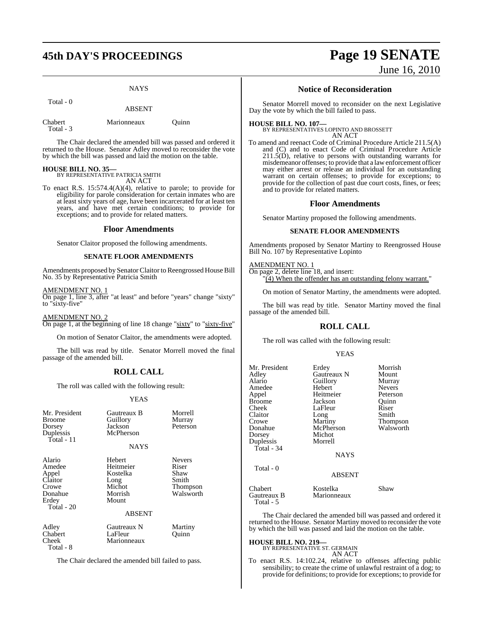# **45th DAY'S PROCEEDINGS Page 19 SENATE**

**NAYS** 

Total - 0

ABSENT

| Chabert   | Marionneaux |
|-----------|-------------|
| Total - 3 |             |

The Chair declared the amended bill was passed and ordered it returned to the House. Senator Adley moved to reconsider the vote by which the bill was passed and laid the motion on the table.

Quinn

**HOUSE BILL NO. 35—** BY REPRESENTATIVE PATRICIA SMITH AN ACT

To enact R.S. 15:574.4(A)(4), relative to parole; to provide for eligibility for parole consideration for certain inmates who are at least sixty years of age, have been incarcerated for at least ten years, and have met certain conditions; to provide for exceptions; and to provide for related matters.

#### **Floor Amendments**

Senator Claitor proposed the following amendments.

#### **SENATE FLOOR AMENDMENTS**

Amendments proposed by Senator Claitor to Reengrossed House Bill No. 35 by Representative Patricia Smith

#### AMENDMENT NO. 1

On page 1, line 3, after "at least" and before "years" change "sixty" to "sixty-five"

AMENDMENT NO. 2 On page 1, at the beginning of line 18 change "sixty" to "sixty-five"

On motion of Senator Claitor, the amendments were adopted.

The bill was read by title. Senator Morrell moved the final passage of the amended bill.

## **ROLL CALL**

The roll was called with the following result:

#### YEAS

| Mr. President<br><b>Broome</b><br>Dorsey<br>Duplessis<br>Total - 11              | Gautreaux B<br>Guillory<br>Jackson<br>McPherson<br><b>NAYS</b>        | Morrell<br>Murray<br>Peterson                                           |
|----------------------------------------------------------------------------------|-----------------------------------------------------------------------|-------------------------------------------------------------------------|
| Alario<br>Amedee<br>Appel<br>Claitor<br>Crowe<br>Donahue<br>Erdey<br>Total $-20$ | Hebert<br>Heitmeier<br>Kostelka<br>Long<br>Michot<br>Morrish<br>Mount | <b>Nevers</b><br>Riser<br>Shaw<br>Smith<br><b>Thompson</b><br>Walsworth |
|                                                                                  | <b>ABSENT</b>                                                         |                                                                         |
| Adley<br>Chabert<br>Cheek                                                        | Gautreaux N<br>LaFleur<br>Marionneaux                                 | Martiny<br>Ouınn                                                        |

Total - 8

The Chair declared the amended bill failed to pass.

# June 16, 2010

#### **Notice of Reconsideration**

Senator Morrell moved to reconsider on the next Legislative Day the vote by which the bill failed to pass.

#### **HOUSE BILL NO. 107—**

BY REPRESENTATIVES LOPINTO AND BROSSETT AN ACT

To amend and reenact Code of Criminal Procedure Article 211.5(A) and (C) and to enact Code of Criminal Procedure Article  $211.5(D)$ , relative to persons with outstanding warrants for misdemeanor offenses; to provide that a lawenforcement officer may either arrest or release an individual for an outstanding warrant on certain offenses; to provide for exceptions; to provide for the collection of past due court costs, fines, or fees; and to provide for related matters.

#### **Floor Amendments**

Senator Martiny proposed the following amendments.

#### **SENATE FLOOR AMENDMENTS**

Amendments proposed by Senator Martiny to Reengrossed House Bill No. 107 by Representative Lopinto

#### AMENDMENT NO. 1

On page 2, delete line 18, and insert: "(4) When the offender has an outstanding felony warrant."

On motion of Senator Martiny, the amendments were adopted.

The bill was read by title. Senator Martiny moved the final passage of the amended bill.

## **ROLL CALL**

The roll was called with the following result:

#### YEAS

| Mr. President<br>Adley<br>Alario<br>Amedee<br>Appel<br>Broome<br>Cheek<br>Claitor<br>Crowe<br>Donahue<br>Dorsey<br>Duplessis<br>Total - 34 | Erdey<br>Gautreaux N<br>Guillory<br>Hebert<br>Heitmeier<br>Jackson<br>LaFleur<br>Long<br>Martiny<br>McPherson<br>Michot<br>Morrell<br><b>NAYS</b> | Morrish<br>Mount<br>Murray<br><b>Nevers</b><br>Peterson<br>Quinn<br>Riser<br>Smith<br>Thompson<br>Walsworth |
|--------------------------------------------------------------------------------------------------------------------------------------------|---------------------------------------------------------------------------------------------------------------------------------------------------|-------------------------------------------------------------------------------------------------------------|
| Total - 0                                                                                                                                  | <b>ABSENT</b>                                                                                                                                     |                                                                                                             |
| Chabert<br>Gautreaux B<br>Total - 5                                                                                                        | Kostelka<br>Marionneaux                                                                                                                           | Shaw                                                                                                        |

The Chair declared the amended bill was passed and ordered it returned to the House. Senator Martiny moved to reconsider the vote by which the bill was passed and laid the motion on the table.

#### **HOUSE BILL NO. 219—**

BY REPRESENTATIVE ST. GERMAIN AN ACT

To enact R.S. 14:102.24, relative to offenses affecting public sensibility; to create the crime of unlawful restraint of a dog; to provide for definitions; to provide for exceptions; to provide for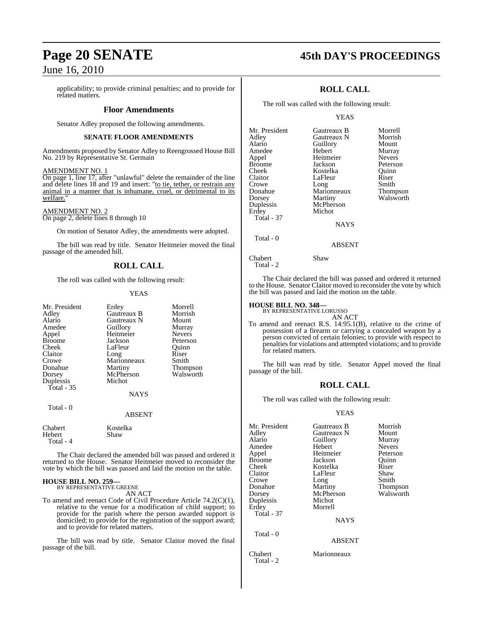applicability; to provide criminal penalties; and to provide for related matters.

#### **Floor Amendments**

Senator Adley proposed the following amendments.

#### **SENATE FLOOR AMENDMENTS**

Amendments proposed by Senator Adley to Reengrossed House Bill No. 219 by Representative St. Germain

#### AMENDMENT NO. 1

On page 1, line 17, after "unlawful" delete the remainder of the line and delete lines 18 and 19 and insert: "to tie, tether, or restrain any animal in a manner that is inhumane, cruel, or detrimental to its welfare."

### AMENDMENT NO. 2

On page 2, delete lines 8 through 10

On motion of Senator Adley, the amendments were adopted.

The bill was read by title. Senator Heitmeier moved the final passage of the amended bill.

### **ROLL CALL**

The roll was called with the following result:

#### YEAS

| Mr. President<br>Adley<br>Alario<br>Amedee<br>Appel<br><b>Broome</b><br>Cheek<br>Claitor<br>Crowe<br>Donahue<br>Dorsey<br>Duplessis<br>Total $-35$<br>Total - 0 | Erdey<br>Gautreaux B<br>Gautreaux N<br>Guillory<br>Heitmeier<br>Jackson<br>LaFleur<br>Long<br>Marionneaux<br>Martiny<br>McPherson<br>Michot<br><b>NAYS</b><br>ABSENT | Morrell<br>Morrish<br>Mount<br>Murray<br><b>Nevers</b><br>Peterson<br>Ouinn<br>Riser<br>Smith<br>Thompson<br>Walsworth |
|-----------------------------------------------------------------------------------------------------------------------------------------------------------------|----------------------------------------------------------------------------------------------------------------------------------------------------------------------|------------------------------------------------------------------------------------------------------------------------|
| Chabert<br>Hebert<br>Total - 4                                                                                                                                  | Kostelka<br>Shaw                                                                                                                                                     |                                                                                                                        |

The Chair declared the amended bill was passed and ordered it returned to the House. Senator Heitmeier moved to reconsider the vote by which the bill was passed and laid the motion on the table.

#### **HOUSE BILL NO. 259—**

BY REPRESENTATIVE GREENE AN ACT

To amend and reenact Code of Civil Procedure Article 74.2(C)(1), relative to the venue for a modification of child support; to provide for the parish where the person awarded support is domiciled; to provide for the registration of the support award; and to provide for related matters.

The bill was read by title. Senator Claitor moved the final passage of the bill.

# **Page 20 SENATE 45th DAY'S PROCEEDINGS**

### **ROLL CALL**

The roll was called with the following result:

#### YEAS

| Mr. President     | Gautreaux B   | Morrell       |
|-------------------|---------------|---------------|
| Adley             | Gautreaux N   | Morrish       |
| Alario            | Guillory      | Mount         |
| Amedee            | Hebert        | Murray        |
| Appel             | Heitmeier     | <b>Nevers</b> |
| Broome            | Jackson       | Peterson      |
| Cheek             | Kostelka      | Ouinn         |
| Claitor           | LaFleur       | Riser         |
| Crowe             | Long          | Smith         |
| Donahue           | Marionneaux   | Thompson      |
| Dorsey            | Martiny       | Walsworth     |
| Duplessis         | McPherson     |               |
| Erdey             | Michot        |               |
| <b>Total - 37</b> |               |               |
|                   | <b>NAYS</b>   |               |
| Total - 0         |               |               |
|                   | <b>ABSENT</b> |               |

The Chair declared the bill was passed and ordered it returned to the House. Senator Claitor moved to reconsider the vote by which the bill was passed and laid the motion on the table.

# **HOUSE BILL NO. 348—** BY REPRESENTATIVE LORUSSO

Chabert Shaw

Total - 2

AN ACT To amend and reenact R.S. 14:95.1(B), relative to the crime of possession of a firearm or carrying a concealed weapon by a person convicted of certain felonies; to provide with respect to penalties for violations and attempted violations; and to provide for related matters.

The bill was read by title. Senator Appel moved the final passage of the bill.

#### **ROLL CALL**

The roll was called with the following result:

#### YEAS

| Mr. President        | Gautreaux B   | Morrish       |
|----------------------|---------------|---------------|
| Adley                | Gautreaux N   | Mount         |
| Alario               | Guillory      | Murray        |
| Amedee               | Hebert        | <b>Nevers</b> |
| Appel                | Heitmeier     | Peterson      |
| Broome               | Jackson       | Quinn         |
| Cheek                | Kostelka      | Riser         |
| Claitor              | LaFleur       | Shaw          |
| Crowe                | Long          | Smith         |
| Donahue              | Martiny       | Thompson      |
| Dorsey               | McPherson     | Walsworth     |
| Duplessis            | Michot        |               |
| Erdey                | Morrell       |               |
| Total - 37           |               |               |
|                      | <b>NAYS</b>   |               |
| Total - 0            |               |               |
|                      | <b>ABSENT</b> |               |
| Chabert<br>Total - 2 | Marionneaux   |               |
|                      |               |               |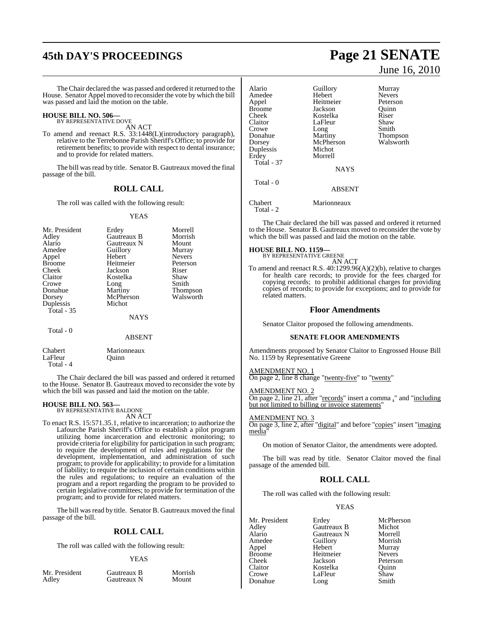# **45th DAY'S PROCEEDINGS Page 21 SENATE**

TheChair declared the was passed and ordered it returned to the House. Senator Appel moved to reconsider the vote by which the bill was passed and laid the motion on the table.

# **HOUSE BILL NO. 506—** BY REPRESENTATIVE DOVE

AN ACT

To amend and reenact R.S. 33:1448(L)(introductory paragraph), relative to the Terrebonne Parish Sheriff's Office; to provide for retirement benefits; to provide with respect to dental insurance; and to provide for related matters.

The bill was read by title. Senator B. Gautreaux moved the final passage of the bill.

### **ROLL CALL**

The roll was called with the following result:

#### YEAS

| Mr. President | Erdey       | Morrell         |
|---------------|-------------|-----------------|
| Adley         | Gautreaux B | Morrish         |
| Alario        | Gautreaux N | Mount           |
| Amedee        | Guillory    | Murray          |
| Appel         | Hebert      | <b>Nevers</b>   |
| <b>Broome</b> | Heitmeier   | Peterson        |
| Cheek         | Jackson     | Riser           |
| Claitor       | Kostelka    | Shaw            |
| Crowe         | Long        | Smith           |
| Donahue       | Martiny     | <b>Thompson</b> |
| Dorsey        | McPherson   | Walsworth       |
| Duplessis     | Michot      |                 |
| Total $-35$   |             |                 |
|               | <b>NAYS</b> |                 |
| Total - 0     |             |                 |
|               | ABSENT      |                 |

Chabert Marionneaux<br>LaFleur Ouinn LaFleur Total - 4

The Chair declared the bill was passed and ordered it returned to the House. Senator B. Gautreaux moved to reconsider the vote by which the bill was passed and laid the motion on the table.

# **HOUSE BILL NO. 563—** BY REPRESENTATIVE BALDONE

AN ACT

To enact R.S. 15:571.35.1, relative to incarceration; to authorize the Lafourche Parish Sheriff's Office to establish a pilot program utilizing home incarceration and electronic monitoring; to provide criteria for eligibility for participation in such program; to require the development of rules and regulations for the development, implementation, and administration of such program; to provide for applicability; to provide for a limitation of liability; to require the inclusion of certain conditions within the rules and regulations; to require an evaluation of the program and a report regarding the program to be provided to certain legislative committees; to provide for termination of the program; and to provide for related matters.

The bill was read by title. Senator B. Gautreaux moved the final passage of the bill.

#### **ROLL CALL**

The roll was called with the following result:

#### YEAS

Mr. President Gautreaux B Morrish<br>Adley Gautreaux N Mount Gautreaux N

Thompson<br>Walsworth

June 16, 2010

Alario Guillory Murray Amedee Hebert International Hebert School and Heitmeier Appel Heitmeier Peterson Broome Jackson Quinn<br>Cheek Kostelka Riser Cheek Kostelka Riser LaFleur Shaw<br>Long Smith Crowe Long<br>
Donahue Martiny Dorsey McPherson<br>
Duplessis Michot Duplessis<br>Erdey Morrell Total - 37 **NAYS**  Total - 0 ABSENT Chabert Marionneaux

Total - 2

The Chair declared the bill was passed and ordered it returned to the House. Senator B. Gautreaux moved to reconsider the vote by which the bill was passed and laid the motion on the table.

#### **HOUSE BILL NO. 1159—**

BY REPRESENTATIVE GREENE AN ACT

To amend and reenact R.S. 40:1299.96(A)(2)(b), relative to charges for health care records; to provide for the fees charged for copying records; to prohibit additional charges for providing copies of records; to provide for exceptions; and to provide for related matters.

#### **Floor Amendments**

Senator Claitor proposed the following amendments.

#### **SENATE FLOOR AMENDMENTS**

Amendments proposed by Senator Claitor to Engrossed House Bill No. 1159 by Representative Greene

#### AMENDMENT NO. 1

On page 2, line 8 change "twenty-five" to "twenty"

#### AMENDMENT NO. 2

On page 2, line 21, after "records" insert a comma ," and "including but not limited to billing or invoice statements'

#### AMENDMENT NO. 3

On page 3, line 2, after "digital" and before "copies" insert "imaging media

On motion of Senator Claitor, the amendments were adopted.

The bill was read by title. Senator Claitor moved the final passage of the amended bill.

### **ROLL CALL**

The roll was called with the following result:

#### YEAS

Mr. President Erdey McPherson<br>Adley Gautreaux B Michot Adley Gautreaux B Michot Alario Gautreaux N Morrell<br>Amedee Guillory Morrish Amedee Guillory<br>Appel Hebert Appel Hebert Murray Broome Heitmeier<br>Cheek Jackson Cheek Jackson Peterson Claitor Kostelka Quinn Donahue Long

LaFleur Shaw<br>Long Smith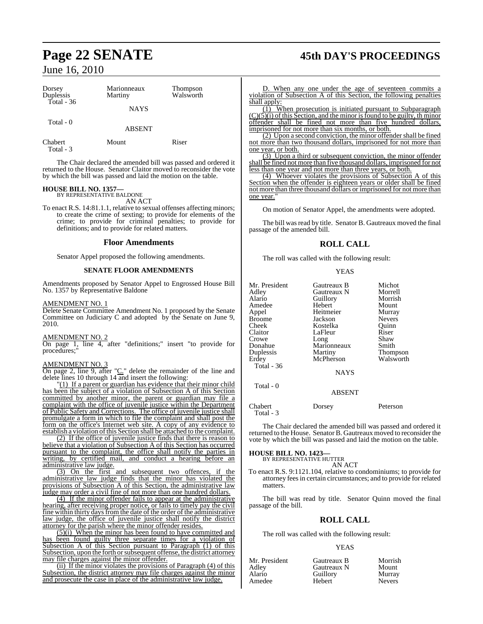| Dorsey<br>Duplessis  | Marionneaux<br>Martiny | Thompson<br>Walsworth |
|----------------------|------------------------|-----------------------|
| Total - $36$         | <b>NAYS</b>            |                       |
| Total $-0$           | <b>ABSENT</b>          |                       |
| Chabert<br>Total - 3 | Mount                  | Riser                 |

The Chair declared the amended bill was passed and ordered it returned to the House. Senator Claitor moved to reconsider the vote by which the bill was passed and laid the motion on the table.

#### **HOUSE BILL NO. 1357—** BY REPRESENTATIVE BALDONE

AN ACT

To enact R.S. 14:81.1.1, relative to sexual offenses affecting minors; to create the crime of sexting; to provide for elements of the crime; to provide for criminal penalties; to provide for definitions; and to provide for related matters.

#### **Floor Amendments**

Senator Appel proposed the following amendments.

#### **SENATE FLOOR AMENDMENTS**

Amendments proposed by Senator Appel to Engrossed House Bill No. 1357 by Representative Baldone

#### AMENDMENT NO. 1

Delete Senate Committee Amendment No. 1 proposed by the Senate Committee on Judiciary C and adopted by the Senate on June 9, 2010.

#### AMENDMENT NO. 2

On page 1, line 4, after "definitions;" insert "to provide for procedures;"

#### AMENDMENT NO. 3

On page 2, line 9, after "C." delete the remainder of the line and delete lines 10 through 14 and insert the following:

"(1) If a parent or guardian has evidence that their minor child has been the subject of a violation of Subsection A of this Section committed by another minor, the parent or guardian may file a complaint with the office of juvenile justice within the Department of Public Safety and Corrections. The office of juvenile justice shall promulgate a form in which to file the complaint and shall post the form on the office's Internet web site. A copy of any evidence to establish a violation ofthis Section shall be attached to the complaint.

(2) If the office of juvenile justice finds that there is reason to believe that a violation of Subsection A of this Section has occurred pursuant to the complaint, the office shall notify the parties in writing, by certified mail, and conduct a hearing before an administrative law judge.

(3) On the first and subsequent two offences, if the administrative law judge finds that the minor has violated the provisions of Subsection A of this Section, the administrative law judge may order a civil fine of not more than one hundred dollars.

(4) If the minor offender fails to appear at the administrative hearing, after receiving proper notice, or fails to timely pay the civil fine within thirty days from the date of the order of the administrative law judge, the office of juvenile justice shall notify the district attorney for the parish where the minor offender resides.

(5)(i) When the minor has been found to have committed and has been found guilty three separate times for a violation of Subsection A of this Section pursuant to Paragraph (1) of this Subsection, upon the forth or subsequent offense, the district attorney may file charges against the minor offender.

(ii) If the minor violates the provisions of Paragraph (4) of this Subsection, the district attorney may file charges against the minor and prosecute the case in place of the administrative law judge.

# **Page 22 SENATE 45th DAY'S PROCEEDINGS**

D. When any one under the age of seventeen commits a violation of Subsection A of this Section, the following penalties shall apply:

(1) When prosecution is initiated pursuant to Subparagraph  $(C)(\overline{5})(i)$  of this Section, and the minor is found to be guilty, th minor offender shall be fined not more than five hundred dollars, imprisoned for not more than six months, or both.

(2) Upon a second conviction, the minor offender shall be fined not more than two thousand dollars, imprisoned for not more than one year, or both.

(3) Upon a third or subsequent conviction, the minor offender shall be fined not more than five thousand dollars, imprisoned for not less than one year and not more than three years, or both.

(4) Whoever violates the provisions of Subsection A of this Section when the offender is eighteen years or older shall be fined not more than three thousand dollars or imprisoned for not more than one year.

On motion of Senator Appel, the amendments were adopted.

The bill was read by title. Senator B. Gautreaux moved the final passage of the amended bill.

### **ROLL CALL**

The roll was called with the following result:

**YEAS** 

| Mr. President | Gautreaux B | Michot        |
|---------------|-------------|---------------|
| Adley         | Gautreaux N | Morrell       |
| Alario        | Guillory    | Morrish       |
| Amedee        | Hebert      | Mount         |
| Appel         | Heitmeier   | Murray        |
| <b>Broome</b> | Jackson     | <b>Nevers</b> |
| Cheek         | Kostelka    | Ouinn         |
| Claitor       | LaFleur     | Riser         |
| Crowe         | Long        | Shaw          |
| Duplessis     | Martiny     | Thompson      |
| Erdey         | McPherson   | Walsworth     |
| Total - $36$  | <b>NAYS</b> |               |
| Total - 0     | ABSENT      |               |

Chabert Dorsey Peterson Total - 3

The Chair declared the amended bill was passed and ordered it returned to the House. Senator B. Gautreaux moved to reconsider the vote by which the bill was passed and laid the motion on the table.

#### **HOUSE BILL NO. 1423—**

BY REPRESENTATIVE HUTTER AN ACT

To enact R.S. 9:1121.104, relative to condominiums; to provide for attorney fees in certain circumstances; and to provide for related matters.

The bill was read by title. Senator Quinn moved the final passage of the bill.

## **ROLL CALL**

The roll was called with the following result:

#### YEAS

| Mr. President | Gautreaux B | Morrish       |
|---------------|-------------|---------------|
| Adley         | Gautreaux N | Mount         |
| Alario        | Guillory    | Murray        |
| Amedee        | Hebert      | <b>Nevers</b> |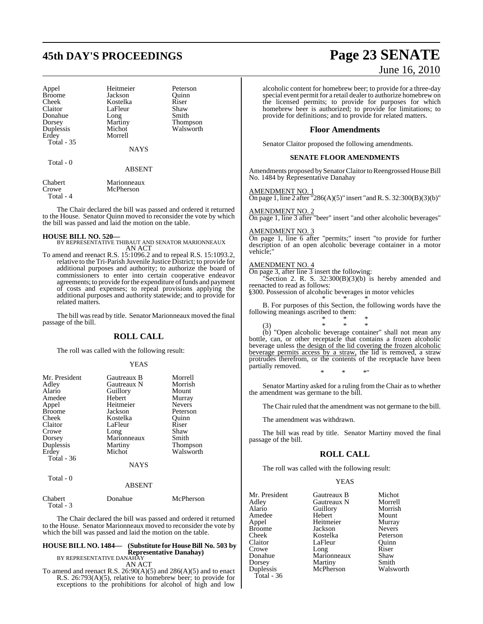# **45th DAY'S PROCEEDINGS Page 23 SENATE**

| Appel<br><b>Broome</b><br>Cheek<br>Claitor<br>Donahue<br>Dorsey<br>Duplessis<br>Erdey<br>Total - 35 | Heitmeier<br>Jackson<br>Kostelka<br>LaFleur<br>Long<br>Martiny<br>Michot<br>Morrell<br><b>NAYS</b> | Peterson<br>Ouinn<br>Riser<br>Shaw<br>Smith<br><b>Thompson</b><br>Walsworth |
|-----------------------------------------------------------------------------------------------------|----------------------------------------------------------------------------------------------------|-----------------------------------------------------------------------------|
| Total - 0                                                                                           | <b>ABSENT</b>                                                                                      |                                                                             |
| Chabert<br>Crowe                                                                                    | Marionneaux<br>McPherson                                                                           |                                                                             |

Total - 4

The Chair declared the bill was passed and ordered it returned to the House. Senator Quinn moved to reconsider the vote by which the bill was passed and laid the motion on the table.

**HOUSE BILL NO. 520—** BY REPRESENTATIVE THIBAUT AND SENATOR MARIONNEAUX AN ACT

To amend and reenact R.S. 15:1096.2 and to repeal R.S. 15:1093.2, relative to the Tri-Parish Juvenile Justice District; to provide for additional purposes and authority; to authorize the board of commissioners to enter into certain cooperative endeavor agreements; to provide for the expenditure of funds and payment of costs and expenses; to repeal provisions applying the additional purposes and authority statewide; and to provide for related matters.

The bill was read by title. Senator Marionneaux moved the final passage of the bill.

#### **ROLL CALL**

The roll was called with the following result:

#### YEAS

| Mr. President<br>Adley<br>Alario<br>Amedee<br>Appel<br><b>Broome</b><br>Cheek<br>Claitor<br>Crowe<br>Dorsey<br>Duplessis | Gautreaux B<br>Gautreaux N<br>Guillory<br>Hebert<br>Heitmeier<br>Jackson<br>Kostelka<br>LaFleur<br>Long<br>Marionneaux<br>Martiny | Morrell<br>Morrish<br>Mount<br>Murray<br><b>Nevers</b><br>Peterson<br>Ouinn<br>Riser<br>Shaw<br>Smith<br>Thompson |
|--------------------------------------------------------------------------------------------------------------------------|-----------------------------------------------------------------------------------------------------------------------------------|-------------------------------------------------------------------------------------------------------------------|
| Erdey                                                                                                                    | Michot                                                                                                                            | Walsworth                                                                                                         |
| Total - 36                                                                                                               |                                                                                                                                   |                                                                                                                   |
|                                                                                                                          | <b>NAYS</b>                                                                                                                       |                                                                                                                   |
| Total $-0$                                                                                                               | ABSENT                                                                                                                            |                                                                                                                   |

| Chabert   | Donahue | McPherson |
|-----------|---------|-----------|
| Total - 3 |         |           |

The Chair declared the bill was passed and ordered it returned to the House. Senator Marionneaux moved to reconsider the vote by which the bill was passed and laid the motion on the table.

#### **HOUSE BILL NO. 1484— (Substitute for HouseBill No. 503 by Representative Danahay)**

BY REPRESENTATIVE DANAHAY AN ACT

To amend and reenact R.S.  $26:90(A)(5)$  and  $286(A)(5)$  and to enact R.S. 26:793(A)(5), relative to homebrew beer; to provide for exceptions to the prohibitions for alcohol of high and low

# June 16, 2010

alcoholic content for homebrew beer; to provide for a three-day special event permit for a retail dealer to authorize homebrew on the licensed permits; to provide for purposes for which homebrew beer is authorized; to provide for limitations; to provide for definitions; and to provide for related matters.

#### **Floor Amendments**

Senator Claitor proposed the following amendments.

#### **SENATE FLOOR AMENDMENTS**

Amendments proposed by Senator Claitor to Reengrossed House Bill No. 1484 by Representative Danahay

#### AMENDMENT NO. 1

On page 1, line 2 after "286(A)(5)" insert "and R. S. 32:300(B)(3)(b)"

#### AMENDMENT NO. 2

On page 1, line 3 after "beer" insert "and other alcoholic beverages"

#### AMENDMENT NO. 3

On page 1, line 6 after "permits;" insert "to provide for further description of an open alcoholic beverage container in a motor vehicle;"

#### AMENDMENT NO. 4

On page 3, after line  $\overline{3}$  insert the following:

Section 2. R. S.  $32:300(B)(3)(b)$  is hereby amended and reenacted to read as follows:

§300. Possession of alcoholic beverages in motor vehicles \* \* \*

B. For purposes of this Section, the following words have the following meanings ascribed to them:

\* \* \* (3) \* \* \* (b) "Open alcoholic beverage container" shall not mean any bottle, can, or other receptacle that contains a frozen alcoholic beverage unless the design of the lid covering the frozen alcoholic

beverage permits access by a straw, the lid is removed, a straw protrudes therefrom, or the contents of the receptacle have been partially removed. \* \* \*"

Senator Martiny asked for a ruling from the Chair as to whether the amendment was germane to the bill.

The Chair ruled that the amendment was not germane to the bill.

The amendment was withdrawn.

The bill was read by title. Senator Martiny moved the final passage of the bill.

#### **ROLL CALL**

The roll was called with the following result:

**YEAS** 

| Mr. President | Gautreaux B | Michot        |
|---------------|-------------|---------------|
| Adley         | Gautreaux N | Morrell       |
| Alario        | Guillory    | Morrish       |
| Amedee        | Hebert      | Mount         |
| Appel         | Heitmeier   | Murray        |
| Broome        | Jackson     | <b>Nevers</b> |
| Cheek         | Kostelka    | Peterson      |
| Claitor       | LaFleur     | Ouinn         |
| Crowe         | Long        | Riser         |
| Donahue       | Marionneaux | Shaw          |
| Dorsey        | Martiny     | Smith         |
| Duplessis     | McPherson   | Walsworth     |
| Total - 36    |             |               |
|               |             |               |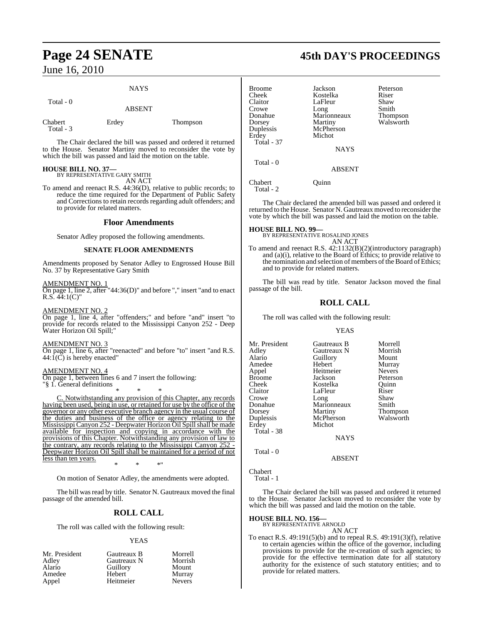### **NAYS**

| Total - 0            | <b>ABSENT</b> |          |
|----------------------|---------------|----------|
| Chabert<br>Total - 3 | Erdey         | Thompson |

The Chair declared the bill was passed and ordered it returned to the House. Senator Martiny moved to reconsider the vote by which the bill was passed and laid the motion on the table.

**HOUSE BILL NO. 37—** BY REPRESENTATIVE GARY SMITH AN ACT

To amend and reenact R.S. 44:36(D), relative to public records; to reduce the time required for the Department of Public Safety and Corrections to retain records regarding adult offenders; and to provide for related matters.

#### **Floor Amendments**

Senator Adley proposed the following amendments.

#### **SENATE FLOOR AMENDMENTS**

Amendments proposed by Senator Adley to Engrossed House Bill No. 37 by Representative Gary Smith

AMENDMENT NO. 1

On page 1, line 2, after "44:36(D)" and before "," insert "and to enact R.S.  $44:1(C)$ "

AMENDMENT NO. 2

On page 1, line 4, after "offenders;" and before "and" insert "to provide for records related to the Mississippi Canyon 252 - Deep Water Horizon Oil Spill;"

AMENDMENT NO. 3 On page 1, line 6, after "reenacted" and before "to" insert "and R.S.  $44:1(\overrightarrow{C})$  is hereby enacted"

#### AMENDMENT NO. 4

On page 1, between lines 6 and 7 insert the following: "§ 1. General definitions

\* \* \*

Notwithstanding any provision of this Chapter, any records having been used, being in use, or retained for use by the office of the governor or any other executive branch agency in the usual course of the duties and business of the office or agency relating to the Mississippi Canyon 252 - Deepwater Horizon Oil Spillshall be made available for inspection and copying in accordance with the provisions of this Chapter. Notwithstanding any provision of law to the contrary, any records relating to the Mississippi Canyon 2 Deepwater Horizon Oil Spill shall be maintained for a period of not less than ten years. \* \* \*"

On motion of Senator Adley, the amendments were adopted.

The bill was read by title. Senator N. Gautreaux moved the final passage of the amended bill.

## **ROLL CALL**

The roll was called with the following result:

#### YEAS

| Mr. President | Gautreaux B | Morrell       |
|---------------|-------------|---------------|
| Adley         | Gautreaux N | Morrish       |
| Alario        | Guillory    | Mount         |
| Amedee        | Hebert      | Murray        |
| Appel         | Heitmeier   | <b>Nevers</b> |

# **Page 24 SENATE 45th DAY'S PROCEEDINGS**

| Broome<br>Cheek<br>Claitor<br>Crowe<br>Donahue<br>Dorsey<br>Duplessis | Jackson<br>Kostelka<br>LaFleur<br>Long<br>Marionneaux<br>Martiny<br>McPherson | Peterson<br>Riser<br>Shaw<br>Smith<br>Thompson<br>Walsworth |
|-----------------------------------------------------------------------|-------------------------------------------------------------------------------|-------------------------------------------------------------|
| Erdey<br><b>Total - 37</b><br>Total - 0                               | Michot<br><b>NAYS</b><br>ARSENT                                               |                                                             |

Chabert Quinn Total - 2

The Chair declared the amended bill was passed and ordered it returned to the House. Senator N. Gautreaux moved to reconsider the vote by which the bill was passed and laid the motion on the table.

#### **HOUSE BILL NO. 99—**

BY REPRESENTATIVE ROSALIND JONES AN ACT

To amend and reenact R.S. 42:1132(B)(2)(introductory paragraph) and (a)(i), relative to the Board of Ethics; to provide relative to the nomination and selection of members of the Board of Ethics; and to provide for related matters.

The bill was read by title. Senator Jackson moved the final passage of the bill.

#### **ROLL CALL**

The roll was called with the following result:

#### YEAS

| Mr. President | Gautreaux B | Morrell       |
|---------------|-------------|---------------|
| Adley         | Gautreaux N | Morrish       |
| Alario        | Guillory    | Mount         |
| Amedee        | Hebert      | Murray        |
| Appel         | Heitmeier   | <b>Nevers</b> |
| Broome        | Jackson     | Peterson      |
| Cheek         | Kostelka    | Ouinn         |
| Claitor       | LaFleur     | Riser         |
| Crowe         | Long        | Shaw          |
| Donahue       | Marionneaux | Smith         |
| Dorsey        | Martiny     | Thompson      |
| Duplessis     | McPherson   | Walsworth     |
| Erdey         | Michot      |               |
| Total - 38    |             |               |
|               | <b>NAYS</b> |               |

Total - 0

ABSENT

Chabert Total - 1

The Chair declared the bill was passed and ordered it returned to the House. Senator Jackson moved to reconsider the vote by which the bill was passed and laid the motion on the table.

# **HOUSE BILL NO. 156—** BY REPRESENTATIVE ARNOLD

AN ACT

To enact R.S. 49:191(5)(b) and to repeal R.S. 49:191(3)(f), relative to certain agencies within the office of the governor, including provisions to provide for the re-creation of such agencies; to provide for the effective termination date for all statutory authority for the existence of such statutory entities; and to provide for related matters.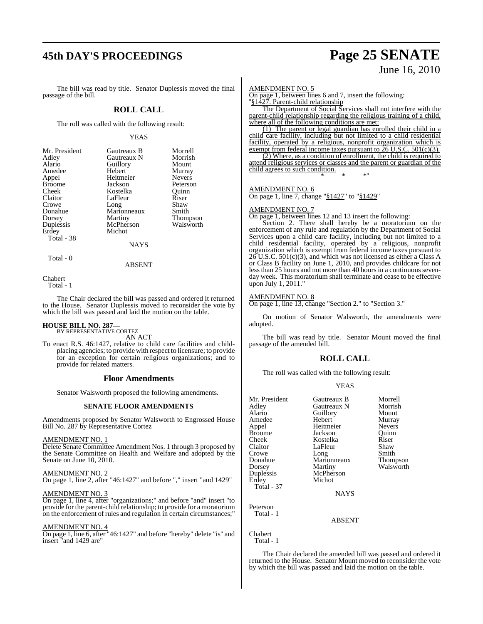# **45th DAY'S PROCEEDINGS Page 25 SENATE**

# June 16, 2010

The bill was read by title. Senator Duplessis moved the final passage of the bill.

#### **ROLL CALL**

The roll was called with the following result:

#### YEAS

| Mr. President | Gautreaux B | Morrell         |
|---------------|-------------|-----------------|
| Adley         | Gautreaux N | Morrish         |
| Alario        | Guillory    | Mount           |
| Amedee        | Hebert      | Murray          |
| Appel         | Heitmeier   | <b>Nevers</b>   |
| <b>Broome</b> | Jackson     | Peterson        |
| Cheek         | Kostelka    | Ouinn           |
| Claitor       | LaFleur     | Riser           |
| Crowe         | Long        | Shaw            |
| Donahue       | Marionneaux | Smith           |
| Dorsey        | Martiny     | <b>Thompson</b> |
| Duplessis     | McPherson   | Walsworth       |
| Erdey         | Michot      |                 |
| Total - 38    |             |                 |
|               | NAYS        |                 |

Total - 0

ABSENT

Chabert

Total - 1

The Chair declared the bill was passed and ordered it returned to the House. Senator Duplessis moved to reconsider the vote by which the bill was passed and laid the motion on the table.

# **HOUSE BILL NO. 287—** BY REPRESENTATIVE CORTEZ

AN ACT

To enact R.S. 46:1427, relative to child care facilities and childplacing agencies; to provide with respect to licensure; to provide for an exception for certain religious organizations; and to provide for related matters.

#### **Floor Amendments**

Senator Walsworth proposed the following amendments.

#### **SENATE FLOOR AMENDMENTS**

Amendments proposed by Senator Walsworth to Engrossed House Bill No. 287 by Representative Cortez

#### AMENDMENT NO. 1

Delete Senate Committee Amendment Nos. 1 through 3 proposed by the Senate Committee on Health and Welfare and adopted by the Senate on June 10, 2010.

#### AMENDMENT NO. 2

On page 1, line 2, after "46:1427" and before "," insert "and 1429"

#### AMENDMENT NO. 3

On page 1, line 4, after "organizations;" and before "and" insert "to provide for the parent-child relationship; to provide for a moratorium on the enforcement of rules and regulation in certain circumstances;"

#### AMENDMENT NO. 4

On page 1, line 6, after "46:1427" and before "hereby" delete "is" and insert "and 1429 are"

#### AMENDMENT NO. 5

On page 1, between lines 6 and 7, insert the following: "§1427. Parent-child relationship

The Department of Social Services shall not interfere with the parent-child relationship regarding the religious training of a child, where all of the following conditions are met:

(1) The parent or legal guardian has enrolled their child in a child care facility, including but not limited to a child residential facility, operated by a religious, nonprofit organization which is exempt from federal income taxes pursuant to  $26$  U.S.C.  $501(c)(3)$ .

(2) Where, as a condition of enrollment, the child is required to attend religious services or classes and the parent or guardian of the child agrees to such condition. \* \* \*"

#### AMENDMENT NO. 6

On page 1, line 7, change "§1427" to "§1429"

#### AMENDMENT NO. 7

On page 1, between lines 12 and 13 insert the following:

Section 2. There shall hereby be a moratorium on the enforcement of any rule and regulation by the Department of Social Services upon a child care facility, including but not limited to a child residential facility, operated by a religious, nonprofit organization which is exempt from federal income taxes pursuant to 26 U.S.C. 501(c)(3), and which was not licensed as either a Class A or Class B facility on June 1, 2010, and provides childcare for not less than 25 hours and not more than 40 hours in a continuous sevenday week. This moratorium shall terminate and cease to be effective upon July 1, 2011.'

#### AMENDMENT NO. 8

On page 1, line 13, change "Section 2." to "Section 3."

On motion of Senator Walsworth, the amendments were adopted.

The bill was read by title. Senator Mount moved the final passage of the amended bill.

#### **ROLL CALL**

The roll was called with the following result:

| v |
|---|
|---|

| Mr. President<br>Adley<br>Alario<br>Amedee<br>Appel<br><b>Broome</b><br>Cheek<br>Claitor | Gautreaux B<br>Gautreaux N<br>Guillory<br>Hebert<br>Heitmeier<br>Jackson<br>Kostelka<br>LaFleur | Morrell<br>Morrish<br>Mount<br>Murray<br><b>Nevers</b><br>Ouinn<br>Riser<br>Shaw |
|------------------------------------------------------------------------------------------|-------------------------------------------------------------------------------------------------|----------------------------------------------------------------------------------|
| Donahue<br>Dorsey<br>Duplessis<br>Erdey<br>Total - 37                                    | Long<br>Marionneaux<br>Martiny<br>McPherson<br>Michot<br><b>NAYS</b>                            | Thompson<br>Walsworth                                                            |
| Peterson<br>Total - 1                                                                    | 1.727177                                                                                        |                                                                                  |

ABSENT

Chabert Total - 1

The Chair declared the amended bill was passed and ordered it returned to the House. Senator Mount moved to reconsider the vote by which the bill was passed and laid the motion on the table.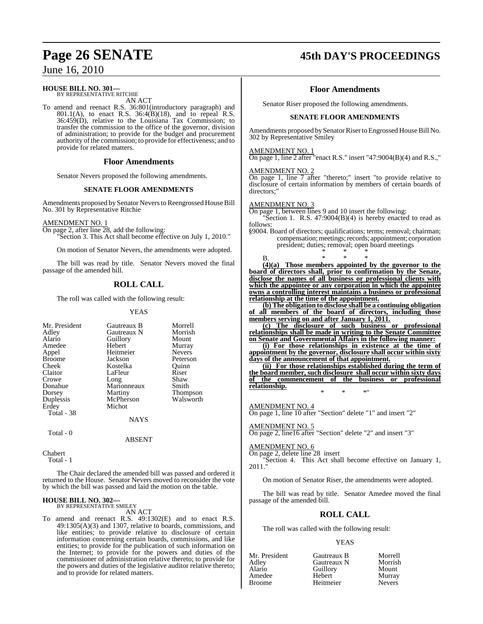# **HOUSE BILL NO. 301—** BY REPRESENTATIVE RITCHIE

AN ACT

To amend and reenact R.S. 36:801(introductory paragraph) and 801.1(A), to enact R.S. 36:4(B)(18), and to repeal R.S. 36:459(D), relative to the Louisiana Tax Commission; to transfer the commission to the office of the governor, division of administration; to provide for the budget and procurement authority of the commission; to provide for effectiveness; and to provide for related matters.

#### **Floor Amendments**

Senator Nevers proposed the following amendments.

#### **SENATE FLOOR AMENDMENTS**

Amendments proposed by Senator Nevers to Reengrossed House Bill No. 301 by Representative Ritchie

#### AMENDMENT NO. 1

On page 2, after line 28, add the following:

Section 3. This Act shall become effective on July 1, 2010."

On motion of Senator Nevers, the amendments were adopted.

The bill was read by title. Senator Nevers moved the final passage of the amended bill.

## **ROLL CALL**

The roll was called with the following result:

#### YEAS

| Mr. President | Gautreaux B | Morrell       |
|---------------|-------------|---------------|
| Adley         | Gautreaux N | Morrish       |
| Alario        | Guillory    | Mount         |
| Amedee        | Hebert      | Murray        |
| Appel         | Heitmeier   | <b>Nevers</b> |
| <b>Broome</b> | Jackson     | Peterson      |
| Cheek         | Kostelka    | Ouinn         |
| Claitor       | LaFleur     | Riser         |
| Crowe         | Long        | Shaw          |
| Donahue       | Marionneaux | Smith         |
| Dorsey        | Martiny     | Thompson      |
| Duplessis     | McPherson   | Walsworth     |
| Erdey         | Michot      |               |
| Total - 38    |             |               |
|               | NAYS        |               |
| Total - 0     |             |               |

Chabert

Total - 1

The Chair declared the amended bill was passed and ordered it returned to the House. Senator Nevers moved to reconsider the vote by which the bill was passed and laid the motion on the table.

ABSENT

# **HOUSE BILL NO. 302—** BY REPRESENTATIVE SMILEY

AN ACT

To amend and reenact R.S. 49:1302(E) and to enact R.S. 49:1305(A)(3) and 1307, relative to boards, commissions, and like entities; to provide relative to disclosure of certain information concerning certain boards, commissions, and like entities; to provide for the publication of such information on the Internet; to provide for the powers and duties of the commissioner of administration relative thereto; to provide for the powers and duties of the legislative auditor relative thereto; and to provide for related matters.

# **Page 26 SENATE 45th DAY'S PROCEEDINGS**

#### **Floor Amendments**

Senator Riser proposed the following amendments.

#### **SENATE FLOOR AMENDMENTS**

Amendments proposed by Senator Riser to Engrossed House Bill No. 302 by Representative Smiley

#### AMENDMENT NO. 1

On page 1, line 2 after "enact R.S." insert "47:9004 $(B)(4)$  and R.S.,"

#### AMENDMENT NO. 2

On page 1, line 7 after "thereto;" insert "to provide relative to disclosure of certain information by members of certain boards of directors:

#### AMENDMENT NO. 3

On page 1, between lines 9 and 10 insert the following:

'Section 1. R.S.  $47:9004(B)(4)$  is hereby enacted to read as follows:

§9004. Board of directors; qualifications; terms; removal; chairman; compensation; meetings; records; appointment; corporation president; duties; removal; open board meetings \* \* \*

B. \* \* \* **(4)(a) Those members appointed by the governor to the board of directors shall, prior to confirmation by the Senate, disclose the names of all business or professional clients with which the appointee or any corporation in which the appointee owns a controlling interest maintains a business or professional relationship at the time of the appointment.**

**(b) The obligation to disclose shall be a continuing obligation of all members of the board of directors, including those members serving on and after January 1, 2011.**

**(c) The disclosure of such business or professional relationships shall be made in writing to the Senate Committee on Senate and Governmental Affairs in the following manner:**

**(i) For those relationships in existence at the time of appointment by the governor, disclosure shall occur within sixty days of the announcement of that appointment.**

**(ii) For those relationships established during the term of the board member, such disclosure shall occur within sixty days of the commencement of the business or professional relationship.**

\* \* \*"

AMENDMENT NO. 4

On page 1, line 10 after "Section" delete "1" and insert "2"

AMENDMENT NO. 5 On page 2, line16 after "Section" delete "2" and insert "3"

#### AMENDMENT NO. 6

On page 2, delete line 28 insert

"Section 4. This Act shall become effective on January 1, 2011."

On motion of Senator Riser, the amendments were adopted.

The bill was read by title. Senator Amedee moved the final passage of the amended bill.

#### **ROLL CALL**

The roll was called with the following result:

#### YEAS

| Mr. President | Gautreaux B | Morrell       |
|---------------|-------------|---------------|
| Adley         | Gautreaux N | Morrish       |
| Alario        | Guillory    | Mount         |
| Amedee        | Hebert      | Murray        |
| <b>Broome</b> | Heitmeier   | <b>Nevers</b> |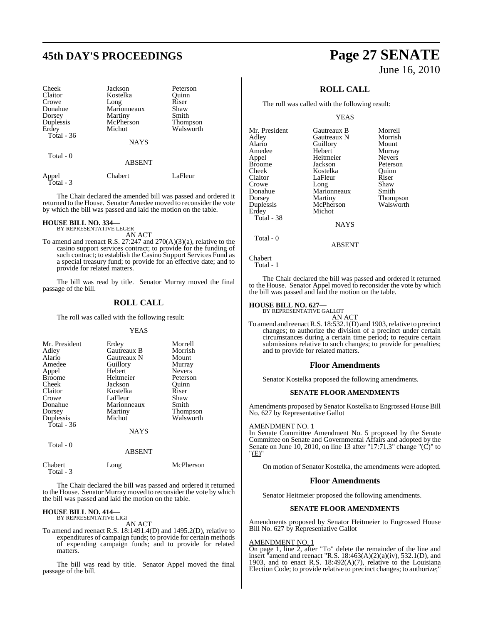# **45th DAY'S PROCEEDINGS Page 27 SENATE**

| Cheek<br>Claitor<br>Crowe<br>Donahue<br>Dorsey<br>Duplessis<br>Erdey<br>Total $-36$ | Jackson<br>Kostelka<br>Long<br>Marionneaux<br>Martiny<br>McPherson<br>Michot | Peterson<br>Quinn<br>Riser<br>Shaw<br>Smith<br><b>Thompson</b><br>Walsworth |
|-------------------------------------------------------------------------------------|------------------------------------------------------------------------------|-----------------------------------------------------------------------------|
| Total - 0                                                                           | <b>NAYS</b>                                                                  |                                                                             |
|                                                                                     | <b>ABSENT</b>                                                                |                                                                             |
| Appel<br>Total - 3                                                                  | Chabert                                                                      | LaFleur                                                                     |

The Chair declared the amended bill was passed and ordered it returned to the House. Senator Amedee moved to reconsider the vote by which the bill was passed and laid the motion on the table.

# **HOUSE BILL NO. 334—** BY REPRESENTATIVE LEGER

AN ACT

To amend and reenact R.S. 27:247 and 270(A)(3)(a), relative to the casino support services contract; to provide for the funding of such contract; to establish the Casino Support Services Fund as a special treasury fund; to provide for an effective date; and to provide for related matters.

The bill was read by title. Senator Murray moved the final passage of the bill.

#### **ROLL CALL**

The roll was called with the following result:

#### YEAS

| Mr. President<br>Adley<br>Alario<br>Amedee<br>Appel<br><b>Broome</b><br>Cheek<br>Claitor<br>Crowe<br>Donahue<br>Dorsey<br>Duplessis | Erdey<br><b>Gautreaux B</b><br>Gautreaux N<br>Guillory<br>Hebert<br>Heitmeier<br>Jackson<br>Kostelka<br>LaFleur<br>Marionneaux<br>Martiny<br>Michot | Morrell<br>Morrish<br>Mount<br>Murray<br><b>Nevers</b><br>Peterson<br>Ouinn<br>Riser<br>Shaw<br>Smith<br>Thompson<br>Walsworth |
|-------------------------------------------------------------------------------------------------------------------------------------|-----------------------------------------------------------------------------------------------------------------------------------------------------|--------------------------------------------------------------------------------------------------------------------------------|
| Total - 36                                                                                                                          | NAYS                                                                                                                                                |                                                                                                                                |
| Total - 0                                                                                                                           |                                                                                                                                                     |                                                                                                                                |

| rvaa v  | <b>ABSENT</b> |           |
|---------|---------------|-----------|
| Chabert | Long          | McPherson |

Total - 3

The Chair declared the bill was passed and ordered it returned to the House. Senator Murray moved to reconsider the vote by which the bill was passed and laid the motion on the table.

# **HOUSE BILL NO. 414—** BY REPRESENTATIVE LIGI

AN ACT

To amend and reenact R.S. 18:1491.4(D) and 1495.2(D), relative to expenditures of campaign funds; to provide for certain methods of expending campaign funds; and to provide for related matters.

The bill was read by title. Senator Appel moved the final passage of the bill.

# June 16, 2010

## **ROLL CALL**

The roll was called with the following result:

#### YEAS

| Mr. President | Gautreaux B | Morrell         |
|---------------|-------------|-----------------|
| Adley         | Gautreaux N | Morrish         |
| Alario        | Guillory    | Mount           |
| Amedee        | Hebert      | Murray          |
| Appel         | Heitmeier   | <b>Nevers</b>   |
| Broome        | Jackson     | Peterson        |
| Cheek         | Kostelka    | Ouinn           |
| Claitor       | LaFleur     | Riser           |
| Crowe         | Long        | Shaw            |
| Donahue       | Marionneaux | Smith           |
| Dorsey        | Martiny     | <b>Thompson</b> |
| Duplessis     | McPherson   | Walsworth       |
| Erdey         | Michot      |                 |
| Total - 38    |             |                 |
|               | <b>NAYS</b> |                 |
| Total - 0     |             |                 |

Chabert

```
 Total - 1
```
The Chair declared the bill was passed and ordered it returned to the House. Senator Appel moved to reconsider the vote by which the bill was passed and laid the motion on the table.

ABSENT

# **HOUSE BILL NO. 627—** BY REPRESENTATIVE GALLOT

AN ACT

To amend and reenact R.S. 18:532.1(D) and 1903, relative to precinct changes; to authorize the division of a precinct under certain circumstances during a certain time period; to require certain submissions relative to such changes; to provide for penalties; and to provide for related matters.

#### **Floor Amendments**

Senator Kostelka proposed the following amendments.

#### **SENATE FLOOR AMENDMENTS**

Amendments proposed by Senator Kostelka to Engrossed House Bill No. 627 by Representative Gallot

#### AMENDMENT NO. 1

In Senate Committee Amendment No. 5 proposed by the Senate Committee on Senate and Governmental Affairs and adopted by the Senate on June 10, 2010, on line 13 after " $17:71.3$ " change " $\overline{(C)}$ " to "(E)"

On motion of Senator Kostelka, the amendments were adopted.

#### **Floor Amendments**

Senator Heitmeier proposed the following amendments.

#### **SENATE FLOOR AMENDMENTS**

Amendments proposed by Senator Heitmeier to Engrossed House Bill No. 627 by Representative Gallot

#### AMENDMENT NO. 1

On page 1, line 2, after "To" delete the remainder of the line and insert "amend and reenact "R.S.  $18:463(A)(2)(a)(iv)$ ,  $532.1(D)$ , and 1903, and to enact R.S. 18:492(A)(7), relative to the Louisiana Election Code; to provide relative to precinct changes; to authorize;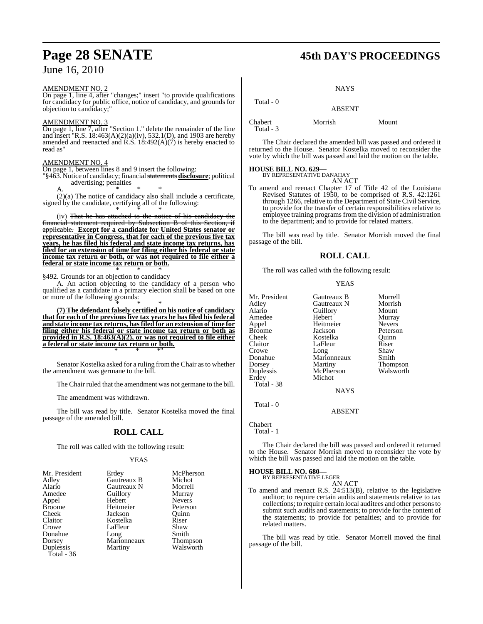#### AMENDMENT NO. 2

On page 1, line 4, after "changes;" insert "to provide qualifications for candidacy for public office, notice of candidacy, and grounds for objection to candidacy;"

#### AMENDMENT NO. 3

On page 1, line 7, after "Section 1." delete the remainder of the line and insert "R.S. 18:463(A)(2)(a)(iv), 532.1(D), and 1903 are hereby amended and reenacted and R.S.  $18:492(A)(7)$  is hereby enacted to read as"

#### AMENDMENT NO. 4

On page 1, between lines 8 and 9 insert the following:

'§463. Notice of candidacy; financial statements **disclosure**; political advertising; penalties

A.  $\bullet$  \* \* \*

(2)(a) The notice of candidacy also shall include a certificate, signed by the candidate, certifying all of the following: \* \* \*

(iv) That he has attached to the notice of his candidacy the financial statement required by Subsection B of this Section, if applicable. **Except for a candidate for United States senator or representative in Congress, that for each of the previous five tax years, he has filed his federal and state income tax returns, has filed for an extension of time for filing either his federal or state income tax return or both, or was not required to file either a federal or state income tax return or both.** \* \* \*

§492. Grounds for an objection to candidacy

A. An action objecting to the candidacy of a person who qualified as a candidate in a primary election shall be based on one or more of the following grounds:

\* \* \* **(7) The defendant falsely certified on his notice of candidacy that for each of the previous five tax years he has filed his federal and state income tax returns, hasfiled for an extension of time for filing either his federal or state income tax return or both as provided in R.S. 18:463(A)(2), or was not required to file either a federal or state income tax return or both.** \* \* \*"

Senator Kostelka asked for a ruling from the Chair as to whether the amendment was germane to the bill.

The Chair ruled that the amendment was not germane to the bill.

The amendment was withdrawn.

The bill was read by title. Senator Kostelka moved the final passage of the amended bill.

#### **ROLL CALL**

The roll was called with the following result:

#### YEAS

| Mr. President           | Erdey       | McPherson       |
|-------------------------|-------------|-----------------|
| Adley                   | Gautreaux B | Michot          |
| Alario                  | Gautreaux N | Morrell         |
| Amedee                  | Guillory    | Murray          |
| Appel                   | Hebert      | <b>Nevers</b>   |
| <b>Broome</b>           | Heitmeier   | Peterson        |
| Cheek                   | Jackson     | Ouinn           |
| Claitor                 | Kostelka    | Riser           |
| Crowe                   | LaFleur     | Shaw            |
| Donahue                 | Long        | Smith           |
| Dorsey                  | Marionneaux | <b>Thompson</b> |
| Duplessis<br>Total - 36 | Martiny     | Walsworth       |

# **Page 28 SENATE 45th DAY'S PROCEEDINGS**

#### **NAYS**

#### Total - 0 ABSENT

Chabert Morrish Mount Total - 3

The Chair declared the amended bill was passed and ordered it returned to the House. Senator Kostelka moved to reconsider the vote by which the bill was passed and laid the motion on the table.

# **HOUSE BILL NO. 629—** BY REPRESENTATIVE DANAHAY

AN ACT

To amend and reenact Chapter 17 of Title 42 of the Louisiana Revised Statutes of 1950, to be comprised of R.S. 42:1261 through 1266, relative to the Department of State Civil Service, to provide for the transfer of certain responsibilities relative to employee training programs from the division of administration to the department; and to provide for related matters.

The bill was read by title. Senator Morrish moved the final passage of the bill.

#### **ROLL CALL**

The roll was called with the following result:

**YEAS** 

| Mr. President | Gautreaux B | Morrell       |
|---------------|-------------|---------------|
| Adley         | Gautreaux N | Morrish       |
| Alario        | Guillory    | Mount         |
| Amedee        | Hebert      | Murray        |
| Appel         | Heitmeier   | <b>Nevers</b> |
| Broome        | Jackson     | Peterson      |
| Cheek         | Kostelka    | Quinn         |
| Claitor       | LaFleur     | Riser         |
| Crowe         | Long        | Shaw          |
| Donahue       | Marionneaux | Smith         |
| Dorsey        | Martiny     | Thompson      |
| Duplessis     | McPherson   | Walsworth     |
| Erdey         | Michot      |               |
| Total - 38    |             |               |
|               | <b>NAYS</b> |               |
|               |             |               |

ABSENT

Chabert

Total - 1

Total - 0

The Chair declared the bill was passed and ordered it returned to the House. Senator Morrish moved to reconsider the vote by which the bill was passed and laid the motion on the table.

**HOUSE BILL NO. 680—** BY REPRESENTATIVE LEGER

AN ACT

To amend and reenact R.S. 24:513(B), relative to the legislative auditor; to require certain audits and statements relative to tax collections; to require certain local auditees and other personsto submit such audits and statements; to provide for the content of the statements; to provide for penalties; and to provide for related matters.

The bill was read by title. Senator Morrell moved the final passage of the bill.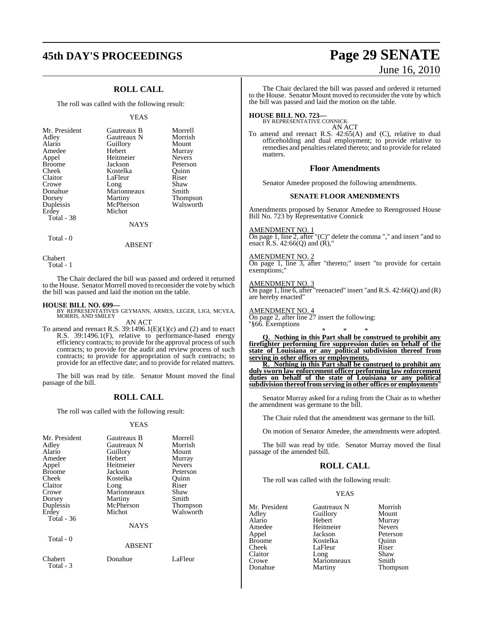# **45th DAY'S PROCEEDINGS Page 29 SENATE**

## **ROLL CALL**

The roll was called with the following result:

#### YEAS

Morrell Morrish Mount Murray Nevers Peterson<br>Ouinn

Shaw Smith **Thompson** Walsworth

| Mr. President | Gautreaux B | Morre  |
|---------------|-------------|--------|
| Adley         | Gautreaux N | Morris |
| Alario        | Guillory    | Moun   |
| Amedee        | Hebert      | Murra  |
| Appel         | Heitmeier   | Never  |
| <b>Broome</b> | Jackson     | Peters |
| Cheek         | Kostelka    | Ouinn  |
| Claitor       | LaFleur     | Riser  |
| Crowe         | Long        | Shaw   |
| Donahue       | Marionneaux | Smith  |
| Dorsey        | Martiny     | Thom   |
| Duplessis     | McPherson   | Walsw  |
| Erdey         | Michot      |        |
| Total - 38    |             |        |
|               |             |        |

**NAYS** 

Total - 0

ABSENT

Chabert

Total - 1

The Chair declared the bill was passed and ordered it returned to the House. Senator Morrell moved to reconsider the vote by which the bill was passed and laid the motion on the table.

#### **HOUSE BILL NO. 699—**

BY REPRESENTATIVES GEYMANN, ARMES, LEGER, LIGI, MCVEA, MORRIS, AND SMILEY AN ACT

To amend and reenact R.S.  $39:1496.1(E)(1)(c)$  and (2) and to enact R.S. 39:1496.1(F), relative to performance-based energy efficiency contracts; to provide for the approval process of such contracts; to provide for the audit and review process of such contracts; to provide for appropriation of such contracts; to provide for an effective date; and to provide for related matters.

The bill was read by title. Senator Mount moved the final passage of the bill.

#### **ROLL CALL**

The roll was called with the following result:

#### YEAS

| Mr. President<br>Adley<br>Alario<br>Amedee<br>Appel<br><b>Broome</b><br>Cheek<br>Claitor<br>Crowe<br>Dorsey<br>Duplessis<br>Erdey<br>Total - 36 | Gautreaux B<br>Gautreaux N<br>Guillory<br>Hebert<br>Heitmeier<br>Jackson<br>Kostelka<br>Long<br>Marionneaux<br>Martiny<br>McPherson<br>Michot<br><b>NAYS</b> | Morrell<br>Morrish<br>Mount<br>Murray<br><b>Nevers</b><br>Peterson<br>Ouinn<br>Riser<br>Shaw<br>Smith<br><b>Thompson</b><br>Walsworth |
|-------------------------------------------------------------------------------------------------------------------------------------------------|--------------------------------------------------------------------------------------------------------------------------------------------------------------|---------------------------------------------------------------------------------------------------------------------------------------|
| Total - 0                                                                                                                                       | ABSENT                                                                                                                                                       |                                                                                                                                       |
| Chabert                                                                                                                                         | Donahue                                                                                                                                                      | LaFleur                                                                                                                               |

## Total - 3

The Chair declared the bill was passed and ordered it returned to the House. Senator Mount moved to reconsider the vote by which the bill was passed and laid the motion on the table.

**HOUSE BILL NO. 723—** BY REPRESENTATIVE CONNICK AN ACT

To amend and reenact R.S. 42:65(A) and (C), relative to dual officeholding and dual employment; to provide relative to remedies and penalties related thereto; and to provide for related matters.

#### **Floor Amendments**

Senator Amedee proposed the following amendments.

#### **SENATE FLOOR AMENDMENTS**

Amendments proposed by Senator Amedee to Reengrossed House Bill No. 723 by Representative Connick

#### AMENDMENT NO. 1

On page 1, line 2, after "(C)" delete the comma "," and insert "and to enact  $\overline{R}$ .S. 42:66(Q) and  $(\overline{R})$ ,"

#### AMENDMENT NO. 2

On page 1, line 3, after "thereto;" insert "to provide for certain exemptions;

AMENDMENT NO. 3

On page 1, line 6, after "reenacted" insert "and R.S. 42:66(Q) and (R) are hereby enacted"

AMENDMENT NO. 4

On page 2, after line 27 insert the following: "§66. Exemptions

\* \* \* **Q. Nothing in this Part shall be construed to prohibit any firefighter performing fire suppression duties on behalf of the state of Louisiana or any political subdivision thereof from serving in other offices or employments.**

**R. Nothing in this Part shall be construed to prohibit any duly sworn law enforcement officer performing law enforcement duties on behalf of the state of Louisiana or any political subdivision thereoffromserving in other offices or employments**"

Senator Murray asked for a ruling from the Chair as to whether the amendment was germane to the bill.

The Chair ruled that the amendment was germane to the bill.

On motion of Senator Amedee, the amendments were adopted.

The bill was read by title. Senator Murray moved the final passage of the amended bill.

#### **ROLL CALL**

The roll was called with the following result:

#### YEAS

| Mr. President | Gautreaux N | Morrish       |
|---------------|-------------|---------------|
| Adley         | Guillory    | Mount         |
| Alario        | Hebert      | Murray        |
| Amedee        | Heitmeier   | <b>Nevers</b> |
| Appel         | Jackson     | Peterson      |
| <b>Broome</b> | Kostelka    | Ouinn         |
| Cheek         | LaFleur     | Riser         |
| Claitor       | Long        | Shaw          |
| Crowe         | Marionneaux | Smith         |
| Donahue       | Martiny     | Thompso       |

Thompson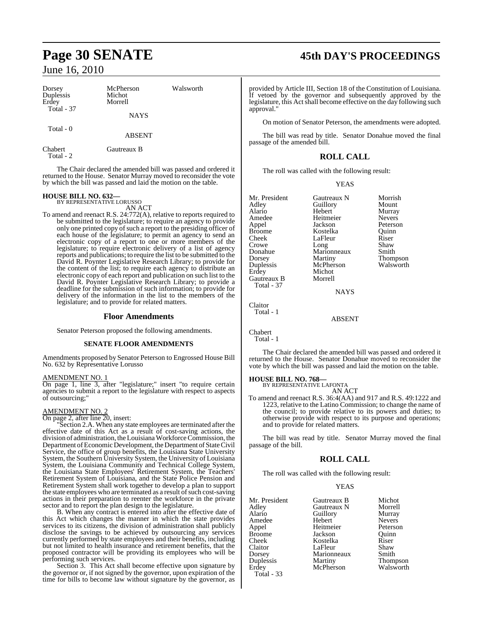| Dorsey<br>Duplessis<br>Erdey<br><b>Total - 37</b> | McPherson<br>Michot<br>Morrell | Walsworth |
|---------------------------------------------------|--------------------------------|-----------|
|                                                   | <b>NAYS</b>                    |           |
| Total $-0$                                        | <b>ABSENT</b>                  |           |
| Chabert<br>Total - 2                              | Gautreaux B                    |           |

The Chair declared the amended bill was passed and ordered it returned to the House. Senator Murray moved to reconsider the vote by which the bill was passed and laid the motion on the table.

# **HOUSE BILL NO. 632—** BY REPRESENTATIVE LORUSSO

AN ACT To amend and reenact R.S. 24:772(A), relative to reports required to be submitted to the legislature; to require an agency to provide only one printed copy of such a report to the presiding officer of each house of the legislature; to permit an agency to send an electronic copy of a report to one or more members of the legislature; to require electronic delivery of a list of agency reports and publications; to require the list to be submitted to the David R. Poynter Legislative Research Library; to provide for the content of the list; to require each agency to distribute an electronic copy of each report and publication on such list to the David R. Poynter Legislative Research Library; to provide a deadline for the submission of such information; to provide for delivery of the information in the list to the members of the legislature; and to provide for related matters.

#### **Floor Amendments**

Senator Peterson proposed the following amendments.

#### **SENATE FLOOR AMENDMENTS**

Amendments proposed by Senator Peterson to Engrossed House Bill No. 632 by Representative Lorusso

#### AMENDMENT NO. 1

On page 1, line 3, after "legislature;" insert "to require certain agencies to submit a report to the legislature with respect to aspects of outsourcing;"

#### AMENDMENT NO. 2

On page 2, after line 20, insert:

"Section 2.A. When any state employees are terminated after the effective date of this Act as a result of cost-saving actions, the division of administration, the Louisiana Workforce Commission, the Department of Economic Development, the Department of State Civil Service, the office of group benefits, the Louisiana State University System, the Southern University System, the University of Louisiana System, the Louisiana Community and Technical College System, the Louisiana State Employees' Retirement System, the Teachers' Retirement System of Louisiana, and the State Police Pension and Retirement System shall work together to develop a plan to support the state employees who are terminated as a result of such cost-saving actions in their preparation to reenter the workforce in the private sector and to report the plan design to the legislature.

B. When any contract is entered into after the effective date of this Act which changes the manner in which the state provides services to its citizens, the division of administration shall publicly disclose the savings to be achieved by outsourcing any services currently performed by state employees and their benefits, including but not limited to health insurance and retirement benefits, that the proposed contractor will be providing its employees who will be performing such services.

Section 3. This Act shall become effective upon signature by the governor or, if not signed by the governor, upon expiration of the time for bills to become law without signature by the governor, as

# **Page 30 SENATE 45th DAY'S PROCEEDINGS**

provided by Article III, Section 18 of the Constitution of Louisiana. If vetoed by the governor and subsequently approved by the legislature, this Act shall become effective on the day following such approval."

On motion of Senator Peterson, the amendments were adopted.

The bill was read by title. Senator Donahue moved the final passage of the amended bill.

### **ROLL CALL**

The roll was called with the following result:

#### YEAS

| Mr. President | Gautreaux N | Morrish         |
|---------------|-------------|-----------------|
| Adley         | Guillory    | Mount           |
| Alario        | Hebert      | Murray          |
| Amedee        | Heitmeier   | <b>Nevers</b>   |
| Appel         | Jackson     | Peterson        |
| Broome        | Kostelka    | Ouinn           |
| Cheek         | LaFleur     | Riser           |
| Crowe         | Long        | Shaw            |
| Donahue       | Marionneaux | Smith           |
| Dorsey        | Martiny     | <b>Thompson</b> |
| Duplessis     | McPherson   | Walsworth       |
| Erdey         | Michot      |                 |
| Gautreaux B   | Morrell     |                 |
| Total - 37    |             |                 |
|               | <b>NAYS</b> |                 |
|               |             |                 |

Claitor Total - 1

ABSENT

Chabert Total - 1

The Chair declared the amended bill was passed and ordered it returned to the House. Senator Donahue moved to reconsider the vote by which the bill was passed and laid the motion on the table.

# **HOUSE BILL NO. 768—** BY REPRESENTATIVE LAFONTA

AN ACT

To amend and reenact R.S. 36:4(AA) and 917 and R.S. 49:1222 and 1223, relative to the Latino Commission; to change the name of the council; to provide relative to its powers and duties; to otherwise provide with respect to its purpose and operations; and to provide for related matters.

The bill was read by title. Senator Murray moved the final passage of the bill.

#### **ROLL CALL**

The roll was called with the following result:

#### YEAS

| Mr. President     | Gautreaux B | Michot        |
|-------------------|-------------|---------------|
| Adley             | Gautreaux N | Morrell       |
| Alario            | Guillory    | Murray        |
| Amedee            | Hebert      | <b>Nevers</b> |
| Appel             | Heitmeier   | Peterson      |
| Broome            | Jackson     | Ouinn         |
| Cheek             | Kostelka    | Riser         |
| Claitor           | LaFleur     | Shaw          |
| Dorsey            | Marionneaux | Smith         |
| Duplessis         | Martiny     | Thompson      |
| Erdey             | McPherson   | Walsworth     |
| <b>Total - 33</b> |             |               |
|                   |             |               |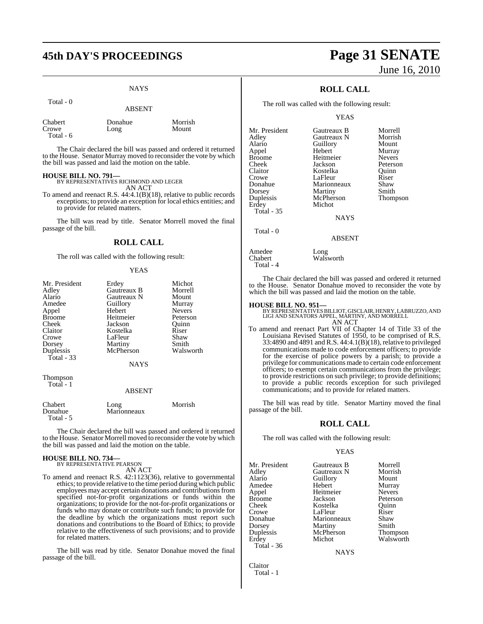# **45th DAY'S PROCEEDINGS Page 31 SENATE**

#### **NAYS**

|                                | <b>ABSENT</b>   |                  |
|--------------------------------|-----------------|------------------|
| Chabert<br>Crowe<br>Total $-6$ | Donahue<br>Long | Morrish<br>Mount |

The Chair declared the bill was passed and ordered it returned to the House. Senator Murray moved to reconsider the vote by which the bill was passed and laid the motion on the table.

#### **HOUSE BILL NO. 791—**

Total - 0

BY REPRESENTATIVES RICHMOND AND LEGER AN ACT

To amend and reenact R.S. 44:4.1(B)(18), relative to public records exceptions; to provide an exception for local ethics entities; and to provide for related matters.

The bill was read by title. Senator Morrell moved the final passage of the bill.

#### **ROLL CALL**

The roll was called with the following result:

#### YEAS

| Mr. President<br>Adley<br>Alario | Erdey<br>Gautreaux B<br>Gautreaux N | Michot<br>Morrell<br>Mount |
|----------------------------------|-------------------------------------|----------------------------|
| Amedee                           | Guillory                            | Murray                     |
| Appel                            | Hebert                              | <b>Nevers</b>              |
| <b>Broome</b>                    | Heitmeier                           | Peterson                   |
| Cheek                            | Jackson                             | Quinn                      |
| Claitor                          | Kostelka                            | Riser                      |
| Crowe                            | LaFleur                             | Shaw                       |
| Dorsey                           | Martiny                             | Smith                      |
| Duplessis<br>Total - 33          | McPherson                           | Walsworth                  |
|                                  | <b>NAYS</b>                         |                            |
| <b>Thompson</b><br>Total - 1     |                                     |                            |
|                                  | <b>ABSENT</b>                       |                            |
| Chabert<br>Donahue               | Long<br>Marionneaux                 | Morrish                    |

The Chair declared the bill was passed and ordered it returned to the House. Senator Morrell moved to reconsider the vote by which the bill was passed and laid the motion on the table.

# **HOUSE BILL NO. 734—** BY REPRESENTATIVE PEARSON

Total - 5

AN ACT

To amend and reenact R.S. 42:1123(36), relative to governmental ethics; to provide relative to the time period during which public employees may accept certain donations and contributions from specified not-for-profit organizations or funds within the organizations; to provide for the not-for-profit organizations or funds who may donate or contribute such funds; to provide for the deadline by which the organizations must report such donations and contributions to the Board of Ethics; to provide relative to the effectiveness of such provisions; and to provide for related matters.

The bill was read by title. Senator Donahue moved the final passage of the bill.

# June 16, 2010

## **ROLL CALL**

The roll was called with the following result:

#### YEAS

| Mr. President | Gautreaux B   | Morrell       |
|---------------|---------------|---------------|
| Adley         | Gautreaux N   | Morrish       |
| Alario        | Guillory      | Mount         |
| Appel         | Hebert        | Murray        |
| Broome        | Heitmeier     | <b>Nevers</b> |
| Cheek         | Jackson       | Peterson      |
| Claitor       | Kostelka      | Ouinn         |
| Crowe         | LaFleur       | Riser         |
| Donahue       | Marionneaux   | Shaw          |
| Dorsey        | Martiny       | Smith         |
| Duplessis     | McPherson     | Thompson      |
| Erdey         | Michot        |               |
| Total - 35    |               |               |
|               | <b>NAYS</b>   |               |
| Total - 0     | <b>ABSENT</b> |               |
|               |               |               |

Walsworth

Amedee Long<br>Chabert Wals Total - 4

The Chair declared the bill was passed and ordered it returned to the House. Senator Donahue moved to reconsider the vote by which the bill was passed and laid the motion on the table.

**HOUSE BILL NO. 951—** BY REPRESENTATIVESBILLIOT, GISCLAIR, HENRY, LABRUZZO, AND LIGI AND SENATORS APPEL, MARTINY, AND MORRELL AN ACT

To amend and reenact Part VII of Chapter 14 of Title 33 of the Louisiana Revised Statutes of 1950, to be comprised of R.S. 33:4890 and 4891 and R.S. 44:4.1(B)(18), relative to privileged communications made to code enforcement officers; to provide for the exercise of police powers by a parish; to provide a privilege for communications made to certain code enforcement officers; to exempt certain communications from the privilege; to provide restrictions on such privilege; to provide definitions; to provide a public records exception for such privileged communications; and to provide for related matters.

The bill was read by title. Senator Martiny moved the final passage of the bill.

#### **ROLL CALL**

The roll was called with the following result:

#### YEAS

| Mr. President | Gautreaux B | Morrell         |
|---------------|-------------|-----------------|
| Adley         | Gautreaux N | Morrish         |
| Alario        | Guillory    | Mount           |
| Amedee        | Hebert      | Murray          |
| Appel         | Heitmeier   | <b>Nevers</b>   |
| Broome        | Jackson     | Peterson        |
| Cheek         | Kostelka    | Ouinn           |
| Crowe         | LaFleur     | Riser           |
| Donahue       | Marionneaux | Shaw            |
| Dorsey        | Martiny     | Smith           |
| Duplessis     | McPherson   | <b>Thompson</b> |
| Erdey         | Michot      | Walsworth       |
| Total - 36    |             |                 |
|               |             |                 |

**NAYS** 

Claitor Total - 1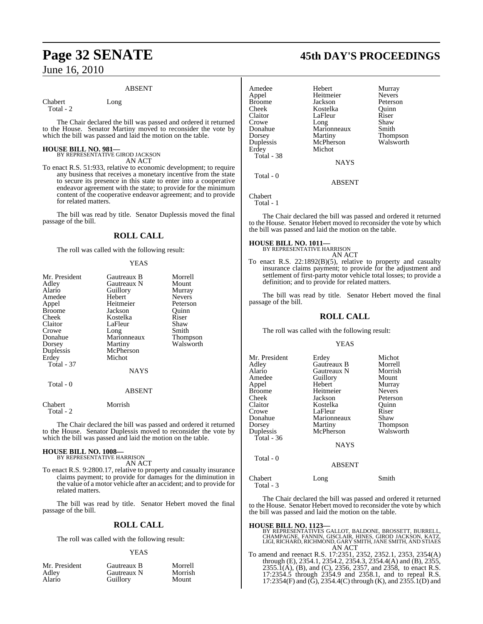#### ABSENT

Chabert Long

Total - 2

The Chair declared the bill was passed and ordered it returned to the House. Senator Martiny moved to reconsider the vote by which the bill was passed and laid the motion on the table.

# **HOUSE BILL NO. 981—** BY REPRESENTATIVE GIROD JACKSON

AN ACT

To enact R.S. 51:933, relative to economic development; to require any business that receives a monetary incentive from the state to secure its presence in this state to enter into a cooperative endeavor agreement with the state; to provide for the minimum content of the cooperative endeavor agreement; and to provide for related matters.

The bill was read by title. Senator Duplessis moved the final passage of the bill.

#### **ROLL CALL**

The roll was called with the following result:

#### YEAS

| Mr. President<br>Adley<br>Alario<br>Amedee<br>Appel | Gautreaux B<br>Gautreaux N<br>Guillory<br>Hebert<br>Heitmeier | Morrell<br>Mount<br>Murray<br><b>Nevers</b><br>Peterson |
|-----------------------------------------------------|---------------------------------------------------------------|---------------------------------------------------------|
| Broome<br>Cheek                                     | Jackson<br>Kostelka                                           | Ouinn<br>Riser                                          |
| Claitor<br>Crowe                                    | LaFleur<br>Long                                               | Shaw<br>Smith                                           |
| Donahue<br>Dorsey                                   | Marionneaux<br>Martiny                                        | Thompson<br>Walsworth                                   |
| Duplessis<br>Erdey                                  | McPherson<br>Michot                                           |                                                         |
| <b>Total - 37</b>                                   | <b>NAYS</b>                                                   |                                                         |
| Total - 0                                           | <b>ABSENT</b>                                                 |                                                         |
| Chabert<br>Total - 2                                | Morrish                                                       |                                                         |

The Chair declared the bill was passed and ordered it returned to the House. Senator Duplessis moved to reconsider the vote by which the bill was passed and laid the motion on the table.

#### **HOUSE BILL NO. 1008—**

BY REPRESENTATIVE HARRISON AN ACT

To enact R.S. 9:2800.17, relative to property and casualty insurance claims payment; to provide for damages for the diminution in the value of a motor vehicle after an accident; and to provide for related matters.

The bill was read by title. Senator Hebert moved the final passage of the bill.

#### **ROLL CALL**

The roll was called with the following result:

#### YEAS

| Mr. President | Gautreaux B | Morrell |
|---------------|-------------|---------|
| Adley         | Gautreaux N | Morrish |
| Alario        | Guillory    | Mount   |

# **Page 32 SENATE 45th DAY'S PROCEEDINGS**

| Amedee        | Hebert      | Murray                |
|---------------|-------------|-----------------------|
| Appel         | Heitmeier   | <b>Nevers</b>         |
| <b>Broome</b> | Jackson     | Peterson              |
| Cheek         | Kostelka    | Ouinn                 |
| Claitor       | LaFleur     | Riser                 |
| Crowe         | Long        | Shaw                  |
| Donahue       | Marionneaux | Smith                 |
| Dorsey        | Martiny     |                       |
| Duplessis     | McPherson   | Thompson<br>Walsworth |
| Erdey         | Michot      |                       |
| Total - 38    |             |                       |
|               | <b>NAYS</b> |                       |
| Total - 0     |             |                       |

ABSENT

Chabert Total - 1

The Chair declared the bill was passed and ordered it returned to the House. Senator Hebert moved to reconsider the vote by which the bill was passed and laid the motion on the table.

#### **HOUSE BILL NO. 1011—**

BY REPRESENTATIVE HARRISON AN ACT

To enact R.S. 22:1892(B)(5), relative to property and casualty insurance claims payment; to provide for the adjustment and settlement of first-party motor vehicle total losses; to provide a definition; and to provide for related matters.

The bill was read by title. Senator Hebert moved the final passage of the bill.

#### **ROLL CALL**

The roll was called with the following result:

#### YEAS

| Mr. President<br>Adlev<br>Alario<br>Amedee<br>Appel<br>Broome<br>Cheek<br>Claitor<br>Crowe<br>Donahue<br>Dorsey<br>Duplessis<br><b>Total - 36</b><br>Total - 0 | Erdey<br>Gautreaux B<br>Gautreaux N<br>Guillory<br>Hebert<br>Heitmeier<br>Jackson<br>Kostelka<br>LaFleur<br>Marionneaux<br>Martiny<br>McPherson<br><b>NAYS</b><br><b>ABSENT</b> | Michot<br>Morrell<br>Morrish<br>Mount<br>Murray<br><b>Nevers</b><br>Peterson<br>Ouinn<br>Riser<br>Shaw<br>Thompson<br>Walsworth |
|----------------------------------------------------------------------------------------------------------------------------------------------------------------|---------------------------------------------------------------------------------------------------------------------------------------------------------------------------------|---------------------------------------------------------------------------------------------------------------------------------|
| Chabert<br>Total - 3                                                                                                                                           | Long                                                                                                                                                                            | Smith                                                                                                                           |

The Chair declared the bill was passed and ordered it returned to the House. Senator Hebert moved to reconsider the vote by which the bill was passed and laid the motion on the table.

#### **HOUSE BILL NO. 1123—**

BY REPRESENTATIVES GALLOT, BALDONE, BROSSETT, BURRELL,<br>CHAMPAGNE, FANNIN, GISCLAIR, HINES, GIROD JACKSON, KATZ,<br>LIGI, RICHARD, RICHMOND, GARY SMITH, JANE SMITH, AND STIAES AN ACT

To amend and reenact R.S. 17:2351, 2352, 2352.1, 2353, 2354(A) through (E), 2354.1, 2354.2, 2354.3, 2354.4(A) and (B), 2355, 2355.1(A), (B), and (C), 2356, 2357, and 2358, to enact R.S. 17:2354.5 through 2354.9 and 2358.1, and to repeal R.S. 17:2354(F) and (G), 2354.4(C) through (K), and 2355.1(D) and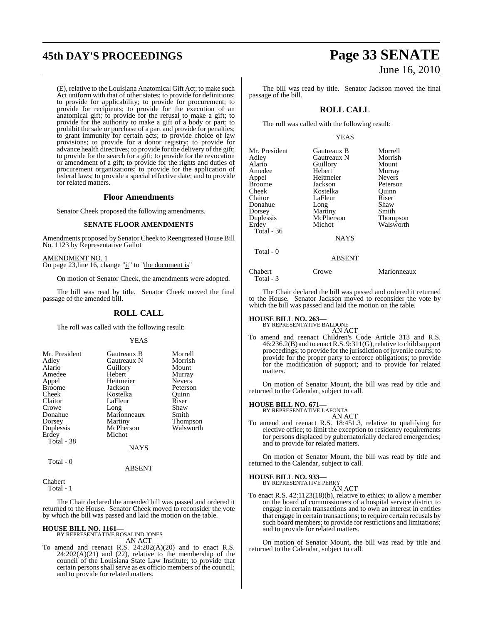# **45th DAY'S PROCEEDINGS Page 33 SENATE**

(E), relative to the Louisiana Anatomical Gift Act; to make such Act uniform with that of other states; to provide for definitions; to provide for applicability; to provide for procurement; to provide for recipients; to provide for the execution of an anatomical gift; to provide for the refusal to make a gift; to provide for the authority to make a gift of a body or part; to prohibit the sale or purchase of a part and provide for penalties; to grant immunity for certain acts; to provide choice of law provisions; to provide for a donor registry; to provide for advance health directives; to provide for the delivery of the gift; to provide for the search for a gift; to provide for the revocation or amendment of a gift; to provide for the rights and duties of procurement organizations; to provide for the application of federal laws; to provide a special effective date; and to provide for related matters.

#### **Floor Amendments**

Senator Cheek proposed the following amendments.

#### **SENATE FLOOR AMENDMENTS**

Amendments proposed by Senator Cheek to Reengrossed House Bill No. 1123 by Representative Gallot

AMENDMENT NO. 1 On page 23, line 16, change "it" to "the document is"

On motion of Senator Cheek, the amendments were adopted.

The bill was read by title. Senator Cheek moved the final passage of the amended bill.

#### **ROLL CALL**

The roll was called with the following result:

#### YEAS

| Mr. President                    | Gautreaux B           | Morrell       |
|----------------------------------|-----------------------|---------------|
| Adley                            | Gautreaux N           | Morrish       |
| Alario                           | Guillory              | Mount         |
| Amedee                           | Hebert                | Murray        |
| Appel                            | Heitmeier             | <b>Nevers</b> |
| <b>Broome</b>                    | Jackson               | Peterson      |
| Cheek                            | Kostelka              | Ouinn         |
| Claitor                          | LaFleur               | Riser         |
| Crowe                            | Long                  | Shaw          |
| Donahue                          | Marionneaux           | Smith         |
| Dorsey                           | Martiny               | Thompson      |
| Duplessis                        | McPherson             | Walsworth     |
| Erdey<br>Total - 38<br>Total - 0 | Michot<br><b>NAYS</b> |               |

#### ABSENT

Chabert Total - 1

The Chair declared the amended bill was passed and ordered it returned to the House. Senator Cheek moved to reconsider the vote by which the bill was passed and laid the motion on the table.

# **HOUSE BILL NO. 1161—** BY REPRESENTATIVE ROSALIND JONES

AN ACT

To amend and reenact R.S. 24:202(A)(20) and to enact R.S.  $24:202(A)(21)$  and  $(22)$ , relative to the membership of the council of the Louisiana State Law Institute; to provide that certain persons shall serve as ex officio members of the council; and to provide for related matters.

# June 16, 2010

The bill was read by title. Senator Jackson moved the final passage of the bill.

#### **ROLL CALL**

The roll was called with the following result:

#### YEAS

| Mr. President        | Gautreaux B   | Morrell         |
|----------------------|---------------|-----------------|
| Adley                | Gautreaux N   | Morrish         |
| Alario               | Guillory      | Mount           |
| Amedee               | Hebert        | Murray          |
| Appel                | Heitmeier     | <b>Nevers</b>   |
| <b>Broome</b>        | Jackson       | Peterson        |
| Cheek                | Kostelka      | Quinn           |
| Claitor              | LaFleur       | Riser           |
| Donahue              | Long          | Shaw            |
| Dorsey               | Martiny       | Smith           |
| Duplessis            | McPherson     | <b>Thompson</b> |
| Erdey                | Michot        | Walsworth       |
| Total - 36           |               |                 |
|                      | <b>NAYS</b>   |                 |
| Total - 0            |               |                 |
|                      | <b>ABSENT</b> |                 |
| Chabert<br>Total - 3 | Crowe         | Marionneaux     |

The Chair declared the bill was passed and ordered it returned to the House. Senator Jackson moved to reconsider the vote by which the bill was passed and laid the motion on the table.

# **HOUSE BILL NO. 263—** BY REPRESENTATIVE BALDONE

AN ACT

To amend and reenact Children's Code Article 313 and R.S. 46:236.2(B) and to enactR.S. 9:311(G),relative to child support proceedings; to provide for the jurisdiction of juvenile courts; to provide for the proper party to enforce obligations; to provide for the modification of support; and to provide for related matters.

On motion of Senator Mount, the bill was read by title and returned to the Calendar, subject to call.

# **HOUSE BILL NO. 671—** BY REPRESENTATIVE LAFONTA

AN ACT To amend and reenact R.S. 18:451.3, relative to qualifying for elective office; to limit the exception to residency requirements for persons displaced by gubernatorially declared emergencies; and to provide for related matters.

On motion of Senator Mount, the bill was read by title and returned to the Calendar, subject to call.

#### **HOUSE BILL NO. 933—**

BY REPRESENTATIVE PERRY AN ACT

To enact R.S. 42:1123(18)(b), relative to ethics; to allow a member on the board of commissioners of a hospital service district to engage in certain transactions and to own an interest in entities that engage in certain transactions; to require certain recusals by such board members; to provide for restrictions and limitations; and to provide for related matters.

On motion of Senator Mount, the bill was read by title and returned to the Calendar, subject to call.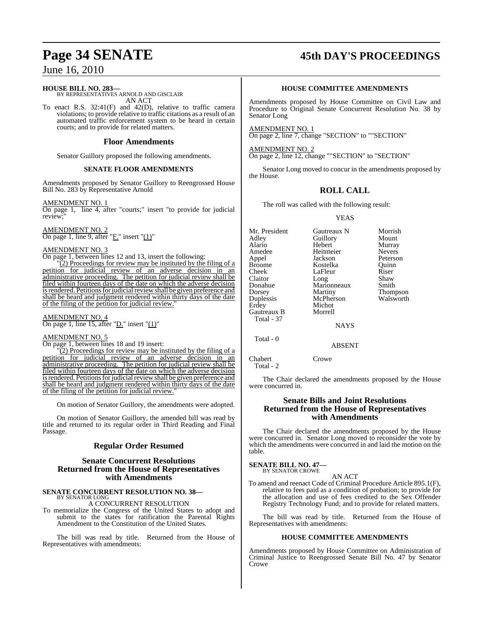#### **HOUSE BILL NO. 283—** BY REPRESENTATIVES ARNOLD AND GISCLAIR

AN ACT To enact R.S. 32:41(F) and 42(D), relative to traffic camera violations; to provide relative to traffic citations as a result of an automated traffic enforcement system to be heard in certain courts; and to provide for related matters.

#### **Floor Amendments**

Senator Guillory proposed the following amendments.

#### **SENATE FLOOR AMENDMENTS**

Amendments proposed by Senator Guillory to Reengrossed House Bill No. 283 by Representative Arnold

#### AMENDMENT NO. 1

On page 1, line 4, after "courts;" insert "to provide for judicial review;"

#### AMENDMENT NO. 2

 $\overline{\text{On page 1, line 9, after}}$  "F." insert "(1)"

#### AMENDMENT NO. 3

On page 1, between lines 12 and 13, insert the following:

 $\overline{2}$ ) Proceedings for review may be instituted by the filing of a petition for judicial review of an adverse decision in an administrative proceeding. The petition for judicial review shall be filed within fourteen days of the date on which the adverse decision is rendered. Petitions for judicial review shall be given preference and shall be heard and judgment rendered within thirty days of the date of the filing of the petition for judicial review."

#### AMENDMENT NO. 4 On page 1, line 15, after "D." insert "(1)"

#### AMENDMENT NO. 5

On page 1, between lines 18 and 19 insert:

"(2) Proceedings for review may be instituted by the filing of a petition for judicial review of an adverse decision in an administrative proceeding. The petition for judicial review shall be filed within fourteen days of the date on which the adverse decision is rendered. Petitions for judicial review shall be given preference and shall be heard and judgment rendered within thirty days of the date of the filing of the petition for judicial review.

On motion of Senator Guillory, the amendments were adopted.

On motion of Senator Guillory, the amended bill was read by title and returned to its regular order in Third Reading and Final Passage.

#### **Regular Order Resumed**

#### **Senate Concurrent Resolutions Returned from the House of Representatives with Amendments**

#### **SENATE CONCURRENT RESOLUTION NO. 38—** BY SENATOR LONG

A CONCURRENT RESOLUTION

To memorialize the Congress of the United States to adopt and submit to the states for ratification the Parental Rights Amendment to the Constitution of the United States.

The bill was read by title. Returned from the House of Representatives with amendments:

# **Page 34 SENATE 45th DAY'S PROCEEDINGS**

#### **HOUSE COMMITTEE AMENDMENTS**

Amendments proposed by House Committee on Civil Law and Procedure to Original Senate Concurrent Resolution No. 38 by Senator Long

AMENDMENT NO. 1 On page 2, line 7, change "SECTION" to ""SECTION"

AMENDMENT NO. 2 On page 2, line 12, change ""SECTION" to "SECTION"

Senator Long moved to concur in the amendments proposed by the House.

#### **ROLL CALL**

The roll was called with the following result:

YEAS

| Mr. President<br>Adley<br>Alario<br>Amedee<br>Appel<br>Broome<br>Cheek<br>Claitor<br>Donahue<br>Dorsey<br>Duplessis<br>Erdey<br>Gautreaux B<br>Total - 37 | Gautreaux N<br>Guillory<br>Hebert<br>Heitmeier<br>Jackson<br>Kostelka<br>LaFleur<br>Long<br>Marionneaux<br>Martiny<br>McPherson<br>Michot<br>Morrell<br><b>NAYS</b> | Morrish<br>Mount<br>Murray<br><b>Nevers</b><br>Peterson<br>Ouinn<br>Riser<br>Shaw<br>Smith<br><b>Thompson</b><br>Walsworth |
|-----------------------------------------------------------------------------------------------------------------------------------------------------------|---------------------------------------------------------------------------------------------------------------------------------------------------------------------|----------------------------------------------------------------------------------------------------------------------------|
|                                                                                                                                                           |                                                                                                                                                                     |                                                                                                                            |
| Total - 0                                                                                                                                                 | <b>ARSENT</b>                                                                                                                                                       |                                                                                                                            |

Chabert Crowe

Total - 2

The Chair declared the amendments proposed by the House were concurred in.

#### **Senate Bills and Joint Resolutions Returned from the House of Representatives with Amendments**

The Chair declared the amendments proposed by the House were concurred in. Senator Long moved to reconsider the vote by which the amendments were concurred in and laid the motion on the table.

#### **SENATE BILL NO. 47—** BY SENATOR CROWE

AN ACT

To amend and reenact Code of Criminal Procedure Article 895.1(F), relative to fees paid as a condition of probation; to provide for the allocation and use of fees credited to the Sex Offender Registry Technology Fund; and to provide for related matters.

The bill was read by title. Returned from the House of Representatives with amendments:

#### **HOUSE COMMITTEE AMENDMENTS**

Amendments proposed by House Committee on Administration of Criminal Justice to Reengrossed Senate Bill No. 47 by Senator Crowe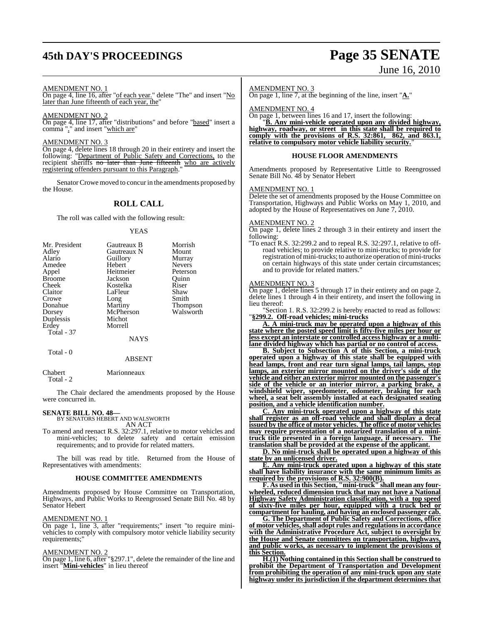# **45th DAY'S PROCEEDINGS Page 35 SENATE**

# June 16, 2010

#### AMENDMENT NO. 1

On page 4, line 16, after "of each year." delete "The" and insert "No later than June fifteenth of each year, the'

#### AMENDMENT NO. 2

On page 4, line 17, after "distributions" and before "based" insert a comma "," and insert "which are"

#### AMENDMENT NO. 3

On page 4, delete lines 18 through 20 in their entirety and insert the following: "Department of Public Safety and Corrections, to the recipient sheriffs no later than June fifteenth who are actively registering offenders pursuant to this Paragraph."

Senator Crowe moved to concur in the amendments proposed by the House.

#### **ROLL CALL**

The roll was called with the following result:

#### YEAS

| Mr. President | Gautreaux B | Morrish         |
|---------------|-------------|-----------------|
| Adley         | Gautreaux N | Mount           |
| Alario        | Guillory    | Murray          |
| Amedee        | Hebert      | <b>Nevers</b>   |
| Appel         | Heitmeier   | Peterson        |
| <b>Broome</b> | Jackson     | Ouinn           |
| Cheek         | Kostelka    | Riser           |
| Claitor       | LaFleur     | Shaw            |
| Crowe         | Long        | Smith           |
| Donahue       | Martiny     | <b>Thompson</b> |
| Dorsey        | McPherson   | Walsworth       |
| Duplessis     | Michot      |                 |
| Erdey         | Morrell     |                 |
| Total - 37    |             |                 |
|               | NAYS        |                 |
| Total - 0     |             |                 |

Chabert Marionneaux Total - 2

The Chair declared the amendments proposed by the House were concurred in.

ABSENT

# **SENATE BILL NO. 48—** BY SENATORS HEBERT AND WALSWORTH

AN ACT

To amend and reenact R.S. 32:297.1, relative to motor vehicles and mini-vehicles; to delete safety and certain emission requirements; and to provide for related matters.

The bill was read by title. Returned from the House of Representatives with amendments:

#### **HOUSE COMMITTEE AMENDMENTS**

Amendments proposed by House Committee on Transportation, Highways, and Public Works to Reengrossed Senate Bill No. 48 by Senator Hebert

#### AMENDMENT NO. 1

On page 1, line 3, after "requirements;" insert "to require minivehicles to comply with compulsory motor vehicle liability security requirements:'

#### AMENDMENT NO. 2

On page 1, line 6, after "§297.1", delete the remainder of the line and insert "**Mini-vehicles**" in lieu thereof

#### AMENDMENT NO. 3

On page 1, line 7, at the beginning of the line, insert "**A.**"

#### AMENDMENT NO. 4

On page 1, between lines 16 and 17, insert the following:

"**B. Any mini-vehicle operated upon any divided highway, highway, roadway, or street in this state shall be required to comply with the provisions of R.S. 32:861, 862, and 863.1, relative to compulsory motor vehicle liability security.**"

#### **HOUSE FLOOR AMENDMENTS**

Amendments proposed by Representative Little to Reengrossed Senate Bill No. 48 by Senator Hebert

#### AMENDMENT NO. 1

Delete the set of amendments proposed by the House Committee on Transportation, Highways and Public Works on May 1, 2010, and adopted by the House of Representatives on June 7, 2010.

#### AMENDMENT NO. 2

On page 1, delete lines 2 through 3 in their entirety and insert the following:

"To enact R.S. 32:299.2 and to repeal R.S. 32:297.1, relative to offroad vehicles; to provide relative to mini-trucks; to provide for registration of mini-trucks; to authorize operation of mini-trucks on certain highways of this state under certain circumstances; and to provide for related matters."

#### AMENDMENT NO. 3

On page 1, delete lines 5 through 17 in their entirety and on page 2, delete lines 1 through 4 in their entirety, and insert the following in lieu thereof:

"Section 1. R.S. 32:299.2 is hereby enacted to read as follows: "**§299.2. Off-road vehicles; mini-trucks**

**A. A mini-truck may be operated upon a highway of this state where the posted speed limit is fifty-five miles per hour or less except an interstate or controlled access highway or a multilane divided highway which has partial or no control of access.**

**B. Subject to Subsection A of this Section, a mini-truck operated upon a highway of this state shall be equipped with head lamps, front and rear turn signal lamps, tail lamps, stop lamps, an exterior mirror mounted on the driver's side of the vehicle and either an exterior mirror mounted on the passenger's side of the vehicle or an interior mirror, a parking brake, a windshield wiper, speedometer, odometer, braking for each wheel, a seat belt assembly installed at each designated seating position, and a vehicle identification number.**

**C. Any mini-truck operated upon a highway of this state shall register as an off-road vehicle and shall display a decal issued by the office of motor vehicles. The office of motor vehicles may require presentation of a notarized translation of a minitruck title presented in a foreign language, if necessary. The translation shall be provided at the expense of the applicant.**

**D. No mini-truck shall be operated upon a highway of this state by an unlicensed driver.**

**E. Any mini-truck operated upon a highway of this state shall have liability insurance with the same minimum limits as required by the provisions of R.S. 32:900(B).**

**F. As used in this Section, "mini-truck" shall mean any fourwheeled, reduced dimension truck that may not have a National Highway Safety Administration classification, with a top speed of sixty-five miles per hour, equipped with a truck bed or compartment for hauling, and having an enclosed passenger cab.**

**G. The Department of Public Safety and Corrections, office of motor vehicles,shall adopt rules and regulationsin accordance with the Administrative Procedure Act, subject to oversight by the House and Senate committees on transportation, highways, and public works, as necessary to implement the provisions of this Section.**

**H.(1) Nothing contained in this Section shall be construed to prohibit the Department of Transportation and Development from prohibiting the operation of any mini-truck upon any state highway under its jurisdiction if the department determines that**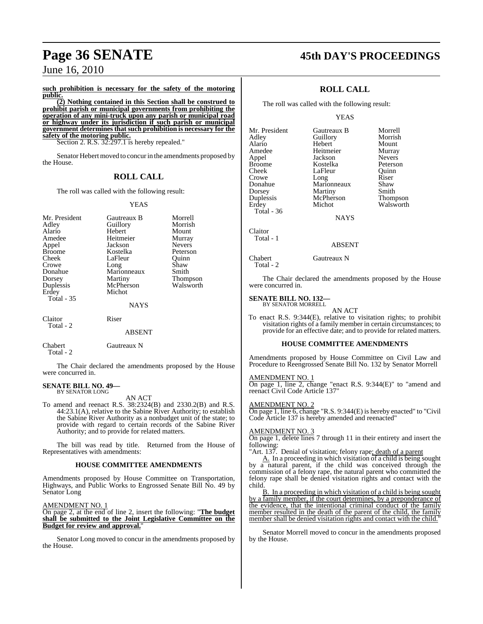**such prohibition is necessary for the safety of the motoring public.**

**(2) Nothing contained in this Section shall be construed to prohibit parish or municipal governments from prohibiting the operation of any mini-truck upon any parish or municipal road or highway under its jurisdiction if such parish or municipal government determines that such prohibition is necessary for the safety of the motoring public.**

Section 2. R.S. 32:297.1 is hereby repealed."

Senator Hebert moved to concur in the amendments proposed by the House.

### **ROLL CALL**

The roll was called with the following result:

#### YEAS

| Mr. President<br>Adley<br>Alario | Gautreaux B<br>Guillory                       | Morrell<br>Morrish<br>Mount    |
|----------------------------------|-----------------------------------------------|--------------------------------|
| Amedee<br>Appel                  | Hebert<br>Heitmeier<br>Jackson                | Murray<br><b>Nevers</b>        |
| <b>Broome</b><br>Cheek<br>Crowe  | Kostelka<br>LaFleur<br>Long                   | Peterson<br>Quinn<br>Shaw      |
| Donahue<br>Dorsey<br>Duplessis   | Marionneaux<br>Martiny<br>McPherson<br>Michot | Smith<br>Thompson<br>Walsworth |
| Erdey<br><b>Total - 35</b>       | <b>NAYS</b>                                   |                                |
| Claitor<br>Total - 2             | Riser                                         |                                |
|                                  | <b>ABSENT</b>                                 |                                |

Chabert Gautreaux N Total - 2

The Chair declared the amendments proposed by the House were concurred in.

#### **SENATE BILL NO. 49—** BY SENATOR LONG

AN ACT

To amend and reenact R.S. 38:2324(B) and 2330.2(B) and R.S. 44:23.1(A), relative to the Sabine River Authority; to establish the Sabine River Authority as a nonbudget unit of the state; to provide with regard to certain records of the Sabine River Authority; and to provide for related matters.

The bill was read by title. Returned from the House of Representatives with amendments:

#### **HOUSE COMMITTEE AMENDMENTS**

Amendments proposed by House Committee on Transportation, Highways, and Public Works to Engrossed Senate Bill No. 49 by Senator Long

AMENDMENT NO. 1

On page 2, at the end of line 2, insert the following: "**The budget shall be submitted to the Joint Legislative Committee on the Budget for review and approval.**"

Senator Long moved to concur in the amendments proposed by the House.

# **Page 36 SENATE 45th DAY'S PROCEEDINGS**

### **ROLL CALL**

The roll was called with the following result:

#### YEAS

| Mr. President | Gautreaux B | Morrell       |
|---------------|-------------|---------------|
| Adley         | Guillory    | Morrish       |
| Alario        | Hebert      | Mount         |
| Amedee        | Heitmeier   | Murray        |
| Appel         | Jackson     | <b>Nevers</b> |
| <b>Broome</b> | Kostelka    | Peterson      |
| Cheek         | LaFleur     | Ouinn         |
| Crowe         | Long        | Riser         |
| Donahue       | Marionneaux | Shaw          |
| Dorsey        | Martiny     | Smith         |
| Duplessis     | McPherson   | Thompson      |
| Erdey         | Michot      | Walsworth     |
| Total - 36    |             |               |

NAYS

Claitor

Total - 1

Total - 2

#### ABSENT

Chabert Gautreaux N

The Chair declared the amendments proposed by the House were concurred in.

#### **SENATE BILL NO. 132—** BY SENATOR MORRELL

AN ACT

To enact R.S. 9:344(E), relative to visitation rights; to prohibit visitation rights of a family member in certain circumstances; to provide for an effective date; and to provide for related matters.

#### **HOUSE COMMITTEE AMENDMENTS**

Amendments proposed by House Committee on Civil Law and Procedure to Reengrossed Senate Bill No. 132 by Senator Morrell

#### AMENDMENT NO. 1

On page 1, line 2, change "enact R.S. 9:344(E)" to "amend and reenact Civil Code Article 137"

#### AMENDMENT NO. 2

On page 1, line 6, change "R.S. 9:344(E) is hereby enacted" to "Civil Code Article 137 is hereby amended and reenacted"

#### AMENDMENT NO. 3

On page 1, delete lines 7 through 11 in their entirety and insert the following:

"Art. 137. Denial of visitation; felony rape; death of a parent

A. In a proceeding in which visitation of a child is being sought by a natural parent, if the child was conceived through the commission of a felony rape, the natural parent who committed the felony rape shall be denied visitation rights and contact with the child.

B. In a proceeding in which visitation of a child is being sought by a family member, if the court determines, by a preponderance of the evidence, that the intentional criminal conduct of the family member resulted in the death of the parent of the child, the family member shall be denied visitation rights and contact with the child."

Senator Morrell moved to concur in the amendments proposed by the House.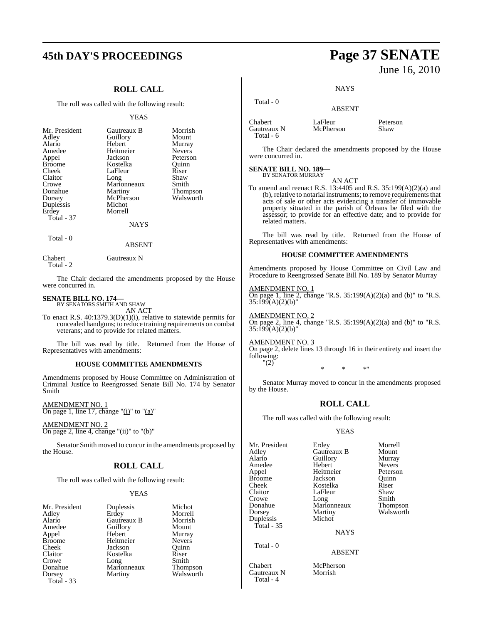## **45th DAY'S PROCEEDINGS Page 37 SENATE**

### **ROLL CALL**

The roll was called with the following result:

#### YEAS

| Mr. President<br>Adley<br>Alario | Gautreaux B<br>Guillory<br>Hebert | Morrish<br>Mount<br>Murray |
|----------------------------------|-----------------------------------|----------------------------|
| Amedee                           | Heitmeier                         | <b>Nevers</b>              |
| Appel                            | Jackson                           | Peterson                   |
| <b>Broome</b>                    | Kostelka                          | Ouinn                      |
| Cheek                            | LaFleur                           | Riser                      |
| Claitor                          | Long                              | Shaw                       |
| Crowe                            | Marionneaux                       | Smith                      |
| Donahue                          | Martiny                           | <b>Thompson</b>            |
| Dorsey                           | McPherson                         | Walsworth                  |
| Duplessis                        | Michot                            |                            |
| Erdey                            | Morrell                           |                            |
| <b>Total - 37</b>                |                                   |                            |
|                                  | NAYS                              |                            |

Total - 0

Total - 2

Chabert Gautreaux N

The Chair declared the amendments proposed by the House were concurred in.

ABSENT

#### **SENATE BILL NO. 174—** BY SENATORS SMITH AND SHAW

AN ACT

To enact R.S.  $40:1379.3(D)(1)(i)$ , relative to statewide permits for concealed handguns; to reduce training requirements on combat veterans; and to provide for related matters.

The bill was read by title. Returned from the House of Representatives with amendments:

#### **HOUSE COMMITTEE AMENDMENTS**

Amendments proposed by House Committee on Administration of Criminal Justice to Reengrossed Senate Bill No. 174 by Senator Smith

AMENDMENT NO. 1 On page 1, line 17, change " $(i)$ " to " $(a)$ "

AMENDMENT NO. 2 On page 2, line 4, change " $(ii)$ " to " $(b)$ "

Senator Smith moved to concur in the amendments proposed by the House.

### **ROLL CALL**

The roll was called with the following result:

#### YEAS

| Mr. President |
|---------------|
| Adley         |
| Alario        |
| Amedee        |
| Appel         |
| <b>Broome</b> |
| Cheek         |
| Claitor       |
| Crowe         |
| Donahue       |
| Dorsey        |
| Total - 33    |

Duplessis Michot<br>Erdey Morrell **Gautreaux B** Morrish<br> **Guillory** Mount Guillory<br>Hebert Heitmeier Nevers<br>Jackson Ouinn Jackson Kostelka Riser<br>Long Smith Long Smith<br>Marionneaux Thompson Marionneaux<br>Martiny

Morrell<br>Morrish Murray<br>Nevers Walsworth

# June 16, 2010

**NAYS** 

ABSENT

 Total - 0 Chabert LaFleur Peterson<br>Cautreaux N McPherson Shaw Gautreaux N Total - 6

The Chair declared the amendments proposed by the House were concurred in.

## **SENATE BILL NO. 189—** BY SENATOR MURRAY

AN ACT

To amend and reenact R.S. 13:4405 and R.S. 35:199(A)(2)(a) and (b), relative to notarial instruments; to remove requirements that acts of sale or other acts evidencing a transfer of immovable property situated in the parish of Orleans be filed with the assessor; to provide for an effective date; and to provide for related matters.

The bill was read by title. Returned from the House of Representatives with amendments:

#### **HOUSE COMMITTEE AMENDMENTS**

Amendments proposed by House Committee on Civil Law and Procedure to Reengrossed Senate Bill No. 189 by Senator Murray

AMENDMENT NO. 1 On page 1, line 2, change "R.S.  $35:199(A)(2)(a)$  and (b)" to "R.S. 35:199(A)(2)(b)"

AMENDMENT NO. 2 On page 2, line 4, change "R.S.  $35:199(A)(2)(a)$  and (b)" to "R.S. 35:199(A)(2)(b)"

AMENDMENT NO. 3 On page 2, delete lines 13 through 16 in their entirety and insert the following: "(2)

\* \* \*"

Senator Murray moved to concur in the amendments proposed by the House.

### **ROLL CALL**

The roll was called with the following result:

#### YEAS

| Mr. President | Erdey       | Morrell       |
|---------------|-------------|---------------|
| Adley         | Gautreaux B | Mount         |
| Alario        | Guillory    | Murray        |
| Amedee        | Hebert      | <b>Nevers</b> |
| Appel         | Heitmeier   | Peterson      |
| <b>Broome</b> | Jackson     | Ouinn         |
| Cheek         | Kostelka    | Riser         |
| Claitor       | LaFleur     | Shaw          |
| Crowe         | Long        | Smith         |
| Donahue       | Marionneaux | Thompson      |
| Dorsey        | Martiny     | Walsworth     |
| Duplessis     | Michot      |               |
| Total - 35    |             |               |
|               | <b>NAYS</b> |               |
|               |             |               |

Total - 0

Chabert McPherson<br>Gautreaux N Morrish Gautreaux N Total - 4

#### ABSENT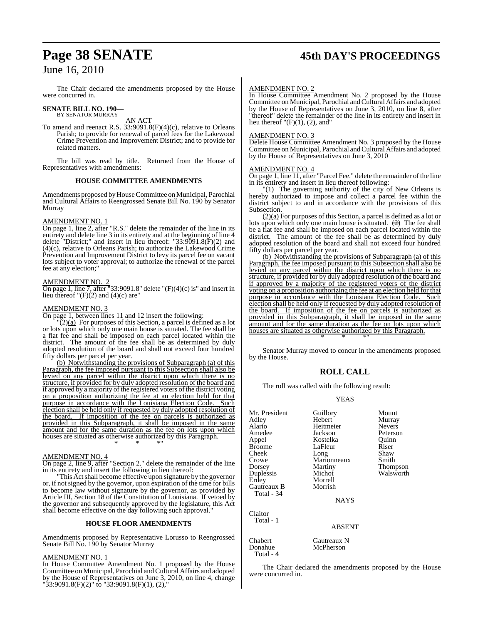## **Page 38 SENATE 45th DAY'S PROCEEDINGS**

## June 16, 2010

The Chair declared the amendments proposed by the House were concurred in.

## **SENATE BILL NO. 190—** BY SENATOR MURRAY

AN ACT

To amend and reenact R.S.  $33:9091.8(F)(4)(c)$ , relative to Orleans Parish; to provide for renewal of parcel fees for the Lakewood Crime Prevention and Improvement District; and to provide for related matters.

The bill was read by title. Returned from the House of Representatives with amendments:

#### **HOUSE COMMITTEE AMENDMENTS**

Amendments proposed byHouseCommittee on Municipal, Parochial and Cultural Affairs to Reengrossed Senate Bill No. 190 by Senator Murray

#### AMENDMENT NO. 1

On page 1, line 2, after "R.S." delete the remainder of the line in its entirety and delete line 3 in its entirety and at the beginning of line 4 delete "District;" and insert in lieu thereof: "33:9091.8(F)(2) and (4)(c), relative to Orleans Parish; to authorize the Lakewood Crime Prevention and Improvement District to levy its parcel fee on vacant lots subject to voter approval; to authorize the renewal of the parcel fee at any election;"

#### AMENDMENT NO. 2

On page 1, line 7, after "33:9091.8" delete " $(F)(4)(c)$  is" and insert in lieu thereof " $(F)(2)$  and  $(4)(c)$  are"

#### AMENDMENT NO. 3

On page 1, between lines 11 and 12 insert the following:

 $\sqrt{2}$ ( $\alpha$ ) For purposes of this Section, a parcel is defined as a lot or lots upon which only one main house is situated. The fee shall be a flat fee and shall be imposed on each parcel located within the district. The amount of the fee shall be as determined by duly adopted resolution of the board and shall not exceed four hundred fifty dollars per parcel per year.

(b) Notwithstanding the provisions of Subparagraph (a) of this Paragraph, the fee imposed pursuant to this Subsection shall also be levied on any parcel within the district upon which there is no structure, if provided for by duly adopted resolution of the board and if approved by a majority of the registered voters of the district voting on a proposition authorizing the fee at an election held for that purpose in accordance with the Louisiana Election Code. Such election shall be held only if requested by duly adopted resolution of the board. If imposition of the fee on parcels is authorized as provided in this Subparagraph, it shall be imposed in the same amount and for the same duration as the fee on lots upon which houses are situated as otherwise authorized by this Paragraph. \* \* \*"

#### AMENDMENT NO. 4

On page 2, line 9, after "Section 2." delete the remainder of the line in its entirety and insert the following in lieu thereof:

"This Act shall become effective upon signature by the governor or, if not signed by the governor, upon expiration of the time for bills to become law without signature by the governor, as provided by Article III, Section 18 of the Constitution of Louisiana. If vetoed by the governor and subsequently approved by the legislature, this Act shall become effective on the day following such approval."

#### **HOUSE FLOOR AMENDMENTS**

Amendments proposed by Representative Lorusso to Reengrossed Senate Bill No. 190 by Senator Murray

#### AMENDMENT NO. 1

In House Committee Amendment No. 1 proposed by the House Committee on Municipal, Parochial andCultural Affairs and adopted by the House of Representatives on June 3, 2010, on line 4, change "33:9091.8(F)(2)" to "33:9091.8(F)(1), (2),"

#### AMENDMENT NO. 2

In House Committee Amendment No. 2 proposed by the House Committee on Municipal, Parochial andCultural Affairs and adopted by the House of Representatives on June 3, 2010, on line 8, after "thereof" delete the remainder of the line in its entirety and insert in lieu thereof  $"(\mathrm{F})(1)$ , (2), and"

#### AMENDMENT NO. 3

Delete House Committee Amendment No. 3 proposed by the House Committee on Municipal, Parochial and Cultural Affairs and adopted by the House of Representatives on June 3, 2010

#### AMENDMENT NO. 4

On page 1, line 11, after "Parcel Fee." delete the remainder of the line in its entirety and insert in lieu thereof following:

"(1) The governing authority of the city of New Orleans is hereby authorized to impose and collect a parcel fee within the district subject to and in accordance with the provisions of this Subsection.

 $(2)(a)$  For purposes of this Section, a parcel is defined as a lot or lots upon which only one main house is situated.  $(2)$  The fee shall be a flat fee and shall be imposed on each parcel located within the district. The amount of the fee shall be as determined by duly adopted resolution of the board and shall not exceed four hundred fifty dollars per parcel per year.

(b) Notwithstanding the provisions of Subparagraph (a) of this Paragraph, the fee imposed pursuant to this Subsection shall also be levied on any parcel within the district upon which there is no structure, if provided for by duly adopted resolution of the board and if approved by a majority of the registered voters of the district voting on a proposition authorizing the fee at an election held for that purpose in accordance with the Louisiana Election Code. Such election shall be held only if requested by duly adopted resolution of the board. If imposition of the fee on parcels is authorized as provided in this Subparagraph, it shall be imposed in the same amount and for the same duration as the fee on lots upon which houses are situated as otherwise authorized by this Paragraph. \* \* \*"

Senator Murray moved to concur in the amendments proposed by the House.

#### **ROLL CALL**

The roll was called with the following result:

#### YEAS

| Mr. President<br>Adley<br>Alario<br>Amedee<br>Appel<br><b>Broome</b><br>Cheek<br>Crowe<br>Dorsey<br>Duplessis<br>Erdey<br>Gautreaux B<br>Total - 34 | Guillory<br>Hebert<br>Heitmeier<br>Jackson<br>Kostelka<br>LaFleur<br>Long<br>Marionneaux<br>Martiny<br>Michot<br>Morrell<br>Morrish<br><b>NAYS</b> | Mount<br>Murray<br><b>Nevers</b><br>Peterson<br>Ouinn<br>Riser<br>Shaw<br>Smith<br>Thompson<br>Walsworth |
|-----------------------------------------------------------------------------------------------------------------------------------------------------|----------------------------------------------------------------------------------------------------------------------------------------------------|----------------------------------------------------------------------------------------------------------|
| Claitor<br>Total - 1                                                                                                                                | ABSENT                                                                                                                                             |                                                                                                          |

McPherson

Chabert Gautreaux N<br>
Donahue McPherson Total - 4

The Chair declared the amendments proposed by the House were concurred in.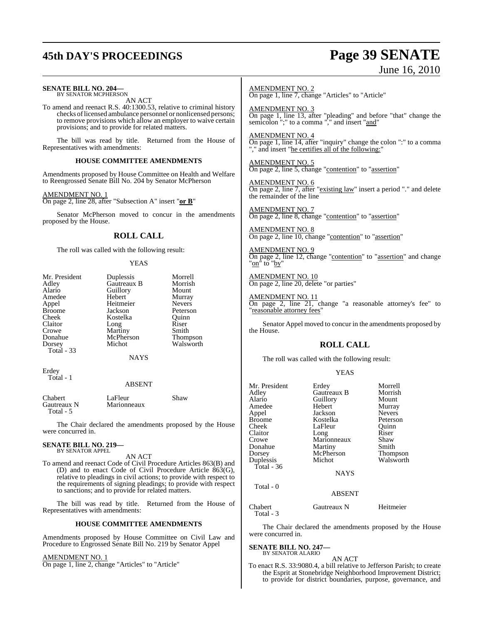# **45th DAY'S PROCEEDINGS Page 39 SENATE**

June 16, 2010

| SENATE BILL NO. 204—<br>BY SENATOR MCPHERSON                                                                                                                                                                                                                       |                                                                                                                   | <b>AMENDMENT NO. 2</b>                                                                                      | On page 1, line 7, change "Articles" to "Article"     |                                                                                                                          |                                                                        |
|--------------------------------------------------------------------------------------------------------------------------------------------------------------------------------------------------------------------------------------------------------------------|-------------------------------------------------------------------------------------------------------------------|-------------------------------------------------------------------------------------------------------------|-------------------------------------------------------|--------------------------------------------------------------------------------------------------------------------------|------------------------------------------------------------------------|
| AN ACT<br>To amend and reenact R.S. 40:1300.53, relative to criminal history<br>checks of licensed ambulance personnel or nonlicensed persons;<br>to remove provisions which allow an employer to waive certain<br>provisions; and to provide for related matters. |                                                                                                                   | AMENDMENT NO. 3                                                                                             |                                                       | On page 1, line 13, after "pleading" and before "that" change the semicolon ";" to a comma "," and insert " <b>and</b> " |                                                                        |
| The bill was read by title. Returned from the House of<br>Representatives with amendments:                                                                                                                                                                         |                                                                                                                   | <b>AMENDMENT NO. 4</b>                                                                                      | "," and insert "he certifies all of the following:"   | On page 1, line 14, after "inquiry" change the colon ":" to a comma                                                      |                                                                        |
|                                                                                                                                                                                                                                                                    | <b>HOUSE COMMITTEE AMENDMENTS</b>                                                                                 |                                                                                                             | AMENDMENT NO. 5                                       |                                                                                                                          |                                                                        |
|                                                                                                                                                                                                                                                                    |                                                                                                                   | Amendments proposed by House Committee on Health and Welfare                                                |                                                       | On page 2, line 5, change "contention" to "assertion"                                                                    |                                                                        |
| AMENDMENT NO. 1                                                                                                                                                                                                                                                    | to Reengrossed Senate Bill No. 204 by Senator McPherson<br>On page 2, line 28, after "Subsection A" insert "or B" |                                                                                                             | <b>AMENDMENT NO. 6</b><br>the remainder of the line   |                                                                                                                          | On page 2, line 7, after "existing law" insert a period "." and delete |
|                                                                                                                                                                                                                                                                    |                                                                                                                   | Senator McPherson moved to concur in the amendments                                                         | AMENDMENT NO. 7                                       |                                                                                                                          |                                                                        |
| proposed by the House.                                                                                                                                                                                                                                             |                                                                                                                   |                                                                                                             |                                                       | On page 2, line 8, change "contention" to "assertion"                                                                    |                                                                        |
| <b>ROLL CALL</b>                                                                                                                                                                                                                                                   |                                                                                                                   | AMENDMENT NO. 8<br>On page 2, line 10, change "contention" to "assertion"                                   |                                                       |                                                                                                                          |                                                                        |
| The roll was called with the following result:<br><b>YEAS</b>                                                                                                                                                                                                      |                                                                                                                   | <b>AMENDMENT NO. 9</b><br>On page 2, line 12, change "contention" to "assertion" and change<br>"on" to "by" |                                                       |                                                                                                                          |                                                                        |
| Mr. President<br>Adley                                                                                                                                                                                                                                             | Duplessis<br>Gautreaux B                                                                                          | Morrell<br>Morrish                                                                                          |                                                       | AMENDMENT NO. 10<br>On page 2, line 20, delete "or parties"                                                              |                                                                        |
| Alario<br>Amedee<br>Appel<br><b>Broome</b>                                                                                                                                                                                                                         | Guillory<br>Hebert<br>Heitmeier<br>Jackson                                                                        | Mount<br>Murray<br><b>Nevers</b><br>Peterson                                                                | <b>AMENDMENT NO. 11</b><br>"reasonable attorney fees" |                                                                                                                          | On page 2, line 21, change "a reasonable attorney's fee" to            |
| Cheek<br>Claitor<br>Crowe                                                                                                                                                                                                                                          | Quinn<br>Kostelka<br>Riser<br>Long<br>Smith<br>Martiny                                                            |                                                                                                             | the House.                                            |                                                                                                                          | Senator Appel moved to concur in the amendments proposed by            |
| Donahue<br>Dorsey                                                                                                                                                                                                                                                  | McPherson<br>Michot                                                                                               | Thompson<br>Walsworth                                                                                       |                                                       | <b>ROLL CALL</b>                                                                                                         |                                                                        |
| Total - 33                                                                                                                                                                                                                                                         | <b>NAYS</b>                                                                                                       |                                                                                                             |                                                       | The roll was called with the following result:                                                                           |                                                                        |
| Erdey                                                                                                                                                                                                                                                              |                                                                                                                   |                                                                                                             |                                                       | <b>YEAS</b>                                                                                                              |                                                                        |
| Total - 1                                                                                                                                                                                                                                                          | <b>ABSENT</b>                                                                                                     |                                                                                                             | Mr. President                                         | Erdey                                                                                                                    | Morrell                                                                |
| Chabert<br>Gautreaux N<br>Total - 5                                                                                                                                                                                                                                | LaFleur<br>Marionneaux                                                                                            | Shaw                                                                                                        | Adley<br>Alario<br>Amedee<br>Appel                    | Gautreaux B<br>Guillory<br>Hebert<br>Jackson                                                                             | Morrish<br>Mount<br>Murray<br><b>Nevers</b>                            |
| The Chair declared the amendments proposed by the House<br>were concurred in.                                                                                                                                                                                      |                                                                                                                   | <b>Broome</b><br>Cheek<br>Claitor                                                                           | Kostelka<br>LaFleur<br>Long                           | Peterson<br>Ouinn<br>Riser                                                                                               |                                                                        |
| <b>SENATE BILL NO. 219—</b><br>BY SENATOR APPEL                                                                                                                                                                                                                    |                                                                                                                   | Crowe<br>Donahue<br>Dorsey                                                                                  | Marionneaux<br>Martiny<br>McPherson                   | Shaw<br>Smith<br>Thompson                                                                                                |                                                                        |
| AN ACT<br>To amend and reenact Code of Civil Procedure Articles 863(B) and                                                                                                                                                                                         |                                                                                                                   | <b>Duplessis</b><br>Total - 36                                                                              | Michot                                                | Walsworth                                                                                                                |                                                                        |

Total - 0

Total - 3

were concurred in.

**SENATE BILL NO. 247—** BY SENATOR ALARIO

(D) and to enact Code of Civil Procedure Article 863(G), relative to pleadings in civil actions; to provide with respect to the requirements of signing pleadings; to provide with respect to sanctions; and to provide for related matters.

The bill was read by title. Returned from the House of Representatives with amendments:

#### **HOUSE COMMITTEE AMENDMENTS**

Amendments proposed by House Committee on Civil Law and Procedure to Engrossed Senate Bill No. 219 by Senator Appel

AMENDMENT NO. 1

On page 1, line 2, change "Articles" to "Article"

AN ACT To enact R.S. 33:9080.4, a bill relative to Jefferson Parish; to create the Esprit at Stonebridge Neighborhood Improvement District; to provide for district boundaries, purpose, governance, and

NAYS

ABSENT

The Chair declared the amendments proposed by the House

Chabert Gautreaux N Heitmeier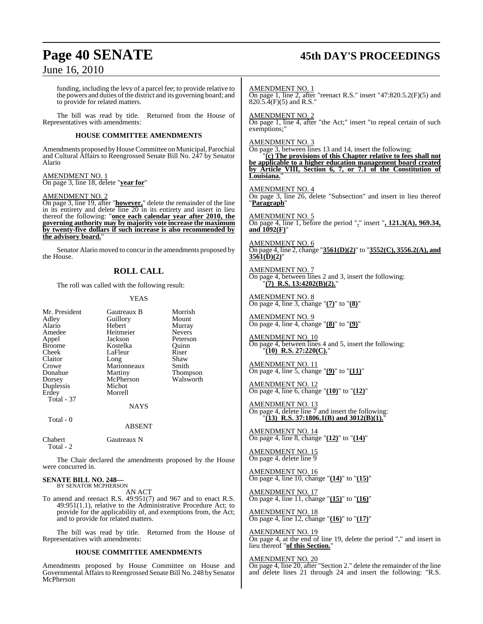## **Page 40 SENATE 45th DAY'S PROCEEDINGS**

## June 16, 2010

funding, including the levy of a parcel fee; to provide relative to the powers and duties of the district and its governing board; and to provide for related matters.

The bill was read by title. Returned from the House of Representatives with amendments:

#### **HOUSE COMMITTEE AMENDMENTS**

Amendments proposed by House Committee on Municipal, Parochial and Cultural Affairs to Reengrossed Senate Bill No. 247 by Senator Alario

AMEND<u>MENT NO. 1</u> On page 3, line 18, delete "**year for**"

#### AMENDMENT NO. 2

On page 3, line 19, after "**however,**" delete the remainder of the line in its entirety and delete line 20 in its entirety and insert in lieu thereof the following: "**once each calendar year after 2010, the governing authority may by majority vote increase the maximum by twenty-five dollars if such increase is also recommended by the advisory board.**"

Senator Alario moved to concur in the amendments proposed by the House.

#### **ROLL CALL**

The roll was called with the following result:

#### YEAS

| Morrish<br>Mount<br>Murray<br><b>Nevers</b> |
|---------------------------------------------|
|                                             |
|                                             |
|                                             |
|                                             |
| Peterson                                    |
| Ouinn                                       |
| Riser                                       |
| Shaw                                        |
| Smith                                       |
| <b>Thompson</b>                             |
| Walsworth                                   |
|                                             |
|                                             |
|                                             |
|                                             |
|                                             |
|                                             |
|                                             |

Chabert Gautreaux N Total - 2

The Chair declared the amendments proposed by the House were concurred in.

#### **SENATE BILL NO. 248—** BY SENATOR MCPHERSON

AN ACT

To amend and reenact R.S. 49:951(7) and 967 and to enact R.S. 49:951(1.1), relative to the Administrative Procedure Act; to provide for the applicability of, and exemptions from, the Act; and to provide for related matters.

The bill was read by title. Returned from the House of Representatives with amendments:

#### **HOUSE COMMITTEE AMENDMENTS**

Amendments proposed by House Committee on House and Governmental Affairs to Reengrossed Senate Bill No. 248 by Senator McPherson

AMENDMENT NO. 1 On page 1, line 2, after "reenact R.S." insert "47:820.5.2(F)(5) and  $820.\overline{5}.\overline{4}$ (F)(5) and R.S."

AMENDMENT NO. 2

On page 1, line 4, after "the Act;" insert "to repeal certain of such exemptions:

#### AMENDMENT NO. 3

On page 3, between lines 13 and 14, insert the following:

"**(c) The provisions of this Chapter relative to fees shall not be applicable to a higher education management board created by Article VIII, Section 6, 7, or 7.1 of the Constitution of Louisiana.**"

AMENDMENT NO. 4

On page 3, line 26, delete "Subsection" and insert in lieu thereof "**Paragraph**"

AMENDMENT NO. 5 On page 4, line 1, before the period "**.**" insert "**, 121.3(A), 969.34, and 1092(F)**"

AMENDMENT NO. 6 On page 4, line 2, change "**3561(D)(2)**" to "**3552(C), 3556.2(A), and 3561(D)(2)**"

AMENDMENT NO. 7 On page 4, between lines 2 and 3, insert the following: "**(7) R.S. 13:4202(B)(2).**"

AMENDMENT NO. 8 On page 4, line 3, change "**(7)**" to "**(8)**"

AMENDMENT NO. 9 On page 4, line 4, change "**(8)**" to "**(9)**"

AMENDMENT NO. 10 On page 4, between lines 4 and 5, insert the following: "**(10) R.S. 27:220(C).**"

AMENDMENT NO. 11 On page 4, line 5, change "**(9)**" to "**(11)**"

AMENDMENT NO. 12 On page 4, line 6, change "**(10)**" to "**(12)**"

AMENDMENT NO. 13 On page 4, delete line  $\overline{7}$  and insert the following: "**(13) R.S. 37:1806.1(B) and 3012(B)(1).**"

AMENDMENT NO. 14 On page 4, line 8, change "**(12)**" to "**(14)**"

AMENDMENT NO. 15 On page 4, delete line 9

AMENDMENT NO. 16 On page 4, line 10, change "**(14)**" to "**(15)**"

<u>AMENDMENT NO. 17</u> On page 4, line 11, change "**(15)**" to "**(16)**"

AMENDMENT NO. 18 On page 4, line 12, change "**(16)**" to "**(17)**"

AMENDMENT NO. 19 On page 4, at the end of line 19, delete the period "**.**" and insert in lieu thereof "**of this Section.**"

#### AMENDMENT NO. 20

On page 4, line 20, after "Section 2." delete the remainder of the line and delete lines 21 through 24 and insert the following: "R.S.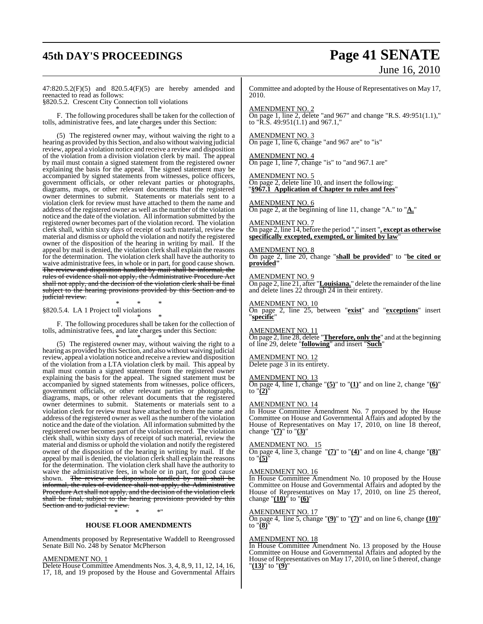## **45th DAY'S PROCEEDINGS Page 41 SENATE**

# June 16, 2010

47:820.5.2(F)(5) and 820.5.4(F)(5) are hereby amended and reenacted to read as follows:

§820.5.2. Crescent City Connection toll violations \* \* \*

F. The following procedures shall be taken for the collection of tolls, administrative fees, and late charges under this Section: \* \* \*

(5) The registered owner may, without waiving the right to a hearing as provided by this Section, and also without waiving judicial review, appeal a violation notice and receive a review and disposition of the violation from a division violation clerk by mail. The appeal by mail must contain a signed statement from the registered owner explaining the basis for the appeal. The signed statement may be accompanied by signed statements from witnesses, police officers, government officials, or other relevant parties or photographs, diagrams, maps, or other relevant documents that the registered owner determines to submit. Statements or materials sent to a violation clerk for review must have attached to them the name and address of the registered owner as well asthe number of the violation notice and the date of the violation. All information submitted by the registered owner becomes part of the violation record. The violation clerk shall, within sixty days of receipt of such material, review the material and dismiss or uphold the violation and notify the registered owner of the disposition of the hearing in writing by mail. If the appeal by mail is denied, the violation clerk shall explain the reasons for the determination. The violation clerk shall have the authority to waive administrative fees, in whole or in part, for good cause shown. The review and disposition handled by mail shall be informal, the rules of evidence shall not apply, the Administrative Procedure Act shall not apply, and the decision of the violation clerk shall be final subject to the hearing provisions provided by this Section and to judicial review.

\* \* \* §820.5.4. LA 1 Project toll violations \* \* \*

F. The following procedures shall be taken for the collection of tolls, administrative fees, and late charges under this Section: \* \* \*

(5) The registered owner may, without waiving the right to a hearing as provided by this Section, and also without waiving judicial review, appeal a violation notice and receive a review and disposition of the violation from a LTA violation clerk by mail. This appeal by mail must contain a signed statement from the registered owner explaining the basis for the appeal. The signed statement must be accompanied by signed statements from witnesses, police officers, government officials, or other relevant parties or photographs, diagrams, maps, or other relevant documents that the registered owner determines to submit. Statements or materials sent to a violation clerk for review must have attached to them the name and address of the registered owner as well as the number of the violation notice and the date of the violation. All information submitted by the registered owner becomes part of the violation record. The violation clerk shall, within sixty days of receipt of such material, review the material and dismiss or uphold the violation and notify the registered owner of the disposition of the hearing in writing by mail. If the appeal by mail is denied, the violation clerk shall explain the reasons for the determination. The violation clerk shall have the authority to waive the administrative fees, in whole or in part, for good cause shown. <del>The review and disposition handled by mail shall be</del> informal, the rules of evidence shall not apply, the Administrative Procedure Act shall not apply, and the decision of the violation clerk shall be final, subject to the hearing provisions provided by this Section and to judicial review.

\* \* \*"

#### **HOUSE FLOOR AMENDMENTS**

Amendments proposed by Representative Waddell to Reengrossed Senate Bill No. 248 by Senator McPherson

#### AMENDMENT NO. 1

Delete House Committee Amendments Nos. 3, 4, 8, 9, 11, 12, 14, 16, 17, 18, and 19 proposed by the House and Governmental Affairs

Committee and adopted by the House of Representatives on May 17, 2010.

#### AMENDMENT NO. 2

On page 1, line 2, delete "and 967" and change "R.S. 49:951(1.1)," to "R.S.  $49:951(1.1)$  and 967.1,"

#### AMENDMENT NO. 3

On page 1, line 6, change "and 967 are" to "is"

AMENDMENT NO. 4 On page 1, line 7, change "is" to "and 967.1 are"

#### AMENDMENT NO. 5 On page 2, delete line 10, and insert the following:

"**§967.1 Application of Chapter to rules and fees**"

#### AMENDMENT NO. 6

On page 2, at the beginning of line 11, change "A." to "**A.**"

#### AMENDMENT NO. 7

On page 2, line 14, before the period "**.**" insert "**, except as otherwise specifically excepted, exempted, or limited by law**"

#### AMENDMENT NO. 8

On page 2, line 20, change "**shall be provided**" to "**be cited or provided"**

#### AMENDMENT NO. 9

On page 2, line 21, after "**Louisiana.**" delete the remainder of the line and delete lines 22 through 24 in their entirety.

#### AMENDMENT NO. 10

On page 2, line 25, between "**exist**" and "**exceptions**" insert "**specific**"

#### AMENDMENT NO. 11

On page 2, line 28, delete "**Therefore, only the**" and at the beginning of line 29, delete "**following**" and insert "**Such**"

#### AMENDMENT NO. 12

Delete page 3 in its entirety.

#### AMENDMENT NO. 13

On page 4, line 1, change " $(5)$ " to " $(1)$ " and on line 2, change " $(6)$ " to "**(2)**"

#### AMENDMENT NO. 14

In House Committee Amendment No. 7 proposed by the House Committee on House and Governmental Affairs and adopted by the House of Representatives on May 17, 2010, on line 18 thereof, change "**(7)**" to "**(3)**"

#### AMENDMENT NO.

 $\overline{\text{On page 4, line 3, change}}$  " $\overline{\text{7}}$ " to " $\overline{\text{4}}$ " and on line 4, change " $\overline{\text{8}}$ " to "**(5)**"

#### AMENDMENT NO. 16

In House Committee Amendment No. 10 proposed by the House Committee on House and Governmental Affairs and adopted by the House of Representatives on May 17, 2010, on line 25 thereof, change "**(10)**" to "**(6)**"

### AMENDMENT NO. 17

On page 4, line 5, change "**(9)**" to "**(7)**" and on line 6, change **(10)**" to "**(8)**"

#### AMENDMENT NO. 18

In House Committee Amendment No. 13 proposed by the House Committee on House and Governmental Affairs and adopted by the House of Representatives on May 17, 2010, on line 5 thereof, change "**(13)**" to "**(9)**"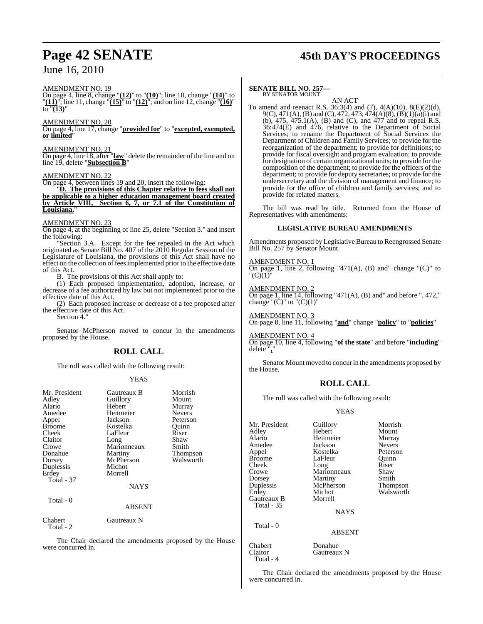## June 16, 2010

#### AMENDMENT NO. 19

On page 4, line 8, change "**(12)**" to "**(10)**"; line 10, change "**(14)**" to "**(11)**"; line 11, change "**(15)**" to "**(12)**"; and on line 12, change "**(16)**" to  $\sqrt[n]{(\mathbf{13})}$ "

#### AMENDMENT NO. 20

On page 4, line 17, change "**provided for**" to "**excepted, exempted, or limited**"

#### AMENDMENT NO. 21

On page 4, line 18, after "**law**" delete the remainder of the line and on line 19, delete "**Subsection B**"

#### AMENDMENT NO. 22

On page 4, between lines 19 and 20, insert the following:

"**D. The provisions of this Chapter relative to fees shall not be applicable to a higher education management board created by Article VIII, Section 6, 7, or 7.1 of the Constitution of Louisiana.**"

#### AMENDMENT NO. 23

On page 4, at the beginning of line 25, delete "Section 3." and insert the following:

"Section 3.A. Except for the fee repealed in the Act which originated as Senate Bill No. 407 of the 2010 Regular Session of the Legislature of Louisiana, the provisions of this Act shall have no effect on the collection of feesimplemented prior to the effective date of this Act.

B. The provisions of this Act shall apply to:

(1) Each proposed implementation, adoption, increase, or decrease of a fee authorized by law but not implemented prior to the effective date of this Act.

(2) Each proposed increase or decrease of a fee proposed after the effective date of this Act.

Section 4."

Senator McPherson moved to concur in the amendments proposed by the House.

#### **ROLL CALL**

The roll was called with the following result:

#### YEAS

| Mr. President<br>Adley<br>Alario<br>Amedee<br>Appel<br><b>Broome</b><br>Cheek<br>Claitor<br>Crowe<br>Donahue<br>Dorsey<br>Duplessis<br>Erdey<br>Total - 37<br>Total - 0 | Gautreaux B<br>Guillory<br>Hebert<br>Heitmeier<br>Jackson<br>Kostelka<br>LaFleur<br>Long<br>Marionneaux<br>Martiny<br>McPherson<br>Michot<br>Morrell<br><b>NAYS</b><br><b>ABSENT</b> | Morrish<br>Mount<br>Murray<br><b>Nevers</b><br>Peterson<br>Quinn<br>Riser<br>Shaw<br>Smith<br>Thompson<br>Walsworth |
|-------------------------------------------------------------------------------------------------------------------------------------------------------------------------|--------------------------------------------------------------------------------------------------------------------------------------------------------------------------------------|---------------------------------------------------------------------------------------------------------------------|
|                                                                                                                                                                         |                                                                                                                                                                                      |                                                                                                                     |
| Chabert<br>Total - 2                                                                                                                                                    | Gautreaux N                                                                                                                                                                          |                                                                                                                     |

The Chair declared the amendments proposed by the House were concurred in.

## **Page 42 SENATE 45th DAY'S PROCEEDINGS**

#### **SENATE BILL NO. 257—** BY SENATOR MOUNT

AN ACT

To amend and reenact R.S. 36:3(4) and (7), 4(A)(10), 8(E)(2)(d), 9(C), 471(A), (B) and (C), 472, 473, 474(A)(8), (B)(1)(a)(i) and (b), 475, 475.1(A), (B) and (C), and 477 and to repeal R.S.  $36:474(E)$  and  $476$ , relative to the Department of Social Services; to rename the Department of Social Services the Department of Children and Family Services; to provide for the reorganization of the department; to provide for definitions; to provide for fiscal oversight and program evaluation; to provide for designation of certain organizational units; to provide for the composition of the department; to provide for the officers of the department; to provide for deputy secretaries; to provide for the undersecretary and the division of management and finance; to provide for the office of children and family services; and to provide for related matters.

The bill was read by title. Returned from the House of Representatives with amendments:

#### **LEGISLATIVE BUREAU AMENDMENTS**

Amendments proposed by Legislative Bureau to Reengrossed Senate Bill No. 257 by Senator Mount

#### AMENDMENT NO. 1

On page 1, line 2, following "471(A), (B) and" change "(C)" to "(C)(1)"

AMENDMENT NO. 2 On page 1, line  $14$ , following "471(A), (B) and" and before ", 472," change " $(\dot{C})$ " to " $(\dot{C})(1)$ "

AMENDMENT NO. 3 On page 8, line 11, following "**and**" change "**policy**" to "**policies**"

AMENDMENT NO. 4

On page 10, line 4, following "**of the state**" and before "**including**" delete "**,**"

Senator Mount moved to concur in the amendments proposed by the House.

### **ROLL CALL**

The roll was called with the following result:

#### YEAS

Mr. President Guillory Morrish<br>Adley Hebert Mount Adley Hebert Mount<br>Alario Heitmeier Murray Amedee Jackson Nevers<br>Appel Kostelka Peterson Appel Kostelka Peterson Broome LaFleur Quinn<br>
Cheek Long Riser Cheek Long Riser<br>Crowe Marionneaux Shaw Crowe Marionneaux Shaw<br>
Dorsey Martiny Smith Dorsey Martiny<br>
Duplessis McPherson Erdey Michot Walsworth Gautreaux B Total - 35

Total - 4

Heitmeier Murray<br>Jackson Nevers

Thompson

**NAYS** 

ABSENT

## Total - 0

Chabert Donahue<br>Claitor Gautreau Gautreaux N

The Chair declared the amendments proposed by the House were concurred in.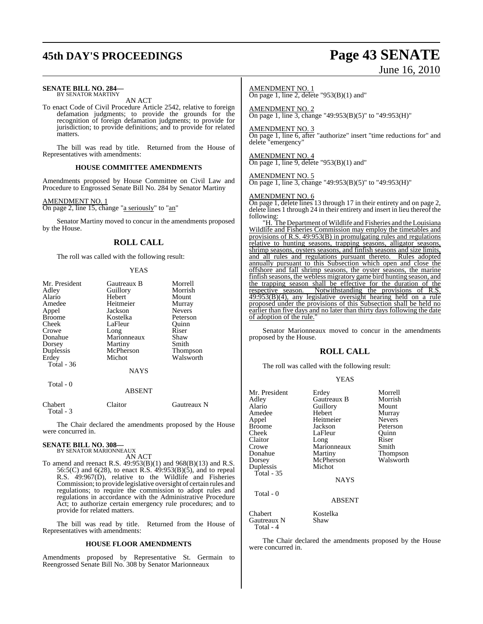## **45th DAY'S PROCEEDINGS Page 43 SENATE**

#### **SENATE BILL NO. 284—** BY SENATOR MARTINY

AN ACT

To enact Code of Civil Procedure Article 2542, relative to foreign defamation judgments; to provide the grounds for the recognition of foreign defamation judgments; to provide for jurisdiction; to provide definitions; and to provide for related matters.

The bill was read by title. Returned from the House of Representatives with amendments:

#### **HOUSE COMMITTEE AMENDMENTS**

Amendments proposed by House Committee on Civil Law and Procedure to Engrossed Senate Bill No. 284 by Senator Martiny

AMENDMENT NO. 1

On page 2, line 15, change "a seriously" to "an"

Senator Martiny moved to concur in the amendments proposed by the House.

#### **ROLL CALL**

The roll was called with the following result:

#### YEAS

| Mr. President | Gautreaux B | Morrell         |
|---------------|-------------|-----------------|
| Adley         | Guillory    | Morrish         |
| Alario        | Hebert      | Mount           |
| Amedee        | Heitmeier   | Murray          |
| Appel         | Jackson     | <b>Nevers</b>   |
| <b>Broome</b> | Kostelka    | Peterson        |
| Cheek         | LaFleur     | Ouinn           |
| Crowe         | Long        | Riser           |
| Donahue       | Marionneaux | Shaw            |
| Dorsey        | Martiny     | Smith           |
| Duplessis     | McPherson   | <b>Thompson</b> |
| Erdey         | Michot      | Walsworth       |
| Total - 36    |             |                 |
|               | <b>NAYS</b> |                 |
| Total - 0     |             |                 |
|               | $\sqrt{2}$  |                 |

#### ABSENT

| Chabert   | Claitor | Gautreaux N |
|-----------|---------|-------------|
| Total - 3 |         |             |

The Chair declared the amendments proposed by the House were concurred in.

## **SENATE BILL NO. 308—** BY SENATOR MARIONNEAUX

AN ACT

To amend and reenact R.S. 49:953(B)(1) and 968(B)(13) and R.S. 56:5(C) and 6(28), to enact R.S. 49:953(B)(5), and to repeal R.S. 49:967(D), relative to the Wildlife and Fisheries Commission; to provide legislative oversight of certain rules and regulations; to require the commission to adopt rules and regulations in accordance with the Administrative Procedure Act; to authorize certain emergency rule procedures; and to provide for related matters.

The bill was read by title. Returned from the House of Representatives with amendments:

#### **HOUSE FLOOR AMENDMENTS**

Amendments proposed by Representative St. Germain to Reengrossed Senate Bill No. 308 by Senator Marionneaux

# June 16, 2010

## AMENDMENT NO. 1

On page 1, line 2, delete "953 $(B)(1)$  and"

AMENDMENT NO. 2 On page 1, line 3, change "49:953(B)(5)" to "49:953(H)"

#### AMENDMENT NO. 3

On page 1, line 6, after "authorize" insert "time reductions for" and delete "emergency"

AMENDMENT NO. 4 On page 1, line 9, delete "953 $(B)(1)$  and"

#### AMENDMENT NO. 5

On page 1, line 3, change "49:953(B)(5)" to "49:953(H)"

#### AMENDMENT NO. 6

On page 1, delete lines 13 through 17 in their entirety and on page 2, delete lines 1 through 24 in their entirety and insert in lieu thereof the following:

"H. The Department of Wildlife and Fisheries and the Louisiana Wildlife and Fisheries Commission may employ the timetables and provisions of R.S. 49:953(B) in promulgating rules and regulations relative to hunting seasons, trapping seasons, alligator seasons, shrimp seasons, oysters seasons, and finfish seasons and size limits, and all rules and regulations pursuant thereto. Rules adopted annually pursuant to this Subsection which open and close the offshore and fall shrimp seasons, the oyster seasons, the marine finfish seasons, the webless migratory game bird hunting season, and the trapping season shall be effective for the duration of the respective season. Notwithstanding the provisions of R.S.  $49:953(B)(4)$ , any legislative oversight hearing held on a rule proposed under the provisions of this Subsection shall be held no earlier than five days and no later than thirty days following the date of adoption of the rule.

Senator Marionneaux moved to concur in the amendments proposed by the House.

#### **ROLL CALL**

The roll was called with the following result:

| Guillory<br>Hebert<br>Amedee<br>Murray<br>Heitmeier<br><b>Nevers</b><br>Appel<br>Jackson<br><b>Broome</b><br>Peterson<br>LaFleur<br>Cheek<br>Quinn<br>Claitor<br>Riser<br>Long<br>Marionneaux<br>Smith<br>Crowe |  |
|-----------------------------------------------------------------------------------------------------------------------------------------------------------------------------------------------------------------|--|
| Donahue<br>Thompson<br>Martiny                                                                                                                                                                                  |  |
| Walsworth<br>McPherson<br>Dorsey                                                                                                                                                                                |  |
| Michot<br>Duplessis                                                                                                                                                                                             |  |
| Total - 35                                                                                                                                                                                                      |  |
| <b>NAYS</b>                                                                                                                                                                                                     |  |
| Total $-0$<br><b>ABSENT</b>                                                                                                                                                                                     |  |
|                                                                                                                                                                                                                 |  |
| Chabert<br>Kostelka<br>$C_{\text{out}}$ N<br>$C_{\rm{h}}$ and $C_{\rm{h}}$                                                                                                                                      |  |

Gautreaux N Shaw Total - 4

The Chair declared the amendments proposed by the House were concurred in.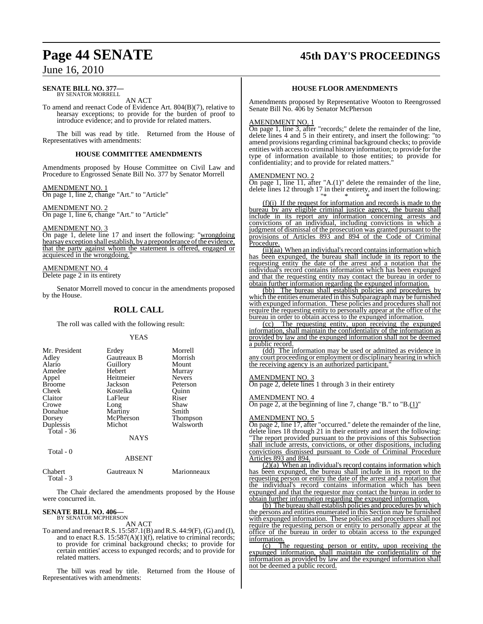## **Page 44 SENATE 45th DAY'S PROCEEDINGS**

## June 16, 2010

#### **SENATE BILL NO. 377—** BY SENATOR MORRELL

AN ACT

To amend and reenact Code of Evidence Art. 804(B)(7), relative to hearsay exceptions; to provide for the burden of proof to introduce evidence; and to provide for related matters.

The bill was read by title. Returned from the House of Representatives with amendments:

#### **HOUSE COMMITTEE AMENDMENTS**

Amendments proposed by House Committee on Civil Law and Procedure to Engrossed Senate Bill No. 377 by Senator Morrell

AMENDMENT NO. 1 On page 1, line 2, change "Art." to "Article"

#### AMENDMENT NO. 2 On page 1, line 6, change "Art." to "Article"

AMENDMENT NO. 3

On page 1, delete line 17 and insert the following: "wrongdoing hearsay exception shall establish, by a preponderance of the evidence, that the party against whom the statement is offered, engaged or acquiesced in the wrongdoing."

#### AMENDMENT NO. 4

Delete page 2 in its entirety

Senator Morrell moved to concur in the amendments proposed by the House.

### **ROLL CALL**

The roll was called with the following result:

#### YEAS

| Mr. President | Erdey       | Morrell       |
|---------------|-------------|---------------|
|               | Gautreaux B | Morrish       |
| Adley         |             |               |
| Alario        | Guillory    | Mount         |
| Amedee        | Hebert      | Murray        |
| Appel         | Heitmeier   | <b>Nevers</b> |
| <b>Broome</b> | Jackson     | Peterson      |
| Cheek         | Kostelka    | Ouinn         |
| Claitor       | LaFleur     | Riser         |
| Crowe         | Long        | Shaw          |
| Donahue       | Martiny     | Smith         |
| Dorsey        | McPherson   | Thompson      |
| Duplessis     | Michot      | Walsworth     |
| Total - 36    |             |               |
|               | <b>NAYS</b> |               |

Total - 0

#### ABSENT

| Chabert   | Gautreaux N | Marionneaux |
|-----------|-------------|-------------|
| Total - 3 |             |             |

The Chair declared the amendments proposed by the House were concurred in.

## **SENATE BILL NO. 406—**<br>BY SENATOR MCPHERSON

AN ACT

To amend and reenact R.S.  $15:587.1(B)$  and R.S.  $44:9(F)$ , (G) and (I), and to enact R.S. 15:587(A)(1)(f), relative to criminal records; to provide for criminal background checks; to provide for certain entities' access to expunged records; and to provide for related matters.

The bill was read by title. Returned from the House of Representatives with amendments:

#### **HOUSE FLOOR AMENDMENTS**

Amendments proposed by Representative Wooton to Reengrossed Senate Bill No. 406 by Senator McPherson

#### AMENDMENT NO. 1

On page 1, line 3, after "records;" delete the remainder of the line, delete lines 4 and 5 in their entirety, and insert the following: "to amend provisions regarding criminal background checks; to provide entities with accessto criminal history information; to provide for the type of information available to those entities; to provide for confidentiality; and to provide for related matters.<sup>"</sup>

#### AMENDMENT NO. 2

On page 1, line 11, after "A.(1)" delete the remainder of the line, delete lines 12 through 17 in their entirety, and insert the following: "\* \* \*

(f)(i) If the request for information and records is made to the bureau by any eligible criminal justice agency, the bureau shall include in its report any information concerning arrests and convictions of an individual, including convictions in which a judgment of dismissal of the prosecution was granted pursuant to the provisions of Articles 893 and 894 of the Code of Criminal **Procedure** 

 $(iii)(aa)$  When an individual's record contains information which has been expunged, the bureau shall include in its report to the requesting entity the date of the arrest and a notation that the individual's record contains information which has been expunged and that the requesting entity may contact the bureau in order to obtain further information regarding the expunged information.

(bb) The bureau shall establish policies and procedures by which the entities enumerated in this Subparagraph may be furnished with expunged information. These policies and procedures shall not require the requesting entity to personally appear at the office of the bureau in order to obtain access to the expunged information.

(cc) The requesting entity, upon receiving the expunged information, shall maintain the confidentiality of the information as provided by law and the expunged information shall not be deemed a public record.

(dd) The information may be used or admitted as evidence in any court proceeding or employment or disciplinary hearing in which the receiving agency is an authorized participant.

#### AMENDMENT NO. 3

On page 2, delete lines 1 through 3 in their entirety

#### AMENDMENT NO. 4

On page 2, at the beginning of line 7, change "B." to "B. $(1)$ "

#### AMENDMENT NO. 5

On page 2, line 17, after "occurred." delete the remainder of the line, delete lines 18 through 21 in their entirety and insert the following: "The report provided pursuant to the provisions of this Subsection shall include arrests, convictions, or other dispositions, including convictions dismissed pursuant to Code of Criminal Procedure Articles 893 and 894.

 $(2)(a)$  When an individual's record contains information which has been expunged, the bureau shall include in its report to the requesting person or entity the date of the arrest and a notation that the individual's record contains information which has been expunged and that the requestor may contact the bureau in order to obtain further information regarding the expunged information.

(b) The bureau shall establish policies and procedures by which the persons and entities enumerated in this Section may be furnished with expunged information. These policies and procedures shall not require the requesting person or entity to personally appear at the office of the bureau in order to obtain access to the expunged information.

(c) The requesting person or entity, upon receiving the expunged information, shall maintain the confidentiality of the information as provided by law and the expunged information shall not be deemed a public record.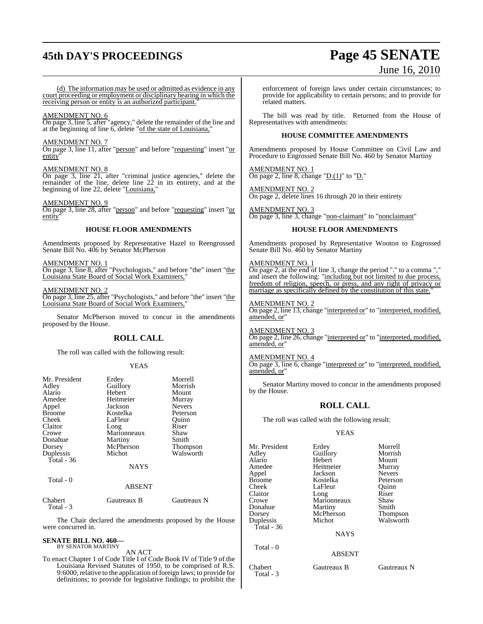## **45th DAY'S PROCEEDINGS Page 45 SENATE**

# June 16, 2010

(d) The information may be used or admitted as evidence in any court proceeding or employment or disciplinary hearing in which the receiving person or entity is an authorized participant.

#### AMENDMENT NO. 6

On page 3, line 5, after "agency," delete the remainder of the line and at the beginning of line 6, delete "of the state of Louisiana,"

#### AMENDMENT NO. 7

On page 3, line 11, after "person" and before "requesting" insert "or entity

#### AMENDMENT NO. 8

On page 3, line 21, after "criminal justice agencies," delete the remainder of the line, delete line 22 in its entirety, and at the beginning of line 22, delete "Louisiana,"

#### AMENDMENT NO. 9

On page 3, line 28, after "person" and before "requesting" insert "or entity"

#### **HOUSE FLOOR AMENDMENTS**

Amendments proposed by Representative Hazel to Reengrossed Senate Bill No. 406 by Senator McPherson

AMENDMENT NO. 1

On page 3, line 8, after "Psychologists," and before "the" insert "the Louisiana State Board of Social Work Examiners,"

#### AMENDMENT NO. 2

On page 3, line 25, after "Psychologists," and before "the" insert "the Louisiana State Board of Social Work Examiners,"

Senator McPherson moved to concur in the amendments proposed by the House.

#### **ROLL CALL**

The roll was called with the following result:

#### YEAS

| Mr. President<br>Adley | Erdey<br>Guillory | Morrell<br>Morrish |
|------------------------|-------------------|--------------------|
| Alario                 | Hebert            | Mount              |
| Amedee                 | Heitmeier         | Murray             |
| Appel                  | Jackson           | <b>Nevers</b>      |
| <b>Broome</b>          | Kostelka          | Peterson           |
| Cheek                  | LaFleur           | Ouinn              |
| Claitor                | Long              | Riser              |
| Crowe                  | Marionneaux       | Shaw               |
| Donahue                | Martiny           | Smith              |
| Dorsey                 | McPherson         | Thompson           |
| Duplessis              | Michot            | Walsworth          |
| Total $-36$            |                   |                    |
|                        | <b>NAYS</b>       |                    |
| Total - 0              |                   |                    |
|                        | ABSENT            |                    |
| Chabert                | Gautreaux R       | Gautreaux N        |

| Unadert   |  |
|-----------|--|
| Total - 3 |  |

The Chair declared the amendments proposed by the House were concurred in.

#### **SENATE BILL NO. 460—** BY SENATOR MARTINY

#### AN ACT

To enact Chapter 1 of Code Title I of Code Book IV of Title 9 of the Louisiana Revised Statutes of 1950, to be comprised of R.S. 9:6000, relative to the application of foreign laws; to provide for definitions; to provide for legislative findings; to prohibit the enforcement of foreign laws under certain circumstances; to provide for applicability to certain persons; and to provide for related matters.

The bill was read by title. Returned from the House of Representatives with amendments:

#### **HOUSE COMMITTEE AMENDMENTS**

Amendments proposed by House Committee on Civil Law and Procedure to Engrossed Senate Bill No. 460 by Senator Martiny

AMENDMENT NO. 1 On page 2, line 8, change "D. $(1)$ " to "D."

AMENDMENT NO. 2 On page 2, delete lines 16 through 20 in their entirety

AMENDMENT NO. 3 On page 3, line 3, change "non-claimant" to "nonclaimant"

#### **HOUSE FLOOR AMENDMENTS**

Amendments proposed by Representative Wooton to Engrossed Senate Bill No. 460 by Senator Martiny

#### AMENDMENT NO. 1

On page 2, at the end of line 3, change the period "." to a comma "," and insert the following: "including but not limited to due process, freedom of religion, speech, or press, and any right of privacy or marriage as specifically defined by the constitution of this state.

#### AMENDMENT NO. 2

On page 2, line 13, change "interpreted or" to "interpreted, modified, amended, or

## AMENDMENT NO. 3

On page 2, line 26, change "interpreted or" to "interpreted, modified, amended, or

#### AMENDMENT NO. 4

On page 3, line 6, change "interpreted or" to "interpreted, modified, amended, or"

Senator Martiny moved to concur in the amendments proposed by the House.

### **ROLL CALL**

The roll was called with the following result:

#### YEAS

| Mr. President<br>Adley<br>Alario<br>Amedee<br>Appel<br>Broome<br>Cheek | Erdey<br>Guillory<br>Hebert<br>Heitmeier<br>Jackson<br>Kostelka<br>LaFleur | Morrell<br>Morrish<br>Mount<br>Murray<br><b>Nevers</b><br>Peterson<br>Ouinn |
|------------------------------------------------------------------------|----------------------------------------------------------------------------|-----------------------------------------------------------------------------|
| Claitor                                                                | Long                                                                       | Riser                                                                       |
| Crowe<br>Donahue                                                       | Marionneaux<br>Martiny                                                     | Shaw<br>Smith                                                               |
| Dorsey<br>Duplessis                                                    | McPherson<br>Michot                                                        | Thompson<br>Walsworth                                                       |
| Total - 36                                                             | <b>NAYS</b>                                                                |                                                                             |
| Total - 0                                                              | <b>ABSENT</b>                                                              |                                                                             |

Chabert Gautreaux B Gautreaux N Total - 3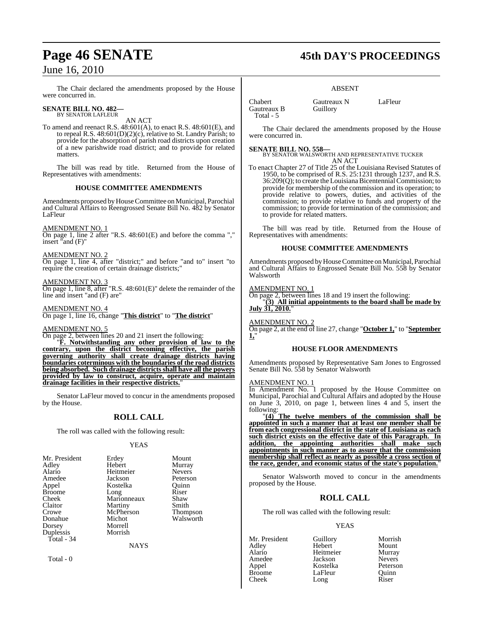## June 16, 2010

The Chair declared the amendments proposed by the House were concurred in.

## **SENATE BILL NO. 482—** BY SENATOR LAFLEUR

AN ACT

To amend and reenact R.S. 48:601(A), to enact R.S. 48:601(E), and to repeal R.S. 48:601(D)(2)(c), relative to St. Landry Parish; to provide for the absorption of parish road districts upon creation of a new parishwide road district; and to provide for related matters.

The bill was read by title. Returned from the House of Representatives with amendments:

#### **HOUSE COMMITTEE AMENDMENTS**

Amendments proposed by House Committee on Municipal, Parochial and Cultural Affairs to Reengrossed Senate Bill No. 482 by Senator LaFleur

#### AMENDMENT NO. 1

On page 1, line 2 after "R.S. 48:601(E) and before the comma "," insert "and (F)"

#### AMENDMENT NO. 2

On page 1, line 4, after "district;" and before "and to" insert "to require the creation of certain drainage districts;"

#### AMENDMENT NO. 3

On page 1, line 8, after "R.S. 48:601(E)" delete the remainder of the line and insert "and (F) are"

#### AMENDMENT NO. 4

On page 1, line 16, change "**This district**" to "**The district**"

#### AMENDMENT NO. 5

On page 2, between lines 20 and 21 insert the following:

"**F. Notwithstanding any other provision of law to the contrary, upon the district becoming effective, the parish governing authority shall create drainage districts having boundaries coterminous with the boundaries of the road districts being absorbed. Such drainage districts shall have all the powers provided by law to construct, acquire, operate and maintain drainage facilities in their respective districts.**"

Senator LaFleur moved to concur in the amendments proposed by the House.

### **ROLL CALL**

The roll was called with the following result:

#### YEAS

| Mr. President | Erdey       | Mount           |
|---------------|-------------|-----------------|
| Adley         | Hebert      | Murray          |
| Alario        | Heitmeier   | <b>Nevers</b>   |
| Amedee        | Jackson     | Peterson        |
| Appel         | Kostelka    | Ouinn           |
| <b>Broome</b> | Long        | Riser           |
| Cheek         | Marionneaux | Shaw            |
| Claitor       | Martiny     | Smith           |
| Crowe         | McPherson   | <b>Thompson</b> |
| Donahue       | Michot      | Walsworth       |
| Dorsey        | Morrell     |                 |
| Duplessis     | Morrish     |                 |
| Total - 34    |             |                 |

**NAYS** 

Total - 0

## **Page 46 SENATE 45th DAY'S PROCEEDINGS**

#### ABSENT

Chabert Gautreaux N LaFleur<br>Gautreaux B Guillory Gautreaux B Total - 5

The Chair declared the amendments proposed by the House were concurred in.

**SENATE BILL NO. 558—** BY SENATOR WALSWORTH AND REPRESENTATIVE TUCKER AN ACT

To enact Chapter 27 of Title 25 of the Louisiana Revised Statutes of 1950, to be comprised of R.S. 25:1231 through 1237, and R.S. 36:209(Q); to create the LouisianaBicentennialCommission; to provide for membership of the commission and its operation; to provide relative to powers, duties, and activities of the commission; to provide relative to funds and property of the commission; to provide for termination of the commission; and to provide for related matters.

The bill was read by title. Returned from the House of Representatives with amendments:

#### **HOUSE COMMITTEE AMENDMENTS**

Amendments proposed by House Committee on Municipal, Parochial and Cultural Affairs to Engrossed Senate Bill No. 558 by Senator Walsworth

#### AMENDMENT NO. 1

On page 2, between lines 18 and 19 insert the following:

"**(3) All initial appointments to the board shall be made by** July  $31, 2010.$ "

#### AMENDMENT NO. 2

On page 2, at the end of line 27, change "**October 1,**" to "**September 1,**"

#### **HOUSE FLOOR AMENDMENTS**

Amendments proposed by Representative Sam Jones to Engrossed Senate Bill No. 558 by Senator Walsworth

#### AMENDMENT NO. 1

In Amendment No. 1 proposed by the House Committee on Municipal, Parochial and Cultural Affairs and adopted by the House on June 3, 2010, on page 1, between lines 4 and 5, insert the following:

"**(4) The twelve members of the commission shall be appointed in such a manner that at least one member shall be from each congressional district in the state of Louisiana as each such district exists on the effective date of this Paragraph. In addition, the appointing authorities shall make such appointments in such manner as to assure that the commission membership shall reflect as nearly as possible a cross section of the race, gender, and economic status of the state's population.**"

Senator Walsworth moved to concur in the amendments proposed by the House.

### **ROLL CALL**

The roll was called with the following result:

Long

#### YEAS

Adley Hebert Mount Alario Heitmeier Murray Amedee Jackson Nevers<br>Appel Kostelka Peterson Appel Kostelka Peterson Broome LaFleur Quinn<br>Cheek Long Riser

Mr. President Guillory Morrish<br>Adley Hebert Mount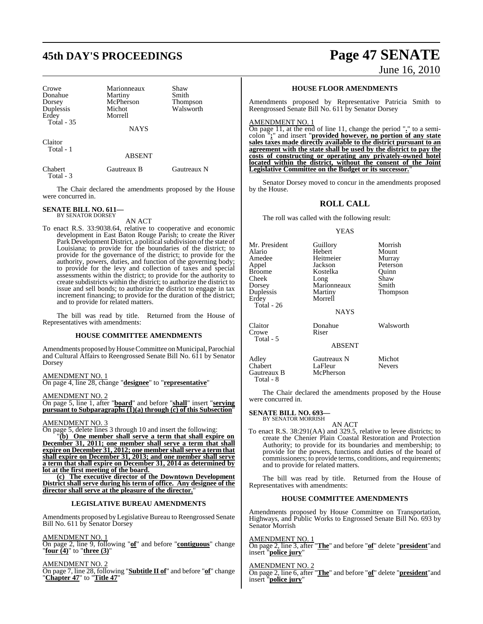## **45th DAY'S PROCEEDINGS Page 47 SENATE**

Crowe Marionneaux Shaw<br>
Donahue Martiny Smith Donahue Martiny Smith Dorsey McPherson<br>
Duplessis Michot Erdey Total - 35

Michot Walsworth

**NAYS** 

Claitor Total - 1

ABSENT

Chabert Gautreaux B Gautreaux N Total - 3

The Chair declared the amendments proposed by the House were concurred in.

#### **SENATE BILL NO. 611—** BY SENATOR DORSEY

#### AN ACT

To enact R.S. 33:9038.64, relative to cooperative and economic development in East Baton Rouge Parish; to create the River Park Development District, a political subdivision of the state of Louisiana; to provide for the boundaries of the district; to provide for the governance of the district; to provide for the authority, powers, duties, and function of the governing body; to provide for the levy and collection of taxes and special assessments within the district; to provide for the authority to create subdistricts within the district; to authorize the district to issue and sell bonds; to authorize the district to engage in tax increment financing; to provide for the duration of the district; and to provide for related matters.

The bill was read by title. Returned from the House of Representatives with amendments:

#### **HOUSE COMMITTEE AMENDMENTS**

Amendments proposed by House Committee on Municipal, Parochial and Cultural Affairs to Reengrossed Senate Bill No. 611 by Senator Dorsey

AMENDMENT NO. 1 On page 4, line 28, change "**designee**" to "**representative**"

AMENDMENT NO. 2

On page 5, line 1, after "**board**" and before "**shall**" insert "**serving pursuant to Subparagraphs (1)(a) through (c) of this Subsection**"

#### AMENDMENT NO. 3

On page 5, delete lines 3 through 10 and insert the following: "**(b) One member shall serve a term that shall expire on December 31, 2011; one member shall serve a term that shall expire on December 31, 2012; one member shallserve a term that shall expire on December 31, 2013; and one member shall serve a term that shall expire on December 31, 2014 as determined by lot at the first meeting of the board.** 

**(c) The executive director of the Downtown Development District shall serve during his term of office. Any designee of the** director shall serve at the pleasure of the director.

#### **LEGISLATIVE BUREAU AMENDMENTS**

Amendments proposed by Legislative Bureau to Reengrossed Senate Bill No. 611 by Senator Dorsey

#### AMENDMENT NO. 1

On page 2, line 9, following "**of**" and before "**contiguous**" change "**four (4)**" to "**three (3)**"

AMENDMENT NO. 2

On page 7, line 28, following "**Subtitle II of**" and before "**of**" change "**Chapter 47**" to "**Title 47**"

#### **HOUSE FLOOR AMENDMENTS**

Amendments proposed by Representative Patricia Smith to Reengrossed Senate Bill No. 611 by Senator Dorsey

#### AMENDMENT NO. 1

On page 11, at the end of line 11, change the period "**.**" to a semicolon "**;**" and insert "**provided however, no portion of any state sales taxes made directly available to the district pursuant to an agreement with the state shall be used by the district to pay the costs of constructing or operating any privately-owned hotel located within the district, without the consent of the Joint Legislative Committee on the Budget or its successor.**"

Senator Dorsey moved to concur in the amendments proposed by the House.

#### **ROLL CALL**

The roll was called with the following result:

#### YEAS

| Mr. President<br>Alario<br>Amedee<br>Appel<br><b>Broome</b><br>Cheek<br>Dorsey<br>Duplessis<br>Erdey<br>Total - $26$ | Guillory<br>Hebert<br>Heitmeier<br>Jackson<br>Kostelka<br>Long<br>Marionneaux<br>Martiny<br>Morrell<br><b>NAYS</b> | Morrish<br>Mount<br>Murray<br>Peterson<br>Ouinn<br>Shaw<br>Smith<br><b>Thompson</b> |
|----------------------------------------------------------------------------------------------------------------------|--------------------------------------------------------------------------------------------------------------------|-------------------------------------------------------------------------------------|
| Claitor<br>Crowe<br>Total - 5                                                                                        | Donahue<br>Riser<br><b>ABSENT</b>                                                                                  | Walsworth                                                                           |
| Adley<br>Chabert<br>Gautreaux B                                                                                      | Gautreaux N<br>LaFleur<br>McPherson                                                                                | Michot<br><b>Nevers</b>                                                             |

The Chair declared the amendments proposed by the House were concurred in.

## **SENATE BILL NO. 693—** BY SENATOR MORRISH

Gautreaux B Total - 8

AN ACT

To enact R.S. 38:291(AA) and 329.5, relative to levee districts; to create the Chenier Plain Coastal Restoration and Protection Authority; to provide for its boundaries and membership; to provide for the powers, functions and duties of the board of commissioners; to provide terms, conditions, and requirements; and to provide for related matters.

The bill was read by title. Returned from the House of Representatives with amendments:

#### **HOUSE COMMITTEE AMENDMENTS**

Amendments proposed by House Committee on Transportation, Highways, and Public Works to Engrossed Senate Bill No. 693 by Senator Morrish

#### AMENDMENT NO. 1

On page 2, line 3, after "**The**" and before "**of**" delete "**president**"and insert "**police jury**"

#### AMENDMENT NO. 2

On page 2, line 6, after "**The**" and before "**of**" delete "**president**"and insert "**police jury**"

# June 16, 2010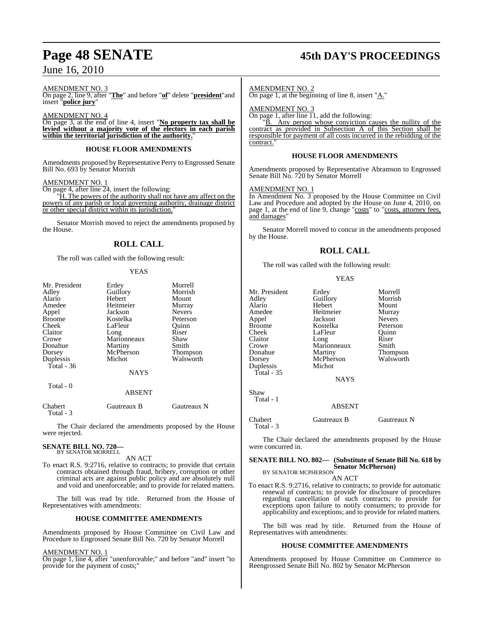## June 16, 2010

#### AMENDMENT NO. 3

On page 2, line 9, after "**The**" and before "**of**" delete "**president**"and insert "**police jury**"

AMENDMENT NO. 4

On page 3, at the end of line 4, insert "**No property tax shall be levied without a majority vote of the electors in each parish within the territorial jurisdiction of the authority.**"

#### **HOUSE FLOOR AMENDMENTS**

Amendments proposed by Representative Perry to Engrossed Senate Bill No. 693 by Senator Morrish

#### AMENDMENT NO. 1

On page 4, after line 24, insert the following:

"H. The powers of the authority shall not have any affect on the powers of any parish or local governing authority, drainage district or other special district within its jurisdiction."

Senator Morrish moved to reject the amendments proposed by the House.

### **ROLL CALL**

The roll was called with the following result:

#### **YEAS**

| Mr. President     | Erdey         | Morrell       |
|-------------------|---------------|---------------|
| Adley             | Guillory      | Morrish       |
| Alario            | Hebert        | Mount         |
| Amedee            | Heitmeier     | Murray        |
| Appel             | Jackson       | <b>Nevers</b> |
| Broome            | Kostelka      | Peterson      |
| Cheek             | LaFleur       | Ouinn         |
| Claitor           | Long          | Riser         |
| Crowe             | Marionneaux   | Shaw          |
| Donahue           | Martiny       | Smith         |
| Dorsey            | McPherson     | Thompson      |
| Duplessis         | Michot        | Walsworth     |
| <b>Total</b> - 36 |               |               |
|                   | <b>NAYS</b>   |               |
| Total - 0         |               |               |
|                   | <b>ABSENT</b> |               |
|                   |               |               |

| Chabert   | Gautreaux B | Gautreaux N |
|-----------|-------------|-------------|
| Total - 3 |             |             |

The Chair declared the amendments proposed by the House were rejected.

#### **SENATE BILL NO. 720—** BY SENATOR MORRELL

AN ACT

To enact R.S. 9:2716, relative to contracts; to provide that certain contracts obtained through fraud, bribery, corruption or other criminal acts are against public policy and are absolutely null and void and unenforceable; and to provide for related matters.

The bill was read by title. Returned from the House of Representatives with amendments:

#### **HOUSE COMMITTEE AMENDMENTS**

Amendments proposed by House Committee on Civil Law and Procedure to Engrossed Senate Bill No. 720 by Senator Morrell

#### AMENDMENT NO. 1

On page 1, line 4, after "unenforceable;" and before "and" insert "to provide for the payment of costs;"

## **Page 48 SENATE 45th DAY'S PROCEEDINGS**

#### AMENDMENT NO. 2

On page 1, at the beginning of line 8, insert " $A$ ."

AMEND<u>MENT NO. 3</u>

On page 1, after line 11, add the following:

"B. Any person whose conviction causes the nullity of the contract as provided in Subsection A of this Section shall be responsible for payment of all costs incurred in the rebidding of the contract.

#### **HOUSE FLOOR AMENDMENTS**

Amendments proposed by Representative Abramson to Engrossed Senate Bill No. 720 by Senator Morrell

#### AMENDMENT NO. 1

In Amendment No. 3 proposed by the House Committee on Civil Law and Procedure and adopted by the House on June 4, 2010, on page 1, at the end of line 9, change "costs" to "costs, attorney fees, and damages'

Senator Morrell moved to concur in the amendments proposed by the House.

#### **ROLL CALL**

The roll was called with the following result:

#### YEAS

| Mr. President<br>Adley<br>Alario<br>Amedee<br>Appel<br><b>Broome</b><br>Cheek<br>Claitor<br>Crowe<br>Donahue<br>Dorsey<br>Duplessis<br>Total - 35 | Erdey<br>Guillory<br>Hebert<br>Heitmeier<br>Jackson<br>Kostelka<br>LaFleur<br>Long<br>Marionneaux<br>Martiny<br>McPherson<br>Michot<br><b>NAYS</b> | Morrell<br>Morrish<br>Mount<br>Murray<br><b>Nevers</b><br>Peterson<br>Quinn<br>Riser<br>Smith<br>Thompson<br>Walsworth |
|---------------------------------------------------------------------------------------------------------------------------------------------------|----------------------------------------------------------------------------------------------------------------------------------------------------|------------------------------------------------------------------------------------------------------------------------|
| Shaw<br>Total - 1                                                                                                                                 | <b>ABSENT</b>                                                                                                                                      |                                                                                                                        |
| Chabert                                                                                                                                           | Gautreaux B                                                                                                                                        | Gautreaux N                                                                                                            |

Total - 3

The Chair declared the amendments proposed by the House were concurred in.

## **SENATE BILL NO. 802— (Substitute of Senate Bill No. 618 by Senator McPherson)** BY SENATOR MCPHERSON

AN ACT

To enact R.S. 9:2716, relative to contracts; to provide for automatic renewal of contracts; to provide for disclosure of procedures regarding cancellation of such contracts; to provide for exceptions upon failure to notify consumers; to provide for applicability and exceptions; and to provide for related matters.

The bill was read by title. Returned from the House of Representatives with amendments:

#### **HOUSE COMMITTEE AMENDMENTS**

Amendments proposed by House Committee on Commerce to Reengrossed Senate Bill No. 802 by Senator McPherson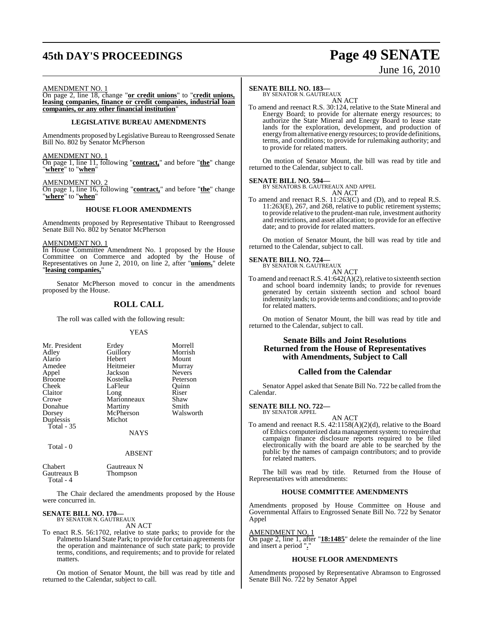## **45th DAY'S PROCEEDINGS Page 49 SENATE**

# June 16, 2010

AMENDMENT NO. 1

On page 2, line 18, change "**or credit unions**" to "**credit unions, leasing companies, finance or credit companies, industrial loan companies, or any other financial institution**"

#### **LEGISLATIVE BUREAU AMENDMENTS**

Amendments proposed by Legislative Bureau to Reengrossed Senate Bill No. 802 by Senator McPherson

#### AMENDMENT NO. 1

On page 1, line 11, following "**contract,**" and before "**the**" change "**where**" to "**when**"

#### AMENDMENT NO.

On page 1, line 16, following "**contract,**" and before "**the**" change "**where**" to "**when**"

#### **HOUSE FLOOR AMENDMENTS**

Amendments proposed by Representative Thibaut to Reengrossed Senate Bill No. 802 by Senator McPherson

#### AMENDMENT NO. 1

In House Committee Amendment No. 1 proposed by the House Committee on Commerce and adopted by the House of Representatives on June 2, 2010, on line 2, after "**unions,**" delete "**leasing companies,**"

Senator McPherson moved to concur in the amendments proposed by the House.

## **ROLL CALL**

The roll was called with the following result:

#### YEAS

| Mr. President | Erdey       | Morrell       |
|---------------|-------------|---------------|
| Adley         | Guillory    | Morrish       |
| Alario        | Hebert      | Mount         |
| Amedee        | Heitmeier   | Murray        |
| Appel         | Jackson     | <b>Nevers</b> |
| <b>Broome</b> | Kostelka    | Peterson      |
| Cheek         | LaFleur     | Ouinn         |
| Claitor       | Long        | Riser         |
| Crowe         | Marionneaux | Shaw          |
| Donahue       | Martiny     | Smith         |
| Dorsey        | McPherson   | Walsworth     |
| Duplessis     | Michot      |               |
| Total $-35$   |             |               |
|               | NAYS        |               |

Thompson

### Total - 0

Chabert Gautreaux N<br>
Gautreaux B<br>
Thompson

Total - 4

The Chair declared the amendments proposed by the House were concurred in.

ABSENT

#### **SENATE BILL NO. 170—** BY SENATOR N. GAUTREAUX

AN ACT

To enact R.S. 56:1702, relative to state parks; to provide for the Palmetto Island State Park; to provide for certain agreements for the operation and maintenance of such state park; to provide terms, conditions, and requirements; and to provide for related matters.

On motion of Senator Mount, the bill was read by title and returned to the Calendar, subject to call.

#### **SENATE BILL NO. 183—**

BY SENATOR N. GAUTREAUX AN ACT

To amend and reenact R.S. 30:124, relative to the State Mineral and Energy Board; to provide for alternate energy resources; to authorize the State Mineral and Energy Board to lease state lands for the exploration, development, and production of energy fromalternative energy resources; to provide definitions, terms, and conditions; to provide for rulemaking authority; and to provide for related matters.

On motion of Senator Mount, the bill was read by title and returned to the Calendar, subject to call.

#### **SENATE BILL NO. 594—**

BY SENATORS B. GAUTREAUX AND APPEL AN ACT

To amend and reenact R.S. 11:263(C) and (D), and to repeal R.S. 11:263(E), 267, and 268, relative to public retirement systems; to provide relative to the prudent-man rule, investment authority and restrictions, and asset allocation; to provide for an effective date; and to provide for related matters.

On motion of Senator Mount, the bill was read by title and returned to the Calendar, subject to call.

#### **SENATE BILL NO. 724—**

BY SENATOR N. GAUTREAUX AN ACT

To amend and reenact R.S.  $41:642(A)(2)$ , relative to sixteenth section and school board indemnity lands; to provide for revenues generated by certain sixteenth section and school board indemnity lands; to provide terms and conditions; and to provide for related matters.

On motion of Senator Mount, the bill was read by title and returned to the Calendar, subject to call.

#### **Senate Bills and Joint Resolutions Returned from the House of Representatives with Amendments, Subject to Call**

#### **Called from the Calendar**

Senator Appel asked that Senate Bill No. 722 be called from the Calendar.

## **SENATE BILL NO. 722—** BY SENATOR APPEL

AN ACT

To amend and reenact R.S. 42:1158(A)(2)(d), relative to the Board of Ethics computerized data management system; to require that campaign finance disclosure reports required to be filed electronically with the board are able to be searched by the public by the names of campaign contributors; and to provide for related matters.

The bill was read by title. Returned from the House of Representatives with amendments:

#### **HOUSE COMMITTEE AMENDMENTS**

Amendments proposed by House Committee on House and Governmental Affairs to Engrossed Senate Bill No. 722 by Senator Appel

AMENDMENT NO. 1

On page 2, line 1, after "**18:1485**" delete the remainder of the line and insert a period "**.**"

#### **HOUSE FLOOR AMENDMENTS**

Amendments proposed by Representative Abramson to Engrossed Senate Bill No. 722 by Senator Appel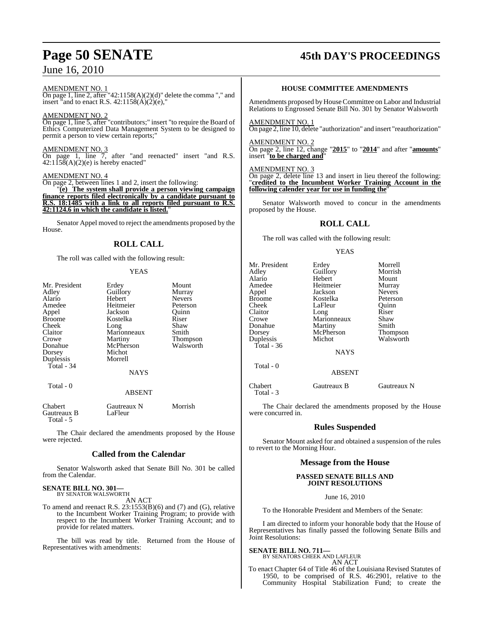## June 16, 2010

#### AMENDMENT NO. 1

On page 1, line 2, after "42:1158(A)(2)(d)" delete the comma "," and insert "and to enact R.S.  $42:1158(A)(2)(e)$ ,"

#### AMENDMENT NO. 2

On page 1, line 5, after "contributors;" insert "to require the Board of Ethics Computerized Data Management System to be designed to permit a person to view certain reports;"

#### AMENDMENT NO. 3

On page 1, line 7, after "and reenacted" insert "and R.S.  $42:1158(A)(2)(e)$  is hereby enacted"

#### AMENDMENT NO. 4

On page 2, between lines 1 and 2, insert the following:

"**(e) The system shall provide a person viewing campaign finance reports filed electronically by a candidate pursuant to R.S. 18:1485 with a link to all reports filed pursuant to R.S. 42:1124.6 in which the candidate is listed.**"

Senator Appel moved to reject the amendments proposed by the House.

## **ROLL CALL**

The roll was called with the following result:

#### YEAS

| Mr. President | Erdey       | Mount           |
|---------------|-------------|-----------------|
| Adley         | Guillory    | Murray          |
| Alario        | Hebert      | <b>Nevers</b>   |
| Amedee        | Heitmeier   | Peterson        |
| Appel         | Jackson     | Ouinn           |
| <b>Broome</b> | Kostelka    | Riser           |
| Cheek         | Long        | Shaw            |
| Claitor       | Marionneaux | Smith           |
| Crowe         | Martiny     | <b>Thompson</b> |
| Donahue       | McPherson   | Walsworth       |
| Dorsey        | Michot      |                 |
| Duplessis     | Morrell     |                 |
| Total - 34    |             |                 |
|               | <b>NAYS</b> |                 |
| Total - 0     |             |                 |
|               | ABSENT      |                 |

Chabert Gautreaux N Morrish<br>
Gautreaux B LaFleur Gautreaux B Total - 5

The Chair declared the amendments proposed by the House were rejected.

#### **Called from the Calendar**

Senator Walsworth asked that Senate Bill No. 301 be called from the Calendar.

#### **SENATE BILL NO. 301—** BY SENATOR WALSWORTH

AN ACT

To amend and reenact R.S. 23:1553(B)(6) and (7) and (G), relative to the Incumbent Worker Training Program; to provide with respect to the Incumbent Worker Training Account; and to provide for related matters.

The bill was read by title. Returned from the House of Representatives with amendments:

## **Page 50 SENATE 45th DAY'S PROCEEDINGS**

#### **HOUSE COMMITTEE AMENDMENTS**

Amendments proposed byHouseCommittee on Labor and Industrial Relations to Engrossed Senate Bill No. 301 by Senator Walsworth

#### AMENDMENT NO. 1

On page 2, line 10, delete "authorization" and insert "reauthorization"

#### AMENDMENT NO. 2

On page 2, line 12, change "**2015**" to "**2014**" and after "**amounts**" insert "**to be charged and**"

#### AMENDMENT NO. 3

Total - 3

On page 2, delete line 13 and insert in lieu thereof the following: "**credited to the Incumbent Worker Training Account in the following calender year for use in funding the**"

Senator Walsworth moved to concur in the amendments proposed by the House.

### **ROLL CALL**

The roll was called with the following result:

#### YEAS

| Mr. President<br>Adley<br>Alario<br>Amedee<br>Appel<br><b>Broome</b><br>Cheek<br>Claitor<br>Crowe<br>Donahue | Erdey<br>Guillory<br>Hebert<br>Heitmeier<br>Jackson<br>Kostelka<br>LaFleur<br>Long<br>Marionneaux | Morrell<br>Morrish<br>Mount<br>Murray<br><b>Nevers</b><br>Peterson<br>Ouinn<br>Riser<br>Shaw<br>Smith |
|--------------------------------------------------------------------------------------------------------------|---------------------------------------------------------------------------------------------------|-------------------------------------------------------------------------------------------------------|
| Dorsey<br>Duplessis<br>Total - $36$                                                                          | Martiny<br>McPherson<br>Michot                                                                    | Thompson<br>Walsworth                                                                                 |
| Total - 0                                                                                                    | <b>NAYS</b>                                                                                       |                                                                                                       |
| Chabert                                                                                                      | <b>ABSENT</b><br>Gautreaux B                                                                      | Gautreaux N                                                                                           |
|                                                                                                              |                                                                                                   |                                                                                                       |

The Chair declared the amendments proposed by the House were concurred in.

### **Rules Suspended**

Senator Mount asked for and obtained a suspension of the rules to revert to the Morning Hour.

#### **Message from the House**

#### **PASSED SENATE BILLS AND JOINT RESOLUTIONS**

June 16, 2010

To the Honorable President and Members of the Senate:

I am directed to inform your honorable body that the House of Representatives has finally passed the following Senate Bills and Joint Resolutions:

#### **SENATE BILL NO. 711—**

#### BY SENATORS CHEEK AND LAFLEUR AN ACT

To enact Chapter 64 of Title 46 of the Louisiana Revised Statutes of 1950, to be comprised of R.S. 46:2901, relative to the Community Hospital Stabilization Fund; to create the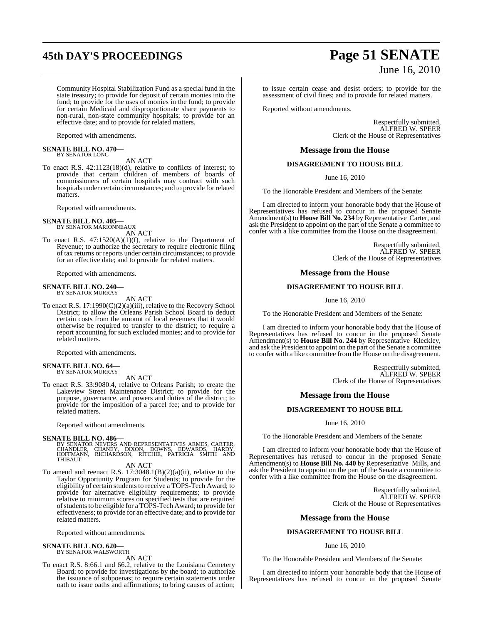## **45th DAY'S PROCEEDINGS Page 51 SENATE**

Community Hospital Stabilization Fund as a special fund in the state treasury; to provide for deposit of certain monies into the fund; to provide for the uses of monies in the fund; to provide for certain Medicaid and disproportionate share payments to non-rural, non-state community hospitals; to provide for an effective date; and to provide for related matters.

Reported with amendments.

#### **SENATE BILL NO. 470—** BY SENATOR LONG

AN ACT

To enact R.S. 42:1123(18)(d), relative to conflicts of interest; to provide that certain children of members of boards of commissioners of certain hospitals may contract with such hospitals under certain circumstances; and to provide for related matters.

Reported with amendments.

## **SENATE BILL NO. 405—** BY SENATOR MARIONNEAUX

AN ACT

To enact R.S. 47:1520(A)(1)(f), relative to the Department of Revenue; to authorize the secretary to require electronic filing of tax returns or reports under certain circumstances; to provide for an effective date; and to provide for related matters.

Reported with amendments.

#### **SENATE BILL NO. 240—** BY SENATOR MURRAY

AN ACT

To enact R.S. 17:1990(C)(2)(a)(iii), relative to the Recovery School District; to allow the Orleans Parish School Board to deduct certain costs from the amount of local revenues that it would otherwise be required to transfer to the district; to require a report accounting for such excluded monies; and to provide for related matters.

Reported with amendments.

#### **SENATE BILL NO. 64—** BY SENATOR MURRAY

AN ACT

To enact R.S. 33:9080.4, relative to Orleans Parish; to create the Lakeview Street Maintenance District; to provide for the purpose, governance, and powers and duties of the district; to provide for the imposition of a parcel fee; and to provide for related matters.

Reported without amendments.

**SENATE BILL NO. 486—**<br>BY SENATOR NEVERS AND REPRESENTATIVES ARMES, CARTER, CHANDLER, CHANEY, DIXON, DOWNS, EDWARDS, HARDY,<br>HOFFMANN, RICHARDSON, RITCHIE, PATRICIA SMITH AND<br>THIBAUT

#### AN ACT

To amend and reenact R.S.  $17:3048.1(B)(2)(a)(ii)$ , relative to the Taylor Opportunity Program for Students; to provide for the eligibility of certain students to receive a TOPS-Tech Award; to provide for alternative eligibility requirements; to provide relative to minimum scores on specified tests that are required of students to be eligible for a TOPS-Tech Award; to provide for effectiveness; to provide for an effective date; and to provide for related matters.

Reported without amendments.

#### **SENATE BILL NO. 620—**

BY SENATOR WALSWORTH AN ACT

To enact R.S. 8:66.1 and 66.2, relative to the Louisiana Cemetery Board; to provide for investigations by the board; to authorize the issuance of subpoenas; to require certain statements under oath to issue oaths and affirmations; to bring causes of action;

# June 16, 2010

to issue certain cease and desist orders; to provide for the assessment of civil fines; and to provide for related matters.

Reported without amendments.

Respectfully submitted, ALFRED W. SPEER Clerk of the House of Representatives

#### **Message from the House**

#### **DISAGREEMENT TO HOUSE BILL**

June 16, 2010

To the Honorable President and Members of the Senate:

I am directed to inform your honorable body that the House of Representatives has refused to concur in the proposed Senate Amendment(s) to **House Bill No. 234** by Representative Carter, and ask the President to appoint on the part of the Senate a committee to confer with a like committee from the House on the disagreement.

> Respectfully submitted, ALFRED W. SPEER Clerk of the House of Representatives

#### **Message from the House**

#### **DISAGREEMENT TO HOUSE BILL**

June 16, 2010

To the Honorable President and Members of the Senate:

I am directed to inform your honorable body that the House of Representatives has refused to concur in the proposed Senate Amendment(s) to **House Bill No. 244** by Representative Kleckley, and ask the President to appoint on the part of the Senate a committee to confer with a like committee from the House on the disagreement.

> Respectfully submitted, ALFRED W. SPEER Clerk of the House of Representatives

#### **Message from the House**

#### **DISAGREEMENT TO HOUSE BILL**

June 16, 2010

To the Honorable President and Members of the Senate:

I am directed to inform your honorable body that the House of Representatives has refused to concur in the proposed Senate Amendment(s) to **House Bill No. 440** by Representative Mills, and ask the President to appoint on the part of the Senate a committee to confer with a like committee from the House on the disagreement.

> Respectfully submitted, ALFRED W. SPEER Clerk of the House of Representatives

#### **Message from the House**

#### **DISAGREEMENT TO HOUSE BILL**

#### June 16, 2010

To the Honorable President and Members of the Senate:

I am directed to inform your honorable body that the House of Representatives has refused to concur in the proposed Senate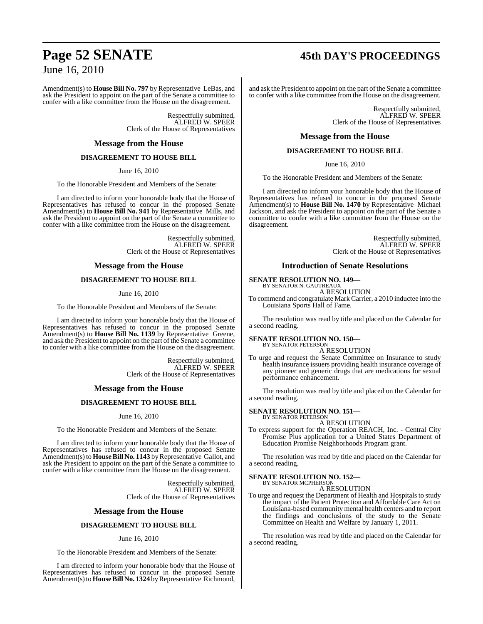## **Page 52 SENATE 45th DAY'S PROCEEDINGS**

## June 16, 2010

Amendment(s) to **House Bill No. 797** by Representative LeBas, and ask the President to appoint on the part of the Senate a committee to confer with a like committee from the House on the disagreement.

> Respectfully submitted, ALFRED W. SPEER Clerk of the House of Representatives

#### **Message from the House**

#### **DISAGREEMENT TO HOUSE BILL**

June 16, 2010

To the Honorable President and Members of the Senate:

I am directed to inform your honorable body that the House of Representatives has refused to concur in the proposed Senate Amendment(s) to **House Bill No. 941** by Representative Mills, and ask the President to appoint on the part of the Senate a committee to confer with a like committee from the House on the disagreement.

> Respectfully submitted, ALFRED W. SPEER Clerk of the House of Representatives

#### **Message from the House**

#### **DISAGREEMENT TO HOUSE BILL**

June 16, 2010

To the Honorable President and Members of the Senate:

I am directed to inform your honorable body that the House of Representatives has refused to concur in the proposed Senate Amendment(s) to **House Bill No. 1139** by Representative Greene, and ask the President to appoint on the part of the Senate a committee to confer with a like committee from the House on the disagreement.

> Respectfully submitted, ALFRED W. SPEER Clerk of the House of Representatives

#### **Message from the House**

#### **DISAGREEMENT TO HOUSE BILL**

June 16, 2010

To the Honorable President and Members of the Senate:

I am directed to inform your honorable body that the House of Representatives has refused to concur in the proposed Senate Amendment(s) to **House Bill No. 1143** by Representative Gallot, and ask the President to appoint on the part of the Senate a committee to confer with a like committee from the House on the disagreement.

> Respectfully submitted, ALFRED W. SPEER Clerk of the House of Representatives

#### **Message from the House**

#### **DISAGREEMENT TO HOUSE BILL**

#### June 16, 2010

To the Honorable President and Members of the Senate:

I am directed to inform your honorable body that the House of Representatives has refused to concur in the proposed Senate Amendment(s) to **House Bill No. 1324** by Representative Richmond,

and ask the President to appoint on the part of the Senate a committee to confer with a like committee from the House on the disagreement.

> Respectfully submitted, ALFRED W. SPEER Clerk of the House of Representatives

#### **Message from the House**

#### **DISAGREEMENT TO HOUSE BILL**

June 16, 2010

To the Honorable President and Members of the Senate:

I am directed to inform your honorable body that the House of Representatives has refused to concur in the proposed Senate Amendment(s) to **House Bill No. 1470** by Representative Michael Jackson, and ask the President to appoint on the part of the Senate a committee to confer with a like committee from the House on the disagreement.

> Respectfully submitted, ALFRED W. SPEER Clerk of the House of Representatives

#### **Introduction of Senate Resolutions**

#### **SENATE RESOLUTION NO. 149—**

BY SENATOR N. GAUTREAUX A RESOLUTION

To commend and congratulate Mark Carrier, a 2010 inductee into the Louisiana Sports Hall of Fame.

The resolution was read by title and placed on the Calendar for a second reading.

#### **SENATE RESOLUTION NO. 150—**

BY SENATOR PETERSON A RESOLUTION

To urge and request the Senate Committee on Insurance to study health insurance issuers providing health insurance coverage of any pioneer and generic drugs that are medications for sexual performance enhancement.

The resolution was read by title and placed on the Calendar for a second reading.

#### **SENATE RESOLUTION NO. 151—** BY SENATOR PETERSON

A RESOLUTION

To express support for the Operation REACH, Inc. - Central City Promise Plus application for a United States Department of Education Promise Neighborhoods Program grant.

The resolution was read by title and placed on the Calendar for a second reading.

## **SENATE RESOLUTION NO. 152—** BY SENATOR MCPHERSON

A RESOLUTION

To urge and request the Department of Health and Hospitals to study the impact of the Patient Protection and Affordable Care Act on Louisiana-based community mental health centers and to report the findings and conclusions of the study to the Senate Committee on Health and Welfare by January 1, 2011.

The resolution was read by title and placed on the Calendar for a second reading.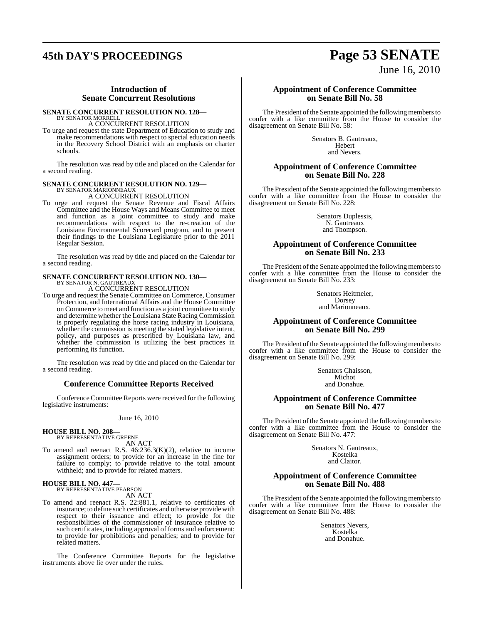## **45th DAY'S PROCEEDINGS Page 53 SENATE**

#### **Introduction of Senate Concurrent Resolutions**

## **SENATE CONCURRENT RESOLUTION NO. 128—**

BY SENATOR MORRELL A CONCURRENT RESOLUTION

To urge and request the state Department of Education to study and make recommendations with respect to special education needs in the Recovery School District with an emphasis on charter schools.

The resolution was read by title and placed on the Calendar for a second reading.

#### **SENATE CONCURRENT RESOLUTION NO. 129—**

BY SENATOR MARIONNEAUX A CONCURRENT RESOLUTION

To urge and request the Senate Revenue and Fiscal Affairs Committee and the House Ways and Means Committee to meet and function as a joint committee to study and make recommendations with respect to the re-creation of the Louisiana Environmental Scorecard program, and to present their findings to the Louisiana Legislature prior to the 2011 Regular Session.

The resolution was read by title and placed on the Calendar for a second reading.

## **SENATE CONCURRENT RESOLUTION NO. 130—** BY SENATOR N. GAUTREAUX

A CONCURRENT RESOLUTION

To urge and request the Senate Committee on Commerce, Consumer Protection, and International Affairs and the House Committee on Commerce to meet and function as a joint committee to study and determine whether the Louisiana State Racing Commission is properly regulating the horse racing industry in Louisiana, whether the commission is meeting the stated legislative intent, policy, and purposes as prescribed by Louisiana law, and whether the commission is utilizing the best practices in performing its function.

The resolution was read by title and placed on the Calendar for a second reading.

#### **Conference Committee Reports Received**

Conference Committee Reports were received for the following legislative instruments:

June 16, 2010

**HOUSE BILL NO. 208—** BY REPRESENTATIVE GREENE

AN ACT

To amend and reenact R.S. 46:236.3(K)(2), relative to income assignment orders; to provide for an increase in the fine for failure to comply; to provide relative to the total amount withheld; and to provide for related matters.

## **HOUSE BILL NO. 447—** BY REPRESENTATIVE PEARSON

- AN ACT
- To amend and reenact R.S. 22:881.1, relative to certificates of insurance; to define such certificates and otherwise provide with respect to their issuance and effect; to provide for the responsibilities of the commissioner of insurance relative to such certificates, including approval of forms and enforcement; to provide for prohibitions and penalties; and to provide for related matters.

The Conference Committee Reports for the legislative instruments above lie over under the rules.

June 16, 2010

#### **Appointment of Conference Committee on Senate Bill No. 58**

The President of the Senate appointed the following members to confer with a like committee from the House to consider the disagreement on Senate Bill No. 58:

> Senators B. Gautreaux, Hebert and Nevers.

#### **Appointment of Conference Committee on Senate Bill No. 228**

The President of the Senate appointed the following members to confer with a like committee from the House to consider the disagreement on Senate Bill No. 228:

> Senators Duplessis, N. Gautreaux and Thompson.

#### **Appointment of Conference Committee on Senate Bill No. 233**

The President of the Senate appointed the following members to confer with a like committee from the House to consider the disagreement on Senate Bill No. 233:

> Senators Heitmeier, Dorsey and Marionneaux.

#### **Appointment of Conference Committee on Senate Bill No. 299**

The President of the Senate appointed the following members to confer with a like committee from the House to consider the disagreement on Senate Bill No. 299:

> Senators Chaisson, Michot and Donahue.

### **Appointment of Conference Committee on Senate Bill No. 477**

The President of the Senate appointed the following members to confer with a like committee from the House to consider the disagreement on Senate Bill No. 477:

> Senators N. Gautreaux, Kostelka and Claitor.

#### **Appointment of Conference Committee on Senate Bill No. 488**

The President of the Senate appointed the following members to confer with a like committee from the House to consider the disagreement on Senate Bill No. 488:

> Senators Nevers, Kostelka and Donahue.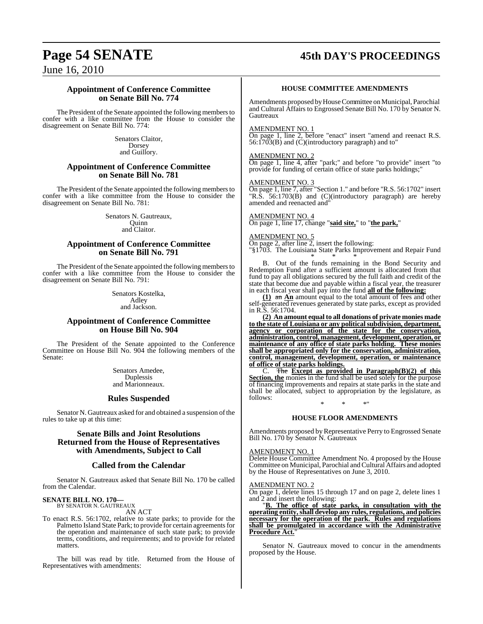## **Page 54 SENATE 45th DAY'S PROCEEDINGS**

June 16, 2010

#### **Appointment of Conference Committee on Senate Bill No. 774**

The President of the Senate appointed the following members to confer with a like committee from the House to consider the disagreement on Senate Bill No. 774:

> Senators Claitor, Dorsey and Guillory.

#### **Appointment of Conference Committee on Senate Bill No. 781**

The President of the Senate appointed the following members to confer with a like committee from the House to consider the disagreement on Senate Bill No. 781:

> Senators N. Gautreaux, **Ouinn** and Claitor.

#### **Appointment of Conference Committee on Senate Bill No. 791**

The President of the Senate appointed the following members to confer with a like committee from the House to consider the disagreement on Senate Bill No. 791:

> Senators Kostelka, Adley and Jackson.

#### **Appointment of Conference Committee on House Bill No. 904**

The President of the Senate appointed to the Conference Committee on House Bill No. 904 the following members of the Senate:

> Senators Amedee, Duplessis and Marionneaux.

#### **Rules Suspended**

Senator N. Gautreaux asked for and obtained a suspension of the rules to take up at this time:

#### **Senate Bills and Joint Resolutions Returned from the House of Representatives with Amendments, Subject to Call**

#### **Called from the Calendar**

Senator N. Gautreaux asked that Senate Bill No. 170 be called from the Calendar.

## **SENATE BILL NO. 170—** BY SENATOR N. GAUTREAUX

AN ACT

To enact R.S. 56:1702, relative to state parks; to provide for the Palmetto Island State Park; to provide for certain agreements for the operation and maintenance of such state park; to provide terms, conditions, and requirements; and to provide for related matters.

The bill was read by title. Returned from the House of Representatives with amendments:

#### **HOUSE COMMITTEE AMENDMENTS**

Amendments proposed by House Committee on Municipal, Parochial and Cultural Affairs to Engrossed Senate Bill No. 170 by Senator N. Gautreaux

#### AMENDMENT NO. 1

On page 1, line 2, before "enact" insert "amend and reenact R.S. 56:1703(B) and (C)(introductory paragraph) and to"

#### AMENDMENT NO. 2

On page 1, line 4, after "park;" and before "to provide" insert "to provide for funding of certain office of state parks holdings;"

#### AMENDMENT NO. 3

On page 1, line 7, after "Section 1." and before "R.S. 56:1702" insert "R.S. 56:1703(B) and (C)(introductory paragraph) are hereby amended and reenacted and"

#### AMENDMENT NO. 4

On page 1, line 17, change "**said site,**" to "**the park,**"

#### AMENDMENT NO. 5

On page 2, after line 2, insert the following:

"§1703. The Louisiana State Parks Improvement and Repair Fund \* \* \*

B. Out of the funds remaining in the Bond Security and Redemption Fund after a sufficient amount is allocated from that fund to pay all obligations secured by the full faith and credit of the state that become due and payable within a fiscal year, the treasurer in each fiscal year shall pay into the fund **all of the following:**

**(1)** an **An** amount equal to the total amount of fees and other self-generated revenues generated by state parks, except as provided in R.S. 56:1704.

**(2) An amount equal to all donations of private monies made to the state of Louisiana or any politicalsubdivision, department, agency or corporation of the state for the conservation, administration, control, management, development, operation, or maintenance of any office of state parks holding. These monies shall be appropriated only for the conservation, administration, control, management, development, operation, or maintenance of office of state parks holdings.**<br> **C. The Except as provident** 

C. The **Except as provided in Paragraph(B)(2) of this Section, the** monies in the fund shall be used solely for the purpose of financing improvements and repairs at state parks in the state and shall be allocated, subject to appropriation by the legislature, as follows: \* \* \*"

#### **HOUSE FLOOR AMENDMENTS**

Amendments proposed by Representative Perry to Engrossed Senate Bill No. 170 by Senator N. Gautreaux

#### AMENDMENT NO. 1

Delete House Committee Amendment No. 4 proposed by the House Committee on Municipal, Parochial and Cultural Affairs and adopted by the House of Representatives on June 3, 2010.

#### AMENDMENT NO. 2

On page 1, delete lines 15 through 17 and on page 2, delete lines 1 and 2 and insert the following:

"**B. The office of state parks, in consultation with the operating entity,shall develop any rules, regulations, and policies necessary for the operation of the park. Rules and regulations shall be promulgated in accordance with the Administrative Procedure Act.**"

Senator N. Gautreaux moved to concur in the amendments proposed by the House.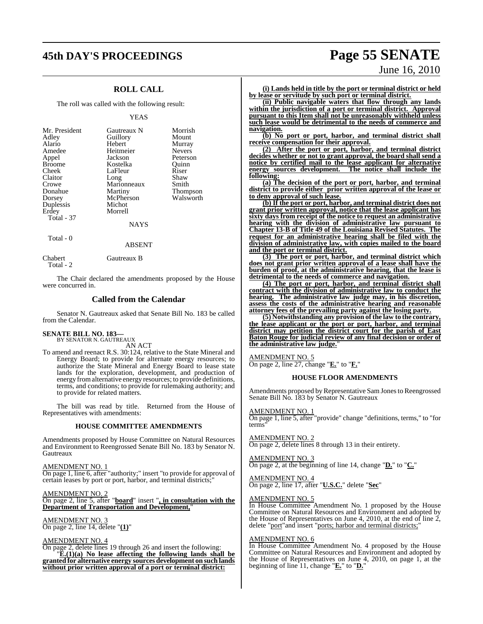## **45th DAY'S PROCEEDINGS Page 55 SENATE**

## **ROLL CALL**

The roll was called with the following result:

#### YEAS

| Gautreaux N<br>Guillory<br>Hebert<br>Heitmeier<br>Jackson<br>Kostelka<br>LaFleur<br>Long<br>Marionneaux<br>Martiny<br>McPherson<br>Michot<br>Morrell | Morrish<br>Mount<br>Murray<br><b>Nevers</b><br>Peterson<br>Ouinn<br>Riser<br>Shaw<br>Smith<br>Thompson<br>Walsworth |
|------------------------------------------------------------------------------------------------------------------------------------------------------|---------------------------------------------------------------------------------------------------------------------|
| <b>NAYS</b>                                                                                                                                          |                                                                                                                     |
|                                                                                                                                                      |                                                                                                                     |

Total - 0

Total - 2

Chabert Gautreaux B

The Chair declared the amendments proposed by the House were concurred in.

ABSENT

#### **Called from the Calendar**

Senator N. Gautreaux asked that Senate Bill No. 183 be called from the Calendar.

#### **SENATE BILL NO. 183—** BY SENATOR N. GAUTREAUX

AN ACT

To amend and reenact R.S. 30:124, relative to the State Mineral and Energy Board; to provide for alternate energy resources; to authorize the State Mineral and Energy Board to lease state lands for the exploration, development, and production of energy fromalternative energy resources; to provide definitions, terms, and conditions; to provide for rulemaking authority; and to provide for related matters.

The bill was read by title. Returned from the House of Representatives with amendments:

#### **HOUSE COMMITTEE AMENDMENTS**

Amendments proposed by House Committee on Natural Resources and Environment to Reengrossed Senate Bill No. 183 by Senator N. Gautreaux

AMENDMENT NO. 1

On page 1, line 6, after "authority;" insert "to provide for approval of certain leases by port or port, harbor, and terminal districts;"

AMENDMENT NO. 2 On page 2, line 5, after "**board**" insert "**, in consultation with the Department of Transportation and Development,**"

AMENDMENT NO. 3 On page 2, line 14, delete "**(1)**"

#### AMENDMENT NO. 4

On page 2, delete lines 19 through 26 and insert the following: "**E.(1)(a) No lease affecting the following lands shall be granted for alternative energy sources development on such lands without prior written approval of a port or terminal district:**

# June 16, 2010

**(i) Lands held in title by the port or terminal district or held by lease or servitude by such port or terminal district.**

**(ii) Public navigable waters that flow through any lands within the jurisdiction of a port or terminal district. Approval pursuant to this Item shall not be unreasonably withheld unless such lease would be detrimental to the needs of commerce and navigation.**

**(b) No port or port, harbor, and terminal district shall receive compensation for their approval.**

**(2) After the port or port, harbor, and terminal district decides whether or not to grant approval, the board shall send a notice by certified mail to the lease applicant for alternative energy sources development. The notice shall include the following:**

**(a) The decision of the port or port, harbor, and terminal district to provide either prior written approval of the lease or to deny approval of such lease.**

**(b) If the port or port, harbor, and terminal district does not grant prior written approval, notice that the lease applicant has sixty days from receipt of the notice to request an administrative hearing with the division of administrative law pursuant to Chapter 13-B of Title 49 of the Louisiana Revised Statutes. The request for an administrative hearing shall be filed with the division of administrative law, with copies mailed to the board and the port or terminal district.**

**(3) The port or port, harbor, and terminal district which does not grant prior written approval of a lease shall have the burden of proof, at the administrative hearing, that the lease is detrimental to the needs of commerce and navigation.**

**(4) The port or port, harbor, and terminal district shall contract with the division of administrative law to conduct the hearing. The administrative law judge may, in his discretion, assess the costs of the administrative hearing and reasonable attorney fees of the prevailing party against the losing party.**

**(5) Notwithstanding any provision of the law to the contrary, the lease applicant or the port or port, harbor, and terminal district may petition the district court for the parish of East Baton Rouge for judicial review of any final decision or order of the administrative law judge.**"

#### AMENDMENT NO. 5

On page 2, line 27, change "**E.**" to "**F.**"

#### **HOUSE FLOOR AMENDMENTS**

Amendments proposed by Representative Sam Jones to Reengrossed Senate Bill No. 183 by Senator N. Gautreaux

#### AMENDMENT NO. 1

On page 1, line 5, after "provide" change "definitions, terms," to "for terms"

#### AMENDMENT NO. 2

On page 2, delete lines 8 through 13 in their entirety.

#### AMENDMENT NO. 3

On page 2, at the beginning of line 14, change "**D.**" to "**C.**"

#### AMENDMENT NO. 4 On page 2, line 17, after "**U.S.C.**" delete "**Sec**"

#### AMENDMENT NO. 5

In House Committee Amendment No. 1 proposed by the House Committee on Natural Resources and Environment and adopted by the House of Representatives on June 4, 2010, at the end of line 2, delete "port"and insert "ports; harbor and terminal districts;

#### AMENDMENT NO. 6

In House Committee Amendment No. 4 proposed by the House Committee on Natural Resources and Environment and adopted by the House of Representatives on June 4, 2010, on page 1, at the beginning of line 11, change "**E.**" to "**D.**"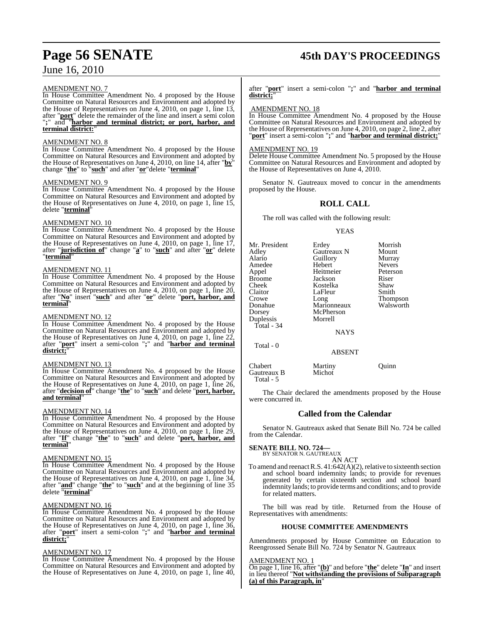## June 16, 2010

## AMENDMENT NO. 7

In House Committee Amendment No. 4 proposed by the House Committee on Natural Resources and Environment and adopted by the House of Representatives on June 4, 2010, on page 1, line 13, after "**port**" delete the remainder of the line and insert a semi colon "**;**" and "**harbor and terminal district; or port, harbor, and terminal district:**"

#### AMENDMENT NO. 8

In House Committee Amendment No. 4 proposed by the House Committee on Natural Resources and Environment and adopted by the House of Representatives on June 4, 2010, on line 14, after "**by**" change "**the**" to "**such**" and after "**or**"delete "**terminal**"

#### AMENDMENT NO. 9

In House Committee Amendment No. 4 proposed by the House Committee on Natural Resources and Environment and adopted by the House of Representatives on June 4, 2010, on page 1, line 15, delete "**terminal**"

## AMENDMENT NO. 10

In House Committee Amendment No. 4 proposed by the House Committee on Natural Resources and Environment and adopted by the House of Representatives on June 4, 2010, on page 1, line 17, after "**jurisdiction of**" change "**a**" to "**such**" and after "**or**" delete "**terminal**"

#### AMENDMENT NO. 11

In House Committee Amendment No. 4 proposed by the House Committee on Natural Resources and Environment and adopted by the House of Representatives on June 4, 2010, on page 1, line 20, after "**No**" insert "**such**" and after "**or**" delete "**port, harbor, and terminal**"

#### AMENDMENT NO. 12

In House Committee Amendment No. 4 proposed by the House Committee on Natural Resources and Environment and adopted by the House of Representatives on June 4, 2010, on page 1, line 22, after "**port**" insert a semi-colon "**;**" and "**harbor and terminal district;**"

#### AMENDMENT NO. 13

In House Committee Amendment No. 4 proposed by the House Committee on Natural Resources and Environment and adopted by the House of Representatives on June 4, 2010, on page 1, line  $26$ , after "**decision of**" change "**the**" to "**such**" and delete "**port, harbor, and terminal**"

#### AMENDMENT NO. 14

In House Committee Amendment No. 4 proposed by the House Committee on Natural Resources and Environment and adopted by the House of Representatives on June 4, 2010, on page 1, line 29, after "**If**" change "**the**" to "**such**" and delete "**port, harbor, and terminal**"

#### AMENDMENT NO. 15

In House Committee Amendment No. 4 proposed by the House Committee on Natural Resources and Environment and adopted by the House of Representatives on June 4, 2010, on page 1, line 34, after "**and**" change "**the**" to "**such**" and at the beginning of line 35 delete "**terminal**"

#### AMENDMENT NO. 16

In House Committee Amendment No. 4 proposed by the House Committee on Natural Resources and Environment and adopted by the House of Representatives on June 4, 2010, on page 1, line 36, after "**port**" insert a semi-colon "**;**" and "**harbor and terminal district;**"

#### AMENDMENT NO. 17

In House Committee Amendment No. 4 proposed by the House Committee on Natural Resources and Environment and adopted by the House of Representatives on June 4, 2010, on page 1, line 40,

## **Page 56 SENATE 45th DAY'S PROCEEDINGS**

after "**port**" insert a semi-colon "**;**" and "**harbor and terminal district;**"

#### AMENDMENT NO. 18

In House Committee Amendment No. 4 proposed by the House Committee on Natural Resources and Environment and adopted by the House of Representatives on June 4, 2010, on page 2, line 2, after "**port**" insert a semi-colon "**;**" and "**harbor and terminal district;**"

#### AMENDMENT NO. 19

Delete House Committee Amendment No. 5 proposed by the House Committee on Natural Resources and Environment and adopted by the House of Representatives on June 4, 2010.

Senator N. Gautreaux moved to concur in the amendments proposed by the House.

## **ROLL CALL**

The roll was called with the following result:

YEAS

| Mr. President<br>Adley<br>Alario<br>Amedee<br>Appel<br>Broome<br>Cheek<br>Claitor<br>Crowe<br>Donahue<br>Dorsey<br>Duplessis | Erdey<br>Gautreaux N<br>Guillory<br>Hebert<br>Heitmeier<br>Jackson<br>Kostelka<br>LaFleur<br>Long<br>Marionneaux<br>McPherson<br>Morrell | Morrish<br>Mount<br>Murray<br><b>Nevers</b><br>Peterson<br>Riser<br>Shaw<br>Smith<br><b>Thompson</b><br>Walsworth |
|------------------------------------------------------------------------------------------------------------------------------|------------------------------------------------------------------------------------------------------------------------------------------|-------------------------------------------------------------------------------------------------------------------|
| Total - 34                                                                                                                   |                                                                                                                                          |                                                                                                                   |
|                                                                                                                              | <b>NAYS</b>                                                                                                                              |                                                                                                                   |

Total - 0

Chabert Martiny Quinn<br>Gautreaux B Michot Gautreaux B Total - 5

The Chair declared the amendments proposed by the House were concurred in.

ABSENT

### **Called from the Calendar**

Senator N. Gautreaux asked that Senate Bill No. 724 be called from the Calendar.

## **SENATE BILL NO. 724—** BY SENATOR N. GAUTREAUX

AN ACT To amend and reenact R.S.  $41:642(A)(2)$ , relative to sixteenth section and school board indemnity lands; to provide for revenues generated by certain sixteenth section and school board indemnity lands; to provide terms and conditions; and to provide for related matters.

The bill was read by title. Returned from the House of Representatives with amendments:

#### **HOUSE COMMITTEE AMENDMENTS**

Amendments proposed by House Committee on Education to Reengrossed Senate Bill No. 724 by Senator N. Gautreaux

#### AMENDMENT NO. 1

On page 1, line 16, after "**(b)**" and before "**the**" delete "**In**" and insert in lieu thereof "**Not withstanding the provisions of Subparagraph (a) of this Paragraph, in**"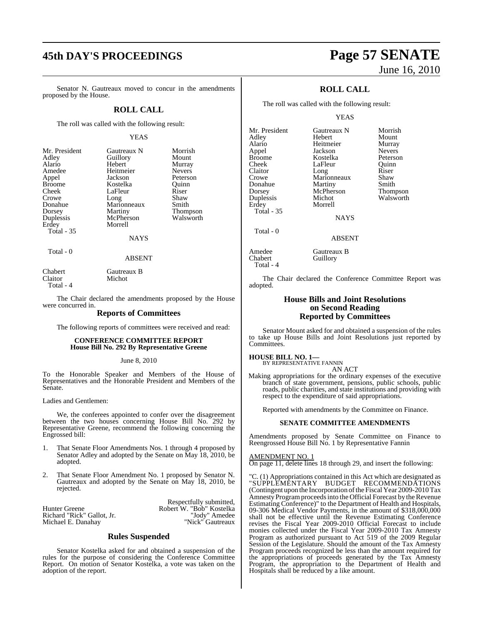## **45th DAY'S PROCEEDINGS Page 57 SENATE**

Senator N. Gautreaux moved to concur in the amendments proposed by the House.

#### **ROLL CALL**

The roll was called with the following result:

#### YEAS

| Mr. President<br>Adley<br>Alario<br>Amedee<br>Appel<br><b>Broome</b><br>Cheek<br>Crowe<br>Donahue<br>Dorsey | Gautreaux N<br>Guillory<br>Hebert<br>Heitmeier<br>Jackson<br>Kostelka<br>LaFleur<br>Long<br>Marionneaux<br>Martiny | Morrish<br>Mount<br>Murray<br><b>Nevers</b><br>Peterson<br>Ouinn<br>Riser<br>Shaw<br>Smith<br>Thompson |
|-------------------------------------------------------------------------------------------------------------|--------------------------------------------------------------------------------------------------------------------|--------------------------------------------------------------------------------------------------------|
|                                                                                                             |                                                                                                                    |                                                                                                        |
| Duplessis                                                                                                   | McPherson                                                                                                          | Walsworth                                                                                              |
| Erdey<br>Total - 35                                                                                         | Morrell<br>NAYS                                                                                                    |                                                                                                        |

Total - 0

ABSENT

Chabert Gautreaux B<br>Claitor Michot Michot Total - 4

The Chair declared the amendments proposed by the House were concurred in.

#### **Reports of Committees**

The following reports of committees were received and read:

#### **CONFERENCE COMMITTEE REPORT House Bill No. 292 By Representative Greene**

#### June 8, 2010

To the Honorable Speaker and Members of the House of Representatives and the Honorable President and Members of the Senate.

Ladies and Gentlemen:

We, the conferees appointed to confer over the disagreement between the two houses concerning House Bill No. 292 by Representative Greene, recommend the following concerning the Engrossed bill:

- 1. That Senate Floor Amendments Nos. 1 through 4 proposed by Senator Adley and adopted by the Senate on May 18, 2010, be adopted.
- 2. That Senate Floor Amendment No. 1 proposed by Senator N. Gautreaux and adopted by the Senate on May 18, 2010, be rejected.

Hunter Greene Robert W. "Bob" Kostelka Richard "Rick" Gallot, Jr. "Jody" Amedee Michael E. Danahay "Nick" Gautreaux

Respectfully submitted,

#### **Rules Suspended**

Senator Kostelka asked for and obtained a suspension of the rules for the purpose of considering the Conference Committee Report. On motion of Senator Kostelka, a vote was taken on the adoption of the report.

# June 16, 2010

## **ROLL CALL**

The roll was called with the following result:

YEAS

| Mr. President     | Gautreaux N | Morrish       |
|-------------------|-------------|---------------|
| Adley             | Hebert      | Mount         |
| Alario            | Heitmeier   | Murray        |
| Appel             | Jackson     | <b>Nevers</b> |
| <b>Broome</b>     | Kostelka    | Peterson      |
| Cheek             | LaFleur     | Ouinn         |
| Claitor           | Long        | Riser         |
| Crowe             | Marionneaux | Shaw          |
| Donahue           | Martiny     | Smith         |
| Dorsey            | McPherson   | Thompson      |
| Duplessis         | Michot      | Walsworth     |
| Erdey             | Morrell     |               |
| <b>Total - 35</b> |             |               |
|                   | NAYS        |               |
|                   |             |               |

Total - 0

Total - 4

NAYS

#### ABSENT

Amedee Gautreaux B<br>Chabert Guillory Guillory

The Chair declared the Conference Committee Report was adopted.

#### **House Bills and Joint Resolutions on Second Reading Reported by Committees**

Senator Mount asked for and obtained a suspension of the rules to take up House Bills and Joint Resolutions just reported by Committees.

## **HOUSE BILL NO. 1—** BY REPRESENTATIVE FANNIN

AN ACT

Making appropriations for the ordinary expenses of the executive branch of state government, pensions, public schools, public roads, public charities, and state institutions and providing with respect to the expenditure of said appropriations.

Reported with amendments by the Committee on Finance.

#### **SENATE COMMITTEE AMENDMENTS**

Amendments proposed by Senate Committee on Finance to Reengrossed House Bill No. 1 by Representative Fannin

#### AMEN<u>DMENT NO. 1</u>

On page 11, delete lines 18 through 29, and insert the following:

"C. (1) Appropriations contained in this Act which are designated as "SUPPLEMENTARY BUDGET RECOMMENDATIONS (Contingent upon the Incorporation of the Fiscal Year 2009-2010 Tax Amnesty Program proceeds into the Official Forecast by the Revenue Estimating Conference)" to the Department of Health and Hospitals, 09-306 Medical Vendor Payments, in the amount of \$318,000,000 shall not be effective until the Revenue Estimating Conference revises the Fiscal Year 2009-2010 Official Forecast to include monies collected under the Fiscal Year 2009-2010 Tax Amnesty Program as authorized pursuant to Act 519 of the 2009 Regular Session of the Legislature. Should the amount of the Tax Amnesty Program proceeds recognized be less than the amount required for the appropriations of proceeds generated by the Tax Amnesty Program, the appropriation to the Department of Health and Hospitals shall be reduced by a like amount.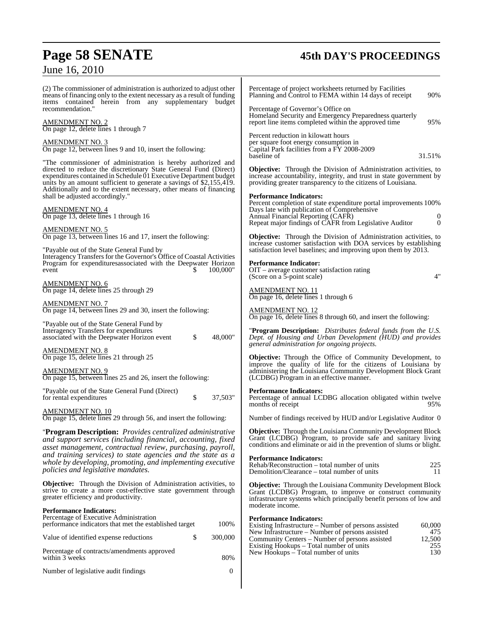## June 16, 2010

# **Page 58 SENATE 45th DAY'S PROCEEDINGS**

| $0$ and $10, 2010$                                                                                                                                                                                                                                                                                                                                 |                                                                                                                                                                                                                                                       |
|----------------------------------------------------------------------------------------------------------------------------------------------------------------------------------------------------------------------------------------------------------------------------------------------------------------------------------------------------|-------------------------------------------------------------------------------------------------------------------------------------------------------------------------------------------------------------------------------------------------------|
| (2) The commissioner of administration is authorized to adjust other<br>means of financing only to the extent necessary as a result of funding<br>items contained herein from any supplementary budget                                                                                                                                             | Percentage of project worksheets returned by Facilities<br>Planning and Control to FEMA within 14 days of receipt<br>90%                                                                                                                              |
| recommendation."<br><b>AMENDMENT NO. 2</b><br>On page 12, delete lines 1 through 7                                                                                                                                                                                                                                                                 | Percentage of Governor's Office on<br>Homeland Security and Emergency Preparedness quarterly<br>report line items completed within the approved time<br>95%                                                                                           |
| <b>AMENDMENT NO. 3</b><br>On page 12, between lines 9 and 10, insert the following:                                                                                                                                                                                                                                                                | Percent reduction in kilowatt hours<br>per square foot energy consumption in<br>Capital Park facilities from a FY 2008-2009                                                                                                                           |
| "The commissioner of administration is hereby authorized and<br>directed to reduce the discretionary State General Fund (Direct)<br>expenditures contained in Schedule 01 Executive Department budget<br>units by an amount sufficient to generate a savings of \$2,155,419.<br>Additionally and to the extent necessary, other means of financing | 31.51%<br>baseline of<br><b>Objective:</b> Through the Division of Administration activities, to<br>increase accountability, integrity, and trust in state government by<br>providing greater transparency to the citizens of Louisiana.              |
| shall be adjusted accordingly."<br><b>AMENDMENT NO. 4</b><br>On page 13, delete lines 1 through 16                                                                                                                                                                                                                                                 | <b>Performance Indicators:</b><br>Percent completion of state expenditure portal improvements 100%<br>Days late with publication of Comprehensive<br>Annual Financial Reporting (CAFR)<br>Repeat major findings of CAFR from Legislative Auditor<br>0 |
| AMENDMENT NO. 5<br>On page 13, between lines 16 and 17, insert the following:<br>"Payable out of the State General Fund by                                                                                                                                                                                                                         | <b>Objective:</b> Through the Division of Administration activities, to<br>increase customer satisfaction with DOA services by establishing<br>satisfaction level baselines; and improving upon them by 2013.                                         |
| Interagency Transfers for the Governor's Office of Coastal Activities<br>Program for expendituresassociated with the Deepwater Horizon<br>100,000"<br>event<br>S                                                                                                                                                                                   | <b>Performance Indicator:</b><br>OIT – average customer satisfaction rating<br>4"<br>(Score on a 5-point scale)                                                                                                                                       |
| <b>AMENDMENT NO. 6</b><br>On page 14, delete lines 25 through 29                                                                                                                                                                                                                                                                                   | <b>AMENDMENT NO. 11</b><br>On page 16, delete lines 1 through 6                                                                                                                                                                                       |
| <b>AMENDMENT NO. 7</b><br>On page 14, between lines 29 and 30, insert the following:                                                                                                                                                                                                                                                               | <b>AMENDMENT NO. 12</b><br>On page 16, delete lines 8 through 60, and insert the following:                                                                                                                                                           |
| "Payable out of the State General Fund by<br>Interagency Transfers for expenditures<br>\$<br>associated with the Deepwater Horizon event<br>48,000"                                                                                                                                                                                                | "Program Description: Distributes federal funds from the U.S.<br>Dept. of Housing and Urban Development (HUD) and provides<br>general administration for ongoing projects.                                                                            |
| <b>AMENDMENT NO. 8</b><br>On page 15, delete lines 21 through 25<br><b>AMENDMENT NO. 9</b><br>On page 15, between lines 25 and 26, insert the following:                                                                                                                                                                                           | <b>Objective:</b> Through the Office of Community Development, to<br>improve the quality of life for the citizens of Louisiana by<br>administering the Louisiana Community Development Block Grant<br>(LCDBG) Program in an effective manner.         |
| "Payable out of the State General Fund (Direct)<br>\$<br>for rental expenditures<br>37,503"                                                                                                                                                                                                                                                        | <b>Performance Indicators:</b><br>Percentage of annual LCDBG allocation obligated within twelve<br>months of receipt<br>95%                                                                                                                           |
| <b>AMENDMENT NO. 10</b><br>On page 15, delete lines 29 through 56, and insert the following:                                                                                                                                                                                                                                                       | Number of findings received by HUD and/or Legislative Auditor 0                                                                                                                                                                                       |
| "Program Description: Provides centralized administrative<br>and support services (including financial, accounting, fixed<br>asset management, contractual review, purchasing, payroll,                                                                                                                                                            | <b>Objective:</b> Through the Louisiana Community Development Block<br>Grant (LCDBG) Program, to provide safe and sanitary living<br>conditions and eliminate or aid in the prevention of slums or blight.                                            |
| and training services) to state agencies and the state as a<br>whole by developing, promoting, and implementing executive<br>policies and legislative mandates.                                                                                                                                                                                    | <b>Performance Indicators:</b><br>225<br>Rehab/Reconstruction – total number of units<br>Demolition/Clearance – total number of units<br>11                                                                                                           |
| <b>Objective:</b> Through the Division of Administration activities, to<br>strive to create a more cost-effective state government through<br>greater efficiency and productivity.                                                                                                                                                                 | <b>Objective:</b> Through the Louisiana Community Development Block<br>Grant (LCDBG) Program, to improve or construct community<br>infrastructure systems which principally benefit persons of low and                                                |
| <b>Performance Indicators:</b><br>Percentage of Executive Administration<br>100%<br>performance indicators that met the established target                                                                                                                                                                                                         | moderate income.<br><b>Performance Indicators:</b><br>Existing Infrastructure – Number of persons assisted<br>60,000                                                                                                                                  |
| \$<br>300,000<br>Value of identified expense reductions                                                                                                                                                                                                                                                                                            | New Infrastructure – Number of persons assisted<br>475<br>12,500<br>Community Centers – Number of persons assisted                                                                                                                                    |
| Percentage of contracts/amendments approved<br>80%<br>within 3 weeks                                                                                                                                                                                                                                                                               | 255<br>Existing Hookups – Total number of units<br>130<br>New Hookups – Total number of units                                                                                                                                                         |
| Number of legislative audit findings<br>$\mathbf{0}$                                                                                                                                                                                                                                                                                               |                                                                                                                                                                                                                                                       |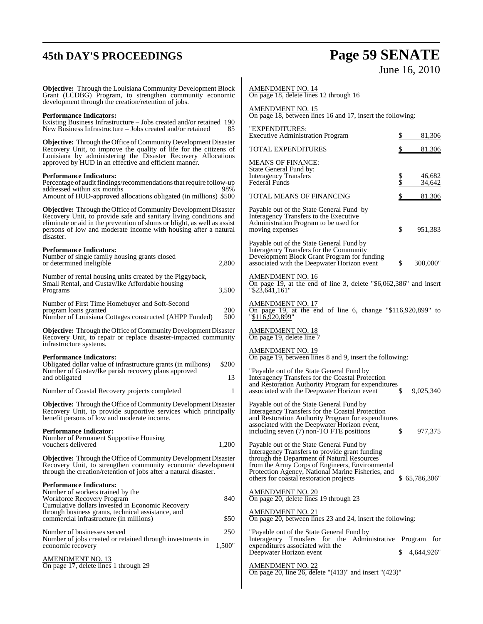# **45th DAY'S PROCEEDINGS Page 59 SENATE** June 16, 2010

| <b>Objective:</b> Through the Louisiana Community Development Block<br>Grant (LCDBG) Program, to strengthen community economic<br>development through the creation/retention of jobs.                                                                                                                   | <b>AMENDMENT NO. 14</b><br>On page 18, delete lines 12 through 16                                                                                                                                     |
|---------------------------------------------------------------------------------------------------------------------------------------------------------------------------------------------------------------------------------------------------------------------------------------------------------|-------------------------------------------------------------------------------------------------------------------------------------------------------------------------------------------------------|
| <b>Performance Indicators:</b>                                                                                                                                                                                                                                                                          | AMENDMENT NO. 15<br>On page 18, between lines 16 and 17, insert the following:                                                                                                                        |
| Existing Business Infrastructure – Jobs created and/or retained 190<br>New Business Infrastructure - Jobs created and/or retained<br>85                                                                                                                                                                 | "EXPENDITURES:<br>81,306<br><b>Executive Administration Program</b>                                                                                                                                   |
| <b>Objective:</b> Through the Office of Community Development Disaster<br>Recovery Unit, to improve the quality of life for the citizens of<br>Louisiana by administering the Disaster Recovery Allocations                                                                                             | <b>TOTAL EXPENDITURES</b><br>81,306                                                                                                                                                                   |
| approved by HUD in an effective and efficient manner.                                                                                                                                                                                                                                                   | <b>MEANS OF FINANCE:</b>                                                                                                                                                                              |
| <b>Performance Indicators:</b>                                                                                                                                                                                                                                                                          | State General Fund by:<br><b>Interagency Transfers</b><br>46,682                                                                                                                                      |
| Percentage of audit findings/recommendations that require follow-up                                                                                                                                                                                                                                     | <b>Federal Funds</b><br>34,642                                                                                                                                                                        |
| addressed within six months<br>98%<br>Amount of HUD-approved allocations obligated (in millions) \$500                                                                                                                                                                                                  | TOTAL MEANS OF FINANCING<br>81,306                                                                                                                                                                    |
| <b>Objective:</b> Through the Office of Community Development Disaster<br>Recovery Unit, to provide safe and sanitary living conditions and<br>eliminate or aid in the prevention of slums or blight, as well as assist<br>persons of low and moderate income with housing after a natural<br>disaster. | Payable out of the State General Fund by<br>Interagency Transfers to the Executive<br>Administration Program to be used for<br>\$<br>951,383<br>moving expenses                                       |
|                                                                                                                                                                                                                                                                                                         | Payable out of the State General Fund by                                                                                                                                                              |
| <b>Performance Indicators:</b><br>Number of single family housing grants closed<br>2,800<br>or determined ineligible                                                                                                                                                                                    | Interagency Transfers for the Community<br>Development Block Grant Program for funding<br>\$<br>300,000"<br>associated with the Deepwater Horizon event                                               |
| Number of rental housing units created by the Piggyback,<br>Small Rental, and Gustav/Ike Affordable housing<br>3,500<br>Programs                                                                                                                                                                        | <b>AMENDMENT NO. 16</b><br>On page 19, at the end of line 3, delete " $$6,062,386"$ and insert<br>"\$23,641,161"                                                                                      |
| Number of First Time Homebuyer and Soft-Second<br>200<br>program loans granted<br>500<br>Number of Louisiana Cottages constructed (AHPP Funded)                                                                                                                                                         | AMENDMENT NO. 17<br>On page 19, at the end of line 6, change " $$116,920,899"$ to<br>"\$116,920,899"                                                                                                  |
| <b>Objective:</b> Through the Office of Community Development Disaster<br>Recovery Unit, to repair or replace disaster-impacted community<br>infrastructure systems.                                                                                                                                    | AMENDMENT NO. 18<br>On page 19, delete line 7                                                                                                                                                         |
| <b>Performance Indicators:</b>                                                                                                                                                                                                                                                                          | <b>AMENDMENT NO. 19</b><br>On page 19, between lines 8 and 9, insert the following:                                                                                                                   |
| \$200<br>Obligated dollar value of infrastructure grants (in millions)                                                                                                                                                                                                                                  |                                                                                                                                                                                                       |
| Number of Gustav/Ike parish recovery plans approved<br>and obligated<br>13                                                                                                                                                                                                                              | "Payable out of the State General Fund by<br>Interagency Transfers for the Coastal Protection                                                                                                         |
|                                                                                                                                                                                                                                                                                                         | and Restoration Authority Program for expenditures                                                                                                                                                    |
| 1<br>Number of Coastal Recovery projects completed                                                                                                                                                                                                                                                      | \$<br>9,025,340<br>associated with the Deepwater Horizon event                                                                                                                                        |
| <b>Objective:</b> Through the Office of Community Development Disaster<br>Recovery Unit, to provide supportive services which principally<br>benefit persons of low and moderate income.                                                                                                                | Payable out of the State General Fund by<br>Interagency Transfers for the Coastal Protection<br>and Restoration Authority Program for expenditures<br>associated with the Deepwater Horizon event,    |
| <b>Performance Indicator:</b>                                                                                                                                                                                                                                                                           | including seven (7) non-TO FTE positions<br>977,375                                                                                                                                                   |
| Number of Permanent Supportive Housing<br>vouchers delivered<br>1,200                                                                                                                                                                                                                                   | Payable out of the State General Fund by                                                                                                                                                              |
| Objective: Through the Office of Community Development Disaster<br>Recovery Unit, to strengthen community economic development<br>through the creation/retention of jobs after a natural disaster.                                                                                                      | Interagency Transfers to provide grant funding<br>through the Department of Natural Resources<br>from the Army Corps of Engineers, Environmental<br>Protection Agency, National Marine Fisheries, and |
| <b>Performance Indicators:</b><br>Number of workers trained by the<br>840<br>Workforce Recovery Program                                                                                                                                                                                                 | others for coastal restoration projects<br>\$65,786,306"<br>AMENDMENT NO. 20<br>On page 20, delete lines 19 through 23                                                                                |
| Cumulative dollars invested in Economic Recovery                                                                                                                                                                                                                                                        |                                                                                                                                                                                                       |
| through business grants, technical assistance, and<br>\$50<br>commercial infrastructure (in millions)                                                                                                                                                                                                   | AMENDMENT NO. 21<br>On page 20, between lines 23 and 24, insert the following:                                                                                                                        |
| Number of businesses served<br>250                                                                                                                                                                                                                                                                      | "Payable out of the State General Fund by                                                                                                                                                             |
| Number of jobs created or retained through investments in<br>1,500"<br>economic recovery                                                                                                                                                                                                                | Interagency Transfers for the Administrative Program for<br>expenditures associated with the<br>4,644,926"<br>Deepwater Horizon event                                                                 |
| <u>AMENDMENT NO. 13</u><br>On page 17, delete lines 1 through 29                                                                                                                                                                                                                                        | <b>AMENDMENT NO. 22</b>                                                                                                                                                                               |
|                                                                                                                                                                                                                                                                                                         | On page 20, line 26, delete " $(413)$ " and insert " $(423)$ "                                                                                                                                        |
|                                                                                                                                                                                                                                                                                                         |                                                                                                                                                                                                       |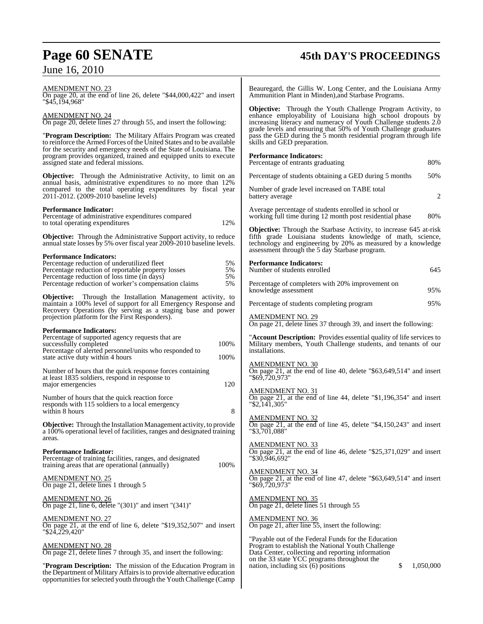# **Page 60 SENATE 45th DAY'S PROCEEDINGS** June 16, 2010

| <u>AMENDMENT NO. 23</u><br>On page 20, at the end of line 26, delete "\$44,000,422" and insert<br>"\$45.194.968"                                                                                                | Beauregard, the Gillis W. Long Center, and the Louisiana Army<br>Ammunition Plant in Minden), and Starbase Programs.                                                                                                                                                    |
|-----------------------------------------------------------------------------------------------------------------------------------------------------------------------------------------------------------------|-------------------------------------------------------------------------------------------------------------------------------------------------------------------------------------------------------------------------------------------------------------------------|
| AMENDMENT NO. 24<br>On page 20, delete lines 27 through 55, and insert the following:                                                                                                                           | <b>Objective:</b> Through the Youth Challenge Program Activity, to<br>enhance employability of Louisiana high school dropouts by<br>increasing literacy and numeracy of Youth Challenge students 2.0<br>grade levels and ensuring that 50% of Youth Challenge graduates |
| "Program Description: The Military Affairs Program was created<br>to reinforce the Armed Forces of the United States and to be available<br>for the security and emergency needs of the State of Louisiana. The | pass the GED during the 5 month residential program through life<br>skills and GED preparation.                                                                                                                                                                         |
| program provides organized, trained and equipped units to execute<br>assigned state and federal missions.                                                                                                       | <b>Performance Indicators:</b><br>Percentage of entrants graduating<br>80%                                                                                                                                                                                              |
| <b>Objective:</b> Through the Administrative Activity, to limit on an                                                                                                                                           | Percentage of students obtaining a GED during 5 months<br>50%                                                                                                                                                                                                           |
| annual basis, administrative expenditures to no more than 12%<br>compared to the total operating expenditures by fiscal year<br>2011-2012. (2009-2010 baseline levels)                                          | Number of grade level increased on TABE total<br>$\overline{2}$<br>battery average                                                                                                                                                                                      |
| <b>Performance Indicator:</b><br>Percentage of administrative expenditures compared<br>12%<br>to total operating expenditures                                                                                   | Average percentage of students enrolled in school or<br>80%<br>working full time during 12 month post residential phase                                                                                                                                                 |
| <b>Objective:</b> Through the Administrative Support activity, to reduce<br>annual state losses by 5% over fiscal year 2009-2010 baseline levels.                                                               | <b>Objective:</b> Through the Starbase Activity, to increase 645 at-risk<br>fifth grade Louisiana students knowledge of math, science,<br>technology and engineering by 20% as measured by a knowledge<br>assessment through the 5 day Starbase program.                |
| <b>Performance Indicators:</b><br>Percentage reduction of underutilized fleet<br>5%<br>5%<br>Percentage reduction of reportable property losses                                                                 | <b>Performance Indicators:</b><br>Number of students enrolled<br>645                                                                                                                                                                                                    |
| Percentage reduction of loss time (in days)<br>5%<br>Percentage reduction of worker's compensation claims<br>5%                                                                                                 | Percentage of completers with 20% improvement on<br>95%<br>knowledge assessment                                                                                                                                                                                         |
| <b>Objective:</b> Through the Installation Management activity, to<br>maintain a 100% level of support for all Emergency Response and                                                                           | 95%<br>Percentage of students completing program                                                                                                                                                                                                                        |
| Recovery Operations (by serving as a staging base and power<br>projection platform for the First Responders).                                                                                                   | <b>AMENDMENT NO. 29</b><br>On page 21, delete lines 37 through 39, and insert the following:                                                                                                                                                                            |
| <b>Performance Indicators:</b><br>Percentage of supported agency requests that are<br>100%<br>successfully completed<br>Percentage of alerted personnel/units who responded to                                  | " <b>Account Description:</b> Provides essential quality of life services to<br>Military members, Youth Challenge students, and tenants of our<br>installations.                                                                                                        |
| 100%<br>state active duty within 4 hours<br>Number of hours that the quick response forces containing<br>at least 1835 soldiers, respond in response to                                                         | <b>AMENDMENT NO. 30</b><br>On page 21, at the end of line 40, delete "\$63,649,514" and insert<br>"\$69,720,973"                                                                                                                                                        |
| 120<br>major emergencies<br>Number of hours that the quick reaction force                                                                                                                                       | <b>AMENDMENT NO. 31</b><br>On page 21, at the end of line 44, delete "\$1,196,354" and insert                                                                                                                                                                           |
| responds with 115 soldiers to a local emergency<br>8<br>within 8 hours                                                                                                                                          | "\$2,141,305"                                                                                                                                                                                                                                                           |
| Objective: Through the Installation Management activity, to provide<br>a 100% operational level of facilities, ranges and designated training<br>areas.                                                         | <b>AMENDMENT NO. 32</b><br>On page 21, at the end of line 45, delete "\$4,150,243" and insert<br>"\$3,701,088"                                                                                                                                                          |
| <b>Performance Indicator:</b><br>Percentage of training facilities, ranges, and designated<br>100%<br>training areas that are operational (annually)                                                            | <b>AMENDMENT NO. 33</b><br>On page 21, at the end of line 46, delete " $$25,371,029"$ and insert<br>"\$30,946,692"                                                                                                                                                      |
| AMENDMENT NO. 25<br>On page 21, delete lines 1 through 5                                                                                                                                                        | <b>AMENDMENT NO. 34</b><br>On page 21, at the end of line 47, delete " $$63,649,514"$ and insert<br>"\$69,720,973"                                                                                                                                                      |
| <u>AMENDMENT N</u> O. 26<br>On page 21, line 6, delete " $(301)$ " and insert " $(341)$ "                                                                                                                       | <b>AMENDMENT NO. 35</b><br>On page 21, delete lines 51 through 55                                                                                                                                                                                                       |
| <u>AMENDMENT NO. 27</u><br>On page 21, at the end of line 6, delete "\$19,352,507" and insert                                                                                                                   | <b>AMENDMENT NO. 36</b><br>On page 21, after line $55$ , insert the following:                                                                                                                                                                                          |
| "\$24,229,420"<br><u>AMENDMENT NO. 28</u><br>On page 21, delete lines 7 through 35, and insert the following:                                                                                                   | "Payable out of the Federal Funds for the Education"<br>Program to establish the National Youth Challenge<br>Data Center, collecting and reporting information<br>on the 33 state YCC programs throughout the                                                           |
| "Program Description: The mission of the Education Program in<br>the Department of Military Affairs is to provide alternative education<br>opportunities for selected youth through the Youth Challenge (Camp   | \$<br>nation, including $six(6)$ positions<br>1,050,000                                                                                                                                                                                                                 |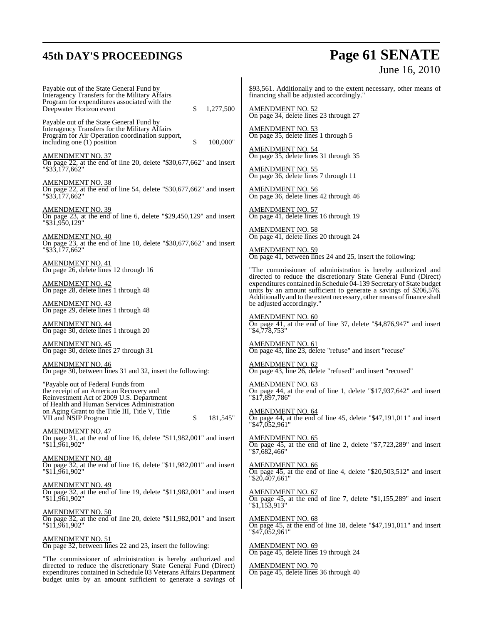budget units by an amount sufficient to generate a savings of

# **45th DAY'S PROCEEDINGS Page 61 SENATE** June 16, 2010

| Payable out of the State General Fund by                                                                                                                                                        | \$93,561. Additionally and to the extent necessary, other means of                                                                                                                                                 |
|-------------------------------------------------------------------------------------------------------------------------------------------------------------------------------------------------|--------------------------------------------------------------------------------------------------------------------------------------------------------------------------------------------------------------------|
| Interagency Transfers for the Military Affairs                                                                                                                                                  | financing shall be adjusted accordingly."                                                                                                                                                                          |
| Program for expenditures associated with the<br>Deepwater Horizon event<br>1,277,500<br>\$                                                                                                      | AMENDMENT NO. 52<br>On page 34, delete lines 23 through 27                                                                                                                                                         |
| Payable out of the State General Fund by<br>Interagency Transfers for the Military Affairs<br>Program for Air Operation coordination support,<br>\$<br>including one $(1)$ position<br>100,000" | <b>AMENDMENT NO. 53</b><br>On page 35, delete lines 1 through 5                                                                                                                                                    |
| <u>AMENDMENT NO. 37</u>                                                                                                                                                                         | <b>AMENDMENT NO. 54</b><br>On page 35, delete lines 31 through 35                                                                                                                                                  |
| On page 22, at the end of line 20, delete "\$30,677,662" and insert                                                                                                                             | <u>AMENDMENT NO. 55</u>                                                                                                                                                                                            |
| "\$33,177,662"                                                                                                                                                                                  | On page 36, delete lines 7 through 11                                                                                                                                                                              |
| <u>AMENDMENT NO. 38</u><br>On page 22, at the end of line 54, delete " $$30,677,662"$ and insert<br>"\$33.177.662"                                                                              | <b>AMENDMENT NO. 56</b><br>On page 36, delete lines 42 through 46                                                                                                                                                  |
| <b>AMENDMENT NO. 39</b><br>On page 23, at the end of line 6, delete " $$29,450,129$ " and insert<br>"\$31,950,129"                                                                              | <u>AMENDMENT NO. 57</u><br>On page 41, delete lines 16 through 19                                                                                                                                                  |
| <b>AMENDMENT NO. 40</b>                                                                                                                                                                         | <b>AMENDMENT NO. 58</b><br>On page 41, delete lines 20 through 24                                                                                                                                                  |
| On page 23, at the end of line 10, delete " $$30,677,662"$ and insert                                                                                                                           | <b>AMENDMENT NO. 59</b>                                                                                                                                                                                            |
| "\$33,177,662"                                                                                                                                                                                  | On page 41, between lines 24 and 25, insert the following:                                                                                                                                                         |
| AMENDMENT NO. 41<br>On page 26, delete lines 12 through 16                                                                                                                                      | "The commissioner of administration is hereby authorized and<br>directed to reduce the discretionary State General Fund (Direct)                                                                                   |
| <b>AMENDMENT NO. 42</b><br>On page 28, delete lines 1 through 48                                                                                                                                | expenditures contained in Schedule 04-139 Secretary of State budget<br>units by an amount sufficient to generate a savings of \$206,576.<br>Additionally and to the extent necessary, other means of finance shall |
| <b>AMENDMENT NO. 43</b>                                                                                                                                                                         | be adjusted accordingly."                                                                                                                                                                                          |
| On page 29, delete lines 1 through 48                                                                                                                                                           | <b>AMENDMENT NO. 60</b>                                                                                                                                                                                            |
| <u>AMENDMENT NO. 44</u>                                                                                                                                                                         | On page 41, at the end of line 37, delete "\$4,876,947" and insert                                                                                                                                                 |
| On page 30, delete lines 1 through 20                                                                                                                                                           | "\$4,778,753"                                                                                                                                                                                                      |
| <b>AMENDMENT NO. 45</b>                                                                                                                                                                         | <b>AMENDMENT NO. 61</b>                                                                                                                                                                                            |
| On page 30, delete lines 27 through 31                                                                                                                                                          | On page 43, line 23, delete "refuse" and insert "recuse"                                                                                                                                                           |
| <u>AMENDMENT NO. 46</u>                                                                                                                                                                         | <b>AMENDMENT NO. 62</b>                                                                                                                                                                                            |
| On page 30, between lines 31 and 32, insert the following:                                                                                                                                      | On page 43, line 26, delete "refused" and insert "recused"                                                                                                                                                         |
| "Payable out of Federal Funds from                                                                                                                                                              | <b>AMENDMENT NO. 63</b>                                                                                                                                                                                            |
| the receipt of an American Recovery and                                                                                                                                                         | On page 44, at the end of line 1, delete "\$17,937,642" and insert                                                                                                                                                 |
| Reinvestment Act of 2009 U.S. Department                                                                                                                                                        | "\$17,897,786"                                                                                                                                                                                                     |
| of Health and Human Services Administration<br>on Aging Grant to the Title III, Title V, Title<br>VII and NSIP Program<br>\$<br>181,545"                                                        | <b>AMENDMENT NO. 64</b><br>On page 44, at the end of line 45, delete "\$47,191,011" and insert<br>$"\$4\overline{7,052,961"$                                                                                       |
| <u>AMENDMENT NO. 47</u>                                                                                                                                                                         | <b>AMENDMENT NO. 65</b>                                                                                                                                                                                            |
| On page 31, at the end of line 16, delete " $$11,982,001$ " and insert                                                                                                                          | On page 45, at the end of line 2, delete " $$7,723,289"$ and insert                                                                                                                                                |
| "\$11.961.902"                                                                                                                                                                                  | "\$7,682,466"                                                                                                                                                                                                      |
| <b>AMENDMENT NO. 48</b>                                                                                                                                                                         | <b>AMENDMENT NO. 66</b>                                                                                                                                                                                            |
| On page 32, at the end of line 16, delete " $$11,982,001$ " and insert                                                                                                                          | On page 45, at the end of line 4, delete " $$20,503,512"$ and insert                                                                                                                                               |
| "\$11,961,902"                                                                                                                                                                                  | "\$20,407,661"                                                                                                                                                                                                     |
| <u>AMENDMENT NO. 49</u>                                                                                                                                                                         | <b>AMENDMENT NO. 67</b>                                                                                                                                                                                            |
| On page 32, at the end of line 19, delete "\$11,982,001" and insert                                                                                                                             | On page 45, at the end of line 7, delete " $$1,155,289"$ and insert                                                                                                                                                |
| "\$11,961,902"                                                                                                                                                                                  | $"\$1,153,913"$                                                                                                                                                                                                    |
| <b>AMENDMENT NO. 50</b>                                                                                                                                                                         | <b>AMENDMENT NO. 68</b>                                                                                                                                                                                            |
| On page 32, at the end of line 20, delete "\$11,982,001" and insert                                                                                                                             | On page 45, at the end of line 18, delete " $$47,191,011"$ and insert                                                                                                                                              |
| "\$11,961,902"                                                                                                                                                                                  | $"\$4\overline{7.052.961"$                                                                                                                                                                                         |
| <b>AMENDMENT NO. 51</b>                                                                                                                                                                         |                                                                                                                                                                                                                    |
| On page 32, between lines 22 and 23, insert the following:                                                                                                                                      | <b>AMENDMENT NO. 69</b>                                                                                                                                                                                            |
| "The commissioner of administration is hereby authorized and                                                                                                                                    | On page 45, delete lines 19 through 24                                                                                                                                                                             |
| directed to reduce the discretionary State General Fund (Direct)                                                                                                                                | <b>AMENDMENT NO. 70</b>                                                                                                                                                                                            |
| expenditures contained in Schedule 03 Veterans Affairs Department                                                                                                                               | On page 45, delete lines 36 through 40                                                                                                                                                                             |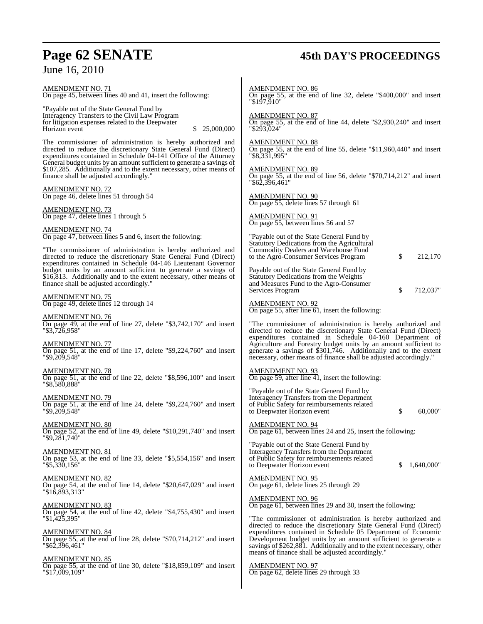# **Page 62 SENATE 45th DAY'S PROCEEDINGS**

# June 16, 2010

| <u>AMENDMENT NO. 71</u><br>On page 45, between lines 40 and 41, insert the following:                                                                                                                                                           | <b>AMENDMENT NO. 86</b><br>On page 55, at the end of line 32, delete "\$400,000" and insert<br>"\$197,910"                                                                                                                                                                                                                                  |
|-------------------------------------------------------------------------------------------------------------------------------------------------------------------------------------------------------------------------------------------------|---------------------------------------------------------------------------------------------------------------------------------------------------------------------------------------------------------------------------------------------------------------------------------------------------------------------------------------------|
| "Payable out of the State General Fund by<br>Interagency Transfers to the Civil Law Program<br>for litigation expenses related to the Deepwater<br>Horizon event<br>25,000,000                                                                  | AMENDMENT NO. 87<br>On page 55, at the end of line 44, delete "\$2,930,240" and insert<br>"\$293,024"                                                                                                                                                                                                                                       |
| The commissioner of administration is hereby authorized and<br>directed to reduce the discretionary State General Fund (Direct)<br>expenditures contained in Schedule 04-141 Office of the Attorney                                             | AMENDMENT NO. 88<br>On page 55, at the end of line 55, delete "\$11,960,440" and insert<br>"\$8,331,995"                                                                                                                                                                                                                                    |
| General budget units by an amount sufficient to generate a savings of<br>\$107,285. Additionally and to the extent necessary, other means of<br>finance shall be adjusted accordingly."                                                         | AMENDMENT NO. 89<br>On page 55, at the end of line 56, delete "\$70,714,212" and insert<br>"\$62,396,461"                                                                                                                                                                                                                                   |
| AMENDMENT NO. 72<br>On page 46, delete lines 51 through 54                                                                                                                                                                                      | <b>AMENDMENT NO. 90</b><br>On page 55, delete lines 57 through 61                                                                                                                                                                                                                                                                           |
| <u>AMENDMENT NO. 73</u><br>On page 47, delete lines 1 through 5                                                                                                                                                                                 | AMENDMENT NO. 91<br>On page 55, between lines 56 and 57                                                                                                                                                                                                                                                                                     |
| <b>AMENDMENT NO. 74</b><br>On page 47, between lines 5 and 6, insert the following:<br>"The commissioner of administration is hereby authorized and<br>directed to reduce the discretionary State General Fund (Direct)                         | "Payable out of the State General Fund by<br>Statutory Dedications from the Agricultural<br>Commodity Dealers and Warehouse Fund<br>to the Agro-Consumer Services Program<br>\$<br>212,170                                                                                                                                                  |
| expenditures contained in Schedule 04-146 Lieutenant Governor<br>budget units by an amount sufficient to generate a savings of<br>\$16,813. Additionally and to the extent necessary, other means of<br>finance shall be adjusted accordingly." | Payable out of the State General Fund by<br><b>Statutory Dedications from the Weights</b><br>and Measures Fund to the Agro-Consumer                                                                                                                                                                                                         |
| <u>AMENDMENT NO. 75</u><br>On page 49, delete lines 12 through 14                                                                                                                                                                               | \$<br>Services Program<br>712,037"<br><b>AMENDMENT NO. 92</b>                                                                                                                                                                                                                                                                               |
| AMENDMENT NO. 76<br>On page 49, at the end of line 27, delete "\$3,742,170" and insert<br>"\$3,726,958"                                                                                                                                         | On page 55, after line $61$ , insert the following:<br>"The commissioner of administration is hereby authorized and<br>directed to reduce the discretionary State General Fund (Direct)                                                                                                                                                     |
| <u>AMENDMENT NO. 77</u><br>On page 51, at the end of line 17, delete " $$9,224,760$ " and insert<br>"\$9,209,548"                                                                                                                               | expenditures contained in Schedule 04-160 Department of<br>Agriculture and Forestry budget units by an amount sufficient to<br>generate a savings of \$301,746. Additionally and to the extent<br>necessary, other means of finance shall be adjusted accordingly."                                                                         |
| <u>AMENDMENT NO. 78</u><br>On page 51, at the end of line 22, delete "\$8,596,100" and insert<br>"\$8,580,888"                                                                                                                                  | AMENDMENT NO. 93<br>On page 59, after line $\overline{41}$ , insert the following:                                                                                                                                                                                                                                                          |
| AMENDMENT NO. 79<br>On page 51, at the end of line 24, delete "\$9,224,760" and insert<br>"\$9,209,548"                                                                                                                                         | "Payable out of the State General Fund by<br>Interagency Transfers from the Department<br>of Public Safety for reimbursements related<br>\$<br>to Deepwater Horizon event<br>60,000"                                                                                                                                                        |
| AMENDMENT NO. 80<br>On page 52, at the end of line 49, delete "\$10,291,740" and insert<br>"\$9,281,740"                                                                                                                                        | AMENDMENT NO. 94<br>On page 61, between lines 24 and 25, insert the following:                                                                                                                                                                                                                                                              |
| AMENDMENT NO. 81<br>On page 53, at the end of line 33, delete "\$5,554,156" and insert<br>"\$5,330,156"                                                                                                                                         | "Payable out of the State General Fund by<br>Interagency Transfers from the Department<br>of Public Safety for reimbursements related<br>1,640,000"<br>\$<br>to Deepwater Horizon event                                                                                                                                                     |
| AMENDMENT NO. 82<br>On page 54, at the end of line 14, delete " $$20,647,029$ " and insert<br>"\$16,893,313"                                                                                                                                    | <b>AMENDMENT NO. 95</b><br>On page 61, delete lines 25 through 29                                                                                                                                                                                                                                                                           |
| AMENDMENT NO. 83<br>On page 54, at the end of line 42, delete "\$4,755,430" and insert                                                                                                                                                          | <b>AMENDMENT NO. 96</b><br>On page 61, between lines 29 and 30, insert the following:                                                                                                                                                                                                                                                       |
| "\$1,425,395"<br>AMENDMENT NO. 84<br>On page 55, at the end of line 28, delete "\$70,714,212" and insert<br>"\$62,396,461"                                                                                                                      | "The commissioner of administration is hereby authorized and<br>directed to reduce the discretionary State General Fund (Direct)<br>expenditures contained in Schedule 05 Department of Economic<br>Development budget units by an amount sufficient to generate a<br>savings of \$262,881. Additionally and to the extent necessary, other |
| <u>AMENDMENT NO. 85</u><br>On page 55, at the end of line 30, delete "\$18,859,109" and insert<br>"\$17,009,109"                                                                                                                                | means of finance shall be adjusted accordingly."<br><b>AMENDMENT NO. 97</b><br>On page 62, delete lines 29 through 33                                                                                                                                                                                                                       |
|                                                                                                                                                                                                                                                 |                                                                                                                                                                                                                                                                                                                                             |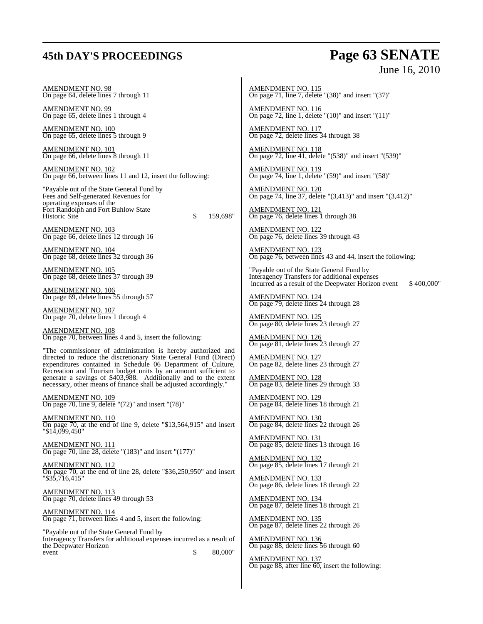## **45th DAY'S PROCEEDINGS Page 63 SENATE**

# June 16, 2010

AMENDMENT NO. 98 On page 64, delete lines 7 through 11

AMENDMENT NO. 99 On page 65, delete lines 1 through 4

AMENDMENT NO. 100 On page 65, delete lines 5 through 9

AMENDMENT NO. 101 On page 66, delete lines 8 through 11

AMENDMENT NO. 102 On page 66, between lines 11 and 12, insert the following:

"Payable out of the State General Fund by Fees and Self-generated Revenues for operating expenses of the Fort Randolph and Fort Buhlow State Historic Site \$ 159,698"

AMENDMENT NO. 103 On page 66, delete lines 12 through 16

AMENDMENT NO. 104 On page 68, delete lines 32 through 36

AMENDMENT NO. 105 On page 68, delete lines 37 through 39

AMENDMENT NO. 106 On page 69, delete lines 55 through 57

AMENDMENT NO. 107 On page 70, delete lines 1 through 4

AMENDMENT NO. 108 On page 70, between lines 4 and 5, insert the following:

"The commissioner of administration is hereby authorized and directed to reduce the discretionary State General Fund (Direct) expenditures contained in Schedule 06 Department of Culture, Recreation and Tourism budget units by an amount sufficient to generate a savings of \$403,988. Additionally and to the extent necessary, other means of finance shall be adjusted accordingly."

AMENDMENT NO. 109 On page 70, line 9, delete "(72)" and insert "(78)"

AMENDMENT NO. 110 On page 70, at the end of line 9, delete "\$13,564,915" and insert "\$14,099,450"

AMENDMENT NO. 111  $\overline{On}$  page 70, line 28, delete "(183)" and insert "(177)"

AMENDMENT NO. 112 On page 70, at the end of line 28, delete "\$36,250,950" and insert "\$35,716,415"

AMENDMENT NO. 113 On page 70, delete lines 49 through 53

AMENDMENT NO. 114 On page 71, between lines 4 and 5, insert the following:

"Payable out of the State General Fund by Interagency Transfers for additional expenses incurred as a result of the Deepwater Horizon event \$ 80,000"

AMENDMENT NO. 115 On page  $71$ , line  $7$ , delete "(38)" and insert "(37)"

AMENDMENT NO. 116 On page 72, line 1, delete "(10)" and insert "(11)"

AMENDMENT NO. 117 On page 72, delete lines 34 through 38

AMENDMENT NO. 118 On page 72, line 41, delete "(538)" and insert "(539)"

AMENDMENT NO. 119 On page 74, line 1, delete "(59)" and insert "(58)"

AMENDMENT NO. 120 On page 74, line 37, delete "(3,413)" and insert "(3,412)"

AMENDMENT NO. 121 On page 76, delete lines 1 through 38

AMENDMENT NO. 122 On page 76, delete lines 39 through 43

AMENDMENT NO. 123 On page 76, between lines 43 and 44, insert the following:

"Payable out of the State General Fund by Interagency Transfers for additional expenses incurred as a result of the Deepwater Horizon event \$400,000"

AMENDMENT NO. 124 On page 79, delete lines 24 through 28

AMENDMENT NO. 125 On page 80, delete lines 23 through 27

AMENDMENT NO. 126 On page 81, delete lines 23 through 27

AMENDMENT NO. 127 On page 82, delete lines 23 through 27

AMENDMENT NO. 128 On page 83, delete lines 29 through 33

AMENDMENT NO. 129 On page 84, delete lines 18 through 21

AMENDMENT NO. 130 On page 84, delete lines 22 through 26

AMENDMENT NO. 131 On page 85, delete lines 13 through 16

AMENDMENT NO. 132 On page 85, delete lines 17 through 21

AMENDMENT NO. 133 On page 86, delete lines 18 through 22

AMENDMENT NO. 134 On page 87, delete lines 18 through 21

AMENDMENT NO. 135 On page 87, delete lines 22 through 26

AMENDMENT NO. 136 On page 88, delete lines 56 through 60

AMENDMENT NO. 137 On page 88, after line 60, insert the following: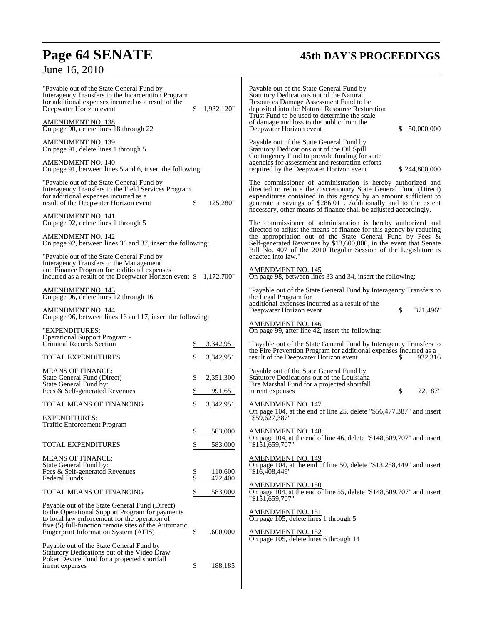June 16, 2010

# **Page 64 SENATE 45th DAY'S PROCEEDINGS**

| "Payable out of the State General Fund by<br>Interagency Transfers to the Incarceration Program<br>for additional expenses incurred as a result of the<br>Deepwater Horizon event<br><b>AMENDMENT NO. 138</b><br>On page 90, delete lines 18 through 22<br><b>AMENDMENT NO. 139</b> | 1,932,120"<br>\$                                    | Payable out of the State General Fund by<br>Statutory Dedications out of the Natural<br>Resources Damage Assessment Fund to be<br>deposited into the Natural Resource Restoration<br>Trust Fund to be used to determine the scale<br>of damage and loss to the public from the<br>\$<br>50,000,000<br>Deepwater Horizon event<br>Payable out of the State General Fund by |
|-------------------------------------------------------------------------------------------------------------------------------------------------------------------------------------------------------------------------------------------------------------------------------------|-----------------------------------------------------|---------------------------------------------------------------------------------------------------------------------------------------------------------------------------------------------------------------------------------------------------------------------------------------------------------------------------------------------------------------------------|
| On page 91, delete lines 1 through 5<br><u>AMENDMENT NO. 140</u><br>On page 91, between lines 5 and 6, insert the following:                                                                                                                                                        |                                                     | Statutory Dedications out of the Oil Spill<br>Contingency Fund to provide funding for state<br>agencies for assessment and restoration efforts<br>required by the Deepwater Horizon event<br>\$244,800,000                                                                                                                                                                |
| "Payable out of the State General Fund by<br>Interagency Transfers to the Field Services Program<br>for additional expenses incurred as a<br>result of the Deepwater Horizon event                                                                                                  | \$<br>125,280"                                      | The commissioner of administration is hereby authorized and<br>directed to reduce the discretionary State General Fund (Direct)<br>expenditures contained in this agency by an amount sufficient to<br>generate a savings of \$286,011. Additionally and to the extent<br>necessary, other means of finance shall be adjusted accordingly.                                |
| <b>AMENDMENT NO. 141</b><br>On page 92, delete lines 1 through 5                                                                                                                                                                                                                    |                                                     | The commissioner of administration is hereby authorized and                                                                                                                                                                                                                                                                                                               |
| <b>AMENDMENT NO. 142</b><br>On page 92, between lines 36 and 37, insert the following:                                                                                                                                                                                              |                                                     | directed to adjust the means of finance for this agency by reducing<br>the appropriation out of the State General Fund by Fees $\&$<br>Self-generated Revenues by \$13,600,000, in the event that Senate<br>Bill No. 407 of the 2010 Regular Session of the Legislature is                                                                                                |
| "Payable out of the State General Fund by<br>Interagency Transfers to the Management<br>and Finance Program for additional expenses<br>incurred as a result of the Deepwater Horizon event $$1,172,700"$                                                                            |                                                     | enacted into law."<br><b>AMENDMENT NO. 145</b><br>On page 98, between lines 33 and 34, insert the following:                                                                                                                                                                                                                                                              |
| <u>AMENDMENT NO. 143</u><br>On page 96, delete lines 12 through 16                                                                                                                                                                                                                  |                                                     | "Payable out of the State General Fund by Interagency Transfers to<br>the Legal Program for                                                                                                                                                                                                                                                                               |
| <b>AMENDMENT NO. 144</b><br>On page 96, between lines 16 and 17, insert the following:                                                                                                                                                                                              |                                                     | additional expenses incurred as a result of the<br>\$<br>Deepwater Horizon event<br>371,496"                                                                                                                                                                                                                                                                              |
| "EXPENDITURES:<br>Operational Support Program -<br>Criminal Records Section                                                                                                                                                                                                         | 3,342,951                                           | <b>AMENDMENT NO. 146</b><br>On page 99, after line $42$ , insert the following:<br>"Payable out of the State General Fund by Interagency Transfers to                                                                                                                                                                                                                     |
| <b>TOTAL EXPENDITURES</b>                                                                                                                                                                                                                                                           | 3,342,951                                           | the Fire Prevention Program for additional expenses incurred as a<br>result of the Deepwater Horizon event<br>932,316<br>S                                                                                                                                                                                                                                                |
| <b>MEANS OF FINANCE:</b><br>State General Fund (Direct)<br>State General Fund by:<br>Fees & Self-generated Revenues                                                                                                                                                                 | \$<br>2,351,300<br>991,651                          | Payable out of the State General Fund by<br>Statutory Dedications out of the Louisiana<br>Fire Marshal Fund for a projected shortfall<br>\$<br>22,187"<br>in rent expenses                                                                                                                                                                                                |
| TOTAL MEANS OF FINANCING                                                                                                                                                                                                                                                            | 3,342,951                                           | <b>AMENDMENT NO. 147</b>                                                                                                                                                                                                                                                                                                                                                  |
| <b>EXPENDITURES:</b><br>Traffic Enforcement Program                                                                                                                                                                                                                                 |                                                     | On page 104, at the end of line 25, delete "\$56,477,387" and insert<br>"\$59,627,387"                                                                                                                                                                                                                                                                                    |
|                                                                                                                                                                                                                                                                                     | 583.000                                             | <b>AMENDMENT NO. 148</b><br>On page 104, at the end of line 46, delete "\$148,509,707" and insert<br>"\$151,659.707"                                                                                                                                                                                                                                                      |
| TOTAL EXPENDITURES<br><b>MEANS OF FINANCE:</b>                                                                                                                                                                                                                                      | 583,000<br>\$                                       | <b>AMENDMENT NO. 149</b>                                                                                                                                                                                                                                                                                                                                                  |
| State General Fund by:<br>Fees & Self-generated Revenues<br>Federal Funds                                                                                                                                                                                                           | \$<br>110,600<br>$\overline{\mathbb{S}}$<br>472,400 | On page 104, at the end of line 50, delete " $$13,258,449"$ and insert<br>"\$16.408.449"                                                                                                                                                                                                                                                                                  |
| TOTAL MEANS OF FINANCING                                                                                                                                                                                                                                                            | \$<br>583,000                                       | AMENDMENT NO. 150<br>On page 104, at the end of line 55, delete "\$148,509,707" and insert                                                                                                                                                                                                                                                                                |
| Payable out of the State General Fund (Direct)<br>to the Operational Support Program for payments<br>to local law enforcement for the operation of<br>five (5) full-function remote sites of the Automatic<br>Fingerprint Information System (AFIS)                                 | \$<br>1,600,000                                     | "\$151,659,707"<br><b>AMENDMENT NO. 151</b><br>On page 105, delete lines 1 through 5<br><b>AMENDMENT NO. 152</b>                                                                                                                                                                                                                                                          |
| Payable out of the State General Fund by<br>Statutory Dedications out of the Video Draw<br>Poker Device Fund for a projected shortfall<br>inrent expenses                                                                                                                           | \$<br>188,185                                       | On page 105, delete lines 6 through 14                                                                                                                                                                                                                                                                                                                                    |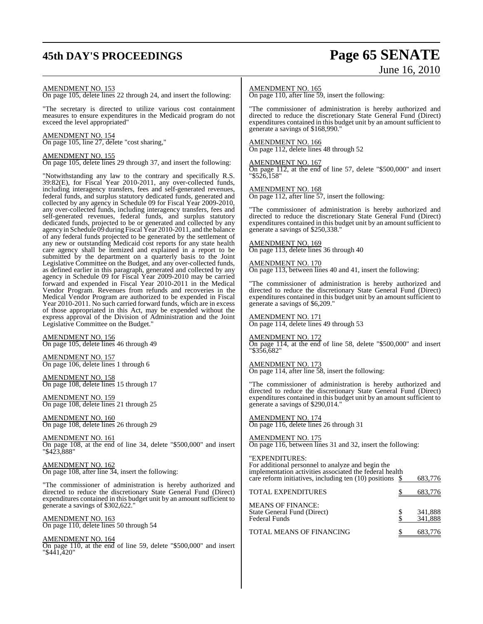## **45th DAY'S PROCEEDINGS Page 65 SENATE**

# June 16, 2010

#### AMENDMENT NO. 153

On page 105, delete lines 22 through 24, and insert the following:

"The secretary is directed to utilize various cost containment measures to ensure expenditures in the Medicaid program do not exceed the level appropriated"

#### AMENDMENT NO. 154

On page 105, line 27, delete "cost sharing,"

#### AMENDMENT NO. 155

On page 105, delete lines 29 through 37, and insert the following:

"Notwithstanding any law to the contrary and specifically R.S. 39:82(E), for Fiscal Year 2010-2011, any over-collected funds, including interagency transfers, fees and self-generated revenues, federal funds, and surplus statutory dedicated funds, generated and collected by any agency in Schedule 09 for Fiscal Year 2009-2010, any over-collected funds, including interagency transfers, fees and self-generated revenues, federal funds, and surplus statutory dedicated funds, projected to be or generated and collected by any agency in Schedule 09 during Fiscal Year 2010-2011, and the balance of any federal funds projected to be generated by the settlement of any new or outstanding Medicaid cost reports for any state health care agency shall be itemized and explained in a report to be submitted by the department on a quarterly basis to the Joint Legislative Committee on the Budget, and any over-collected funds, as defined earlier in this paragraph, generated and collected by any agency in Schedule 09 for Fiscal Year 2009-2010 may be carried forward and expended in Fiscal Year 2010-2011 in the Medical Vendor Program. Revenues from refunds and recoveries in the Medical Vendor Program are authorized to be expended in Fiscal Year 2010-2011. No such carried forward funds, which are in excess of those appropriated in this Act, may be expended without the express approval of the Division of Administration and the Joint Legislative Committee on the Budget."

AMENDMENT NO. 156 On page 105, delete lines 46 through 49

AMENDMENT NO. 157 On page 106, delete lines 1 through 6

AMENDMENT NO. 158 On page 108, delete lines 15 through 17

AMENDMENT NO. 159 On page 108, delete lines 21 through 25

AMENDMENT NO. 160 On page 108, delete lines 26 through 29

AMENDMENT NO. 161 On page 108, at the end of line 34, delete "\$500,000" and insert "\$423,888"

AMENDMENT NO. 162 On page 108, after line 34, insert the following:

"The commissioner of administration is hereby authorized and directed to reduce the discretionary State General Fund (Direct) expenditures contained in this budget unit by an amount sufficient to generate a savings of \$302,622."

AMENDMENT NO. 163 On page 110, delete lines 50 through 54

AMENDMENT NO. 164 On page 110, at the end of line 59, delete "\$500,000" and insert "\$441,420"

#### AMENDMENT NO. 165

On page 110, after line 59, insert the following:

"The commissioner of administration is hereby authorized and directed to reduce the discretionary State General Fund (Direct) expenditures contained in this budget unit by an amount sufficient to generate a savings of \$168,990."

#### AMENDMENT NO. 166

On page 112, delete lines 48 through 52

#### AMENDMENT NO. 167

On page 112, at the end of line 57, delete "\$500,000" and insert "\$526,158"

#### AMENDMENT NO. 168

On page 112, after line 57, insert the following:

"The commissioner of administration is hereby authorized and directed to reduce the discretionary State General Fund (Direct) expenditures contained in this budget unit by an amount sufficient to generate a savings of \$250,338."

#### AMENDMENT NO. 169

On page 113, delete lines 36 through 40

#### AMENDMENT NO. 170

On page 113, between lines 40 and 41, insert the following:

"The commissioner of administration is hereby authorized and directed to reduce the discretionary State General Fund (Direct) expenditures contained in this budget unit by an amount sufficient to generate a savings of \$6,209."

#### AMENDMENT NO. 171

On page 114, delete lines 49 through 53

#### AMENDMENT NO. 172

On page 114, at the end of line 58, delete "\$500,000" and insert "\$356,682"

AMENDMENT NO. 173 On page 114, after line 58, insert the following:

"The commissioner of administration is hereby authorized and directed to reduce the discretionary State General Fund (Direct) expenditures contained in this budget unit by an amount sufficient to generate a savings of \$290,014."

AMENDMENT NO. 174 On page 116, delete lines 26 through 31

AMENDMENT NO. 175

On page 116, between lines 31 and 32, insert the following:

"EXPENDITURES: For additional personnel to analyze and begin the implementation activities associated the federal health care reform initiatives, including ten (10) positions \$ 683,776

| <b>TOTAL EXPENDITURES</b>                                                | 683,776            |
|--------------------------------------------------------------------------|--------------------|
| <b>MEANS OF FINANCE:</b><br>State General Fund (Direct)<br>Federal Funds | 341,888<br>341.888 |
| <b>TOTAL MEANS OF FINANCING</b>                                          | 683.776            |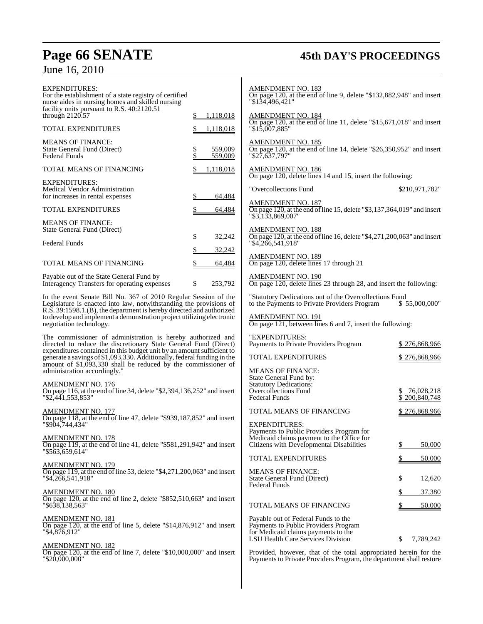# **Page 66 SENATE 45th DAY'S PROCEEDINGS**

# June 16, 2010

| <b>EXPENDITURES:</b><br>For the establishment of a state registry of certified<br>nurse aides in nursing homes and skilled nursing<br>facility units pursuant to R.S. 40:2120.51                              |                                | <b>AMENDMENT NO. 183</b><br>On page 120, at the end of line 9, delete " $$132,882,948$ " and insert<br>"\$134,496,421"                  |                 |
|---------------------------------------------------------------------------------------------------------------------------------------------------------------------------------------------------------------|--------------------------------|-----------------------------------------------------------------------------------------------------------------------------------------|-----------------|
| through $2120.57$                                                                                                                                                                                             | 1,118,018<br>S.                | AMENDMENT NO. 184<br>On page 120, at the end of line 11, delete "\$15,671,018" and insert                                               |                 |
| <b>TOTAL EXPENDITURES</b>                                                                                                                                                                                     | \$<br>1,118,018                | $"\$1\overline{5,007,885"$                                                                                                              |                 |
| <b>MEANS OF FINANCE:</b><br>State General Fund (Direct)<br><b>Federal Funds</b>                                                                                                                               | \$<br>559,009<br>\$<br>559,009 | <b>AMENDMENT NO. 185</b><br>On page 120, at the end of line 14, delete "\$26,350,952" and insert<br>$"\$2\overline{7,637,797"$          |                 |
| TOTAL MEANS OF FINANCING                                                                                                                                                                                      | 1,118,018                      | AMENDMENT NO. 186<br>On page 120, delete lines 14 and 15, insert the following:                                                         |                 |
| <b>EXPENDITURES:</b><br>Medical Vendor Administration<br>for increases in rental expenses                                                                                                                     | 64,484                         | "Overcollections Fund                                                                                                                   | \$210,971,782"  |
| TOTAL EXPENDITURES                                                                                                                                                                                            | 64,484                         | <b>AMENDMENT NO. 187</b><br>On page 120, at the end of line 15, delete "\$3,137,364,019" and insert<br>"\$3,133,869,007"                |                 |
| <b>MEANS OF FINANCE:</b><br>State General Fund (Direct)                                                                                                                                                       |                                | <b>AMENDMENT NO. 188</b>                                                                                                                |                 |
| <b>Federal Funds</b>                                                                                                                                                                                          | \$<br>32,242<br>\$<br>32,242   | On page 120, at the end of line 16, delete "\$4,271,200,063" and insert<br>"\$4,266,541,918"                                            |                 |
| TOTAL MEANS OF FINANCING                                                                                                                                                                                      | \$<br>64,484                   | AMENDMENT NO. 189<br>On page 120, delete lines 17 through 21                                                                            |                 |
| Payable out of the State General Fund by<br>Interagency Transfers for operating expenses                                                                                                                      | \$<br>253,792                  | <b>AMENDMENT NO. 190</b><br>On page 120, delete lines 23 through 28, and insert the following:                                          |                 |
| In the event Senate Bill No. 367 of 2010 Regular Session of the<br>Legislature is enacted into law, notwithstanding the provisions of<br>R.S. 39:1598.1.(B), the department is hereby directed and authorized |                                | "Statutory Dedications out of the Overcollections Fund<br>to the Payments to Private Providers Program                                  | \$55,000,000"   |
| to develop and implement a demonstration project utilizing electronic<br>negotiation technology.                                                                                                              |                                | <b>AMENDMENT NO. 191</b><br>On page 121, between lines 6 and 7, insert the following:                                                   |                 |
| The commissioner of administration is hereby authorized and<br>directed to reduce the discretionary State General Fund (Direct)<br>expenditures contained in this budget unit by an amount sufficient to      |                                | "EXPENDITURES:<br>Payments to Private Providers Program                                                                                 | \$276,868,966   |
| generate a savings of \$1,093,330. Additionally, federal funding in the<br>amount of \$1,093,330 shall be reduced by the commissioner of                                                                      |                                | <b>TOTAL EXPENDITURES</b>                                                                                                               | \$276,868,966   |
| administration accordingly."                                                                                                                                                                                  |                                | <b>MEANS OF FINANCE:</b><br>State General Fund by:                                                                                      |                 |
| <b>AMENDMENT NO. 176</b><br>On page 116, at the end of line 34, delete "\$2,394,136,252" and insert                                                                                                           |                                | <b>Statutory Dedications:</b><br>Overcollections Fund                                                                                   | 76,028,218      |
| "\$2.441.553.853"                                                                                                                                                                                             |                                | Federal Funds                                                                                                                           | \$200,840,748   |
| <b>AMENDMENT NO. 177</b><br>On page 118, at the end of line 47, delete "\$939,187,852" and insert                                                                                                             |                                | TOTAL MEANS OF FINANCING                                                                                                                | \$276,868,966   |
| "\$904,744,434"                                                                                                                                                                                               |                                | <b>EXPENDITURES:</b><br>Payments to Public Providers Program for                                                                        |                 |
| <b>AMENDMENT NO. 178</b><br>On page 119, at the end of line 41, delete "\$581,291,942" and insert<br>"\$563,659,614"                                                                                          |                                | Medicaid claims payment to the Office for<br>Citizens with Developmental Disabilities                                                   | 50,000<br>\$    |
|                                                                                                                                                                                                               |                                | <b>TOTAL EXPENDITURES</b>                                                                                                               | 50,000          |
| AMENDMENT NO. 179<br>On page 119, at the end of line 53, delete "\$4,271,200,063" and insert                                                                                                                  |                                | <b>MEANS OF FINANCE:</b>                                                                                                                |                 |
| "\$4,266,541,918"                                                                                                                                                                                             |                                | State General Fund (Direct)<br><b>Federal Funds</b>                                                                                     | \$<br>12,620    |
| <b>AMENDMENT NO. 180</b><br>On page 120, at the end of line 2, delete " $$852,510,663"$ and insert                                                                                                            |                                |                                                                                                                                         | 37,380<br>\$    |
| "\$638.138.563"                                                                                                                                                                                               |                                | TOTAL MEANS OF FINANCING                                                                                                                | 50,000          |
| <b>AMENDMENT NO. 181</b><br>On page 120, at the end of line 5, delete " $$14,876,912"$ and insert<br>"\$4,876,912"                                                                                            |                                | Payable out of Federal Funds to the<br>Payments to Public Providers Program<br>for Medicaid claims payments to the                      |                 |
| <u>AMENDMENT NO. 182</u>                                                                                                                                                                                      |                                | LSU Health Care Services Division                                                                                                       | \$<br>7,789,242 |
| On page 120, at the end of line 7, delete " $$10,000,000$ " and insert<br>"\$20,000,000"                                                                                                                      |                                | Provided, however, that of the total appropriated herein for the<br>Payments to Private Providers Program, the department shall restore |                 |
|                                                                                                                                                                                                               |                                |                                                                                                                                         |                 |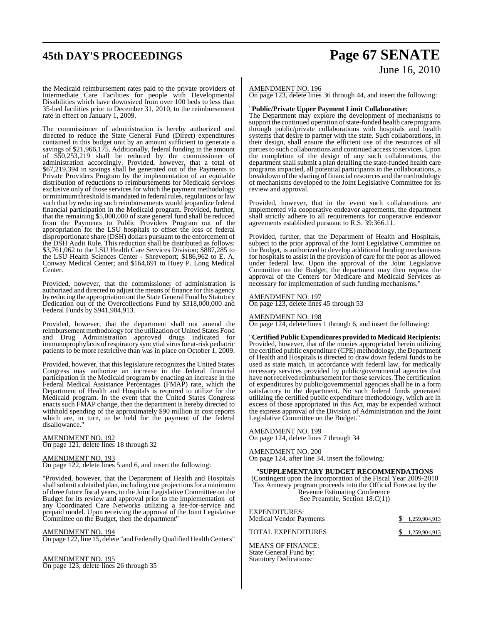## **45th DAY'S PROCEEDINGS Page 67 SENATE**

# June 16, 2010

the Medicaid reimbursement rates paid to the private providers of Intermediate Care Facilities for people with Developmental Disabilities which have downsized from over 100 beds to less than 35-bed facilities prior to December 31, 2010, to the reimbursement rate in effect on January 1, 2009.

The commissioner of administration is hereby authorized and directed to reduce the State General Fund (Direct) expenditures contained in this budget unit by an amount sufficient to generate a savings of \$21,966,175. Additionally, federal funding in the amount of \$50,253,219 shall be reduced by the commissioner of administration accordingly. Provided, however, that a total of \$67,219,394 in savings shall be generated out of the Payments to Private Providers Program by the implementation of an equitable distribution of reductions to reimbursements for Medicaid services exclusive only of those services for which the payment methodology or minimum threshold is mandated in federal rules, regulations or law such that by reducing such reimbursements would jeopardize federal financial participation in the Medicaid program. Provided, further, that the remaining \$5,000,000 of state general fund shall be reduced from the Payments to Public Providers Program out of the appropriation for the LSU hospitals to offset the loss of federal disproportionate share (DSH) dollars pursuant to the enforcement of the DSH Audit Rule. This reduction shall be distributed as follows: \$3,761,062 to the LSU Health Care Services Division; \$887,285 to the LSU Health Sciences Center - Shreveport; \$186,962 to E. A. Conway Medical Center; and \$164,691 to Huey P. Long Medical Center.

Provided, however, that the commissioner of administration is authorized and directed to adjust the means of finance for this agency by reducing the appropriation out the State General Fund by Statutory Dedication out of the Overcollections Fund by \$318,000,000 and Federal Funds by \$941,904,913.

Provided, however, that the department shall not amend the reimbursement methodology for the utilization of United States Food and Drug Administration approved drugs indicated for immunoprophylaxis ofrespiratory syncytial virusfor at-risk pediatric patients to be more restrictive than was in place on October 1, 2009.

Provided, however, that this legislature recognizes the United States Congress may authorize an increase in the federal financial participation in the Medicaid program by enacting an increase in the Federal Medical Assistance Percentages (FMAP) rate, which the Department of Health and Hospitals is required to utilize for the Medicaid program. In the event that the United States Congress enacts such FMAP change, then the department is hereby directed to withhold spending of the approximately \$90 million in cost reports which are, in turn, to be held for the payment of the federal disallowance."

AMENDMENT NO. 192 On page 121, delete lines 18 through 32

AMENDMENT NO. 193 On page 122, delete lines 5 and 6, and insert the following:

"Provided, however, that the Department of Health and Hospitals shall submit a detailed plan, including cost projections for a minimum of three future fiscal years, to the Joint Legislative Committee on the Budget for its review and approval prior to the implementation of any Coordinated Care Networks utilizing a fee-for-service and prepaid model. Upon receiving the approval of the Joint Legislative Committee on the Budget, then the department"

AMENDMENT NO. 194

On page 122, line 15, delete "and Federally Qualified Health Centers"

AMENDMENT NO. 195 On page 123, delete lines 26 through 35

#### AMENDMENT NO. 196

On page 123, delete lines 36 through 44, and insert the following:

#### "**Public/Private Upper Payment Limit Collaborative:**

The Department may explore the development of mechanisms to support the continued operation of state-funded health care programs through public/private collaborations with hospitals and health systems that desire to partner with the state. Such collaborations, in their design, shall ensure the efficient use of the resources of all parties to such collaborations and continued access to services. Upon the completion of the design of any such collaborations, the department shall submit a plan detailing the state-funded health care programs impacted, all potential participants in the collaborations, a breakdown of the sharing of financial resources and the methodology of mechanisms developed to the Joint Legislative Committee for its review and approval.

Provided, however, that in the event such collaborations are implemented via cooperative endeavor agreements, the department shall strictly adhere to all requirements for cooperative endeavor agreements established pursuant to R.S. 39:366.11.

Provided, further, that the Department of Health and Hospitals, subject to the prior approval of the Joint Legislative Committee on the Budget, is authorized to develop additional funding mechanisms for hospitals to assist in the provision of care for the poor as allowed under federal law. Upon the approval of the Joint Legislative Committee on the Budget, the department may then request the approval of the Centers for Medicare and Medicaid Services as necessary for implementation of such funding mechanisms."

#### AMENDMENT NO. 197

On page 123, delete lines 45 through 53

#### AMENDMENT NO. 198

On page 124, delete lines 1 through 6, and insert the following:

"**Certified Public Expenditures provided to Medicaid Recipients:** Provided, however, that of the monies appropriated herein utilizing the certified public expenditure (CPE) methodology, the Department of Health and Hospitals is directed to draw down federal funds to be used as state match, in accordance with federal law, for medically necessary services provided by public/governmental agencies that have notreceived reimbursement for those services. The certification of expenditures by public/governmental agencies shall be in a form satisfactory to the department. No such federal funds generated utilizing the certified public expenditure methodology, which are in excess of those appropriated in this Act, may be expended without the express approval of the Division of Administration and the Joint Legislative Committee on the Budget."

#### AMENDMENT NO. 199

On page 124, delete lines 7 through 34

AMENDMENT NO. 200 On page 124, after line 34, insert the following:

#### "**SUPPLEMENTARY BUDGET RECOMMENDATIONS**

(Contingent upon the Incorporation of the Fiscal Year 2009-2010 Tax Amnesty program proceeds into the Official Forecast by the Revenue Estimating Conference See Preamble, Section 18.C(1))

| EXPENDITURES:<br><b>Medical Vendor Payments</b> | \$1,259,904,913 |
|-------------------------------------------------|-----------------|
| <b>TOTAL EXPENDITURES</b>                       | \$1,259,904,913 |

MEANS OF FINANCE: State General Fund by: Statutory Dedications: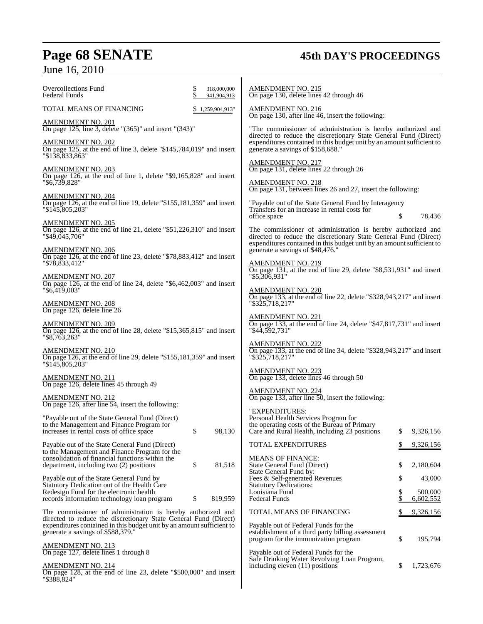# **Page 68 SENATE 45th DAY'S PROCEEDINGS** June 16, 2010

| <b>Overcollections Fund</b><br>318,000,000<br>Federal Funds<br>941,904,913                                                                                                     | <u>AMENDMENT NO. 215</u><br>On page 130, delete lines 42 through 46                                                                                                                                      |
|--------------------------------------------------------------------------------------------------------------------------------------------------------------------------------|----------------------------------------------------------------------------------------------------------------------------------------------------------------------------------------------------------|
| TOTAL MEANS OF FINANCING<br>1,259,904,913"                                                                                                                                     | <b>AMENDMENT NO. 216</b><br>On page 130, after line 46, insert the following:                                                                                                                            |
| <u>AMENDMENT NO. 201</u><br>On page 125, line 3, delete "(365)" and insert "(343)"                                                                                             | "The commissioner of administration is hereby authorized and                                                                                                                                             |
| AMENDMENT NO. 202<br>On page 125, at the end of line 3, delete " $$145,784,019"$ and insert<br>"\$138,833,863"                                                                 | directed to reduce the discretionary State General Fund (Direct)<br>expenditures contained in this budget unit by an amount sufficient to<br>generate a savings of \$158,688."                           |
| <b>AMENDMENT NO. 203</b>                                                                                                                                                       | <u>AMENDMENT NO. 217</u><br>On page 131, delete lines 22 through 26                                                                                                                                      |
| On page 126, at the end of line 1, delete "\$9,165,828" and insert<br>"\$6,739,828"                                                                                            | AMENDMENT NO. 218<br>On page 131, between lines 26 and 27, insert the following:                                                                                                                         |
| <u>AMENDMENT NO. 204</u><br>On page 126, at the end of line 19, delete "\$155,181,359" and insert<br>"\$145,805,203"                                                           | "Payable out of the State General Fund by Interagency<br>Transfers for an increase in rental costs for<br>78,436<br>office space                                                                         |
| AMENDMENT NO. 205<br>On page 126, at the end of line 21, delete "\$51,226,310" and insert<br>"\$49,045,706"                                                                    | The commissioner of administration is hereby authorized and<br>directed to reduce the discretionary State General Fund (Direct)<br>expenditures contained in this budget unit by an amount sufficient to |
| <u>AMENDMENT NO. 206</u><br>On page 126, at the end of line 23, delete "\$78,883,412" and insert                                                                               | generate a savings of \$48,476."                                                                                                                                                                         |
| "\$78,833,412"                                                                                                                                                                 | <b>AMENDMENT NO. 219</b><br>On page 131, at the end of line 29, delete " $$8,531,931"$ and insert                                                                                                        |
| AMENDMENT NO. 207<br>On page 126, at the end of line 24, delete "\$6,462,003" and insert<br>"\$6,419,003"                                                                      | "\$5,306,931"<br><b>AMENDMENT NO. 220</b>                                                                                                                                                                |
| <b>AMENDMENT NO. 208</b><br>On page 126, delete line 26                                                                                                                        | On page 133, at the end of line 22, delete "\$328,943,217" and insert<br>"\$325,718,217"                                                                                                                 |
| AMENDMENT NO. 209<br>On page 126, at the end of line 28, delete "\$15,365,815" and insert                                                                                      | AMENDMENT NO. 221<br>On page 133, at the end of line 24, delete "\$47,817,731" and insert<br>"\$44,592,731"                                                                                              |
| "\$8,763,263"<br>AMENDMENT NO. 210<br>On page 126, at the end of line 29, delete "\$155,181,359" and insert<br>"\$145,805,203"                                                 | AMENDMENT NO. 222<br>On page 133, at the end of line 34, delete "\$328,943,217" and insert<br>"\$325,718,217"                                                                                            |
| <u>AMENDMENT NO. 211</u><br>On page 126, delete lines 45 through 49                                                                                                            | AMENDMENT NO. 223<br>On page 133, delete lines 46 through 50                                                                                                                                             |
| <b>AMENDMENT NO. 212</b><br>On page 126, after line $\overline{54}$ , insert the following:                                                                                    | <b>AMENDMENT NO. 224</b><br>On page 133, after line 50, insert the following:                                                                                                                            |
| "Payable out of the State General Fund (Direct)                                                                                                                                | "EXPENDITURES:<br>Personal Health Services Program for                                                                                                                                                   |
| to the Management and Finance Program for<br>98,130<br>increases in rental costs of office space                                                                               | the operating costs of the Bureau of Primary<br>Care and Rural Health, including 23 positions<br>9,326,156                                                                                               |
| Payable out of the State General Fund (Direct)                                                                                                                                 | TOTAL EXPENDITURES<br>9,326,156                                                                                                                                                                          |
| to the Management and Finance Program for the<br>consolidation of financial functions within the<br>\$<br>81,518<br>department, including two (2) positions                    | <b>MEANS OF FINANCE:</b><br>State General Fund (Direct)<br>2,180,604<br>S                                                                                                                                |
| Payable out of the State General Fund by                                                                                                                                       | State General Fund by:<br>Fees & Self-generated Revenues<br>43,000<br>S                                                                                                                                  |
| Statutory Dedication out of the Health Care<br>Redesign Fund for the electronic health<br>819,959<br>\$<br>records information technology loan program                         | <b>Statutory Dedications:</b><br>500,000<br>Louisiana Fund<br><b>Federal Funds</b><br>6,602,552                                                                                                          |
| The commissioner of administration is hereby authorized and                                                                                                                    | TOTAL MEANS OF FINANCING<br>9,326,156                                                                                                                                                                    |
| directed to reduce the discretionary State General Fund (Direct)<br>expenditures contained in this budget unit by an amount sufficient to<br>generate a savings of \$588,379." | Payable out of Federal Funds for the<br>establishment of a third party billing assessment                                                                                                                |
| <b>AMENDMENT NO. 213</b><br>On page 127, delete lines 1 through 8                                                                                                              | \$<br>195,794<br>program for the immunization program<br>Payable out of Federal Funds for the                                                                                                            |
| <b>AMENDMENT NO. 214</b><br>On page 128, at the end of line 23, delete "\$500,000" and insert<br>"\$388,824"                                                                   | Safe Drinking Water Revolving Loan Program,<br>1,723,676<br>including eleven (11) positions<br>S                                                                                                         |
|                                                                                                                                                                                |                                                                                                                                                                                                          |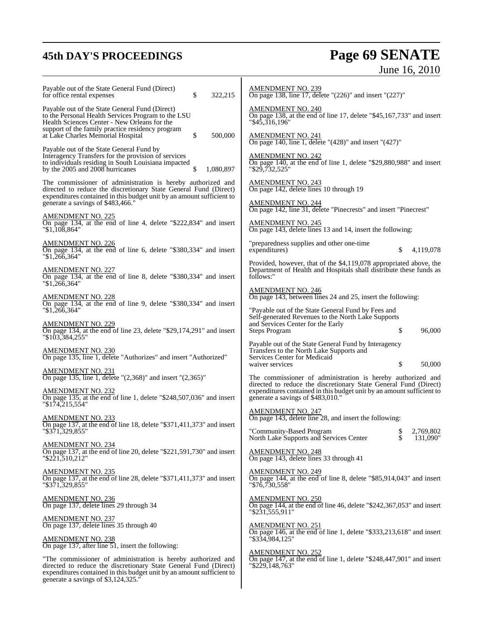# **45th DAY'S PROCEEDINGS Page 69 SENATE** June 16, 2010

| Payable out of the State General Fund (Direct)<br>for office rental expenses<br>\$<br>322,215                                                                                                                                                    | <b>AMENDMENT NO. 239</b><br>On page 138, line 17, delete " $(226)$ " and insert " $(227)$ "                                                           |  |
|--------------------------------------------------------------------------------------------------------------------------------------------------------------------------------------------------------------------------------------------------|-------------------------------------------------------------------------------------------------------------------------------------------------------|--|
| Payable out of the State General Fund (Direct)<br>to the Personal Health Services Program to the LSU<br>Health Sciences Center - New Orleans for the<br>support of the family practice residency program                                         | <b>AMENDMENT NO. 240</b><br>On page 138, at the end of line 17, delete "\$45,167,733" and insert<br>$"\$4\overline{5}.\overline{3}16,196"$            |  |
| \$<br>500,000<br>at Lake Charles Memorial Hospital                                                                                                                                                                                               | AMENDMENT NO. 241<br>On page 140, line 1, delete "(428)" and insert "(427)"                                                                           |  |
| Payable out of the State General Fund by<br>Interagency Transfers for the provision of services<br>to individuals residing in South Louisiana impacted<br>by the 2005 and 2008 hurricanes<br>S<br>1,080,897                                      | <b>AMENDMENT NO. 242</b><br>On page 140, at the end of line 1, delete "\$29,880,988" and insert<br>"\$29,732,525"                                     |  |
| The commissioner of administration is hereby authorized and<br>directed to reduce the discretionary State General Fund (Direct)<br>expenditures contained in this budget unit by an amount sufficient to<br>generate a savings of \$483,466."    | AMENDMENT NO. 243<br>On page 142, delete lines 10 through 19<br><b>AMENDMENT NO. 244</b>                                                              |  |
| <b>AMENDMENT NO. 225</b>                                                                                                                                                                                                                         | On page 142, line 31, delete "Pinecrests" and insert "Pinecrest"                                                                                      |  |
| On page 134, at the end of line 4, delete "\$222,834" and insert<br>"\$1,108,864"                                                                                                                                                                | <b>AMENDMENT NO. 245</b><br>On page 143, delete lines 13 and 14, insert the following:                                                                |  |
| <b>AMENDMENT NO. 226</b><br>On page 134, at the end of line 6, delete "\$380,334" and insert<br>"\$1,266,364"                                                                                                                                    | "preparedness supplies and other one-time<br>expenditures)<br>\$<br>4,119,078                                                                         |  |
| <b>AMENDMENT NO. 227</b><br>On page 134, at the end of line 8, delete "\$380,334" and insert<br>"1,266,364"                                                                                                                                      | Provided, however, that of the \$4,119,078 appropriated above, the<br>Department of Health and Hospitals shall distribute these funds as<br>follows:" |  |
| <b>AMENDMENT NO. 228</b><br>On page 134, at the end of line 9, delete "\$380,334" and insert                                                                                                                                                     | <b>AMENDMENT NO. 246</b><br>On page 143, between lines 24 and 25, insert the following:                                                               |  |
| $"\$1,266,364"$                                                                                                                                                                                                                                  | "Payable out of the State General Fund by Fees and<br>Self-generated Revenues to the North Lake Supports                                              |  |
| <b>AMENDMENT NO. 229</b><br>On page 134, at the end of line 23, delete "\$29,174,291" and insert<br>"\$103,384,255"                                                                                                                              | and Services Center for the Early<br>\$<br>96,000<br><b>Steps Program</b>                                                                             |  |
| <b>AMENDMENT NO. 230</b>                                                                                                                                                                                                                         | Payable out of the State General Fund by Interagency<br>Transfers to the North Lake Supports and                                                      |  |
| On page 135, line 1, delete "Authorizes" and insert "Authorized"                                                                                                                                                                                 | Services Center for Medicaid<br>waiver services<br>\$<br>50,000                                                                                       |  |
| <b>AMENDMENT NO. 231</b><br>On page 135, line 1, delete "(2,368)" and insert "(2,365)"                                                                                                                                                           | The commissioner of administration is hereby authorized and<br>directed to reduce the discretionary State General Fund (Direct)                       |  |
| <b>AMENDMENT NO. 232</b><br>On page 135, at the end of line 1, delete "\$248,507,036" and insert<br>"\$174,215,554"                                                                                                                              | expenditures contained in this budget unit by an amount sufficient to<br>generate a savings of \$483,010."                                            |  |
| <u>AMENDMENT NO. 233</u>                                                                                                                                                                                                                         | <b>AMENDMENT NO. 247</b><br>On page 143, delete line 28, and insert the following:                                                                    |  |
| On page 137, at the end of line 18, delete "\$371,411,373" and insert<br>"\$371,329,855"                                                                                                                                                         | \$2,769,802<br>"Community-Based Program<br>North Lake Supports and Services Center<br>\$<br>131,090"                                                  |  |
| <b>AMENDMENT NO. 234</b><br>On page 137, at the end of line 20, delete "\$221,591,730" and insert<br>" $$2\overline{2}1,510,212"$                                                                                                                | <b>AMENDMENT NO. 248</b><br>On page 143, delete lines 33 through 41                                                                                   |  |
| <b>AMENDMENT NO. 235</b><br>On page 137, at the end of line 28, delete "\$371,411,373" and insert<br>"\$371,329,855"                                                                                                                             | <b>AMENDMENT NO. 249</b><br>On page 144, at the end of line 8, delete " $$85,914,043"$ and insert<br>"\$76,730,558"                                   |  |
| <b>AMENDMENT NO. 236</b><br>On page 137, delete lines 29 through 34                                                                                                                                                                              | <b>AMENDMENT NO. 250</b><br>On page 144, at the end of line 46, delete " $$242,367,053"$ and insert<br>"\$231,555,911"                                |  |
| <b>AMENDMENT NO. 237</b><br>On page 137, delete lines 35 through 40                                                                                                                                                                              | <b>AMENDMENT NO. 251</b><br>On page 146, at the end of line 1, delete "\$333,213,618" and insert                                                      |  |
| <b>AMENDMENT NO. 238</b><br>On page 137, after line $51$ , insert the following:                                                                                                                                                                 | "\$334,984,125"                                                                                                                                       |  |
| "The commissioner of administration is hereby authorized and<br>directed to reduce the discretionary State General Fund (Direct)<br>expenditures contained in this budget unit by an amount sufficient to<br>generate a savings of \$3,124,325." | <b>AMENDMENT NO. 252</b><br>On page 147, at the end of line 1, delete "\$248,447,901" and insert<br>"\$229,148,763"                                   |  |
|                                                                                                                                                                                                                                                  |                                                                                                                                                       |  |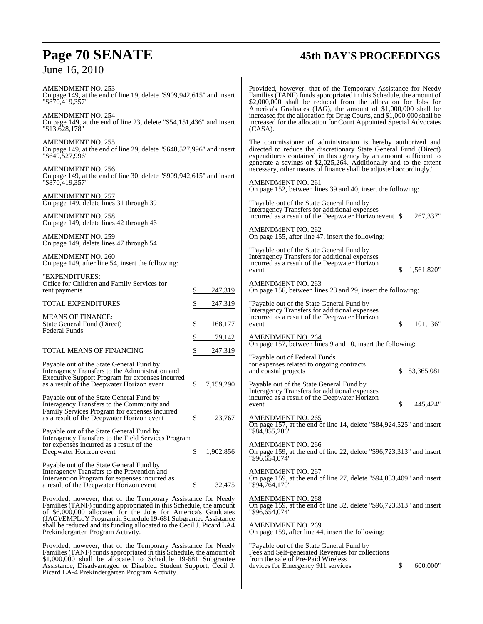# **Page 70 SENATE 45th DAY'S PROCEEDINGS**

## June 16, 2010

| AMENDMENT NO. 253<br>On page 149, at the end of line 19, delete "\$909,942,615" and insert<br>"\$870,419.357"                                                                                                                                                                                                                                                                      |           | Provided, however, that of the Temporary Assistance for Needy<br>Families (TANF) funds appropriated in this Schedule, the amount of<br>\$2,000,000 shall be reduced from the allocation for Jobs for<br>America's Graduates (JAG), the amount of \$1,000,000 shall be |              |
|------------------------------------------------------------------------------------------------------------------------------------------------------------------------------------------------------------------------------------------------------------------------------------------------------------------------------------------------------------------------------------|-----------|-----------------------------------------------------------------------------------------------------------------------------------------------------------------------------------------------------------------------------------------------------------------------|--------------|
| <b>AMENDMENT NO. 254</b><br>On page 149, at the end of line 23, delete "\$54,151,436" and insert<br>$"\$1\overline{3,6}28,178"$                                                                                                                                                                                                                                                    |           | increased for the allocation for Drug Courts, and \$1,000,000 shall be<br>increased for the allocation for Court Appointed Special Advocates<br>(CASA).                                                                                                               |              |
| <b>AMENDMENT NO. 255</b><br>On page 149, at the end of line 29, delete "\$648,527,996" and insert<br>"\$649,527,996"                                                                                                                                                                                                                                                               |           | The commissioner of administration is hereby authorized and<br>directed to reduce the discretionary State General Fund (Direct)<br>expenditures contained in this agency by an amount sufficient to                                                                   |              |
| <b>AMENDMENT NO. 256</b><br>On page 149, at the end of line 30, delete "\$909,942,615" and insert                                                                                                                                                                                                                                                                                  |           | generate a savings of \$2,025,264. Additionally and to the extent<br>necessary, other means of finance shall be adjusted accordingly."                                                                                                                                |              |
| "\$870,419,357"<br><b>AMENDMENT NO. 257</b>                                                                                                                                                                                                                                                                                                                                        |           | <b>AMENDMENT NO. 261</b><br>On page 152, between lines 39 and 40, insert the following:                                                                                                                                                                               |              |
| On page 149, delete lines 31 through 39                                                                                                                                                                                                                                                                                                                                            |           | "Payable out of the State General Fund by<br>Interagency Transfers for additional expenses                                                                                                                                                                            |              |
| <b>AMENDMENT NO. 258</b><br>On page 149, delete lines 42 through 46                                                                                                                                                                                                                                                                                                                |           | incurred as a result of the Deepwater Horizonevent \$                                                                                                                                                                                                                 | 267,337"     |
| <b>AMENDMENT NO. 259</b><br>On page 149, delete lines 47 through 54                                                                                                                                                                                                                                                                                                                |           | <b>AMENDMENT NO. 262</b><br>On page 155, after line 47, insert the following:                                                                                                                                                                                         |              |
| <b>AMENDMENT NO. 260</b><br>On page 149, after line 54, insert the following:                                                                                                                                                                                                                                                                                                      |           | "Payable out of the State General Fund by<br>Interagency Transfers for additional expenses<br>incurred as a result of the Deepwater Horizon<br>S.<br>event                                                                                                            | 1,561,820"   |
| "EXPENDITURES:<br>Office for Children and Family Services for<br>\$<br>rent payments                                                                                                                                                                                                                                                                                               | 247,319   | <b>AMENDMENT NO. 263</b><br>On page 156, between lines 28 and 29, insert the following:                                                                                                                                                                               |              |
| TOTAL EXPENDITURES<br><u>\$</u>                                                                                                                                                                                                                                                                                                                                                    | 247,319   | "Payable out of the State General Fund by<br>Interagency Transfers for additional expenses                                                                                                                                                                            |              |
| <b>MEANS OF FINANCE:</b><br>\$<br>State General Fund (Direct)<br><b>Federal Funds</b>                                                                                                                                                                                                                                                                                              | 168,177   | incurred as a result of the Deepwater Horizon<br>\$<br>event                                                                                                                                                                                                          | 101,136"     |
| \$                                                                                                                                                                                                                                                                                                                                                                                 | 79,142    | <b>AMENDMENT NO. 264</b><br>On page 157, between lines 9 and 10, insert the following:                                                                                                                                                                                |              |
| TOTAL MEANS OF FINANCING<br>\$                                                                                                                                                                                                                                                                                                                                                     | 247,319   | "Payable out of Federal Funds"                                                                                                                                                                                                                                        |              |
| Payable out of the State General Fund by<br>Interagency Transfers to the Administration and<br>Executive Support Program for expenses incurred                                                                                                                                                                                                                                     |           | for expenses related to ongoing contracts<br>and coastal projects<br>\$                                                                                                                                                                                               | 83, 365, 081 |
| \$<br>as a result of the Deepwater Horizon event                                                                                                                                                                                                                                                                                                                                   | 7,159,290 | Payable out of the State General Fund by<br>Interagency Transfers for additional expenses                                                                                                                                                                             |              |
| Payable out of the State General Fund by<br>Interagency Transfers to the Community and                                                                                                                                                                                                                                                                                             |           | incurred as a result of the Deepwater Horizon<br>\$<br>event                                                                                                                                                                                                          | 445.424"     |
| Family Services Program for expenses incurred<br>as a result of the Deepwater Horizon event<br>\$                                                                                                                                                                                                                                                                                  | 23,767    | <b>AMENDMENT NO. 265</b><br>On page 157, at the end of line 14, delete "\$84,924,525" and insert                                                                                                                                                                      |              |
| Payable out of the State General Fund by<br>Interagency Transfers to the Field Services Program                                                                                                                                                                                                                                                                                    |           | '\$84,855,286                                                                                                                                                                                                                                                         |              |
| for expenses incurred as a result of the<br>\$<br>Deepwater Horizon event                                                                                                                                                                                                                                                                                                          | 1,902,856 | <b>AMENDMENT NO. 266</b><br>On page 159, at the end of line 22, delete "\$96,723,313" and insert<br>"\$96,654,074"                                                                                                                                                    |              |
| Payable out of the State General Fund by<br>Interagency Transfers to the Prevention and                                                                                                                                                                                                                                                                                            |           | <b>AMENDMENT NO. 267</b>                                                                                                                                                                                                                                              |              |
| Intervention Program for expenses incurred as<br>\$<br>a result of the Deepwater Horizon event                                                                                                                                                                                                                                                                                     | 32,475    | On page 159, at the end of line 27, delete "\$94,833,409" and insert<br>"\$94,764,170"                                                                                                                                                                                |              |
| Provided, however, that of the Temporary Assistance for Needy<br>Families (TANF) funding appropriated in this Schedule, the amount<br>of \$6,000,000 allocated for the Jobs for America's Graduates<br>(JAG)/EMPLoY Program in Schedule 19-681 Subgrantee Assistance<br>shall be reduced and its funding allocated to the Cecil J. Picard LA4<br>Prekindergarten Program Activity. |           | <b>AMENDMENT NO. 268</b><br>On page 159, at the end of line 32, delete " $$96,723,313"$ and insert<br>"\$96,654,074"                                                                                                                                                  |              |
|                                                                                                                                                                                                                                                                                                                                                                                    |           | <b>AMENDMENT NO. 269</b><br>On page 159, after line 44, insert the following:                                                                                                                                                                                         |              |
| Provided, however, that of the Temporary Assistance for Needy<br>Families (TANF) funds appropriated in this Schedule, the amount of<br>\$1,000,000 shall be allocated to Schedule 19-681 Subgrantee<br>Assistance, Disadvantaged or Disabled Student Support, Cecil J.<br>Picard LA-4 Prekindergarten Program Activity.                                                            |           | "Payable out of the State General Fund by<br>Fees and Self-generated Revenues for collections<br>from the sale of Pre-Paid Wireless<br>\$<br>devices for Emergency 911 services                                                                                       | 600,000"     |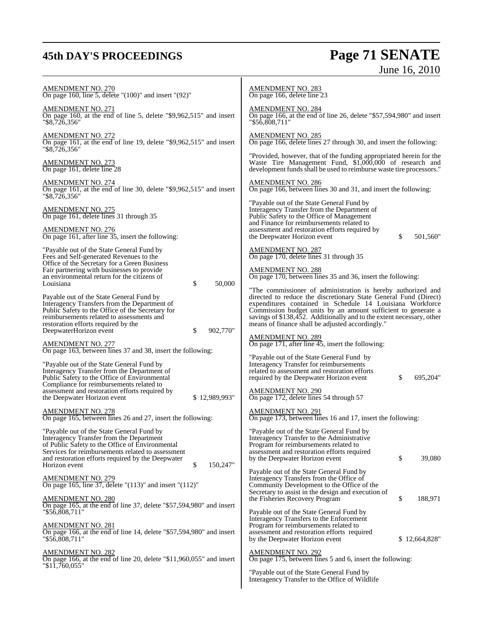# **45th DAY'S PROCEEDINGS Page 71 SENATE** June 16, 2010

| <u>AMENDMENT NO. 270</u><br>On page 160, line 5, delete " $(100)$ " and insert " $(92)$ "                                                                                                                                                                                             | <u>AMENDMENT NO. 283</u><br>On page 166, delete line 23                                                                                                                                                                                                                                                                                                                                     |
|---------------------------------------------------------------------------------------------------------------------------------------------------------------------------------------------------------------------------------------------------------------------------------------|---------------------------------------------------------------------------------------------------------------------------------------------------------------------------------------------------------------------------------------------------------------------------------------------------------------------------------------------------------------------------------------------|
| <u>AMENDMENT NO. 271</u><br>On page 160, at the end of line 5, delete "\$9,962,515" and insert<br>"\$8,726,356"                                                                                                                                                                       | <u>AMENDMENT NO. 284</u><br>On page 166, at the end of line 26, delete "\$57,594,980" and insert<br>"\$56,808,711"                                                                                                                                                                                                                                                                          |
| AMENDMENT NO. 272<br>On page 161, at the end of line 19, delete "\$9,962,515" and insert<br>"\$8,726,356"                                                                                                                                                                             | <b>AMENDMENT NO. 285</b><br>On page 166, delete lines 27 through 30, and insert the following:                                                                                                                                                                                                                                                                                              |
| <b>AMENDMENT NO. 273</b><br>On page 161, delete line 28                                                                                                                                                                                                                               | "Provided, however, that of the funding appropriated herein for the<br>Waste Tire Management Fund, \$1,000,000 of research and<br>development funds shall be used to reimburse waste tire processors."                                                                                                                                                                                      |
| AMENDMENT NO. 274<br>On page 161, at the end of line 30, delete "\$9,962,515" and insert<br>"\$8,726,356"                                                                                                                                                                             | <u>AMENDMENT NO. 286</u><br>On page 166, between lines 30 and 31, and insert the following:                                                                                                                                                                                                                                                                                                 |
| AMENDMENT NO. 275<br>On page 161, delete lines 31 through 35<br><u>AMENDMENT NO. 276</u><br>On page 161, after line 35, insert the following:                                                                                                                                         | "Payable out of the State General Fund by<br>Interagency Transfer from the Department of<br>Public Safety to the Office of Management<br>and Finance for reimbursements related to<br>assessment and restoration efforts required by<br>the Deepwater Horizon event<br>\$<br>501,560"                                                                                                       |
| "Payable out of the State General Fund by<br>Fees and Self-generated Revenues to the<br>Office of the Secretary for a Green Business                                                                                                                                                  | AMENDMENT NO. 287<br>On page 170, delete lines 31 through 35                                                                                                                                                                                                                                                                                                                                |
| Fair partnering with businesses to provide<br>an environmental return for the citizens of<br>\$<br>Louisiana<br>50,000                                                                                                                                                                | <b>AMENDMENT NO. 288</b><br>On page 170, between lines 35 and 36, insert the following:                                                                                                                                                                                                                                                                                                     |
| Payable out of the State General Fund by<br>Interagency Transfers from the Department of<br>Public Safety to the Office of the Secretary for<br>reimbursements related to assessments and<br>restoration efforts required by the<br>\$<br>DeepwaterHorizon event<br>902,770"          | "The commissioner of administration is hereby authorized and<br>directed to reduce the discretionary State General Fund (Direct)<br>expenditures contained in Schedule 14 Louisiana Workforce<br>Commission budget units by an amount sufficient to generate a<br>savings of \$138,452. Additionally and to the extent necessary, other<br>means of finance shall be adjusted accordingly." |
| <u>AMENDMENT NO. 277</u><br>On page 163, between lines 37 and 38, insert the following:<br>"Payable out of the State General Fund by<br>Interagency Transfer from the Department of                                                                                                   | <b>AMENDMENT NO. 289</b><br>On page 171, after line 45, insert the following:<br>"Payable out of the State General Fund by<br>Interagency Transfer for reimbursements<br>related to assessment and restoration efforts                                                                                                                                                                      |
| Public Safety to the Office of Environmental<br>Compliance for reimbursements related to<br>assessment and restoration efforts required by<br>\$12,989,993"<br>the Deepwater Horizon event                                                                                            | required by the Deepwater Horizon event<br>\$<br>695,204"<br>AMENDMENT NO. 290<br>On page 172, delete lines 54 through 57                                                                                                                                                                                                                                                                   |
| <b>AMENDMENT NO. 278</b><br>On page 165, between lines 26 and 27, insert the following:                                                                                                                                                                                               | <b>AMENDMENT NO. 291</b><br>On page 173, between lines 16 and 17, insert the following:                                                                                                                                                                                                                                                                                                     |
| "Payable out of the State General Fund by<br>Interagency Transfer from the Department<br>of Public Safety to the Office of Environmental<br>Services for reimbursements related to assessment<br>and restoration efforts required by the Deepwater<br>\$<br>150,247"<br>Horizon event | "Payable out of the State General Fund by<br>Interagency Transfer to the Administrative<br>Program for reimbursements related to<br>assessment and restoration efforts required<br>\$<br>39,080<br>by the Deepwater Horizon event                                                                                                                                                           |
| <u>AMENDMENT NO. 279</u><br>On page 165, line 37, delete " $(113)$ " and insert " $(112)$ "                                                                                                                                                                                           | Payable out of the State General Fund by<br>Interagency Transfers from the Office of<br>Community Development to the Office of the<br>Secretary to assist in the design and execution of                                                                                                                                                                                                    |
| AMENDMENT NO. 280<br>On page 165, at the end of line 37, delete "\$57,594,980" and insert<br>"\$56,808,711"                                                                                                                                                                           | \$<br>188,971<br>the Fisheries Recovery Program<br>Payable out of the State General Fund by                                                                                                                                                                                                                                                                                                 |
| AMENDMENT NO. 281<br>On page 166, at the end of line 14, delete "\$57,594,980" and insert<br>"\$56,808,711"                                                                                                                                                                           | Interagency Transfers to the Enforcement<br>Program for reimbursements related to<br>assessment and restoration efforts required<br>by the Deepwater Horizon event<br>\$12,664,828"                                                                                                                                                                                                         |
| AMENDMENT NO. 282<br>On page 166, at the end of line 20, delete " $$11,960,055$ " and insert<br>"\$11,760,055"                                                                                                                                                                        | <b>AMENDMENT NO. 292</b><br>On page 175, between lines 5 and 6, insert the following:<br>"Payable out of the State General Fund by                                                                                                                                                                                                                                                          |
|                                                                                                                                                                                                                                                                                       | Interagency Transfer to the Office of Wildlife                                                                                                                                                                                                                                                                                                                                              |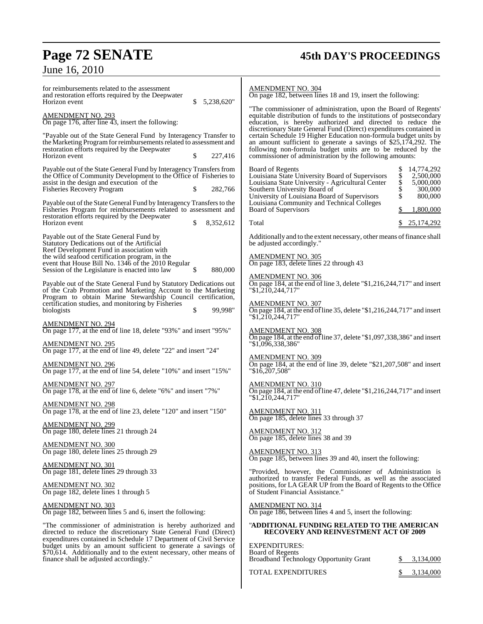# **Page 72 SENATE 45th DAY'S PROCEEDINGS**

## June 16, 2010

TOTAL EXPENDITURES  $\qquad \qquad \frac{$}{3,134,000}$ 

| for reimbursements related to the assessment<br>and restoration efforts required by the Deepwater<br>Horizon event<br>5,238,620"                                                                                                           | <b>AMENDMENT NO. 304</b><br>On page 182, between lines 18 and 19, insert the following:                                                                                                                                                                                                                                                 |
|--------------------------------------------------------------------------------------------------------------------------------------------------------------------------------------------------------------------------------------------|-----------------------------------------------------------------------------------------------------------------------------------------------------------------------------------------------------------------------------------------------------------------------------------------------------------------------------------------|
| <b>AMENDMENT NO. 293</b><br>On page 176, after line 43, insert the following:                                                                                                                                                              | "The commissioner of administration, upon the Board of Regents"<br>equitable distribution of funds to the institutions of postsecondary<br>education, is hereby authorized and directed to reduce the                                                                                                                                   |
| "Payable out of the State General Fund by Interagency Transfer to<br>the Marketing Program for reimbursements related to assessment and<br>restoration efforts required by the Deepwater<br>Horizon event<br>\$<br>227,416                 | discretionary State General Fund (Direct) expenditures contained in<br>certain Schedule 19 Higher Education non-formula budget units by<br>an amount sufficient to generate a savings of $$25,174,292$ . The<br>following non-formula budget units are to be reduced by the<br>commissioner of administration by the following amounts: |
| Payable out of the State General Fund by Interagency Transfers from<br>the Office of Community Development to the Office of Fisheries to<br>assist in the design and execution of the<br>282,766<br><b>Fisheries Recovery Program</b><br>S | Board of Regents<br>14,774,292<br>\$<br>Louisiana State University Board of Supervisors<br>2,500,000<br>\$<br>Louisiana State University - Agricultural Center<br>5,000,000<br>Southern University Board of<br>300,000<br>\$<br>University of Louisiana Board of Supervisors<br>800,000                                                 |
| Payable out of the State General Fund by Interagency Transfers to the<br>Fisheries Program for reimbursements related to assessment and<br>restoration efforts required by the Deepwater                                                   | Louisiana Community and Technical Colleges<br>Board of Supervisors<br>1,800,000                                                                                                                                                                                                                                                         |
| Horizon event<br>\$<br>8,352,612                                                                                                                                                                                                           | Total<br>25, 174, 292                                                                                                                                                                                                                                                                                                                   |
| Payable out of the State General Fund by<br>Statutory Dedications out of the Artificial<br>Reef Development Fund in association with                                                                                                       | Additionally and to the extent necessary, other means of finance shall<br>be adjusted accordingly."                                                                                                                                                                                                                                     |
| the wild seafood certification program, in the<br>event that House Bill No. 1346 of the 2010 Regular                                                                                                                                       | AMENDMENT NO. 305<br>On page 183, delete lines 22 through 43                                                                                                                                                                                                                                                                            |
| Session of the Legislature is enacted into law<br>S<br>880,000<br>Payable out of the State General Fund by Statutory Dedications out<br>of the Crab Promotion and Marketing Account to the Marketing                                       | <b>AMENDMENT NO. 306</b><br>On page 184, at the end of line 3, delete "\$1,216,244,717" and insert<br>$"\$1,210,244,717"$                                                                                                                                                                                                               |
| Program to obtain Marine Stewardship Council certification,<br>certification studies, and monitoring by Fisheries<br>99,998"<br>\$<br>biologists                                                                                           | <b>AMENDMENT NO. 307</b><br>On page 184, at the end of line 35, delete "\$1,216,244,717" and insert<br>$"\$1,2\overline{1}0,244,717"$                                                                                                                                                                                                   |
| <b>AMENDMENT NO. 294</b><br>On page 177, at the end of line 18, delete "93%" and insert "95%"                                                                                                                                              | <b>AMENDMENT NO. 308</b><br>On page 184, at the end of line 37, delete "\$1,097,338,386" and insert                                                                                                                                                                                                                                     |
| <b>AMENDMENT NO. 295</b><br>On page 177, at the end of line 49, delete "22" and insert "24"                                                                                                                                                | "\$1,096,338,386"                                                                                                                                                                                                                                                                                                                       |
| <b>AMENDMENT NO. 296</b><br>On page 177, at the end of line 54, delete "10%" and insert "15%"                                                                                                                                              | <b>AMENDMENT NO. 309</b><br>On page 184, at the end of line 39, delete "\$21,207,508" and insert<br>$"\$16,207,508"$                                                                                                                                                                                                                    |
| <b>AMENDMENT NO. 297</b><br>On page 178, at the end of line 6, delete "6%" and insert "7%"                                                                                                                                                 | <b>AMENDMENT NO. 310</b><br>On page 184, at the end of line 47, delete "\$1,216,244,717" and insert<br>"\$1,210,244,717"                                                                                                                                                                                                                |
| <b>AMENDMENT NO. 298</b><br>On page 178, at the end of line 23, delete "120" and insert "150"                                                                                                                                              | <b>AMENDMENT NO. 311</b><br>On page 185, delete lines 33 through 37                                                                                                                                                                                                                                                                     |
| <b>AMENDMENT NO. 299</b><br>On page 180, delete lines 21 through 24                                                                                                                                                                        | <b>AMENDMENT NO. 312</b><br>On page 185, delete lines 38 and 39                                                                                                                                                                                                                                                                         |
| <b>AMENDMENT NO. 300</b><br>On page 180, delete lines 25 through 29                                                                                                                                                                        | <b>AMENDMENT NO. 313</b><br>On page 185, between lines 39 and 40, insert the following:                                                                                                                                                                                                                                                 |
| AMENDMENT NO. 301<br>On page 181, delete lines 29 through 33                                                                                                                                                                               | "Provided, however, the Commissioner of Administration is<br>authorized to transfer Federal Funds, as well as the associated                                                                                                                                                                                                            |
| <b>AMENDMENT NO. 302</b><br>On page 182, delete lines 1 through 5                                                                                                                                                                          | positions, for LA GEAR UP from the Board of Regents to the Office<br>of Student Financial Assistance."                                                                                                                                                                                                                                  |
| <b>AMENDMENT NO. 303</b><br>On page 182, between lines 5 and 6, insert the following:                                                                                                                                                      | <b>AMENDMENT NO. 314</b><br>On page 186, between lines 4 and 5, insert the following:                                                                                                                                                                                                                                                   |
| "The commissioner of administration is hereby authorized and<br>directed to reduce the discretionary State General Fund (Direct)<br>expenditures contained in Schedule 17 Department of Civil Service                                      | "ADDITIONAL FUNDING RELATED TO THE AMERICAN<br><b>RECOVERY AND REINVESTMENT ACT OF 2009</b>                                                                                                                                                                                                                                             |
| budget units by an amount sufficient to generate a savings of<br>\$70,614. Additionally and to the extent necessary, other means of<br>finance shall be adjusted accordingly."                                                             | <b>EXPENDITURES:</b><br><b>Board of Regents</b><br>Broadband Technology Opportunity Grant<br>3,134,000<br>P.                                                                                                                                                                                                                            |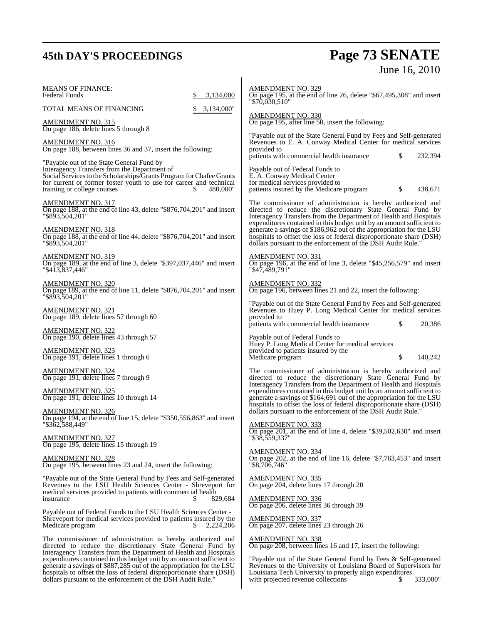## **45th DAY'S PROCEEDINGS Page 73 SENATE**

# June 16, 2010

MEANS OF FINANCE: Federal Funds \$ 3,134,000 TOTAL MEANS OF FINANCING \$ 3,134,000" AMENDMENT NO. 315 On page 186, delete lines 5 through 8 AMENDMENT NO. 316 On page 188, between lines 36 and 37, insert the following: "Payable out of the State General Fund by Interagency Transfers from the Department of Social Services to the Scholarships/Grants Program for Chafee Grants for current or former foster youth to use for career and technical training or college courses \$480,000" training or college courses AMENDMENT NO. 317 On page 188, at the end of line 43, delete "\$876,704,201" and insert "\$893,504,201" AMENDMENT NO. 318 On page 188, at the end of line 44, delete "\$876,704,201" and insert "\$893,504,201" AMENDMENT NO. 319 On page 189, at the end of line 3, delete "\$397,037,446" and insert "\$413,837,446" AMENDMENT NO. 320 On page 189, at the end of line 11, delete "\$876,704,201" and insert "\$893,504,201" AMENDMENT NO. 321 On page 189, delete lines 57 through 60 AMENDMENT NO. 322 On page 190, delete lines 43 through 57 AMENDMENT NO. 323 On page 191, delete lines 1 through 6 AMENDMENT NO. 324 On page 191, delete lines 7 through 9 AMENDMENT NO. 325 On page 191, delete lines 10 through 14 AMENDMENT NO. 326 On page 194, at the end of line 15, delete "\$350,556,863" and insert "\$362,588,449" AMENDMENT NO. 327 On page 195, delete lines 15 through 19 AMENDMENT NO. 328 On page 195, between lines 23 and 24, insert the following: "Payable out of the State General Fund by Fees and Self-generated Revenues to the LSU Health Sciences Center - Shreveport for medical services provided to patients with commercial health<br>insurance  $\frac{1}{8}$ 829,684 Payable out of Federal Funds to the LSU Health Sciences Center - Shreveport for medical services provided to patients insured by the Medicare program  $$2.224.206$ Medicare program The commissioner of administration is hereby authorized and directed to reduce the discretionary State General Fund by Interagency Transfers from the Department of Health and Hospitals expenditures contained in this budget unit by an amount sufficient to generate a savings of \$887,285 out of the appropriation for the LSU hospitals to offset the loss of federal disproportionate share (DSH) dollars pursuant to the enforcement of the DSH Audit Rule." AMENDMENT NO. 329 On page 195, at the end of line 26, delete "\$67,495,308" and insert "\$70,030,510" AMENDMENT NO. 330 On page 195, after line 50, insert the following: "Payable out of the State General Fund by Fees and Self-generated Revenues to E. A. Conway Medical Center for medical services provided to patients with commercial health insurance  $\qquad \qquad$  \$ 232,394 Payable out of Federal Funds to E. A. Conway Medical Center for medical services provided to patients insured by the Medicare program  $$ 438,671$ The commissioner of administration is hereby authorized and directed to reduce the discretionary State General Fund by Interagency Transfers from the Department of Health and Hospitals expenditures contained in this budget unit by an amount sufficient to generate a savings of \$186,962 out of the appropriation for the LSU hospitals to offset the loss of federal disproportionate share (DSH) dollars pursuant to the enforcement of the DSH Audit Rule. AMENDMENT NO. 331 On page 196, at the end of line 3, delete "\$45,256,579" and insert "\$47,489,791" AMENDMENT NO. 332 On page 196, between lines 21 and 22, insert the following: "Payable out of the State General Fund by Fees and Self-generated Revenues to Huey P. Long Medical Center for medical services provided to patients with commercial health insurance \$ 20,386 Payable out of Federal Funds to Huey P. Long Medical Center for medical services provided to patients insured by the Medicare program  $\qquad \qquad$  140,242 The commissioner of administration is hereby authorized and directed to reduce the discretionary State General Fund by Interagency Transfers from the Department of Health and Hospitals expenditures contained in this budget unit by an amount sufficient to generate a savings of \$164,691 out of the appropriation for the LSU hospitals to offset the loss of federal disproportionate share (DSH) dollars pursuant to the enforcement of the DSH Audit Rule. AMENDMENT NO. 333 On page 201, at the end of line 4, delete "\$39,502,630" and insert "\$38,559,337" AMENDMENT NO. 334 On page 202, at the end of line 16, delete "\$7,763,453" and insert "\$8,706,746" AMENDMENT NO. 335 On page 204, delete lines 17 through 20 AMENDMENT NO. 336 On page 206, delete lines 36 through 39 AMENDMENT NO. 337 On page 207, delete lines 23 through 26 AMENDMENT NO. 338 On page 208, between lines 16 and 17, insert the following: "Payable out of the State General Fund by Fees & Self-generated Revenues to the University of Louisiana Board of Supervisors for Louisiana Tech University to properly align expenditures<br>with projected revenue collections with projected revenue collections  $\frac{333,000}{9}$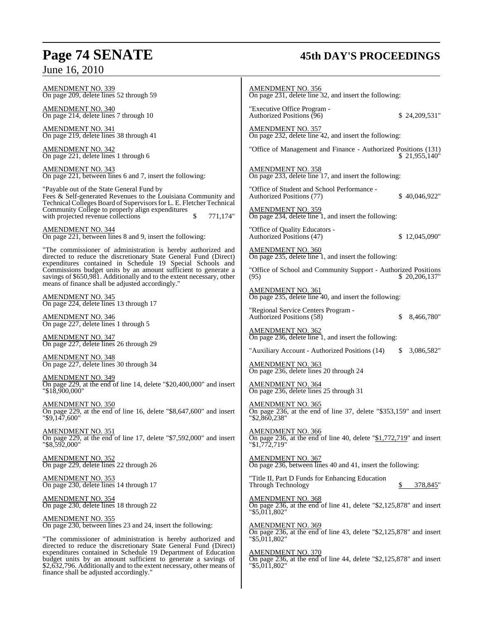## **Page 74 SENATE 45th DAY'S PROCEEDINGS**

| - - ,                                                                                                                                                                                                                                                                                                                                                                                  |                                                                                                                                   |  |  |  |  |
|----------------------------------------------------------------------------------------------------------------------------------------------------------------------------------------------------------------------------------------------------------------------------------------------------------------------------------------------------------------------------------------|-----------------------------------------------------------------------------------------------------------------------------------|--|--|--|--|
| <b>AMENDMENT NO. 339</b><br>On page 209, delete lines 52 through 59                                                                                                                                                                                                                                                                                                                    | <b>AMENDMENT NO. 356</b><br>On page 231, delete line 32, and insert the following:                                                |  |  |  |  |
| <b>AMENDMENT NO. 340</b><br>On page 214, delete lines 7 through 10                                                                                                                                                                                                                                                                                                                     | "Executive Office Program -<br>Authorized Positions (96)<br>\$24,209,531"                                                         |  |  |  |  |
| AMENDMENT NO. 341<br>On page 219, delete lines 38 through 41                                                                                                                                                                                                                                                                                                                           | <b>AMENDMENT NO. 357</b><br>On page 232, delete line 42, and insert the following:                                                |  |  |  |  |
| <b>AMENDMENT NO. 342</b><br>On page 221, delete lines 1 through 6                                                                                                                                                                                                                                                                                                                      | "Office of Management and Finance - Authorized Positions (131)<br>\$21,955,140"                                                   |  |  |  |  |
| <b>AMENDMENT NO. 343</b><br>On page 221, between lines 6 and 7, insert the following:                                                                                                                                                                                                                                                                                                  | <b>AMENDMENT NO. 358</b><br>On page 233, delete line 17, and insert the following:                                                |  |  |  |  |
| "Payable out of the State General Fund by<br>Fees & Self-generated Revenues to the Louisiana Community and                                                                                                                                                                                                                                                                             | "Office of Student and School Performance -<br>Authorized Positions (77)<br>\$40,046,922"                                         |  |  |  |  |
| Technical Colleges Board of Supervisors for L. E. Fletcher Technical<br>Community College to properly align expenditures<br>with projected revenue collections<br>\$<br>771,174"                                                                                                                                                                                                       | <b>AMENDMENT NO. 359</b><br>On page 234, delete line 1, and insert the following:                                                 |  |  |  |  |
| <b>AMENDMENT NO. 344</b><br>On page 221, between lines 8 and 9, insert the following:                                                                                                                                                                                                                                                                                                  | "Office of Quality Educators -<br>Authorized Positions (47)<br>\$12,045,090"                                                      |  |  |  |  |
| "The commissioner of administration is hereby authorized and<br>directed to reduce the discretionary State General Fund (Direct) expenditures contained in Schedule 19 Special Schools and                                                                                                                                                                                             | <b>AMENDMENT NO. 360</b><br>On page 235, delete line 1, and insert the following:                                                 |  |  |  |  |
| Commissions budget units by an amount sufficient to generate a<br>savings of \$650,981. Additionally and to the extent necessary, other<br>means of finance shall be adjusted accordingly."                                                                                                                                                                                            | "Office of School and Community Support - Authorized Positions<br>(95)<br>\$20,206,137"                                           |  |  |  |  |
| <b>AMENDMENT NO. 345</b><br>On page 224, delete lines 13 through 17                                                                                                                                                                                                                                                                                                                    | AMENDMENT NO. 361<br>On page 235, delete line 40, and insert the following:                                                       |  |  |  |  |
| <b>AMENDMENT NO. 346</b>                                                                                                                                                                                                                                                                                                                                                               | "Regional Service Centers Program -<br>Authorized Positions (58)<br>\$<br>8,466,780"                                              |  |  |  |  |
| On page 227, delete lines 1 through 5<br>AMENDMENT NO. 347<br>On page 227, delete lines 26 through 29                                                                                                                                                                                                                                                                                  | <b>AMENDMENT NO. 362</b><br>On page 236, delete line 1, and insert the following:                                                 |  |  |  |  |
|                                                                                                                                                                                                                                                                                                                                                                                        | "Auxiliary Account - Authorized Positions (14)<br>3,086,582"<br>\$.                                                               |  |  |  |  |
| <u>AMENDMENT NO. 348</u><br>On page 227, delete lines 30 through 34                                                                                                                                                                                                                                                                                                                    | <b>AMENDMENT NO. 363</b><br>On page 236, delete lines 20 through 24                                                               |  |  |  |  |
| <b>AMENDMENT NO. 349</b><br>On page 229, at the end of line 14, delete "\$20,400,000" and insert<br>"\$18,900,000"                                                                                                                                                                                                                                                                     | AMENDMENT NO. 364<br>On page 236, delete lines 25 through 31                                                                      |  |  |  |  |
| <b>AMENDMENT NO. 350</b><br>On page 229, at the end of line 16, delete "\$8,647,600" and insert<br>"\$9,147,600"                                                                                                                                                                                                                                                                       | AMENDMENT NO. 365<br>On page 236, at the end of line 37, delete "\$353,159" and insert<br>"\$2,860,238"                           |  |  |  |  |
| <b>AMENDMENT NO. 351</b><br>On page 229, at the end of line 17, delete "\$7,592,000" and insert<br>"\$8,592,000"                                                                                                                                                                                                                                                                       | <b>AMENDMENT NO. 366</b><br>On page 236, at the end of line 40, delete " $$1,772,719$ " and insert<br>"\$1,772,719"               |  |  |  |  |
| AMENDMENT NO. 352<br>On page 229, delete lines 22 through 26                                                                                                                                                                                                                                                                                                                           | <b>AMENDMENT NO. 367</b><br>On page 236, between lines 40 and 41, insert the following:                                           |  |  |  |  |
| <b>AMENDMENT NO. 353</b><br>On page 230, delete lines 14 through 17                                                                                                                                                                                                                                                                                                                    | "Title II, Part D Funds for Enhancing Education<br>Through Technology<br>378,845"                                                 |  |  |  |  |
| <b>AMENDMENT NO. 354</b><br>On page 230, delete lines 18 through 22                                                                                                                                                                                                                                                                                                                    | <b>AMENDMENT NO. 368</b><br>On page 236, at the end of line 41, delete " $$2,125,878$ " and insert<br>"\$5,011,802"               |  |  |  |  |
| <b>AMENDMENT NO. 355</b><br>On page 230, between lines 23 and 24, insert the following:                                                                                                                                                                                                                                                                                                | <b>AMENDMENT NO. 369</b><br>On page 236, at the end of line 43, delete " $$2,125,878$ " and insert                                |  |  |  |  |
| "The commissioner of administration is hereby authorized and<br>directed to reduce the discretionary State General Fund (Direct)<br>expenditures contained in Schedule 19 Department of Education<br>budget units by an amount sufficient to generate a savings of<br>\$2,632,796. Additionally and to the extent necessary, other means of<br>finance shall be adjusted accordingly." | "\$5,011,802"<br><b>AMENDMENT NO. 370</b><br>On page 236, at the end of line 44, delete "\$2,125,878" and insert<br>"\$5,011,802" |  |  |  |  |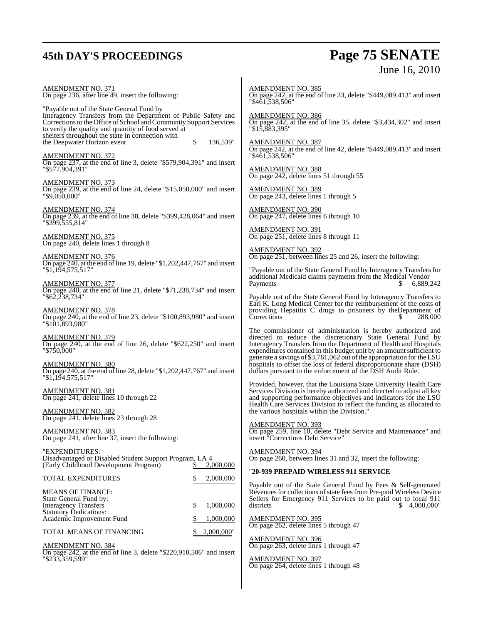## **45th DAY'S PROCEEDINGS Page 75 SENATE** June 16, 2010

| <u>AMENDMENT NO. 371</u><br>On page 236, after line 49, insert the following:<br>"Payable out of the State General Fund by                                                                                                                       | <b>AMENDMENT NO. 385</b><br>On page 242, at the end of line 33, delete "\$449,089,413" and insert<br>"\$461.538.506"                                                                                                                                                                                                                              |
|--------------------------------------------------------------------------------------------------------------------------------------------------------------------------------------------------------------------------------------------------|---------------------------------------------------------------------------------------------------------------------------------------------------------------------------------------------------------------------------------------------------------------------------------------------------------------------------------------------------|
| Interagency Transfers from the Department of Public Safety and<br>Corrections to the Office of School and Community Support Services<br>to verify the quality and quantity of food served at<br>shelters throughout the state in connection with | <b>AMENDMENT NO. 386</b><br>On page 242, at the end of line 35, delete "\$3,434,302" and insert<br>"\$15,883,395"                                                                                                                                                                                                                                 |
| the Deepwater Horizon event<br>\$<br>136,539"<br>AMENDMENT NO. 372<br>On page 237, at the end of line 3, delete "\$579,904,391" and insert                                                                                                       | AMENDMENT NO. 387<br>On page 242, at the end of line 42, delete "\$449,089,413" and insert<br>"\$461,538,506"                                                                                                                                                                                                                                     |
| "\$577.904.391"<br>AMENDMENT NO. 373                                                                                                                                                                                                             | <b>AMENDMENT NO. 388</b><br>On page 242, delete lines 51 through 55                                                                                                                                                                                                                                                                               |
| On page 239, at the end of line 24, delete "\$15,050,000" and insert<br>"\$9,050,000"                                                                                                                                                            | <b>AMENDMENT NO. 389</b><br>On page 243, delete lines 1 through 5                                                                                                                                                                                                                                                                                 |
| <u>AMENDMENT NO. 374</u><br>On page 239, at the end of line 38, delete "\$399,428,064" and insert<br>"\$399,555,814"                                                                                                                             | <b>AMENDMENT NO. 390</b><br>On page 247, delete lines 6 through 10                                                                                                                                                                                                                                                                                |
| <b>AMENDMENT NO. 375</b><br>On page 240, delete lines 1 through 8                                                                                                                                                                                | <b>AMENDMENT NO. 391</b><br>On page 251, delete lines 8 through 11                                                                                                                                                                                                                                                                                |
| <u>AMENDMENT NO. 376</u><br>On page 240, at the end of line 19, delete "\$1,202,447,767" and insert                                                                                                                                              | <b>AMENDMENT NO. 392</b><br>On page 251, between lines 25 and 26, insert the following:                                                                                                                                                                                                                                                           |
| "\$1,194,575,517"<br><u>AMENDMENT NO. 377</u>                                                                                                                                                                                                    | "Payable out of the State General Fund by Interagency Transfers for<br>additional Medicaid claims payments from the Medical Vendor<br>Payments<br>6,889,242<br>S.                                                                                                                                                                                 |
| On page 240, at the end of line 21, delete "\$71,238,734" and insert<br>"\$62,238,734"                                                                                                                                                           | Payable out of the State General Fund by Interagency Transfers to<br>Earl K. Long Medical Center for the reimbursement of the costs of                                                                                                                                                                                                            |
| <u>AMENDMENT NO. 378</u><br>On page 240, at the end of line 23, delete "\$100,893,980" and insert<br>"\$101,893,980"                                                                                                                             | providing Hepatitis C drugs to prisoners by the Department of<br>Corrections<br>288,000                                                                                                                                                                                                                                                           |
| AMENDMENT NO. 379<br>On page 240, at the end of line 26, delete "\$622,250" and insert<br>"\$750,000"                                                                                                                                            | The commissioner of administration is hereby authorized and<br>directed to reduce the discretionary State General Fund by<br>Interagency Transfers from the Department of Health and Hospitals<br>expenditures contained in this budget unit by an amount sufficient to<br>generate a savings of \$3,761,062 out of the appropriation for the LSU |
| <u>AMENDMENT NO. 380</u><br>On page 240, at the end of line 28, delete "\$1,202,447,767" and insert<br>"\$1,194,575,517"                                                                                                                         | hospitals to offset the loss of federal disproportionate share (DSH)<br>dollars pursuant to the enforcement of the DSH Audit Rule.                                                                                                                                                                                                                |
| <u>AMENDMENT NO. 381</u><br>On page 241, delete lines 10 through 22                                                                                                                                                                              | Provided, however, that the Louisiana State University Health Care<br>Services Division is hereby authorized and directed to adjust all key<br>and supporting performance objectives and indicators for the LSU<br>Health Care Services Division to reflect the funding as allocated to                                                           |
| AMENDMENT NO. 382<br>On page 241, delete lines 23 through 28                                                                                                                                                                                     | the various hospitals within the Division."<br><b>AMENDMENT NO. 393</b>                                                                                                                                                                                                                                                                           |
| <b>AMENDMENT NO. 383</b><br>On page 241, after line 37, insert the following:                                                                                                                                                                    | On page 259, line 10, delete "Debt Service and Maintenance" and<br>insert "Corrections Debt Service"                                                                                                                                                                                                                                              |
| "EXPENDITURES:<br>Disadvantaged or Disabled Student Support Program, LA 4<br>(Early Childhood Development Program)<br>2,000,000                                                                                                                  | <b>AMENDMENT NO. 394</b><br>On page 260, between lines 31 and 32, insert the following:                                                                                                                                                                                                                                                           |
| TOTAL EXPENDITURES<br>\$<br>2,000,000                                                                                                                                                                                                            | "20-939 PREPAID WIRELESS 911 SERVICE                                                                                                                                                                                                                                                                                                              |
| <b>MEANS OF FINANCE:</b><br>State General Fund by:<br><b>Interagency Transfers</b><br>\$<br>1,000,000                                                                                                                                            | Payable out of the State General Fund by Fees & Self-generated<br>Revenues for collections of state fees from Pre-paid Wireless Device<br>Sellers for Emergency 911 Services to be paid out to local 911<br>\$4,000,000"<br>districts                                                                                                             |
| <b>Statutory Dedications:</b><br>1,000,000<br>Academic Improvement Fund                                                                                                                                                                          | <b>AMENDMENT NO. 395</b><br>On page 262, delete lines 5 through 47                                                                                                                                                                                                                                                                                |
| TOTAL MEANS OF FINANCING<br>2,000,000"                                                                                                                                                                                                           | <b>AMENDMENT NO. 396</b>                                                                                                                                                                                                                                                                                                                          |
| AMENDMENT NO. 384<br>On page 242, at the end of line 3, delete "\$220,910,506" and insert<br>"\$233,359,599"                                                                                                                                     | On page 263, delete lines 1 through 47<br><b>AMENDMENT NO. 397</b>                                                                                                                                                                                                                                                                                |
|                                                                                                                                                                                                                                                  | On page 264, delete lines 1 through 48                                                                                                                                                                                                                                                                                                            |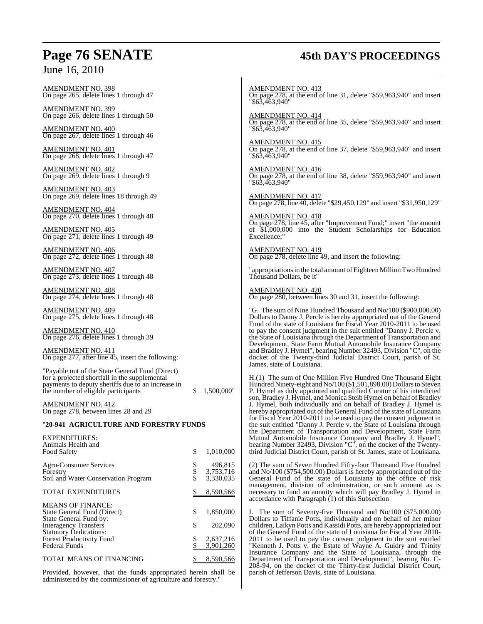## **Page 76 SENATE 45th DAY'S PROCEEDINGS**

| AMENDMENT NO. 398<br>On page 265, delete lines 1 through 47                                                                                                                                  |            |                                                                                                                                                                                                                                                                                                                                                              | <b>AMENDMENT NO. 413</b><br>On page 278, at the end of line 31, delete "\$59,963,940" and insert<br>"\$63,463,940"                                                                                                                  |  |  |
|----------------------------------------------------------------------------------------------------------------------------------------------------------------------------------------------|------------|--------------------------------------------------------------------------------------------------------------------------------------------------------------------------------------------------------------------------------------------------------------------------------------------------------------------------------------------------------------|-------------------------------------------------------------------------------------------------------------------------------------------------------------------------------------------------------------------------------------|--|--|
| <b>AMENDMENT NO. 399</b><br>On page 266, delete lines 1 through 50                                                                                                                           |            |                                                                                                                                                                                                                                                                                                                                                              | <b>AMENDMENT NO. 414</b><br>On page 278, at the end of line 35, delete "\$59,963,940" and insert<br>$"\$6\overline{3}4\overline{6}3.940"$                                                                                           |  |  |
| <b>AMENDMENT NO. 400</b><br>On page 267, delete lines 1 through 46                                                                                                                           |            |                                                                                                                                                                                                                                                                                                                                                              |                                                                                                                                                                                                                                     |  |  |
| <b>AMENDMENT NO. 401</b><br>On page 268, delete lines 1 through 47                                                                                                                           |            |                                                                                                                                                                                                                                                                                                                                                              | <b>AMENDMENT NO. 415</b><br>On page 278, at the end of line 37, delete "\$59,963,940" and insert<br>"\$63,463,940"                                                                                                                  |  |  |
| <b>AMENDMENT NO. 402</b><br>On page 269, delete lines 1 through 9                                                                                                                            |            |                                                                                                                                                                                                                                                                                                                                                              | <b>AMENDMENT NO. 416</b><br>On page 278, at the end of line 38, delete "\$59,963,940" and insert<br>"\$63,463,940"                                                                                                                  |  |  |
| <b>AMENDMENT NO. 403</b><br>On page 269, delete lines 18 through 49                                                                                                                          |            |                                                                                                                                                                                                                                                                                                                                                              | <b>AMENDMENT NO. 417</b><br>On page 278, line 40, delete "\$29,450,129" and insert "\$31,950,129"                                                                                                                                   |  |  |
| <b>AMENDMENT NO. 404</b><br>On page 270, delete lines 1 through 48                                                                                                                           |            |                                                                                                                                                                                                                                                                                                                                                              | <b>AMENDMENT NO. 418</b>                                                                                                                                                                                                            |  |  |
| <b>AMENDMENT NO. 405</b><br>On page 271, delete lines 1 through 49                                                                                                                           |            |                                                                                                                                                                                                                                                                                                                                                              | On page 278, line 45, after "Improvement Fund;" insert "the amount<br>of \$1,000,000 into the Student Scholarships for Education<br>Excellence;"                                                                                    |  |  |
| <b>AMENDMENT NO. 406</b><br>On page 272, delete lines 1 through 48                                                                                                                           |            |                                                                                                                                                                                                                                                                                                                                                              | AMENDMENT NO. 419<br>On page 278, delete line 49, and insert the following:                                                                                                                                                         |  |  |
| <b>AMENDMENT NO. 407</b><br>On page 273, delete lines 1 through 48                                                                                                                           |            | "appropriations in the total amount of Eighteen Million Two Hundred<br>Thousand Dollars, be it"                                                                                                                                                                                                                                                              |                                                                                                                                                                                                                                     |  |  |
| <b>AMENDMENT NO. 408</b><br>On page 274, delete lines 1 through 48                                                                                                                           |            |                                                                                                                                                                                                                                                                                                                                                              | <b>AMENDMENT NO. 420</b><br>On page 280, between lines 30 and 31, insert the following:                                                                                                                                             |  |  |
| <b>AMENDMENT NO. 409</b><br>On page 275, delete lines 1 through 48                                                                                                                           |            | "G. The sum of Nine Hundred Thousand and No/100 (\$900,000.00)<br>Dollars to Danny J. Percle is hereby appropriated out of the General<br>Fund of the state of Louisiana for Fiscal Year 2010-2011 to be used<br>to pay the consent judgment in the suit entitled "Danny J. Percle v.<br>the State of Louisiana through the Department of Transportation and |                                                                                                                                                                                                                                     |  |  |
| <b>AMENDMENT NO. 410</b><br>On page 276, delete lines 1 through 39                                                                                                                           |            |                                                                                                                                                                                                                                                                                                                                                              |                                                                                                                                                                                                                                     |  |  |
| <b>AMENDMENT NO. 411</b><br>On page 277, after line 45, insert the following:                                                                                                                |            |                                                                                                                                                                                                                                                                                                                                                              | Development, State Farm Mutual Automobile Insurance Company<br>and Bradley J. Hymel", bearing Number 32493, Division "C", on the<br>docket of the Twenty-third Judicial District Court, parish of St.<br>James, state of Louisiana. |  |  |
| "Payable out of the State General Fund (Direct)<br>for a projected shortfall in the supplemental<br>payments to deputy sheriffs due to an increase in<br>the number of eligible participants | 1,500,000" |                                                                                                                                                                                                                                                                                                                                                              | H.(1) The sum of One Million Five Hundred One Thousand Eight<br>Hundred Ninety-eight and No/100 (\$1,501,898.00) Dollars to Steven<br>P. Hymel as duly appointed and qualified Curator of his interdicted                           |  |  |
| <b>AMENDMENT NO. 412</b><br>On page 278, between lines 28 and 29                                                                                                                             |            |                                                                                                                                                                                                                                                                                                                                                              | son, Bradley J. Hymel, and Monica Steib Hymel on behalf of Bradley<br>J. Hymel, both individually and on behalf of Bradley J. Hymel is<br>hereby appropriated out of the General Fund of the state of Louisiana                     |  |  |
| "20-941 AGRICULTURE AND FORESTRY FUNDS                                                                                                                                                       |            |                                                                                                                                                                                                                                                                                                                                                              | for Fiscal Year 2010-2011 to be used to pay the consent judgment in<br>the suit entitled "Danny J. Percle v. the State of Louisiana through<br>the Department of Transportation and Development, State Farm                         |  |  |
| <b>EXPENDITURES:</b>                                                                                                                                                                         |            |                                                                                                                                                                                                                                                                                                                                                              | Mutual Automobile Insurance Company and Bradley J. Hymel",                                                                                                                                                                          |  |  |
| Animals Health and<br>Food Safety                                                                                                                                                            | \$         | 1,010,000                                                                                                                                                                                                                                                                                                                                                    | bearing Number 32493, Division "C", on the docket of the Twenty-<br>third Judicial District Court, parish of St. James, state of Louisiana.                                                                                         |  |  |
| <b>Agro-Consumer Services</b>                                                                                                                                                                | \$         | 496,815                                                                                                                                                                                                                                                                                                                                                      | (2) The sum of Seven Hundred Fifty-four Thousand Five Hundred                                                                                                                                                                       |  |  |
| Forestry                                                                                                                                                                                     | \$         | 3,753,716                                                                                                                                                                                                                                                                                                                                                    | and $\text{No}/100$ (\$754,500.00) Dollars is hereby appropriated out of the                                                                                                                                                        |  |  |
| Soil and Water Conservation Program                                                                                                                                                          | \$         | 3,330,035                                                                                                                                                                                                                                                                                                                                                    | General Fund of the state of Louisiana to the office of risk<br>management, division of administration, or such amount as is                                                                                                        |  |  |
| <b>TOTAL EXPENDITURES</b>                                                                                                                                                                    |            | 8,590,566                                                                                                                                                                                                                                                                                                                                                    | necessary to fund an annuity which will pay Bradley J. Hymel in<br>accordance with Paragraph (1) of this Subsection                                                                                                                 |  |  |
| <b>MEANS OF FINANCE:</b>                                                                                                                                                                     |            | 1,850,000                                                                                                                                                                                                                                                                                                                                                    | I. The sum of Seventy-five Thousand and No/100 (\$75,000.00)                                                                                                                                                                        |  |  |
| State General Fund (Direct)<br>State General Fund by:                                                                                                                                        | \$         |                                                                                                                                                                                                                                                                                                                                                              | Dollars to Tiffanie Potts, individually and on behalf of her minor                                                                                                                                                                  |  |  |
| <b>Interagency Transfers</b>                                                                                                                                                                 | \$         | 202,090                                                                                                                                                                                                                                                                                                                                                      | children, Laikyn Potts and Kassidi Potts, are hereby appropriated out                                                                                                                                                               |  |  |
| <b>Statutory Dedications:</b><br><b>Forest Productivity Fund</b>                                                                                                                             | \$         | 2,637,216                                                                                                                                                                                                                                                                                                                                                    | of the General Fund of the state of Louisiana for Fiscal Year 2010-<br>2011 to be used to pay the consent judgment in the suit entitled                                                                                             |  |  |
| Federal Funds                                                                                                                                                                                |            | 3,901,260                                                                                                                                                                                                                                                                                                                                                    | "Kenneth J. Potts v. the Estate of Wayne A. Guidry and Trinity                                                                                                                                                                      |  |  |
| TOTAL MEANS OF FINANCING                                                                                                                                                                     |            | 8,590,566                                                                                                                                                                                                                                                                                                                                                    | Insurance Company and the State of Louisiana, through the<br>Department of Transportation and Development", bearing No. C-<br>208-94 on the docket of the Thirty-first Indicial District Court                                      |  |  |

Provided, however, that the funds appropriated herein shall be administered by the commissioner of agriculture and forestry."

"Kenneth J. Potts v. the Estate of Wayne A. Guidry and Trinity Insurance Company and the State of Louisiana, through the Department of Transportation and Development", bearing No. C-208-94, on the docket of the Thirty-first Judicial District Court, parish of Jefferson Davis, state of Louisiana.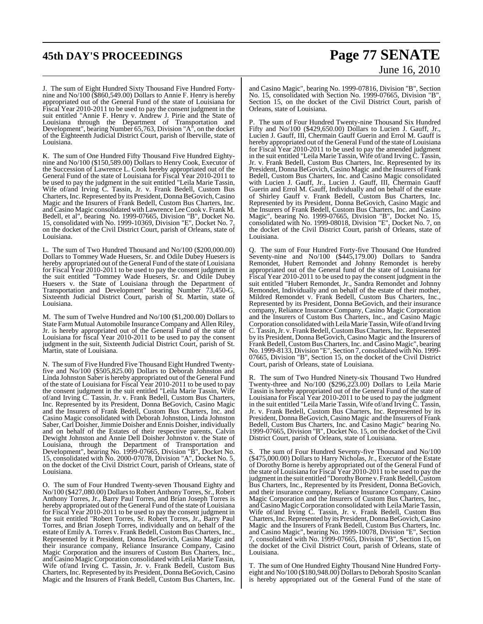## **45th DAY'S PROCEEDINGS Page 77 SENATE**

# June 16, 2010

J. The sum of Eight Hundred Sixty Thousand Five Hundred Fortynine and No/100 (\$860,549.00) Dollars to Annie F. Henry is hereby appropriated out of the General Fund of the state of Louisiana for Fiscal Year 2010-2011 to be used to pay the consent judgment in the suit entitled "Annie F. Henry v. Andrew J. Pirie and the State of Louisiana through the Department of Transportation and Development", bearing Number 65,763, Division "A", on the docket of the Eighteenth Judicial District Court, parish of Iberville, state of Louisiana.

K. The sum of One Hundred Fifty Thousand Five Hundred Eightynine and No/100 (\$150,589.00) Dollars to Henry Cook, Executor of the Succession of Lawrence L. Cook hereby appropriated out of the General Fund of the state of Louisiana for Fiscal Year 2010-2011 to be used to pay the judgment in the suit entitled "Leila Marie Tassin, Wife of/and Irving C. Tassin, Jr. v. Frank Bedell, Custom Bus Charters,Inc.Represented by its President, DonnaBeGovich,Casino Magic and the Insurers of Frank Bedell, Custom Bus Charters, Inc. and Casino Magic consolidated with Lawrence LeeCook v. Frank M. Bedell, et al", bearing No. 1999-07665, Division "B", Docket No. 15, consolidated with No. 1999-10369, Division "E", Docket No. 7, on the docket of the Civil District Court, parish of Orleans, state of Louisiana.

L. The sum of Two Hundred Thousand and No/100 (\$200,000.00) Dollars to Tommey Wade Huesers, Sr. and Odile Dubey Huesers is hereby appropriated out of the General Fund of the state of Louisiana for Fiscal Year 2010-2011 to be used to pay the consent judgment in the suit entitled "Tommey Wade Huesers, Sr. and Odile Dubey Huesers v. the State of Louisiana through the Department of Transportation and Development" bearing Number 73,450-G, Sixteenth Judicial District Court, parish of St. Martin, state of Louisiana.

M. The sum of Twelve Hundred and No/100 (\$1,200.00) Dollars to State Farm Mutual Automobile Insurance Company and Allen Riley, Jr. is hereby appropriated out of the General Fund of the state of Louisiana for fiscal Year 2010-2011 to be used to pay the consent judgment in the suit, Sixteenth Judicial District Court, parish of St. Martin, state of Louisiana.

N. The sum of Five Hundred Five Thousand Eight Hundred Twentyfive and No/100 (\$505,825.00) Dollars to Deborah Johnston and Linda Johnston Saber is hereby appropriated out of the General Fund of the state of Louisiana for Fiscal Year 2010-2011 to be used to pay the consent judgment in the suit entitled "Leila Marie Tassin, Wife of/and Irving C. Tassin, Jr. v. Frank Bedell, Custom Bus Charters, Inc. Represented by its President, Donna BeGovich, Casino Magic and the Insurers of Frank Bedell, Custom Bus Charters, Inc. and Casino Magic consolidated with Deborah Johnston, Linda Johnston Saber, Carl Doisher, Jimmie Doisher and Ennis Doisher, individually and on behalf of the Estates of their respective parents, Calvin Dewight Johnston and Annie Dell Doisher Johnston v. the State of Louisiana, through the Department of Transportation and Development", bearing No. 1999-07665, Division "B", Docket No. 15, consolidated with No. 2000-07078, Division "A", Docket No. 5, on the docket of the Civil District Court, parish of Orleans, state of Louisiana.

O. The sum of Four Hundred Twenty-seven Thousand Eighty and No/100 (\$427,080.00) Dollars to Robert Anthony Torres, Sr., Robert Anthony Torres, Jr., Barry Paul Torres, and Brian Joseph Torres is hereby appropriated out of the General Fund of the state of Louisiana for Fiscal Year 2010-2011 to be used to pay the consent judgment in the suit entitled "Robert Torres, Sr. Robert Torres, Jr., Barry Paul Torres, and Brian Joseph Torres, individually and on behalf of the estate of Emily A. Torres v. Frank Bedell, Custom Bus Charters, Inc., Represented by it President, Donna BeGovich, Casino Magic and their insurance company, Reliance Insurance Company, Casino Magic Corporation and the insurers of Custom Bus Charters, Inc., and Casino Magic Corporation consolidated with Leila Marie Tassin, Wife of/and Irving C. Tassin, Jr. v. Frank Bedell, Custom Bus Charters, Inc. Represented by its President, Donna BeGovich, Casino Magic and the Insurers of Frank Bedell, Custom Bus Charters, Inc.

and Casino Magic", bearing No. 1999-07816, Division "B", Section No. 15, consolidated with Section No. 1999-07665, Division "B", Section 15, on the docket of the Civil District Court, parish of Orleans, state of Louisiana.

P. The sum of Four Hundred Twenty-nine Thousand Six Hundred Fifty and No/100 (\$429,650.00) Dollars to Lucien J. Gauff, Jr., Lucien J. Gauff, III, Chermain Gauff Guerin and Errol M. Gauff is hereby appropriated out of the General Fund of the state of Louisiana for Fiscal Year 2010-2011 to be used to pay the amended judgment in the suit entitled "Leila Marie Tassin, Wife of/and Irving C. Tassin, Jr. v. Frank Bedell, Custom Bus Charters, Inc. Represented by its President, DonnaBeGovich,Casino Magic and the Insurers of Frank Bedell, Custom Bus Charters, Inc. and Casino Magic consolidated with Lucien J. Gauff, Jr., Lucien J. Gauff, III, Chermain Gauff Guerin and Errol M. Gauff, Individually and on behalf of the estate of Shirley Gauff v. Frank Bedell, Custom Bus Charters, Inc. Represented by its President, Donna BeGovich, Casino Magic and the Insurers of Frank Bedell, Custom Bus Charters, Inc. and Casino Magic", bearing No. 1999-07665, Division "B", Docket No. 15, consolidated with No. 1999-08018, Division "E", Docket No. 7, on the docket of the Civil District Court, parish of Orleans, state of Louisiana.

Q. The sum of Four Hundred Forty-five Thousand One Hundred Seventy-nine and No/100 (\$445,179.00) Dollars to Sandra Remondet, Hubert Remondet and Johnny Remondet is hereby appropriated out of the General fund of the state of Louisiana for Fiscal Year 2010-2011 to be used to pay the consent judgment in the suit entitled "Hubert Remondet, Jr., Sandra Remondet and Johnny Remondet, Individually and on behalf of the estate of their mother, Mildred Remondet v. Frank Bedell, Custom Bus Charters, Inc., Represented by its President, Donna BeGovich, and their insurance company, Reliance Insurance Company, Casino Magic Corporation and the Insurers of Custom Bus Charters, Inc., and Casino Magic Corporation consolidated with Leila Marie Tassin, Wife of/and Irving C. Tassin, Jr. v. Frank Bedell, Custom Bus Charters, Inc. Represented by its President, Donna BeGovich, Casino Magic and the Insurers of Frank Bedell, Custom Bus Charters, Inc. and Casino Magic", bearing No. 1999-8133, Division "E", Section 7, consolidated with No. 1999- 07665, Division "B", Section 15, on the docket of the Civil District Court, parish of Orleans, state of Louisiana.

R. The sum of Two Hundred Ninety-six Thousand Two Hundred Twenty-three and No/100 (\$296,223.00) Dollars to Leila Marie Tassin is hereby appropriated out of the General Fund of the state of Louisiana for Fiscal Year 2010-2011 to be used to pay the judgment in the suit entitled "Leila Marie Tassin, Wife of/and Irving C. Tassin, Jr. v. Frank Bedell, Custom Bus Charters, Inc. Represented by its President, Donna BeGovich, Casino Magic and the Insurers of Frank Bedell, Custom Bus Charters, Inc. and Casino Magic" bearing No. 1999-07665, Division "B", Docket No. 15, on the docket of the Civil District Court, parish of Orleans, state of Louisiana.

S. The sum of Four Hundred Seventy-five Thousand and No/100 (\$475,000.00) Dollars to Harry Nicholas, Jr., Executor of the Estate of Dorothy Borne is hereby appropriated out of the General Fund of the state of Louisiana for Fiscal Year 2010-2011 to be used to pay the judgment in the suit entitled "Dorothy Borne v. Frank Bedell, Custom Bus Charters, Inc., Represented by its President, Donna BeGovich, and their insurance company, Reliance Insurance Company, Casino Magic Corporation and the Insurers of Custom Bus Charters, Inc., andCasino MagicCorporation consolidated with LeilaMarieTassin, Wife of/and Irving C. Tassin, Jr. v. Frank Bedell, Custom Bus Charters, Inc. Represented by its President, Donna BeGovich, Casino Magic and the Insurers of Frank Bedell, Custom Bus Charters, Inc. and Casino Magic", bearing No. 1999-10078, Division "E", Section 7, consolidated with No. 1999-07665, Division "B", Section 15, on the docket of the Civil District Court, parish of Orleans, state of Louisiana.

T. The sum of One Hundred Eighty Thousand Nine Hundred Fortyeight and No/100 (\$180,948.00) Dollarsto Deborah Sposito Scanlan is hereby appropriated out of the General Fund of the state of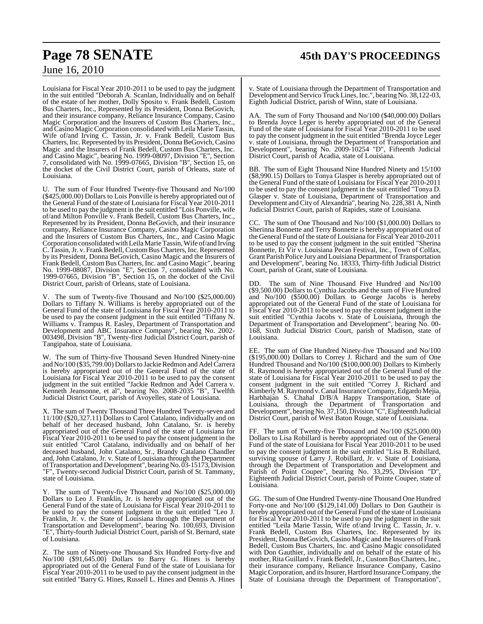## **Page 78 SENATE 45th DAY'S PROCEEDINGS**

### June 16, 2010

Louisiana for Fiscal Year 2010-2011 to be used to pay the judgment in the suit entitled "Deborah A. Scanlan, Individually and on behalf of the estate of her mother, Dolly Sposito v. Frank Bedell, Custom Bus Charters, Inc., Represented by its President, Donna BeGovich, and their insurance company, Reliance Insurance Company, Casino Magic Corporation and the Insurers of Custom Bus Charters, Inc., and Casino Magic Corporation consolidated with Leila Marie Tassin, Wife of/and Irving C. Tassin, Jr. v. Frank Bedell, Custom Bus Charters, Inc. Represented by its President, Donna BeGovich, Casino Magic and the Insurers of Frank Bedell, Custom Bus Charters, Inc. and Casino Magic", bearing No. 1999-08097, Division "E", Section 7, consolidated with No. 1999-07665, Division "B", Section 15, on the docket of the Civil District Court, parish of Orleans, state of Louisiana.

U. The sum of Four Hundred Twenty-five Thousand and No/100 (\$425,000.00) Dollars to Lois Ponville is hereby appropriated out of the General Fund of the state of Louisiana for Fiscal Year 2010-2011 to be used to pay the judgment in the suit entitled "Lois Ponville, wife of/and Milton Ponville v. Frank Bedell, Custom Bus Charters, Inc., Represented by its President, Donna BeGovich, and their insurance company, Reliance Insurance Company, Casino Magic Corporation and the Insurers of Custom Bus Charters, Inc., and Casino Magic Corporation consolidated with Leila Marie Tassin, Wife of/and Irving C. Tassin, Jr. v. Frank Bedell, Custom Bus Charters, Inc. Represented by its President, Donna BeGovich, Casino Magic and the Insurers of Frank Bedell, Custom Bus Charters, Inc. and Casino Magic", bearing No. 1999-08087, Division "E", Section 7, consolidated with No. 1999-07665, Division "B", Section 15, on the docket of the Civil District Court, parish of Orleans, state of Louisiana.

V. The sum of Twenty-five Thousand and No/100 (\$25,000.00) Dollars to Tiffany N. Williams is hereby appropriated out of the General Fund of the state of Louisiana for Fiscal Year 2010-2011 to be used to pay the consent judgment in the suit entitled "Tiffany N. Williams v. Trampus R. Easley, Department of Transportation and Development and ABC Insurance Company", bearing No. 2002- 003498, Division "B", Twenty-first Judicial District Court, parish of Tangipahoa, state of Louisiana.

W. The sum of Thirty-five Thousand Seven Hundred Ninety-nine and No/100 (\$35,799.00) Dollars to Jackie Redmon and Adel Carrera is hereby appropriated out of the General Fund of the state of Louisiana for Fiscal Year 2010-2011 to be used to pay the consent judgment in the suit entitled "Jackie Redmon and Adel Carrera v. Kenneth Jeansonne, et al", bearing No. 2008-2035 "B", Twelfth Judicial District Court, parish of Avoyelles, state of Louisiana.

X. The sum of Twenty Thousand Three Hundred Twenty-seven and 11/100 (\$20,327.11) Dollars to Carol Catalano, individually and on behalf of her deceased husband, John Catalano, Sr. is hereby appropriated out of the General Fund of the state of Louisiana for Fiscal Year 2010-2011 to be used to pay the consent judgment in the suit entitled "Carol Catalano, individually and on behalf of her deceased husband, John Catalano, Sr., Brandy Catalano Chandler and, John Catalano, Jr. v. State of Louisiana through the Department ofTransportation and Development", bearingNo. 03-15173, Division "F", Twenty-second Judicial District Court, parish of St. Tammany, state of Louisiana.

Y. The sum of Twenty-five Thousand and No/100 (\$25,000.00) Dollars to Leo J. Franklin, Jr. is hereby appropriated out of the General Fund of the state of Louisiana for Fiscal Year 2010-2011 to be used to pay the consent judgment in the suit entitled "Leo J. Franklin, Jr. v. the State of Louisiana through the Department of Transportation and Development", bearing No. 100,693, Division "E", Thirty-fourth Judicial District Court, parish of St. Bernard, state of Louisiana.

Z. The sum of Ninety-one Thousand Six Hundred Forty-five and No/100 (\$91,645.00) Dollars to Barry G. Hines is hereby appropriated out of the General Fund of the state of Louisiana for Fiscal Year 2010-2011 to be used to pay the consent judgment in the suit entitled "Barry G. Hines, Russell L. Hines and Dennis A. Hines

v. State of Louisiana through the Department of Transportation and Development and Servico Truck Lines, Inc.", bearing No. 38,122-03, Eighth Judicial District, parish of Winn, state of Louisiana.

AA. The sum of Forty Thousand and No/100 (\$40,000.00) Dollars to Brenda Joyce Leger is hereby appropriated out of the General Fund of the state of Louisiana for Fiscal Year 2010-2011 to be used to pay the consent judgment in the suit entitled "Brenda Joyce Leger" v. state of Louisiana, through the Department of Transportation and Development", bearing No. 2009-10254 "D", Fifteenth Judicial District Court, parish of Acadia, state of Louisiana.

BB. The sum of Eight Thousand Nine Hundred Ninety and 15/100 (\$8,990.15) Dollars to Tonya Glasper is hereby appropriated out of the General Fund of the state of Louisiana for Fiscal Year 2010-2011 to be used to pay the consent judgment in the suit entitled "Tonya D. Glasper v. State of Louisiana, Department of Transportation and Development and City of Alexandria", bearing No. 228,381 A, Ninth Judicial District Court, parish of Rapides, state of Louisiana.

CC. The sum of One Thousand and No/100 (\$1,000.00) Dollars to Sherinna Bonnette and Terry Bonnette is hereby appropriated out of the General Fund of the state of Louisiana for Fiscal Year 2010-2011 to be used to pay the consent judgment in the suit entitled "Sherina Bonnette, Et Vir v. Louisiana Pecan Festival, Inc., Town of Colfax, Grant Parish Police Jury and Louisiana Department of Transportation and Development", bearing No. 18333, Thirty-fifth Judicial District Court, parish of Grant, state of Louisiana.

DD. The sum of Nine Thousand Five Hundred and No/100 (\$9,500.00) Dollars to Cynthia Jacobs and the sum of Five Hundred and No/100 (\$500.00) Dollars to George Jacobs is hereby appropriated out of the General Fund of the state of Louisiana for Fiscal Year 2010-2011 to be used to pay the consent judgment in the suit entitled "Cynthia Jacobs v. State of Louisiana, through the Department of Transportation and Development", bearing No. 00- 168, Sixth Judicial District Court, parish of Madison, state of Louisiana.

EE. The sum of One Hundred Ninety-five Thousand and No/100 (\$195,000.00) Dollars to Correy J. Richard and the sum of One Hundred Thousand and No/100 (\$100,000.00) Dollars to Kimberly R. Raymond is hereby appropriated out of the General Fund of the state of Louisiana for Fiscal Year 2010-2011 to be used to pay the consent judgment in the suit entitled "Correy J. Richard and Kimberly M. Raymond v. Canal Insurance Company, Edgardo Mejia, Harbhajan S. Chahal D/B/A Happy Transportation, State of Louisiana, through the Department of Transportation and Development", bearing No. 37, 150, Division "C", Eighteenth Judicial District Court, parish of West Baton Rouge, state of Louisiana.

FF. The sum of Twenty-five Thousand and No/100 (\$25,000.00) Dollars to Lisa Robillard is hereby appropriated out of the General Fund of the state of Louisiana for Fiscal Year 2010-2011 to be used to pay the consent judgment in the suit entitled "Lisa B. Robillard, surviving spouse of Larry J. Robillard, Jr. v. State of Louisiana, through the Department of Transportation and Development and Parish of Point Coupee", bearing No. 33,295, Division "D", Eighteenth Judicial District Court, parish of Pointe Coupee, state of Louisiana.

GG. The sum of One Hundred Twenty-nine Thousand One Hundred Forty-one and No/100 (\$129,141.00) Dollars to Don Gautheir is hereby appropriated out of the General Fund of the state of Louisiana for Fiscal Year 2010-2011 to be used to pay the judgment in the suit entitled "Leila Marie Tassin, Wife of/and Irving C. Tassin, Jr. v. Frank Bedell, Custom Bus Charters, Inc. Represented by its President, Donna BeGovich, Casino Magic and the Insurers of Frank Bedell, Custom Bus Charters, Inc. and Casino Magic consolidated with Don Gauthier, individually and on behalf of the estate of his mother, Rita Guillard v. Frank Bedell, Jr., Custom Bus Charters, Inc., their insurance company, Reliance Insurance Company, Casino Magic Corporation, and its Insurer, Hartford Insurance Company, the State of Louisiana through the Department of Transportation",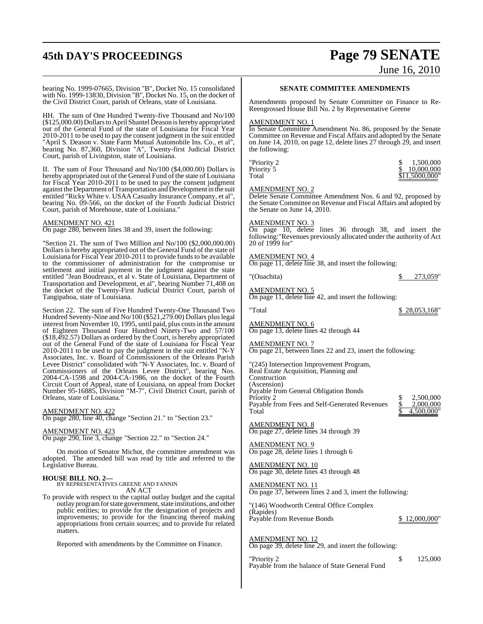## **45th DAY'S PROCEEDINGS Page 79 SENATE** June 16, 2010

bearing No. 1999-07665, Division "B", Docket No. 15 consolidated with No. 1999-13830, Division "B", Docket No. 15, on the docket of the Civil District Court, parish of Orleans, state of Louisiana.

HH. The sum of One Hundred Twenty-five Thousand and No/100 (\$125,000.00) Dollars to April Shantel Deason is hereby appropriated out of the General Fund of the state of Louisiana for Fiscal Year 2010-2011 to be used to pay the consent judgment in the suit entitled "April S. Deason v. State Farm Mutual Automobile Ins. Co., et al", bearing No. 87,360, Division "A", Twenty-first Judicial District Court, parish of Livingston, state of Louisiana.

II. The sum of Four Thousand and No/100 (\$4,000.00) Dollars is hereby appropriated out of the General Fund of the state of Louisiana for Fiscal Year 2010-2011 to be used to pay the consent judgment against the Department of Transportation and Development in the suit entitled "Ricky White v. USAA Casualty Insurance Company, et al", bearing No. 09-566, on the docket of the Fourth Judicial District Court, parish of Morehouse, state of Louisiana."

### AMENDMENT NO. 421

On page 280, between lines 38 and 39, insert the following:

"Section 21. The sum of Two Million and No/100 (\$2,000,000.00) Dollars is hereby appropriated out of the General Fund of the state of Louisiana for Fiscal Year 2010-2011 to provide funds to be available to the commissioner of administration for the compromise or settlement and initial payment in the judgment against the state entitled "Jean Boudreaux, et al v. State of Louisiana, Department of Transportation and Development, et al", bearing Number 71,408 on the docket of the Twenty-First Judicial District Court, parish of Tangipahoa, state of Louisiana.

Section 22. The sum of Five Hundred Twenty-One Thousand Two Hundred Seventy-Nine and No/100 (\$521,279.00) Dollars pluslegal interest from November 10, 1995, until paid, plus costs in the amount of Eighteen Thousand Four Hundred Ninety-Two and 57/100 (\$18,492.57) Dollars as ordered by the Court, is hereby appropriated out of the General Fund of the state of Louisiana for Fiscal Year 2010-2011 to be used to pay the judgment in the suit entitled "N-Y Associates, Inc. v. Board of Commissioners of the Orleans Parish Levee District" consolidated with "N-Y Associates, Inc. v. Board of Commissioners of the Orleans Levee District", bearing Nos. 2004-CA-1598 and 2004-CA-1986, on the docket of the Fourth Circuit Court of Appeal, state of Louisiana, on appeal from Docket Number 95-16885, Division "M-7", Civil District Court, parish of Orleans, state of Louisiana."

### AMENDMENT NO. 422

On page 280, line 40, change "Section 21." to "Section 23."

AMENDMENT NO. 423 On page 290, line 3, change "Section 22." to "Section 24."

On motion of Senator Michot, the committee amendment was adopted. The amended bill was read by title and referred to the Legislative Bureau.

**HOUSE BILL NO. 2—** BY REPRESENTATIVES GREENE AND FANNIN AN ACT

To provide with respect to the capital outlay budget and the capital outlay program for state government, state institutions, and other public entities; to provide for the designation of projects and improvements; to provide for the financing thereof making appropriations from certain sources; and to provide for related matters.

Reported with amendments by the Committee on Finance.

### **SENATE COMMITTEE AMENDMENTS**

Amendments proposed by Senate Committee on Finance to Re-Reengrossed House Bill No. 2 by Representative Greene

#### AMENDMENT NO. 1

In Senate Committee Amendment No. 86, proposed by the Senate Committee on Revenue and Fiscal Affairs and adopted by the Senate on June 14, 2010, on page 12, delete lines 27 through 29, and insert the following:

"Priority 2 Priority 5<br>Total

| "Priority 2 | 1.500.000      |
|-------------|----------------|
| Priority 5  | 10,000,000     |
| Total       | \$11,5000,000" |

#### AMENDMENT NO. 2

Delete Senate Committee Amendment Nos. 6 and 92, proposed by the Senate Committee on Revenue and Fiscal Affairs and adopted by the Senate on June 14, 2010.

### AMENDMENT NO. 3

On page 10, delete lines 36 through 38, and insert the following:"Revenues previously allocated under the authority of Act 20 of 1999 for"

### AMENDMENT NO. 4

AMENDMENT NO. 5

On page 11, delete line 38, and insert the following:

"(Ouachita) \$ 273,059"

## On page 11, delete line 42, and insert the following:

"Total \$ 28,053,168"

2,500,000<br>2,000,000

 $4,500,000$ 

AMENDMENT NO. 6 On page 13, delete lines 42 through 44

### AMENDMENT NO. 7

On page 21, between lines 22 and 23, insert the following:

"(245) Intersection Improvement Program, Real Estate Acquisition, Planning and Construction (Ascension) Payable from General Obligation Bonds<br>Priority 2 Payable from Fees and Self-Generated Revenues<br>Total

AMENDMENT NO. 8 On page 27, delete lines 34 through 39

AMENDMENT NO. 9 On page 28, delete lines 1 through 6

AMENDMENT NO. 10 On page 30, delete lines 43 through 48

### AMENDMENT NO. 11

On page 37, between lines 2 and 3, insert the following:

"(146) Woodworth Central Office Complex (Rapides) Payable from Revenue Bonds \$ 12,000,000

AMENDMENT NO. 12 On page 39, delete line 29, and insert the following:

Payable from the balance of State General Fund

 $\gamma$  Priority 2  $\qquad \qquad$  125,000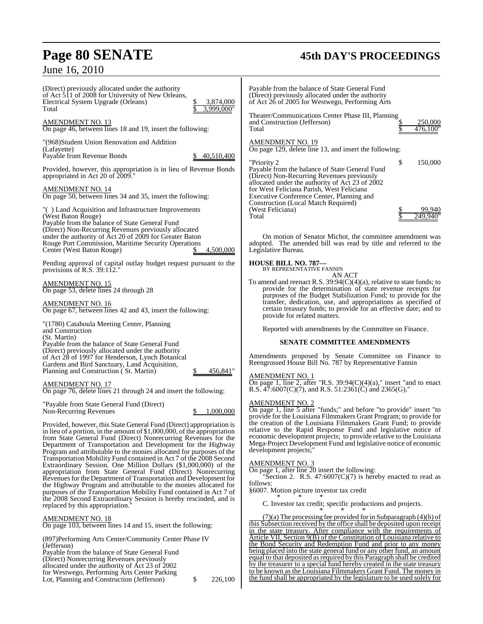## **Page 80 SENATE 45th DAY'S PROCEEDINGS**

June 16, 2010

| (Direct) previously allocated under the authority<br>of Act 511 of 2008 for University of New Orleans,<br>Electrical System Upgrade (Orleans)<br>3,874,000<br>3.999.000"<br>Total                                                                                                                                                                                                                                                                      | Payable from the balance of State General Fund<br>(Direct) previously allocated under the authority<br>of Act 26 of 2005 for Westwego, Performing Arts                                                                                                                                                                                                                                                                                    |
|--------------------------------------------------------------------------------------------------------------------------------------------------------------------------------------------------------------------------------------------------------------------------------------------------------------------------------------------------------------------------------------------------------------------------------------------------------|-------------------------------------------------------------------------------------------------------------------------------------------------------------------------------------------------------------------------------------------------------------------------------------------------------------------------------------------------------------------------------------------------------------------------------------------|
| AMENDMENT NO. 13<br>On page 46, between lines 18 and 19, insert the following:                                                                                                                                                                                                                                                                                                                                                                         | Theater/Communications Center Phase III, Planning<br>250,000<br>and Construction (Jefferson)<br>476.100"<br>Total                                                                                                                                                                                                                                                                                                                         |
| "(968) Student Union Renovation and Addition<br>(Lafayette)<br>Payable from Revenue Bonds<br>40,510,400                                                                                                                                                                                                                                                                                                                                                | <b>AMENDMENT NO. 19</b><br>On page 129, delete line 13, and insert the following:                                                                                                                                                                                                                                                                                                                                                         |
| Provided, however, this appropriation is in lieu of Revenue Bonds<br>appropriated in Act 20 of 2009."                                                                                                                                                                                                                                                                                                                                                  | \$<br>"Priority 2<br>150,000<br>Payable from the balance of State General Fund<br>(Direct) Non-Recurring Revenues previously                                                                                                                                                                                                                                                                                                              |
| AMENDMENT NO. 14<br>On page 50, between lines 34 and 35, insert the following:                                                                                                                                                                                                                                                                                                                                                                         | allocated under the authority of Act 23 of 2002<br>for West Feliciana Parish, West Feliciana<br>Executive Conference Center, Planning and<br>Construction (Local Match Required)                                                                                                                                                                                                                                                          |
| "() Land Acquisition and Infrastructure Improvements<br>(West Baton Rouge)<br>Payable from the balance of State General Fund                                                                                                                                                                                                                                                                                                                           | (West Feliciana)<br>99.940<br>249.940<br>Total                                                                                                                                                                                                                                                                                                                                                                                            |
| (Direct) Non-Recurring Revenues previously allocated<br>under the authority of Act 20 of 2009 for Greater Baton<br>Rouge Port Commission, Maritime Security Operations<br>4,500,000<br>Center (West Baton Rouge)                                                                                                                                                                                                                                       | On motion of Senator Michot, the committee amendment was<br>adopted. The amended bill was read by title and referred to the<br>Legislative Bureau.                                                                                                                                                                                                                                                                                        |
| Pending approval of capital outlay budget request pursuant to the<br>provisions of R.S. $39:112."$                                                                                                                                                                                                                                                                                                                                                     | <b>HOUSE BILL NO. 787-</b><br>BY REPRESENTATIVE FANNIN<br>AN ACT                                                                                                                                                                                                                                                                                                                                                                          |
| <b>AMENDMENT NO. 15</b><br>On page 53, delete lines 24 through 28                                                                                                                                                                                                                                                                                                                                                                                      | To amend and reenact R.S. $39:94(C)(4)(a)$ , relative to state funds; to<br>provide for the determination of state revenue receipts for<br>purposes of the Budget Stabilization Fund; to provide for the                                                                                                                                                                                                                                  |
| <b>AMENDMENT NO. 16</b><br>On page 67, between lines 42 and 43, insert the following:                                                                                                                                                                                                                                                                                                                                                                  | transfer, dedication, use, and appropriations as specified of<br>certain treasury funds; to provide for an effective date; and to<br>provide for related matters.                                                                                                                                                                                                                                                                         |
| "(1780) Catahoula Meeting Center, Planning<br>and Construction                                                                                                                                                                                                                                                                                                                                                                                         | Reported with amendments by the Committee on Finance.                                                                                                                                                                                                                                                                                                                                                                                     |
| (St. Martin)<br>Payable from the balance of State General Fund<br>(Direct) previously allocated under the authority<br>of Act 28 of 1997 for Henderson, Lynch Botanical<br>Gardens and Bird Sanctuary, Land Acquisition,                                                                                                                                                                                                                               | <b>SENATE COMMITTEE AMENDMENTS</b><br>Amendments proposed by Senate Committee on Finance to<br>Reengrossed House Bill No. 787 by Representative Fannin                                                                                                                                                                                                                                                                                    |
| Planning and Construction (St. Martin)<br>456,841"<br>AMENDMENT NO. 17<br>On page 76, delete lines 21 through 24 and insert the following:                                                                                                                                                                                                                                                                                                             | <b>AMENDMENT NO. 1</b><br>On page 1, line 2, after "R.S. $39:94(C)(4)(a)$ ," insert "and to enact<br>R.S. 47:6007(C)(7), and R.S. 51:2361(C) and 2365(G),"                                                                                                                                                                                                                                                                                |
| "Payable from State General Fund (Direct)<br>1,000,000<br>Non-Recurring Revenues<br>\$                                                                                                                                                                                                                                                                                                                                                                 | <b>AMENDMENT NO. 2</b><br>On page 1, line 5 after "funds;" and before "to provide" insert "to<br>provide for the Louisiana Filmmakers Grant Program; to provide for                                                                                                                                                                                                                                                                       |
| Provided, however, this State General Fund (Direct) appropriation is<br>in lieu of a portion, in the amount of $$1,000,000$ , of the appropriation<br>from State General Fund (Direct) Nonrecurring Revenues for the<br>Department of Transportation and Development for the Highway<br>Program and attributable to the monies allocated for purposes of the<br>Transportation Mobility Fund contained in Act 7 of the 2008 Second                     | the creation of the Louisiana Filmmakers Grant Fund; to provide<br>relative to the Rapid Response Fund and legislative notice of<br>economic development projects; to provide relative to the Louisiana<br>Mega-Project Development Fund and legislative notice of economic<br>development projects;"                                                                                                                                     |
| Extraordinary Session. One Million Dollars (\$1,000,000) of the<br>appropriation from State General Fund (Direct) Nonrecurring<br>Revenues for the Department of Transportation and Development for<br>the Highway Program and attributable to the monies allocated for<br>purposes of the Transportation Mobility Fund contained in Act 7 of<br>the 2008 Second Extraordinary Session is hereby rescinded, and is<br>replaced by this appropriation." | <b>AMENDMENT NO. 3</b><br>On page 1, after line 20 insert the following:<br>"Section 2. R.S. $47:6007(C)(7)$ is hereby enacted to read as<br>follows:<br>§6007. Motion picture investor tax credit<br>C. Investor tax credit; specific productions and projects.                                                                                                                                                                          |
| <b>AMENDMENT NO. 18</b><br>On page 103, between lines 14 and 15, insert the following:                                                                                                                                                                                                                                                                                                                                                                 | $(7)(a)$ The processing fee provided for in Subparagraph $(4)(b)$ of<br>this Subsection received by the office shall be deposited upon receipt<br>in the state treasury. After compliance with the requirements of                                                                                                                                                                                                                        |
| (897) Performing Arts Center/Community Center Phase IV<br>(Jefferson)<br>Payable from the balance of State General Fund<br>(Direct) Nonrecurring Revenues previously<br>allocated under the authority of Act 23 of 2002<br>for Westwego, Performing Arts Center Parking                                                                                                                                                                                | Article VII, Section 9(B) of the Constitution of Louisiana relative to<br>the Bond Security and Redemption Fund and prior to any money<br>being placed into the state general fund or any other fund, an amount<br>equal to that deposited as required by this Paragraph shall be credited<br>by the treasurer to a special fund hereby created in the state treasury<br>to be known as the Louisiana Filmmakers Grant Fund. The money in |

for Westwego, Performing Arts Center Parking

Lot, Planning and Construction (Jefferson) \$ 226,100

the fund shall be appropriated by the legislature to be used solely for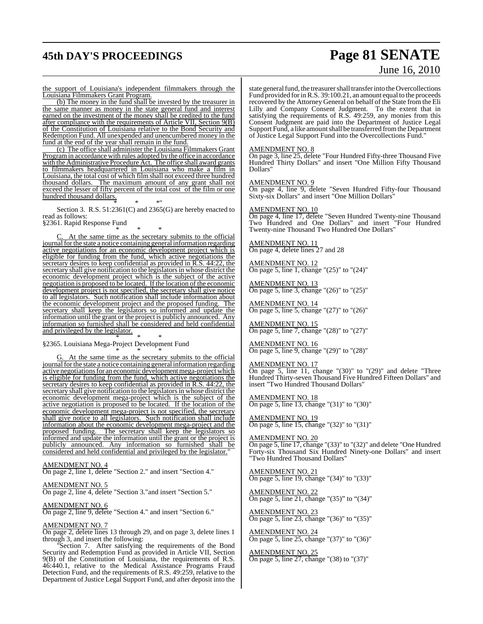## **45th DAY'S PROCEEDINGS Page 81 SENATE**

# June 16, 2010

the support of Louisiana's independent filmmakers through the Louisiana Filmmakers Grant Program.

(b) The money in the fund shall be invested by the treasurer in the same manner as money in the state general fund and interest earned on the investment of the money shall be credited to the fund after compliance with the requirements of Article VII, Section 9(B) of the Constitution of Louisiana relative to the Bond Security and Redemption Fund. All unexpended and unencumbered money in the fund at the end of the year shall remain in the fund.

(c) The office shall administer the Louisiana Filmmakers Grant Programin accordance with rules adopted by the office in accordance with the Administrative Procedure Act. The office shall award grants to filmmakers headquartered in Louisiana who make a film in Louisiana, the total cost of which film shall not exceed three hundred thousand dollars. The maximum amount of any grant shall not exceed the lesser of fifty percent of the total cost of the film or one hundred thousand dollars.

\* \* \*" Section 3. R.S. 51:2361(C) and 2365(G) are hereby enacted to read as follows:

§2361. Rapid Response Fund \* \* \*

At the same time as the secretary submits to the official journal for the state a notice containing general information regarding active negotiations for an economic development project which is eligible for funding from the fund, which active negotiations the secretary desires to keep confidential as provided in R.S. 44:22, the secretary shall give notification to the legislators in whose district the economic development project which is the subject of the active negotiation is proposed to be located. If the location of the economic development project is not specified, the secretary shall give notice to all legislators. Such notification shall include information about the economic development project and the proposed funding. The secretary shall keep the legislators so informed and update the information until the grant or the project is publicly announced. Any information so furnished shall be considered and held confidential and privileged by the legislator. \* \* \*

§2365. Louisiana Mega-Project Development Fund \* \* \*

G. At the same time as the secretary submits to the official journal for the state a notice containing general information regarding active negotiations for an economic development mega-project which is eligible for funding from the fund, which active negotiations the secretary desires to keep confidential as provided in R.S. 44:22, the secretary shall give notification to the legislators in whose district the economic development mega-project which is the subject of the active negotiation is proposed to be located. If the location of the economic development mega-project is not specified, the secretary shall give notice to all legislators. Such notification shall include information about the economic development mega-project and the proposed funding. The secretary shall keep the legislators so informed and update the information until the grant or the project is publicly announced. Any information so furnished shall be considered and held confidential and privileged by the legislator."

AMENDMENT NO. 4 On page 2, line 1, delete "Section 2." and insert "Section 4."

AMENDMENT NO. 5

On page 2, line 4, delete "Section 3."and insert "Section 5."

AMENDMENT NO. 6

On page 2, line 9, delete "Section 4." and insert "Section 6."

### AMENDMENT NO. 7

On page 2, delete lines 13 through 29, and on page 3, delete lines 1 through 3, and insert the following:

"Section 7. After satisfying the requirements of the Bond Security and Redemption Fund as provided in Article VII, Section 9(B) of the Constitution of Louisiana, the requirements of R.S. 46:440.1, relative to the Medical Assistance Programs Fraud Detection Fund, and the requirements of R.S. 49:259, relative to the Department of Justice Legal Support Fund, and after deposit into the

state general fund, the treasurer shall transfer into the Overcollections Fund provided for in R.S. 39:100.21, an amount equal to the proceeds recovered by the Attorney General on behalf of the State from the Eli Lilly and Company Consent Judgment. To the extent that in satisfying the requirements of R.S. 49:259, any monies from this Consent Judgment are paid into the Department of Justice Legal Support Fund, a like amount shall be transferred from the Department of Justice Legal Support Fund into the Overcollections Fund."

### AMENDMENT NO. 8

On page 3, line 25, delete "Four Hundred Fifty-three Thousand Five Hundred Thirty Dollars" and insert "One Million Fifty Thousand Dollars"

#### AMENDMENT NO. 9

On page 4, line 9, delete "Seven Hundred Fifty-four Thousand Sixty-six Dollars" and insert "One Million Dollars"

### AMENDMENT NO. 10

On page 4, line 17, delete "Seven Hundred Twenty-nine Thousand Two Hundred and One Dollars" and insert "Four Hundred Twenty-nine Thousand Two Hundred One Dollars"

#### AMENDMENT NO. 11 On page 4, delete lines 27 and 28

AMENDMENT NO. 12

On page 5, line 1, change "(25)" to "(24)"

AMENDMENT NO. 13 On page 5, line 3, change "(26)" to "(25)"

AMENDMENT NO. 14 On page 5, line 5, change "(27)" to "(26)"

AMENDMENT NO. 15 On page 5, line 7, change "(28)" to "(27)"

AMENDMENT NO. 16 On page 5, line 9, change "(29)" to "(28)"

#### AMENDMENT NO. 17

On page 5, line 11, change "(30)" to "(29)" and delete "Three Hundred Thirty-seven Thousand Five Hundred Fifteen Dollars" and insert "Two Hundred Thousand Dollars"

AMENDMENT NO. 18 On page 5, line 13, change "(31)" to "(30)"

AMENDMENT NO. 19 On page 5, line 15, change "(32)" to "(31)"

AMENDMENT NO. 20 On page 5, line 17, change "(33)" to "(32)" and delete "One Hundred Forty-six Thousand Six Hundred Ninety-one Dollars" and insert "Two Hundred Thousand Dollars"

AMENDMENT NO. 21 On page 5, line 19, change "(34)" to "(33)"

AMENDMENT NO. 22 On page 5, line 21, change "(35)" to "(34)"

AMENDMENT NO. 23 On page 5, line 23, change "(36)" to "(35)"

AMENDMENT NO. 24 On page 5, line 25, change "(37)" to "(36)"

AMENDMENT NO. 25 On page 5, line 27, change "(38) to "(37)"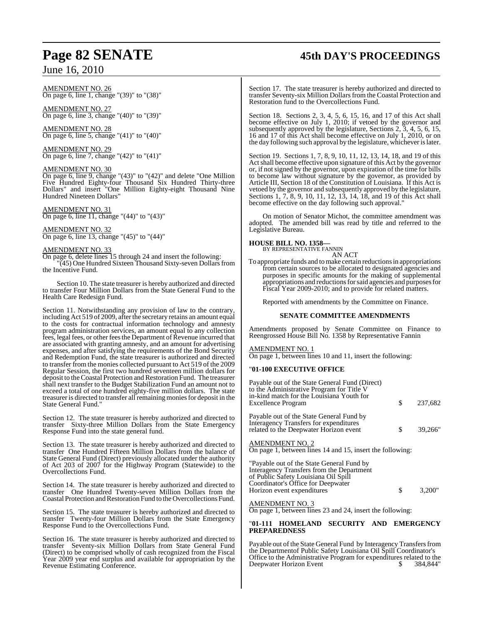### AMENDMENT NO. 26 On page 6, line 1, change "(39)" to "(38)"

AMENDMENT NO. 27 On page 6, line 3, change "(40)" to "(39)"

AMENDMENT NO. 28 On page 6, line 5, change " $(41)$ " to " $(40)$ "

AMENDMENT NO. 29 On page 6, line 7, change "(42)" to "(41)"

### AMENDMENT NO. 30

On page 6, line 9, change "(43)" to "(42)" and delete "One Million Five Hundred Eighty-four Thousand Six Hundred Thirty-three Dollars" and insert "One Million Eighty-eight Thousand Nine Hundred Nineteen Dollars"

### AMENDMENT NO. 31

On page 6, line 11, change "(44)" to "(43)"

### AMENDMENT NO. 32

On page 6, line 13, change "(45)" to "(44)"

### AMENDMENT NO. 33

On page 6, delete lines 15 through 24 and insert the following:

"(45) One Hundred Sixteen Thousand Sixty-seven Dollarsfrom the Incentive Fund.

Section 10. The state treasurer is hereby authorized and directed to transfer Four Million Dollars from the State General Fund to the Health Care Redesign Fund.

Section 11. Notwithstanding any provision of law to the contrary, including Act 519 of 2009, after the secretary retains an amount equal to the costs for contractual information technology and amnesty program administration services, an amount equal to any collection fees, legal fees, or other fees the Department of Revenue incurred that are associated with granting amnesty, and an amount for advertising expenses, and after satisfying the requirements of the Bond Security and Redemption Fund, the state treasurer is authorized and directed to transfer from the monies collected pursuant to Act 519 of the 2009 Regular Session, the first two hundred seventeen million dollars for deposit to the Coastal Protection and Restoration Fund. The treasurer shall next transfer to the Budget Stabilization Fund an amount not to exceed a total of one hundred eighty-five million dollars. The state treasurer is directed to transfer all remaining monies for deposit in the State General Fund."

Section 12. The state treasurer is hereby authorized and directed to transfer Sixty-three Million Dollars from the State Emergency Response Fund into the state general fund.

Section 13. The state treasurer is hereby authorized and directed to transfer One Hundred Fifteen Million Dollars from the balance of State General Fund (Direct) previously allocated under the authority of Act 203 of 2007 for the Highway Program (Statewide) to the Overcollections Fund.

Section 14. The state treasurer is hereby authorized and directed to transfer One Hundred Twenty-seven Million Dollars from the Coastal Protection and Restoration Fund to the Overcollections Fund.

Section 15. The state treasurer is hereby authorized and directed to transfer Twenty-four Million Dollars from the State Emergency Response Fund to the Overcollections Fund.

Section 16. The state treasurer is hereby authorized and directed to transfer Seventy-six Million Dollars from State General Fund (Direct) to be comprised wholly of cash recognized from the Fiscal Year 2009 year end surplus and available for appropriation by the Revenue Estimating Conference.

## **Page 82 SENATE 45th DAY'S PROCEEDINGS**

Section 17. The state treasurer is hereby authorized and directed to transfer Seventy-six Million Dollarsfrom the Coastal Protection and Restoration fund to the Overcollections Fund.

Section 18. Sections 2, 3, 4, 5, 6, 15, 16, and 17 of this Act shall become effective on July 1, 2010; if vetoed by the governor and subsequently approved by the legislature, Sections 2, 3, 4, 5, 6, 15, 16 and 17 of this Act shall become effective on July 1, 2010, or on the day following such approval by the legislature, whicheverislater.

Section 19. Sections 1, 7, 8, 9, 10, 11, 12, 13, 14, 18, and 19 of this Actshall become effective upon signature ofthis Act by the governor or, if notsigned by the governor, upon expiration of the time for bills to become law without signature by the governor, as provided by Article III, Section 18 of the Constitution of Louisiana. If this Act is vetoed by the governor and subsequently approved by the legislature, Sections 1, 7, 8, 9, 10, 11, 12, 13, 14, 18, and 19 of this Act shall become effective on the day following such approval.

On motion of Senator Michot, the committee amendment was adopted. The amended bill was read by title and referred to the Legislative Bureau.

### **HOUSE BILL NO. 1358—**

BY REPRESENTATIVE FANNIN AN ACT

To appropriate funds and tomake certain reductions in appropriations from certain sources to be allocated to designated agencies and purposes in specific amounts for the making of supplemental appropriations and reductions for said agencies and purposes for Fiscal Year 2009-2010; and to provide for related matters.

Reported with amendments by the Committee on Finance.

### **SENATE COMMITTEE AMENDMENTS**

Amendments proposed by Senate Committee on Finance to Reengrossed House Bill No. 1358 by Representative Fannin

### AMENDMENT NO. 1

On page 1, between lines 10 and 11, insert the following:

### "**01-100 EXECUTIVE OFFICE**

| Payable out of the State General Fund (Direct)<br>to the Administrative Program for Title V<br>in-kind match for the Louisiana Youth for<br>Excellence Program | \$. | 237,682 |
|----------------------------------------------------------------------------------------------------------------------------------------------------------------|-----|---------|
| Payable out of the State General Fund by<br>Interagency Transfers for expenditures<br>related to the Deepwater Horizon event                                   | S.  | 39.266" |
| AMENDMENT NO. 2<br>On page 1, between lines 14 and 15, insert the following:                                                                                   |     |         |

"Payable out of the State General Fund by Interagency Transfers from the Department of Public Safety Louisiana Oil Spill Coordinator's Office for Deepwater Horizon event expenditures  $\sim$  \$ 3,200"

### AMENDMENT NO. 3

On page 1, between lines 23 and 24, insert the following:

#### "**01-111 HOMELAND SECURITY AND EMERGENCY PREPAREDNESS**

Payable out of the State General Fund by Interagency Transfers from the Departmentof Public Safety Louisiana Oil Spill Coordinator's Office to the Administrative Program for expenditures related to the Deepwater Horizon Event \$ 384.844" Deepwater Horizon Event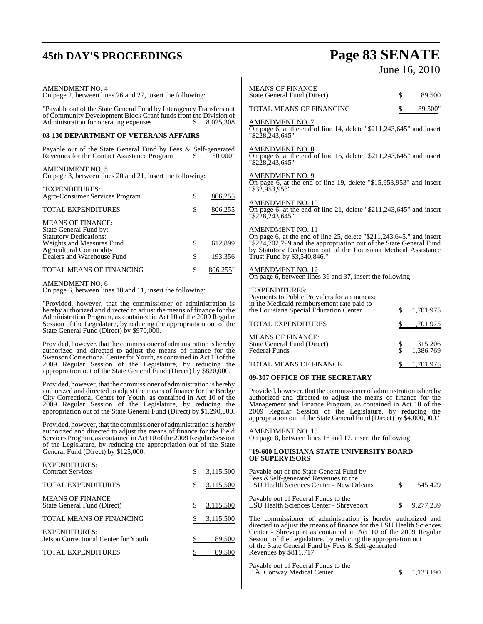## **45th DAY'S PROCEEDINGS Page 83 SENATE** June 16, 2010

E.A. Conway Medical Center  $\$$  1,133,190

| <b>AMENDMENT NO. 4</b><br>On page 2, between lines 26 and 27, insert the following:                                                        |    |                                                     | <b>MEANS OF FINANCE</b><br>State General Fund (Direct)                                                                             | \$                   | 89,500    |
|--------------------------------------------------------------------------------------------------------------------------------------------|----|-----------------------------------------------------|------------------------------------------------------------------------------------------------------------------------------------|----------------------|-----------|
| "Payable out of the State General Fund by Interagency Transfers out<br>of Community Development Block Grant funds from the Division of     |    | TOTAL MEANS OF FINANCING<br><b>AMENDMENT NO. 7</b>  |                                                                                                                                    | 89,500"              |           |
| Administration for operating expenses<br>S.<br>8,025,308<br>03-130 DEPARTMENT OF VETERANS AFFAIRS                                          |    |                                                     | On page 6, at the end of line 14, delete "\$211,243,645" and insert<br>"\$228,243,645"                                             |                      |           |
|                                                                                                                                            |    |                                                     |                                                                                                                                    |                      |           |
| Payable out of the State General Fund by Fees & Self-generated<br>Revenues for the Contact Assistance Program                              | S. | 50,000"                                             | <b>AMENDMENT NO. 8</b><br>On page 6, at the end of line 15, delete "\$211,243,645" and insert<br>"\$228,243,645"                   |                      |           |
| <b>AMENDMENT NO. 5</b><br>On page 3, between lines 20 and 21, insert the following:                                                        |    |                                                     | <b>AMENDMENT NO. 9</b>                                                                                                             |                      |           |
| "EXPENDITURES:<br>Agro-Consumer Services Program                                                                                           | \$ | 806,255                                             | On page 6, at the end of line 19, delete " $$15,953,953$ " and insert<br>"\$32,953,953"                                            |                      |           |
| TOTAL EXPENDITURES                                                                                                                         | \$ | 806,255                                             | <b>AMENDMENT NO. 10</b><br>On page 6, at the end of line 21, delete " $$211,243,645"$ and insert<br>"\$228,243,645"                |                      |           |
| <b>MEANS OF FINANCE:</b><br>State General Fund by:                                                                                         |    |                                                     | <b>AMENDMENT NO. 11</b>                                                                                                            |                      |           |
| <b>Statutory Dedications:</b>                                                                                                              |    |                                                     | On page 6, at the end of line 25, delete "\$211,243,645." and insert                                                               |                      |           |
| Weights and Measures Fund                                                                                                                  | \$ | 612,899                                             | "\$224,702,799 and the appropriation out of the State General Fund                                                                 |                      |           |
| <b>Agricultural Commodity</b>                                                                                                              |    |                                                     | by Statutory Dedication out of the Louisiana Medical Assistance                                                                    |                      |           |
| Dealers and Warehouse Fund                                                                                                                 | \$ | 193,356                                             | Trust Fund by \$3,540,846."                                                                                                        |                      |           |
| TOTAL MEANS OF FINANCING                                                                                                                   | \$ | 806,255"                                            | <b>AMENDMENT NO. 12</b><br>On page 6, between lines 36 and 37, insert the following:                                               |                      |           |
| <b>AMENDMENT NO. 6</b><br>On page 6, between lines 10 and 11, insert the following:                                                        |    |                                                     | "EXPENDITURES:                                                                                                                     |                      |           |
|                                                                                                                                            |    |                                                     | Payments to Public Providers for an increase                                                                                       |                      |           |
| "Provided, however, that the commissioner of administration is                                                                             |    |                                                     | in the Medicaid reimbursement rate paid to                                                                                         |                      |           |
| hereby authorized and directed to adjust the means of finance for the                                                                      |    |                                                     | the Louisiana Special Education Center                                                                                             |                      | 1,701,975 |
| Administration Program, as contained in Act 10 of the 2009 Regular<br>Session of the Legislature, by reducing the appropriation out of the |    |                                                     |                                                                                                                                    |                      |           |
|                                                                                                                                            |    | TOTAL EXPENDITURES                                  |                                                                                                                                    | 1,701,975            |           |
| State General Fund (Direct) by \$970,000.                                                                                                  |    |                                                     |                                                                                                                                    |                      |           |
|                                                                                                                                            |    |                                                     | <b>MEANS OF FINANCE:</b>                                                                                                           |                      |           |
| Provided, however, that the commissioner of administration is hereby<br>authorized and directed to adjust the means of finance for the     |    | State General Fund (Direct)<br><b>Federal Funds</b> | \$<br>\$                                                                                                                           | 315,206<br>1,386,769 |           |
| Swanson Correctional Center for Youth, as contained in Act 10 of the                                                                       |    |                                                     |                                                                                                                                    |                      |           |
| 2009 Regular Session of the Legislature, by reducing the                                                                                   |    | TOTAL MEANS OF FINANCE                              |                                                                                                                                    | 1,701,975            |           |
| appropriation out of the State General Fund (Direct) by \$820,000.                                                                         |    |                                                     |                                                                                                                                    |                      |           |
|                                                                                                                                            |    | 09-307 OFFICE OF THE SECRETARY                      |                                                                                                                                    |                      |           |
| Provided, however, that the commissioner of administration is hereby                                                                       |    |                                                     |                                                                                                                                    |                      |           |
| authorized and directed to adjust the means of finance for the Bridge                                                                      |    |                                                     | Provided, however, that the commissioner of administration is hereby                                                               |                      |           |
| City Correctional Center for Youth, as contained in Act 10 of the                                                                          |    |                                                     | authorized and directed to adjust the means of finance for the                                                                     |                      |           |
| 2009 Regular Session of the Legislature, by reducing the                                                                                   |    |                                                     | Management and Finance Program, as contained in Act 10 of the                                                                      |                      |           |
| appropriation out of the State General Fund (Direct) by \$1,290,000.                                                                       |    |                                                     | 2009 Regular Session of the Legislature, by reducing the<br>appropriation out of the State General Fund (Direct) by \$4,000,000."  |                      |           |
| Provided, however, that the commissioner of administration is hereby                                                                       |    |                                                     |                                                                                                                                    |                      |           |
| authorized and directed to adjust the means of finance for the Field                                                                       |    |                                                     | AMENDMENT NO. 13                                                                                                                   |                      |           |
| Services Program, as contained in Act 10 of the 2009 Regular Session                                                                       |    |                                                     | On page 8, between lines 16 and 17, insert the following:                                                                          |                      |           |
| of the Legislature, by reducing the appropriation out of the State                                                                         |    |                                                     |                                                                                                                                    |                      |           |
| General Fund (Direct) by \$125,000.                                                                                                        |    |                                                     | "19-600 LOUISIANA STATE UNIVERSITY BOARD                                                                                           |                      |           |
|                                                                                                                                            |    |                                                     | <b>OF SUPERVISORS</b>                                                                                                              |                      |           |
| <b>EXPENDITURES:</b>                                                                                                                       |    |                                                     |                                                                                                                                    |                      |           |
| <b>Contract Services</b>                                                                                                                   | \$ | 3,115,500                                           | Payable out of the State General Fund by<br>Fees & Self-generated Revenues to the                                                  |                      |           |
| TOTAL EXPENDITURES                                                                                                                         | \$ | 3,115,500                                           | LSU Health Sciences Center - New Orleans                                                                                           | \$                   | 545,429   |
|                                                                                                                                            |    |                                                     |                                                                                                                                    |                      |           |
| <b>MEANS OF FINANCE</b>                                                                                                                    |    |                                                     | Payable out of Federal Funds to the                                                                                                |                      |           |
| State General Fund (Direct)                                                                                                                | \$ | 3,115,500                                           | LSU Health Sciences Center - Shreveport                                                                                            | \$                   | 9,277,239 |
| TOTAL MEANS OF FINANCING                                                                                                                   |    | 3,115,500                                           | The commissioner of administration is hereby authorized and<br>directed to adjust the means of finance for the LSU Health Sciences |                      |           |
| <b>EXPENDITURES:</b>                                                                                                                       |    |                                                     | Center - Shreveport as contained in Act 10 of the 2009 Regular                                                                     |                      |           |
| Jetson Correctional Center for Youth                                                                                                       | \$ | 89,500                                              | Session of the Legislature, by reducing the appropriation out                                                                      |                      |           |
|                                                                                                                                            |    |                                                     | of the State General Fund by Fees & Self-generated                                                                                 |                      |           |
| <b>TOTAL EXPENDITURES</b>                                                                                                                  | \$ | 89,500                                              | Revenues by \$811,717                                                                                                              |                      |           |
|                                                                                                                                            |    |                                                     | Payable out of Federal Funds to the                                                                                                |                      |           |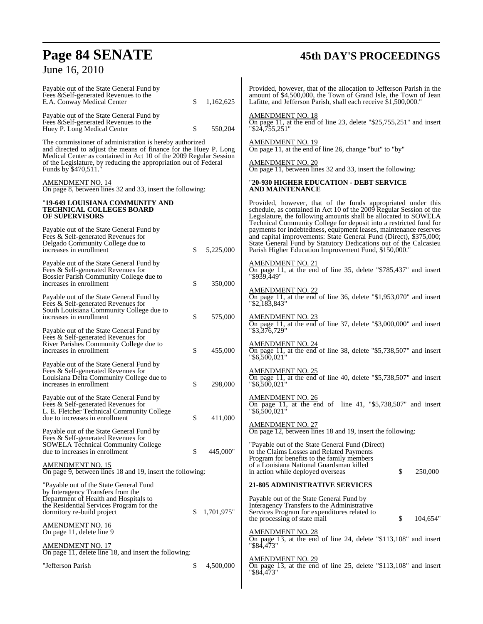## **Page 84 SENATE 45th DAY'S PROCEEDINGS**

## June 16, 2010

| Payable out of the State General Fund by<br>Fees & Self-generated Revenues to the<br>E.A. Conway Medical Center                                                                                                                                                      | \$<br>1,162,625 | Provided, however, that of the allocation to Jefferson Parish in the<br>amount of \$4,500,000, the Town of Grand Isle, the Town of Jean<br>Lafitte, and Jefferson Parish, shall each receive \$1,500,000."                                                                   |
|----------------------------------------------------------------------------------------------------------------------------------------------------------------------------------------------------------------------------------------------------------------------|-----------------|------------------------------------------------------------------------------------------------------------------------------------------------------------------------------------------------------------------------------------------------------------------------------|
| Payable out of the State General Fund by<br>Fees & Self-generated Revenues to the<br>Huey P. Long Medical Center                                                                                                                                                     | \$<br>550,204   | <b>AMENDMENT NO. 18</b><br>On page 11, at the end of line 23, delete " $$25,755,251"$ and insert<br>"\$24,755,251"                                                                                                                                                           |
| The commissioner of administration is hereby authorized<br>and directed to adjust the means of finance for the Huey P. Long<br>Medical Center as contained in Act 10 of the 2009 Regular Session<br>of the Legislature, by reducing the appropriation out of Federal |                 | <b>AMENDMENT NO. 19</b><br>On page 11, at the end of line 26, change "but" to "by"<br><u>AMENDMENT NO. 20</u>                                                                                                                                                                |
| Funds by \$470,511.<br><b>AMENDMENT NO. 14</b>                                                                                                                                                                                                                       |                 | On page 11, between lines 32 and 33, insert the following:<br>"20-930 HIGHER EDUCATION - DEBT SERVICE                                                                                                                                                                        |
| On page 8, between lines 32 and 33, insert the following:                                                                                                                                                                                                            |                 | AND MAINTENANCE                                                                                                                                                                                                                                                              |
| "19-649 LOUISIANA COMMUNITY AND<br><b>TECHNICAL COLLEGES BOARD</b><br><b>OF SUPERVISORS</b>                                                                                                                                                                          |                 | Provided, however, that of the funds appropriated under this<br>schedule, as contained in Act 10 of the 2009 Regular Session of the<br>Legislature, the following amounts shall be allocated to SOWELA<br>Technical Community College for deposit into a restricted fund for |
| Payable out of the State General Fund by<br>Fees & Self-generated Revenues for<br>Delgado Community College due to<br>increases in enrollment                                                                                                                        | \$<br>5,225,000 | payments for indebtedness, equipment leases, maintenance reserves<br>and capital improvements: State General Fund (Direct), \$375,000;<br>State General Fund by Statutory Dedications out of the Calcasieu<br>Parish Higher Education Improvement Fund, \$150,000."          |
| Payable out of the State General Fund by<br>Fees & Self-generated Revenues for<br>Bossier Parish Community College due to<br>increases in enrollment                                                                                                                 | \$<br>350,000   | AMENDMENT NO. 21<br>On page 11, at the end of line 35, delete "\$785,437" and insert<br>"\$939.449"                                                                                                                                                                          |
| Payable out of the State General Fund by<br>Fees & Self-generated Revenues for                                                                                                                                                                                       |                 | <b>AMENDMENT NO. 22</b><br>On page 11, at the end of line 36, delete "\$1,953,070" and insert<br>"\$2,183,843"                                                                                                                                                               |
| South Louisiana Community College due to<br>increases in enrollment<br>Payable out of the State General Fund by                                                                                                                                                      | \$<br>575,000   | <b>AMENDMENT NO. 23</b><br>On page 11, at the end of line 37, delete "\$3,000,000" and insert<br>"\$3,376,729"                                                                                                                                                               |
| Fees & Self-generated Revenues for<br>River Parishes Community College due to<br>increases in enrollment                                                                                                                                                             | \$<br>455,000   | <u>AMENDMENT NO. 24</u><br>On page 11, at the end of line 38, delete "\$5,738,507" and insert<br>"\$6,500,021"                                                                                                                                                               |
| Payable out of the State General Fund by<br>Fees & Self-generated Revenues for<br>Louisiana Delta Community College due to<br>increases in enrollment                                                                                                                | \$<br>298,000   | <b>AMENDMENT NO. 25</b><br>On page 11, at the end of line 40, delete "\$5,738,507" and insert<br>"\$6,500,021"                                                                                                                                                               |
| Payable out of the State General Fund by<br>Fees & Self-generated Revenues for<br>L. E. Fletcher Technical Community College<br>due to increases in enrollment                                                                                                       | \$<br>411,000   | <b>AMENDMENT NO. 26</b><br>On page 11, at the end of line 41, " $$5,738,507$ " and insert<br>"\$6,500,021"                                                                                                                                                                   |
| Payable out of the State General Fund by<br>Fees & Self-generated Revenues for                                                                                                                                                                                       |                 | <b>AMENDMENT NO. 27</b><br>On page 12, between lines 18 and 19, insert the following:                                                                                                                                                                                        |
| <b>SOWELA Technical Community College</b><br>due to increases in enrollment                                                                                                                                                                                          | 445,000"<br>\$  | "Payable out of the State General Fund (Direct)<br>to the Claims Losses and Related Payments<br>Program for benefits to the family members                                                                                                                                   |
| <b>AMENDMENT NO. 15</b><br>On page 9, between lines 18 and 19, insert the following:                                                                                                                                                                                 |                 | of a Louisiana National Guardsman killed<br>\$<br>250,000<br>in action while deployed overseas                                                                                                                                                                               |
| "Payable out of the State General Fund<br>by Interagency Transfers from the                                                                                                                                                                                          |                 | <b>21-805 ADMINISTRATIVE SERVICES</b>                                                                                                                                                                                                                                        |
| Department of Health and Hospitals to<br>the Residential Services Program for the<br>dormitory re-build project                                                                                                                                                      | 1,701,975"<br>S | Payable out of the State General Fund by<br>Interagency Transfers to the Administrative<br>Services Program for expenditures related to<br>\$<br>the processing of state mail<br>104,654"                                                                                    |
| <b>AMENDMENT NO. 16</b><br>On page 11, delete line 9                                                                                                                                                                                                                 |                 | <b>AMENDMENT NO. 28</b><br>On page 13, at the end of line 24, delete "\$113,108" and insert                                                                                                                                                                                  |
| AMENDMENT NO. 17<br>On page 11, delete line 18, and insert the following:                                                                                                                                                                                            |                 | "\$84,473"                                                                                                                                                                                                                                                                   |
| "Jefferson Parish                                                                                                                                                                                                                                                    | \$<br>4,500,000 | <b>AMENDMENT NO. 29</b><br>On page 13, at the end of line 25, delete "\$113,108" and insert<br>"\$84,473"                                                                                                                                                                    |
|                                                                                                                                                                                                                                                                      |                 |                                                                                                                                                                                                                                                                              |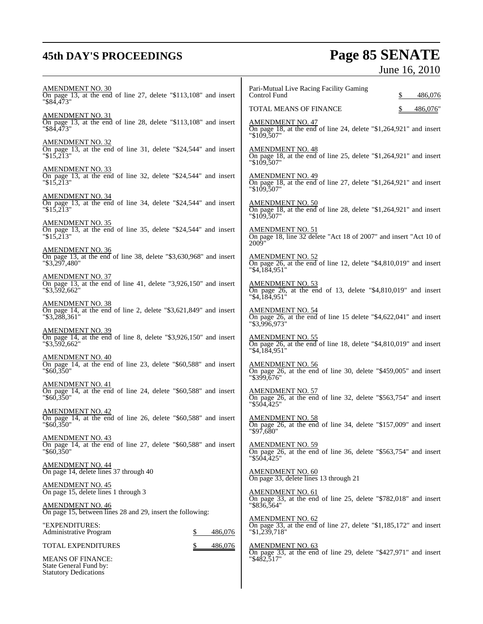Statutory Dedications

## **45th DAY'S PROCEEDINGS Page 85 SENATE** June 16, 2010

| <b>AMENDMENT NO. 30</b>                                                               | Pari-Mutual Live Racing Facility Gaming                               |
|---------------------------------------------------------------------------------------|-----------------------------------------------------------------------|
| On page 13, at the end of line 27, delete "\$113,108" and insert                      | Control Fund                                                          |
| "\$84,473"                                                                            | 486,076                                                               |
|                                                                                       | TOTAL MEANS OF FINANCE<br>486,076"                                    |
| <b>AMENDMENT NO. 31</b>                                                               | AMENDMENT NO. 47                                                      |
| On page 13, at the end of line 28, delete "\$113,108" and insert                      | On page 18, at the end of line 24, delete "\$1,264,921" and insert    |
| "\$84.473"                                                                            | "\$109.507"                                                           |
| <b>AMENDMENT NO. 32</b>                                                               | <b>AMENDMENT NO. 48</b>                                               |
| On page 13, at the end of line 31, delete "\$24,544" and insert                       | On page 18, at the end of line 25, delete "\$1,264,921" and insert    |
| $"\$1\overline{5}.\overline{21}3"$                                                    | "\$109.507"                                                           |
| <b>AMENDMENT NO. 33</b>                                                               | <b>AMENDMENT NO. 49</b>                                               |
| On page 13, at the end of line 32, delete "\$24,544" and insert                       | On page 18, at the end of line 27, delete "\$1,264,921" and insert    |
| $"\$15.213"$                                                                          | "\$109,507"                                                           |
| <b>AMENDMENT NO. 34</b>                                                               | <b>AMENDMENT NO. 50</b>                                               |
| On page 13, at the end of line 34, delete "\$24,544" and insert                       | On page 18, at the end of line 28, delete "\$1,264,921" and insert    |
| $"\$15,213"$                                                                          | $"\$109,507"$                                                         |
| <b>AMENDMENT NO. 35</b>                                                               | AMENDMENT NO. 51                                                      |
| On page 13, at the end of line 35, delete "\$24,544" and insert                       | On page 18, line 32 delete "Act 18 of 2007" and insert "Act 10 of     |
| $"\$15,213"$                                                                          | 2009"                                                                 |
| <b>AMENDMENT NO. 36</b>                                                               | AMENDMENT NO. 52                                                      |
| On page 13, at the end of line 38, delete "\$3,630,968" and insert                    | On page 26, at the end of line 12, delete " $$4,810,019"$ and insert  |
| $"\$3,297,480"$                                                                       | "\$4,184,951"                                                         |
| <b>AMENDMENT NO. 37</b>                                                               | <b>AMENDMENT NO. 53</b>                                               |
| On page 13, at the end of line 41, delete "3,926,150" and insert                      | On page 26, at the end of 13, delete "\$4,810,019" and insert         |
| "\$3,592,662"                                                                         | "\$4,184,951"                                                         |
| <b>AMENDMENT NO. 38</b>                                                               | AMENDMENT NO. 54                                                      |
| On page 14, at the end of line 2, delete $\degree$ \$3,621,849" and insert            | On page 26, at the end of line 15 delete "\$4,622,041" and insert     |
| "\$3,288,361"                                                                         | "\$3.996.973"                                                         |
| <b>AMENDMENT NO. 39</b>                                                               | AMENDMENT NO. 55                                                      |
| On page 14, at the end of line 8, delete $\degree$ \$3,926,150 $\degree$ and insert   | On page $26$ , at the end of line 18, delete "\$4,810,019" and insert |
| "\$3,592,662"                                                                         | "\$4,184,951"                                                         |
| <b>AMENDMENT NO. 40</b>                                                               | <b>AMENDMENT NO. 56</b>                                               |
| On page 14, at the end of line 23, delete "\$60,588" and insert                       | On page 26, at the end of line 30, delete "\$459,005" and insert      |
| $"\$60,350"$                                                                          | "\$399,676"                                                           |
| <b>AMENDMENT NO. 41</b>                                                               | <b>AMENDMENT NO. 57</b>                                               |
| On page 14, at the end of line 24, delete "\$60,588" and insert                       | On page 26, at the end of line 32, delete "\$563,754" and insert      |
| $"\$60,350"$                                                                          | "\$504,425"                                                           |
| <b>AMENDMENT NO. 42</b>                                                               | <b>AMENDMENT NO. 58</b>                                               |
| On page 14, at the end of line 26, delete "\$60,588" and insert                       | On page 26, at the end of line 34, delete "\$157,009" and insert      |
| $"\$60.350"$                                                                          | "\$97,680"                                                            |
| <b>AMENDMENT NO. 43</b>                                                               | <b>AMENDMENT NO. 59</b>                                               |
| On page 14, at the end of line 27, delete "\$60,588" and insert                       | On page 26, at the end of line 36, delete "\$563,754" and insert      |
| $"\$60,350"$                                                                          | "\$504.425"                                                           |
| AMENDMENT NO. 44<br>On page 14, delete lines 37 through 40                            | <b>AMENDMENT NO. 60</b><br>On page 33, delete lines 13 through 21     |
| <b>AMENDMENT NO. 45</b>                                                               | <b>AMENDMENT NO. 61</b>                                               |
| On page 15, delete lines 1 through 3                                                  | On page 33, at the end of line 25, delete "\$782,018" and insert      |
| <b>AMENDMENT NO. 46</b><br>On page 15, between lines 28 and 29, insert the following: | $"\$836,564"$                                                         |
| "EXPENDITURES:                                                                        | <b>AMENDMENT NO. 62</b>                                               |
| Administrative Program                                                                | On page 33, at the end of line 27, delete "\$1,185,172" and insert    |
| 486,076                                                                               | $"\$1,239,718"$                                                       |
| TOTAL EXPENDITURES<br>486,076                                                         | <b>AMENDMENT NO. 63</b>                                               |
| <b>MEANS OF FINANCE:</b>                                                              | On page 33, at the end of line 29, delete "\$427,971" and insert      |
| State General Fund by:                                                                | "\$482,517"                                                           |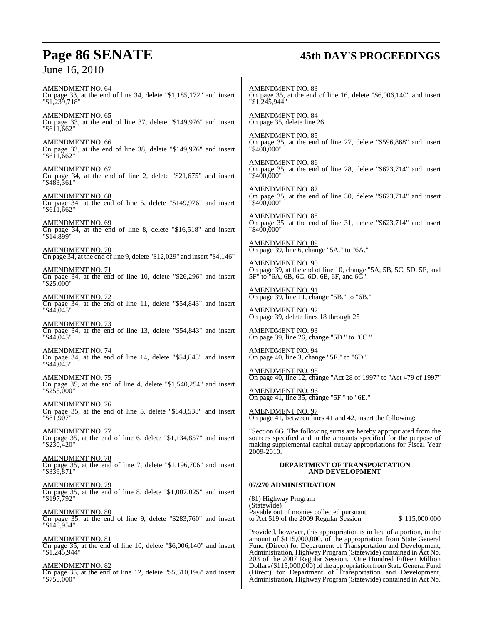## **Page 86 SENATE 45th DAY'S PROCEEDINGS**

AMENDMENT NO. 64 On page 33, at the end of line 34, delete "\$1,185,172" and insert "\$1,239,718"

AMENDMENT NO. 65 On page 33, at the end of line 37, delete "\$149,976" and insert "\$611,662"

AMENDMENT NO. 66 On page 33, at the end of line 38, delete "\$149,976" and insert "\$611,662"

AMENDMENT NO. 67 On page 34, at the end of line 2, delete "\$21,675" and insert "\$483,361"

AMENDMENT NO. 68 On page 34, at the end of line 5, delete "\$149,976" and insert "\$611,662"

AMENDMENT NO. 69 On page 34, at the end of line 8, delete "\$16,518" and insert "\$14,899"

AMENDMENT NO. 70 On page 34, at the end of line 9, delete "\$12,029" and insert "\$4,146"

AMENDMENT NO. 71 On page 34, at the end of line 10, delete "\$26,296" and insert "\$25,000"

AMENDMENT NO. 72 On page 34, at the end of line 11, delete "\$54,843" and insert "\$44,045"

AMENDMENT NO. 73 On page 34, at the end of line 13, delete "\$54,843" and insert "\$44,045"

AMENDMENT NO. 74 On page 34, at the end of line 14, delete "\$54,843" and insert "\$44,045"

AMENDMENT NO. 75 On page 35, at the end of line 4, delete "\$1,540,254" and insert "\$255,000"

AMENDMENT NO. 76 On page 35, at the end of line 5, delete "\$843,538" and insert "\$81,907"

AMENDMENT NO. 77 On page 35, at the end of line 6, delete "\$1,134,857" and insert "\$230,420"

AMENDMENT NO. 78 On page 35, at the end of line 7, delete "\$1,196,706" and insert "\$339,871"

AMENDMENT NO. 79 On page 35, at the end of line 8, delete "\$1,007,025" and insert "\$197,792"

AMENDMENT NO. 80 On page 35, at the end of line 9, delete "\$283,760" and insert "\$140,954"

AMENDMENT NO. 81 On page 35, at the end of line 10, delete "\$6,006,140" and insert "\$1,245,944"

AMENDMENT NO. 82 On page 35, at the end of line 12, delete "\$5,510,196" and insert "\$750,000"

AMENDMENT NO. 83 On page 35, at the end of line 16, delete "\$6,006,140" and insert "\$1,245,944"

AMENDMENT NO. 84 On page 35, delete line 26

AMENDMENT NO. 85 On page 35, at the end of line 27, delete "\$596,868" and insert "\$400,000"

AMENDMENT NO. 86 On page 35, at the end of line 28, delete "\$623,714" and insert "\$400,000"

AMENDMENT NO. 87 On page 35, at the end of line 30, delete "\$623,714" and insert "\$400,000"

AMENDMENT NO. 88 On page 35, at the end of line 31, delete "\$623,714" and insert "\$400,000"

AMENDMENT NO. 89 On page 39, line 6, change "5A." to "6A."

AMENDMENT NO. 90 On page 39, at the end of line 10, change "5A, 5B, 5C, 5D, 5E, and 5F" to "6A, 6B, 6C, 6D, 6E, 6F, and 6G"

AMENDMENT NO. 91 On page 39, line 11, change "5B." to "6B."

AMENDMENT NO. 92 On page 39, delete lines 18 through 25

AMENDMENT NO. 93 On page 39, line 26, change "5D." to "6C."

AMENDMENT NO. 94 On page 40, line 3, change "5E." to "6D."

AMENDMENT NO. 95 On page 40, line 12, change "Act 28 of 1997" to "Act 479 of 1997"

AMENDMENT NO. 96 On page 41, line 35, change "5F." to "6E."

AMENDMENT NO. 97 On page 41, between lines 41 and 42, insert the following:

"Section 6G. The following sums are hereby appropriated from the sources specified and in the amounts specified for the purpose of making supplemental capital outlay appropriations for Fiscal Year 2009-2010.

### **DEPARTMENT OF TRANSPORTATION AND DEVELOPMENT**

### **07/270 ADMINISTRATION**

(81) Highway Program (Statewide) Payable out of monies collected pursuant to Act 519 of the 2009 Regular Session  $$115,000,000$ 

Provided, however, this appropriation is in lieu of a portion, in the amount of \$115,000,000, of the appropriation from State General Fund (Direct) for Department of Transportation and Development, Administration, Highway Program (Statewide) contained in Act No. 203 of the 2007 Regular Session. One Hundred Fifteen Million Dollars (\$115,000,000) of the appropriation from State General Fund (Direct) for Department of Transportation and Development, Administration, Highway Program (Statewide) contained in Act No.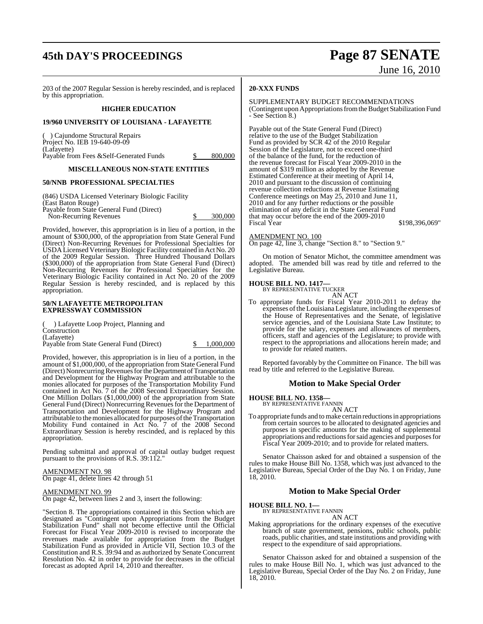## **45th DAY'S PROCEEDINGS Page 87 SENATE**

# June 16, 2010

203 of the 2007 Regular Session is hereby rescinded, and is replaced by this appropriation.

### **HIGHER EDUCATION**

### **19/960 UNIVERSITY OF LOUISIANA - LAFAYETTE**

( ) Cajundome Structural Repairs Project No. IEB 19-640-09-09 (Lafayette) Payable from Fees & Self-Generated Funds  $$800,000$ 

### **MISCELLANEOUS NON-STATE ENTITIES**

### **50/NNB PROFESSIONAL SPECIALTIES**

(846) USDA Licensed Veterinary Biologic Facility (East Baton Rouge) Payable from State General Fund (Direct) Non-Recurring Revenues \$ 300,000

Provided, however, this appropriation is in lieu of a portion, in the amount of \$300,000, of the appropriation from State General Fund (Direct) Non-Recurring Revenues for Professional Specialties for USDA Licensed VeterinaryBiologic Facility contained in Act No. 20 of the 2009 Regular Session. Three Hundred Thousand Dollars (\$300,000) of the appropriation from State General Fund (Direct) Non-Recurring Revenues for Professional Specialties for the Veterinary Biologic Facility contained in Act No. 20 of the 2009 Regular Session is hereby rescinded, and is replaced by this appropriation.

### **50/N LAFAYETTE METROPOLITAN EXPRESSWAY COMMISSION**

( ) Lafayette Loop Project, Planning and Construction (Lafayette)

Payable from State General Fund (Direct)  $\qquad \qquad \frac{\$ \quad 1,000,000}{}$ 

Provided, however, this appropriation is in lieu of a portion, in the amount of \$1,000,000, of the appropriation from State General Fund (Direct) Nonrecurring Revenues for the Department of Transportation and Development for the Highway Program and attributable to the monies allocated for purposes of the Transportation Mobility Fund contained in Act No. 7 of the 2008 Second Extraordinary Session. One Million Dollars (\$1,000,000) of the appropriation from State General Fund (Direct) Nonrecurring Revenues for the Department of Transportation and Development for the Highway Program and attributable to the monies allocated for purposes of the Transportation Mobility Fund contained in Act No. 7 of the 2008 Second Extraordinary Session is hereby rescinded, and is replaced by this appropriation.

Pending submittal and approval of capital outlay budget request pursuant to the provisions of R.S. 39:112."

AMENDMENT NO. 98 On page 41, delete lines 42 through 51

### <u>AMENDMENT NO. 99</u>

On page 42, between lines 2 and 3, insert the following:

"Section 8. The appropriations contained in this Section which are designated as "Contingent upon Appropriations from the Budget Stabilization Fund" shall not become effective until the Official Forecast for Fiscal Year 2009-2010 is revised to incorporate the revenues made available for appropriation from the Budget Stabilization Fund as provided in Article VII, Section 10.3 of the Constitution and R.S. 39:94 and as authorized by Senate Concurrent Resolution No. 42 in order to provide for decreases in the official forecast as adopted April 14, 2010 and thereafter.

### **20-XXX FUNDS**

### SUPPLEMENTARY BUDGET RECOMMENDATIONS

(Contingent upon Appropriations from the Budget Stabilization Fund - See Section 8.)

Payable out of the State General Fund (Direct) relative to the use of the Budget Stabilization Fund as provided by SCR 42 of the 2010 Regular Session of the Legislature, not to exceed one-third of the balance of the fund, for the reduction of the revenue forecast for Fiscal Year 2009-2010 in the amount of \$319 million as adopted by the Revenue Estimated Conference at their meeting of April 14, 2010 and pursuant to the discussion of continuing revenue collection reductions at Revenue Estimating Conference meetings on May 25, 2010 and June 11, 2010 and for any further reductions or the possible elimination of any deficit in the State General Fund that may occur before the end of the 2009-2010 Fiscal Year \$198,396,069"

### AMENDMENT NO. 100

On page 42, line 3, change "Section 8." to "Section 9."

On motion of Senator Michot, the committee amendment was adopted. The amended bill was read by title and referred to the Legislative Bureau.

### **HOUSE BILL NO. 1417—** BY REPRESENTATIVE TUCKER

AN ACT

To appropriate funds for Fiscal Year 2010-2011 to defray the expenses of the Louisiana Legislature, including the expenses of the House of Representatives and the Senate, of legislative service agencies, and of the Louisiana State Law Institute; to provide for the salary, expenses and allowances of members, officers, staff and agencies of the Legislature; to provide with respect to the appropriations and allocations herein made; and to provide for related matters.

Reported favorably by the Committee on Finance. The bill was read by title and referred to the Legislative Bureau.

### **Motion to Make Special Order**

**HOUSE BILL NO. 1358—** BY REPRESENTATIVE FANNIN

AN ACT

To appropriate funds and to make certain reductions in appropriations from certain sources to be allocated to designated agencies and purposes in specific amounts for the making of supplemental appropriations and reductions for said agencies and purposes for Fiscal Year 2009-2010; and to provide for related matters.

Senator Chaisson asked for and obtained a suspension of the rules to make House Bill No. 1358, which was just advanced to the Legislative Bureau, Special Order of the Day No. 1 on Friday, June 18, 2010.

### **Motion to Make Special Order**

**HOUSE BILL NO. 1—**

BY REPRESENTATIVE FANNIN AN ACT

Making appropriations for the ordinary expenses of the executive branch of state government, pensions, public schools, public roads, public charities, and state institutions and providing with respect to the expenditure of said appropriations.

Senator Chaisson asked for and obtained a suspension of the rules to make House Bill No. 1, which was just advanced to the Legislative Bureau, Special Order of the Day No. 2 on Friday, June 18, 2010.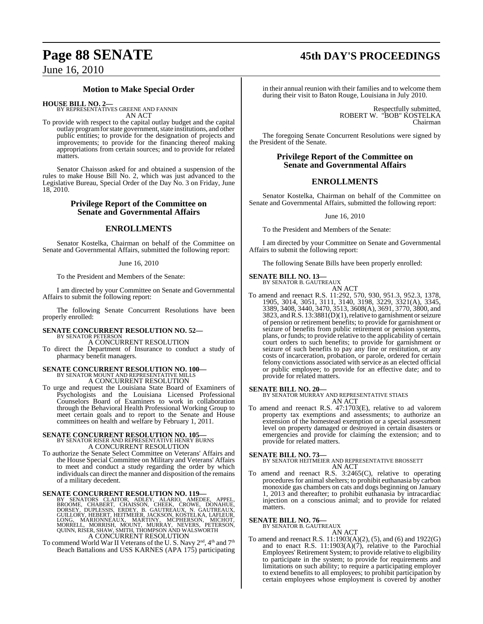## **Page 88 SENATE 45th DAY'S PROCEEDINGS**

### June 16, 2010

### **Motion to Make Special Order**

**HOUSE BILL NO. 2—** BY REPRESENTATIVES GREENE AND FANNIN AN ACT

To provide with respect to the capital outlay budget and the capital outlay program for state government, state institutions, and other public entities; to provide for the designation of projects and improvements; to provide for the financing thereof making appropriations from certain sources; and to provide for related matters.

Senator Chaisson asked for and obtained a suspension of the rules to make House Bill No. 2, which was just advanced to the Legislative Bureau, Special Order of the Day No. 3 on Friday, June 18, 2010.

### **Privilege Report of the Committee on Senate and Governmental Affairs**

### **ENROLLMENTS**

Senator Kostelka, Chairman on behalf of the Committee on Senate and Governmental Affairs, submitted the following report:

#### June 16, 2010

To the President and Members of the Senate:

I am directed by your Committee on Senate and Governmental Affairs to submit the following report:

The following Senate Concurrent Resolutions have been properly enrolled:

#### **SENATE CONCURRENT RESOLUTION NO. 52—** BY SENATOR PETERSON

A CONCURRENT RESOLUTION To direct the Department of Insurance to conduct a study of pharmacy benefit managers.

### **SENATE CONCURRENT RESOLUTION NO. 100—** BY SENATOR MOUNT AND REPRESENTATIVE MILLS A CONCURRENT RESOLUTION

To urge and request the Louisiana State Board of Examiners of Psychologists and the Louisiana Licensed Professional Counselors Board of Examiners to work in collaboration through the Behavioral Health Professional Working Group to meet certain goals and to report to the Senate and House committees on health and welfare by February 1, 2011.

### **SENATE CONCURRENT RESOLUTION NO. 105—** BY SENATOR RISER AND REPRESENTATIVE HENRY BURNS

A CONCURRENT RESOLUTION

To authorize the Senate Select Committee on Veterans' Affairs and the House Special Committee on Military and Veterans' Affairs to meet and conduct a study regarding the order by which individuals can direct the manner and disposition of the remains of a military decedent.

SENATE CONCURRENT RESOLUTION NO. 119—BY SENATORS CLAITOR, ADLEY, ALARIO, AMEDEE, APPEL, BROOME, CHABERT, CHABERT, CHABERT, DORSEY, DUPLESSIS, ERDEY, B. GAUTREAUX, N. GAUTREAUX, GUILLORY, HEBERT, HEITMEIER, JACKSON, KOSTELK A CONCURRENT RESOLUTION

To commend World War II Veterans of the U. S. Navy  $2^{\text{nd}}$ ,  $4^{\text{th}}$  and  $7^{\text{th}}$ Beach Battalions and USS KARNES (APA 175) participating in their annual reunion with their families and to welcome them during their visit to Baton Rouge, Louisiana in July 2010.

> Respectfully submitted, ROBERT W. "BOB" KOSTELKA Chairman

The foregoing Senate Concurrent Resolutions were signed by the President of the Senate.

### **Privilege Report of the Committee on Senate and Governmental Affairs**

### **ENROLLMENTS**

Senator Kostelka, Chairman on behalf of the Committee on Senate and Governmental Affairs, submitted the following report:

June 16, 2010

To the President and Members of the Senate:

I am directed by your Committee on Senate and Governmental Affairs to submit the following report:

The following Senate Bills have been properly enrolled:

**SENATE BILL NO. 13—** BY SENATOR B. GAUTREAUX

AN ACT

To amend and reenact R.S. 11:292, 570, 930, 951.3, 952.3, 1378, 1905, 3014, 3051, 3111, 3140, 3198, 3229, 3321(A), 3345, 3389, 3408, 3440, 3470, 3513, 3608(A), 3691, 3770, 3800, and 3823, andR.S. 13:3881(D)(1),relative to garnishment orseizure of pension or retirement benefits; to provide for garnishment or seizure of benefits from public retirement or pension systems, plans, or funds; to provide relative to the applicability of certain court orders to such benefits; to provide for garnishment or seizure of such benefits to pay any fine or restitution, or any costs of incarceration, probation, or parole, ordered for certain felony convictions associated with service as an elected official or public employee; to provide for an effective date; and to provide for related matters.

### **SENATE BILL NO. 20—**

BY SENATOR MURRAY AND REPRESENTATIVE STIAES AN ACT

To amend and reenact R.S. 47:1703(E), relative to ad valorem property tax exemptions and assessments; to authorize an extension of the homestead exemption or a special assessment level on property damaged or destroyed in certain disasters or emergencies and provide for claiming the extension; and to provide for related matters.

**SENATE BILL NO. 73—** BY SENATOR HEITMEIER AND REPRESENTATIVE BROSSETT AN ACT

To amend and reenact R.S. 3:2465(C), relative to operating procedures for animal shelters; to prohibit euthanasia by carbon monoxide gas chambers on cats and dogs beginning on January 1, 2013 and thereafter; to prohibit euthanasia by intracardiac injection on a conscious animal; and to provide for related matters.

### **SENATE BILL NO. 76—** BY SENATOR B. GAUTREAUX

AN ACT

To amend and reenact R.S.  $11:1903(A)(2)$ , (5), and (6) and 1922(G) and to enact R.S.  $11:1903(A)(7)$ , relative to the Parochial Employees' Retirement System; to provide relative to eligibility to participate in the system; to provide for requirements and limitations on such ability; to require a participating employer to extend benefits to all employees; to prohibit participation by certain employees whose employment is covered by another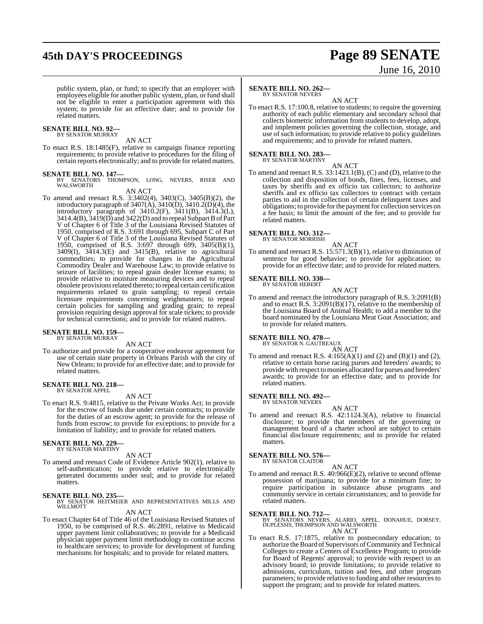## **45th DAY'S PROCEEDINGS Page 89 SENATE**

# June 16, 2010

public system, plan, or fund; to specify that an employer with employees eligible for another public system, plan, or fund shall not be eligible to enter a participation agreement with this system; to provide for an effective date; and to provide for related matters.

### **SENATE BILL NO. 92—** BY SENATOR MURRAY

AN ACT

To enact R.S. 18:1485(F), relative to campaign finance reporting requirements; to provide relative to procedures for the filing of certain reports electronically; and to provide for related matters.

### **SENATE BILL NO. 147—**

BY SENATORS THOMPSON, LONG, NEVERS, RISER AND WALSWORTH

- AN ACT
- To amend and reenact R.S. 3:3402(4), 3403(C), 3405(B)(2), the introductory paragraph of  $3407(A)$ ,  $3410(D)$ ,  $3410.2(D)(4)$ , the introductory paragraph of 3410.2(F), 3411(B), 3414.3(L), 3414.4(B),  $3419(D)$  and  $3422(D)$  and to repeal Subpart B of Part V of Chapter 6 of Title 3 of the Louisiana Revised Statutes of 1950, comprised of R.S. 3:691 through 695, Subpart C of Part V of Chapter 6 of Title 3 of the Louisiana Revised Statutes of 1950, comprised of R.S. 3:697 through 699, 3405(B)(1), 3409(I), 3414.3(E) and 3415(B), relative to agricultural commodities; to provide for changes in the Agricultural Commodity Dealer and Warehouse Law; to provide relative to seizure of facilities; to repeal grain dealer license exams; to provide relative to moisture measuring devices and to repeal obsolete provisions related thereto; to repeal certain certification requirements related to grain sampling; to repeal certain licensure requirements concerning weighmasters; to repeal certain policies for sampling and grading grain; to repeal provision requiring design approval for scale tickets; to provide for technical corrections; and to provide for related matters.

#### **SENATE BILL NO. 159** BY SENATOR MURRAY

AN ACT

To authorize and provide for a cooperative endeavor agreement for use of certain state property in Orleans Parish with the city of New Orleans; to provide for an effective date; and to provide for related matters.

#### **SENATE BILL NO. 218—** BY SENATOR APPEL

### AN ACT

To enact R.S. 9:4815, relative to the Private Works Act; to provide for the escrow of funds due under certain contracts; to provide for the duties of an escrow agent; to provide for the release of funds from escrow; to provide for exceptions; to provide for a limitation of liability; and to provide for related matters.

### **SENATE BILL NO. 229—** BY SENATOR MARTINY

AN ACT

To amend and reenact Code of Evidence Article 902(1), relative to self-authentication; to provide relative to electronically generated documents under seal; and to provide for related matters.

**SENATE BILL NO. 235—** BY SENATOR HEITMEIER AND REPRESENTATIVES MILLS AND WILLMOTT

- AN ACT
- To enact Chapter 64 of Title 46 of the Louisiana Revised Statutes of 1950, to be comprised of R.S. 46:2891, relative to Medicaid upper payment limit collaboratives; to provide for a Medicaid physician upper payment limit methodology to continue access to healthcare services; to provide for development of funding mechanisms for hospitals; and to provide for related matters.

### **SENATE BILL NO. 262—**

BY SENATOR NEVERS

AN ACT To enact R.S. 17:100.8, relative to students; to require the governing authority of each public elementary and secondary school that collects biometric information from students to develop, adopt, and implement policies governing the collection, storage, and use of such information; to provide relative to policy guidelines and requirements; and to provide for related matters.

### **SENATE BILL NO. 283—** BY SENATOR MARTINY

AN ACT

To amend and reenact R.S. 33:1423.1(B), (C) and (D), relative to the collection and disposition of bonds, fines, fees, licenses, and taxes by sheriffs and ex officio tax collectors; to authorize sheriffs and ex officio tax collectors to contract with certain parties to aid in the collection of certain delinquent taxes and obligations; to provide for the payment for collection services on a fee basis; to limit the amount of the fee; and to provide for related matters.

#### **SENATE BILL NO. 312—** BY SENATOR MORRISH

AN ACT

To amend and reenact R.S. 15:571.3(B)(1), relative to diminution of sentence for good behavior; to provide for application; to provide for an effective date; and to provide for related matters.

#### **SENATE BILL NO. 330—** BY SENATOR HEBERT

AN ACT

To amend and reenact the introductory paragraph of R.S. 3:2091(B) and to enact R.S.  $3:2091(B)(17)$ , relative to the membership of the Louisiana Board of Animal Health; to add a member to the board nominated by the Louisiana Meat Goat Association; and to provide for related matters.

### **SENATE BILL NO. 478—** BY SENATOR N. GAUTREAUX

AN ACT

To amend and reenact R.S.  $4:165(A)(1)$  and  $(2)$  and  $(B)(1)$  and  $(2)$ , relative to certain horse racing purses and breeders' awards; to provide with respect tomonies allocated for purses and breeders' awards; to provide for an effective date; and to provide for related matters.

#### **SENATE BILL NO. 492—** BY SENATOR NEVERS

AN ACT

To amend and reenact R.S. 42:1124.3(A), relative to financial disclosure; to provide that members of the governing or management board of a charter school are subject to certain financial disclosure requirements; and to provide for related matters.

### **SENATE BILL NO. 576**

BY SENATOR CLAITOR

AN ACT

To amend and reenact R.S. 40:966(E)(2), relative to second offense possession of marijuana; to provide for a minimum fine; to require participation in substance abuse programs and community service in certain circumstances; and to provide for related matters.

### **SENATE BILL NO. 712—**

BY SENATORS NEVERS, ALARIO, APPEL, DONAHUE, DORSEY, DUPLESSIS, THOMPSON AND WALSWORTH AN ACT

To enact R.S. 17:1875, relative to postsecondary education; to authorize the Board of Supervisors of Community and Technical Colleges to create a Centers of Excellence Program; to provide for Board of Regents' approval; to provide with respect to an advisory board; to provide limitations; to provide relative to admissions, curriculum, tuition and fees, and other program parameters; to provide relative to funding and other resources to support the program; and to provide for related matters.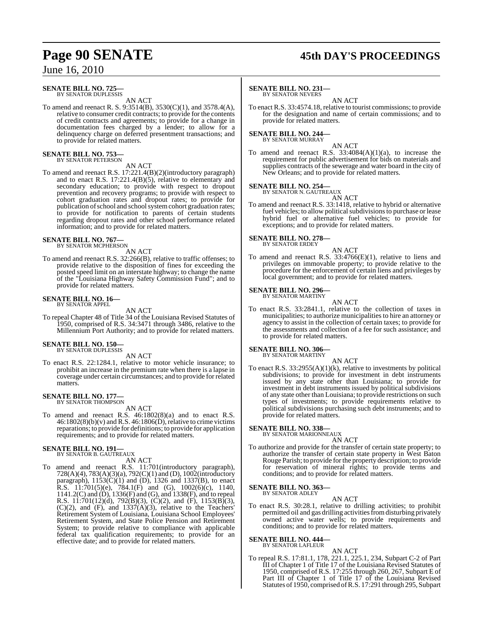#### **SENATE BILL NO. 725—** BY SENATOR DUPLESSIS

AN ACT

To amend and reenact R. S. 9:3514(B), 3530(C)(1), and 3578.4(A), relative to consumer credit contracts; to provide for the contents of credit contracts and agreements; to provide for a change in documentation fees charged by a lender; to allow for a delinquency charge on deferred presentment transactions; and to provide for related matters.

### **SENATE BILL NO. 753—** BY SENATOR PETERSON

AN ACT

To amend and reenact R.S. 17:221.4(B)(2)(introductory paragraph) and to enact R.S. 17:221.4(B)(5), relative to elementary and secondary education; to provide with respect to dropout prevention and recovery programs; to provide with respect to cohort graduation rates and dropout rates; to provide for publication of school and school system cohort graduation rates; to provide for notification to parents of certain students regarding dropout rates and other school performance related information; and to provide for related matters.

### **SENATE BILL NO. 767—**<br>BY SENATOR MCPHERSON

AN ACT

To amend and reenact R.S. 32:266(B), relative to traffic offenses; to provide relative to the disposition of fines for exceeding the posted speed limit on an interstate highway; to change the name of the "Louisiana Highway Safety Commission Fund"; and to provide for related matters.

#### **SENATE BILL NO. 16—** BY SENATOR APPEL

AN ACT

To repeal Chapter 48 of Title 34 of the Louisiana Revised Statutes of 1950, comprised of R.S. 34:3471 through 3486, relative to the Millennium Port Authority; and to provide for related matters.

### **SENATE BILL NO. 150—** BY SENATOR DUPLESSIS

AN ACT

To enact R.S. 22:1284.1, relative to motor vehicle insurance; to prohibit an increase in the premium rate when there is a lapse in coverage under certain circumstances; and to provide for related matters.

### **SENATE BILL NO. 177—**<br>BY SENATOR THOMPSON

AN ACT

To amend and reenact R.S. 46:1802(8)(a) and to enact R.S.  $46:1802(8)(b)(v)$  and R.S.  $46:1806(D)$ , relative to crime victims reparations; to provide for definitions; to provide for application requirements; and to provide for related matters.

#### **SENATE BILL NO. 191—**

BY SENATOR B. GAUTREAUX AN ACT

To amend and reenact R.S. 11:701(introductory paragraph), 728(A)(4), 783(A)(3)(a), 792(C)(1) and (D), 1002(introductory paragraph), 1153(C)(1) and (D), 1326 and 1337(B), to enact R.S.  $11:701(5)(e)$ ,  $784.1(F)$  and  $(G)$ ,  $1002(6)(c)$ ,  $1140$ , 1141.2(C) and (D), 1336(F) and (G), and 1338(F), and to repeal R.S. 11:701(12)(d), 792(B)(3), (C)(2), and (F), 1153(B)(3),  $(C)(2)$ , and  $(F)$ , and  $1337(A)(3)$ , relative to the Teachers' Retirement System of Louisiana, Louisiana School Employees' Retirement System, and State Police Pension and Retirement System; to provide relative to compliance with applicable federal tax qualification requirements; to provide for an effective date; and to provide for related matters.

## **Page 90 SENATE 45th DAY'S PROCEEDINGS**

#### **SENATE BILL NO. 231—** BY SENATOR NEVERS

AN ACT

To enact R.S. 33:4574.18, relative to tourist commissions; to provide for the designation and name of certain commissions; and to provide for related matters.

### **SENATE BILL NO. 244—** BY SENATOR MURRAY

AN ACT To amend and reenact R.S.  $33:4084(A)(1)(a)$ , to increase the requirement for public advertisement for bids on materials and supplies contracts of the sewerage and water board in the city of New Orleans; and to provide for related matters.

**SENATE BILL NO. 254—**

BY SENATOR N. GAUTREAUX

AN ACT To amend and reenact R.S. 33:1418, relative to hybrid or alternative fuel vehicles; to allow political subdivisions to purchase or lease hybrid fuel or alternative fuel vehicles; to provide for exceptions; and to provide for related matters.

**SENATE BILL NO. 278—**

BY SENATOR ERDEY

AN ACT To amend and reenact R.S. 33:4766(E)(1), relative to liens and privileges on immovable property; to provide relative to the procedure for the enforcement of certain liens and privileges by local government; and to provide for related matters.

**SENATE BILL NO. 296—** BY SENATOR MARTINY

AN ACT

To enact R.S. 33:2841.1, relative to the collection of taxes in municipalities; to authorize municipalities to hire an attorney or agency to assist in the collection of certain taxes; to provide for the assessments and collection of a fee for such assistance; and to provide for related matters.

### **SENATE BILL NO. 306—**

BY SENATOR MARTINY

AN ACT To enact R.S.  $33:2955(A)(1)(k)$ , relative to investments by political subdivisions; to provide for investment in debt instruments issued by any state other than Louisiana; to provide for investment in debt instruments issued by political subdivisions of any state other than Louisiana; to provide restrictions on such types of investments; to provide requirements relative to political subdivisions purchasing such debt instruments; and to provide for related matters.

### **SENATE BILL NO. 338—**

BY SENATOR MARIONNEAUX

- AN ACT To authorize and provide for the transfer of certain state property; to
- authorize the transfer of certain state property in West Baton Rouge Parish; to provide forthe property description; to provide for reservation of mineral rights; to provide terms and conditions; and to provide for related matters.

### **SENATE BILL NO. 363—** BY SENATOR ADLEY

AN ACT

To enact R.S. 30:28.1, relative to drilling activities; to prohibit permitted oil and gas drilling activities from disturbing privately owned active water wells; to provide requirements and conditions; and to provide for related matters.

### **SENATE BILL NO. 444—** BY SENATOR LAFLEUR

- AN ACT
- To repeal R.S. 17:81.1, 178, 221.1, 225.1, 234, Subpart C-2 of Part III of Chapter 1 of Title 17 of the Louisiana Revised Statutes of 1950, comprised of R.S. 17:255 through 260, 267, Subpart E of Part III of Chapter 1 of Title 17 of the Louisiana Revised Statutes of 1950, comprised ofR.S. 17:291 through 295, Subpart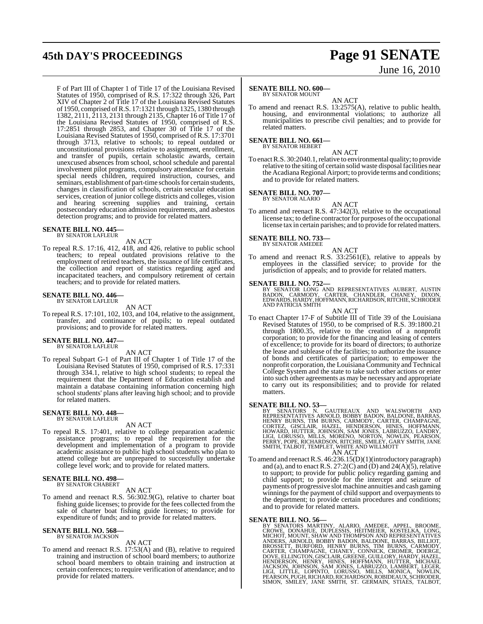## **45th DAY'S PROCEEDINGS Page 91 SENATE**

F of Part III of Chapter 1 of Title 17 of the Louisiana Revised Statutes of 1950, comprised of R.S. 17:322 through 326, Part XIV of Chapter 2 of Title 17 of the Louisiana Revised Statutes of 1950, comprised ofR.S. 17:1321 through 1325, 1380 through 1382, 2111, 2113, 2131 through 2135, Chapter 16 of Title 17 of the Louisiana Revised Statutes of 1950, comprised of R.S. 17:2851 through 2853, and Chapter 30 of Title 17 of the Louisiana Revised Statutes of 1950, comprised of R.S. 17:3701 through 3713, relative to schools; to repeal outdated or unconstitutional provisions relative to assignment, enrollment, and transfer of pupils, certain scholastic awards, certain unexcused absences from school, school schedule and parental involvement pilot programs, compulsory attendance for certain special needs children, required instruction, courses, and seminars, establishment of part-time schools for certain students, changes in classification of schools, certain secular education services, creation of junior college districts and colleges, vision and hearing screening supplies and training, certain postsecondary education admission requirements, and asbestos detection programs; and to provide for related matters.

### **SENATE BILL NO. 445—**

BY SENATOR LAFLEUR

AN ACT

To repeal R.S. 17:16, 412, 418, and 426, relative to public school teachers; to repeal outdated provisions relative to the employment of retired teachers, the issuance of life certificates, the collection and report of statistics regarding aged and incapacitated teachers, and compulsory retirement of certain teachers; and to provide for related matters.

### **SENATE BILL NO. 446—** BY SENATOR LAFLEUR

AN ACT

To repeal R.S. 17:101, 102, 103, and 104, relative to the assignment, transfer, and continuance of pupils; to repeal outdated provisions; and to provide for related matters.

#### **SENATE BILL NO. 447—** BY SENATOR LAFLEUR

AN ACT

To repeal Subpart G-1 of Part III of Chapter 1 of Title 17 of the Louisiana Revised Statutes of 1950, comprised of R.S. 17:331 through 334.1, relative to high school students; to repeal the requirement that the Department of Education establish and maintain a database containing information concerning high school students' plans after leaving high school; and to provide for related matters.

#### **SENATE BILL NO. 448—** BY SENATOR LAFLEUR

AN ACT

To repeal R.S. 17:401, relative to college preparation academic assistance programs; to repeal the requirement for the development and implementation of a program to provide academic assistance to public high school students who plan to attend college but are unprepared to successfully undertake college level work; and to provide for related matters.

#### **SENATE BILL NO. 498—** BY SENATOR CHABERT

AN ACT

To amend and reenact R.S. 56:302.9(G), relative to charter boat fishing guide licenses; to provide for the fees collected from the sale of charter boat fishing guide licenses; to provide for expenditure of funds; and to provide for related matters.

### **SENATE BILL NO. 568—** BY SENATOR JACKSON

AN ACT

To amend and reenact R.S. 17:53(A) and (B), relative to required training and instruction of school board members; to authorize school board members to obtain training and instruction at certain conferences; to require verification of attendance; and to provide for related matters.

# June 16, 2010

### **SENATE BILL NO. 600—**

BY SENATOR MOUNT AN ACT

To amend and reenact R.S. 13:2575(A), relative to public health, housing, and environmental violations; to authorize all municipalities to prescribe civil penalties; and to provide for related matters.

**SENATE BILL NO. 661—** BY SENATOR HEBERT

AN ACT

To enact R.S. 30:2040.1, relative to environmental quality; to provide relative to the siting of certain solid waste disposal facilities near the Acadiana Regional Airport; to provide terms and conditions; and to provide for related matters.

## **SENATE BILL NO. 707—** BY SENATOR ALARIO

AN ACT To amend and reenact R.S. 47:342(3), relative to the occupational license tax; to define contractor for purposes of the occupational license tax in certain parishes; and to provide for related matters.

### **SENATE BILL NO. 733—** BY SENATOR AMEDEE

AN ACT To amend and reenact R.S. 33:2561(E), relative to appeals by employees in the classified service; to provide for the jurisdiction of appeals; and to provide for related matters.

**SENATE BILL NO. 752—**<br>BY SENATOR LONG AND REPRESENTATIVES AUBERT, AUSTIN<br>BADON, CARMODY, CARTER, CHANDLER, CHANEY, DIXON,<br>EDWARDS, HARDY, HOFFMANN,RICHARDSON,RITCHIE, SCHRODER AND PATRICIA SMITH

AN ACT To enact Chapter 17-F of Subtitle III of Title 39 of the Louisiana Revised Statutes of 1950, to be comprised of R.S. 39:1800.21 through 1800.35, relative to the creation of a nonprofit corporation; to provide for the financing and leasing of centers of excellence; to provide for its board of directors; to authorize the lease and sublease of the facilities; to authorize the issuance of bonds and certificates of participation; to empower the nonprofit corporation, the Louisiana Community and Technical College System and the state to take such other actions or enter into such other agreements as may be necessary and appropriate to carry out its responsibilities; and to provide for related matters.

**SENATE BILL NO. 53—**<br>BY SENATORS N. GAUTREAUX AND WALSWORTH AND<br>REPRESENTATIVES ARNOLD, BOBBY BADON, BALDONE, BARRAS,<br>HENRY BURNS, TIM BURNS, CARMODY, CARTER, CHAMPAGNE,<br>CORTEZ, GISCLAIR, HAZEL, HENDERSON, HINES, HOFFMANN AN ACT

To amend and reenactR.S. 46:236.15(D)(1)(introductory paragraph) and (a), and to enact R.S. 27:2(C) and (D) and  $24(A)(5)$ , relative to support; to provide for public policy regarding gaming and child support; to provide for the intercept and seizure of payments of progressive slot machine annuities and cash gaming winnings for the payment of child support and overpayments to the department; to provide certain procedures and conditions; and to provide for related matters.

SENATE BILL NO. 56—<br>
BY SENATORS MARTINY, ALARIO, AMEDEE, APPEL, BROOME,<br>
CROWE, DONAHUE, DUPLESSIS, HEITMEIER, KOSTELKA, LONG,<br>
CROWE, DONAHUE, DUPLESSIS, HEITMEIER, KOSTELKA, LONG,<br>
MICHOT, MOUNT, SHAW AND THOMPSON AND R SIMON, SMILEY, JANE SMITH, ST. GERMAIN, STIAES, TALBOT,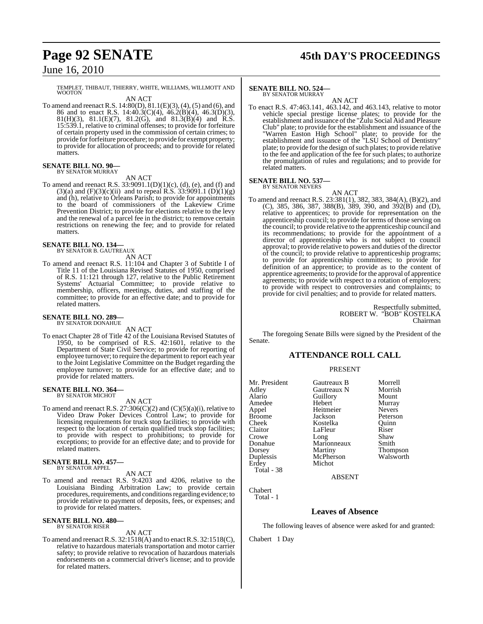## **Page 92 SENATE 45th DAY'S PROCEEDINGS**

June 16, 2010

TEMPLET, THIBAUT, THIERRY, WHITE, WILLIAMS, WILLMOTT AND WOOTON

AN ACT To amend and reenact R.S. 14:80(D), 81.1(E)(3), (4), (5) and (6), and 86 and to enact R.S. 14:40.3(C)(4), 46.2(B)(4), 46.3(D)(3), 81(H)(3), 81.1(E)(7), 81.2(G), and 81.3(B)(4) and R.S. 15:539.1, relative to criminal offenses; to provide for forfeiture of certain property used in the commission of certain crimes; to provide for forfeiture procedure; to provide for exempt property; to provide for allocation of proceeds; and to provide for related matters.

#### **SENATE BILL NO. 90—** BY SENATOR MURRAY

AN ACT

To amend and reenact R.S. 33:9091.1(D)(1)(c), (d), (e), and (f) and  $(3)(a)$  and  $(F)(3)(c)(ii)$  and to repeal R.S. 33:9091.1  $(D)(1)(g)$ and (h), relative to Orleans Parish; to provide for appointments to the board of commissioners of the Lakeview Crime Prevention District; to provide for elections relative to the levy and the renewal of a parcel fee in the district; to remove certain restrictions on renewing the fee; and to provide for related matters.

## **SENATE BILL NO. 134—** BY SENATOR B. GAUTREAUX

AN ACT

To amend and reenact R.S. 11:104 and Chapter 3 of Subtitle I of Title 11 of the Louisiana Revised Statutes of 1950, comprised of R.S. 11:121 through 127, relative to the Public Retirement Systems' Actuarial Committee; to provide relative to membership, officers, meetings, duties, and staffing of the committee; to provide for an effective date; and to provide for related matters.

#### **SENATE BILL NO. 289—** BY SENATOR DONAHUE

AN ACT

To enact Chapter 28 of Title 42 of the Louisiana Revised Statutes of 1950, to be comprised of R.S. 42:1601, relative to the Department of State Civil Service; to provide for reporting of employee turnover; to require the department to report each year to the Joint Legislative Committee on the Budget regarding the employee turnover; to provide for an effective date; and to provide for related matters.

## **SENATE BILL NO. 364—** BY SENATOR MICHOT

AN ACT

To amend and reenact R.S. 27:306(C)(2) and (C)(5)(a)(i), relative to Video Draw Poker Devices Control Law; to provide for licensing requirements for truck stop facilities; to provide with respect to the location of certain qualified truck stop facilities; to provide with respect to prohibitions; to provide for exceptions; to provide for an effective date; and to provide for related matters.

**SENATE BILL NO. 457—** BY SENATOR APPEL

### AN ACT

To amend and reenact R.S. 9:4203 and 4206, relative to the Louisiana Binding Arbitration Law; to provide certain procedures, requirements, and conditions regarding evidence; to provide relative to payment of deposits, fees, or expenses; and to provide for related matters.

### **SENATE BILL NO. 480—** BY SENATOR RISER

AN ACT

To amend and reenactR.S. 32:1518(A) and to enactR.S. 32:1518(C), relative to hazardous materials transportation and motor carrier safety; to provide relative to revocation of hazardous materials endorsements on a commercial driver's license; and to provide for related matters.

#### **SENATE BILL NO. 524—** BY SENATOR MURRAY

AN ACT

To enact R.S. 47:463.141, 463.142, and 463.143, relative to motor vehicle special prestige license plates; to provide for the establishment and issuance ofthe "Zulu Social Aid and Pleasure Club" plate; to provide for the establishment and issuance of the "Warren Easton High School" plate; to provide for the establishment and issuance of the "LSU School of Dentistry" plate; to provide for the design of such plates; to provide relative to the fee and application of the fee for such plates; to authorize the promulgation of rules and regulations; and to provide for related matters.

### **SENATE BILL NO. 537—**

BY SENATOR NEVERS

AN ACT To amend and reenact R.S. 23:381(1), 382, 383, 384(A), (B)(2), and (C), 385, 386, 387, 388(B), 389, 390, and 392(B) and (D), relative to apprentices; to provide for representation on the apprenticeship council; to provide for terms of those serving on the council; to provide relative to the apprenticeship council and its recommendations; to provide for the appointment of a director of apprenticeship who is not subject to council approval; to provide relative to powers and duties of the director of the council; to provide relative to apprenticeship programs; to provide for apprenticeship committees; to provide for definition of an apprentice; to provide as to the content of apprentice agreements; to provide for the approval of apprentice agreements; to provide with respect to a rotation of employers; to provide with respect to controversies and complaints; to provide for civil penalties; and to provide for related matters.

> Respectfully submitted, ROBERT W. "BOB" KOSTELKA Chairman

The foregoing Senate Bills were signed by the President of the Senate.

### **ATTENDANCE ROLL CALL**

### PRESENT

Mr. President Gautreaux B Morrell<br>Adley Gautreaux N Morrish Adley Gautreaux N Morrish Amedee Hebert Murray<br>
Appel Heitmeier Nevers Appel Heitmeier<br>Broome Jackson Broome Jackson Peterson<br>Cheek Kostelka Ouinn Cheek Kostelka Quinn Claitor LaFleur Riser<br>Crowe Long Shaw Crowe Long Shaw Donahue Marionneaux Smith<br>Dorsey Martiny Thom Dorsey Martiny Thompson<br>
Duplessis McPherson Walsworth Duplessis McPherson<br>Erdey Michot Total - 38

Alario Guillory<br>
Hebert Murray Michot

ABSENT

Chabert Total - 1

### **Leaves of Absence**

The following leaves of absence were asked for and granted:

Chabert 1 Day